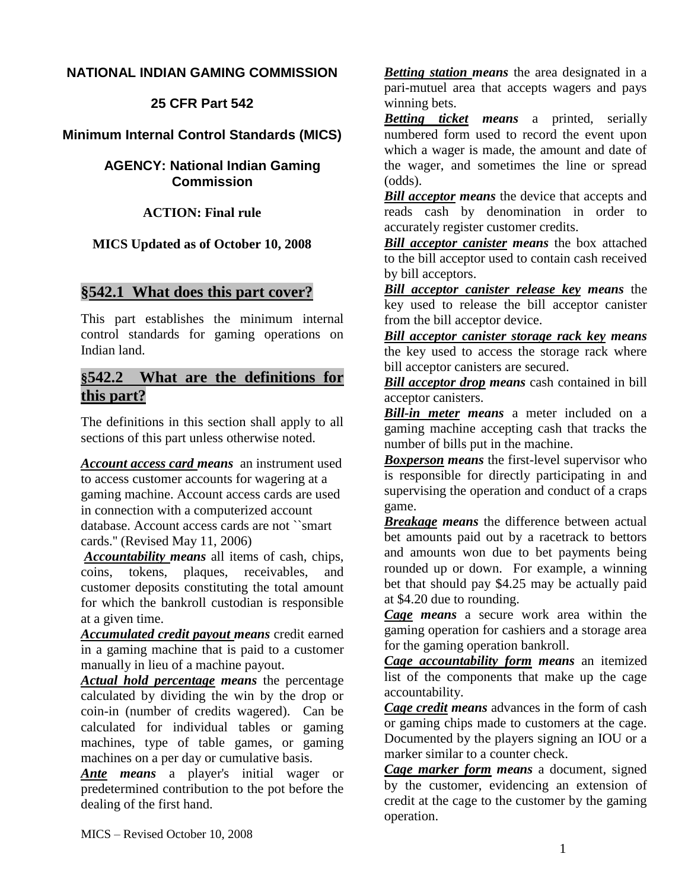## **NATIONAL INDIAN GAMING COMMISSION**

**25 CFR Part 542**

# **Minimum Internal Control Standards (MICS)**

**AGENCY: National Indian Gaming Commission**

**ACTION: Final rule**

**MICS Updated as of October 10, 2008**

# **§542.1 What does this part cover?**

This part establishes the minimum internal control standards for gaming operations on Indian land.

# **§542.2 What are the definitions for this part?**

The definitions in this section shall apply to all sections of this part unless otherwise noted.

*Account access card means* an instrument used to access customer accounts for wagering at a gaming machine. Account access cards are used in connection with a computerized account database. Account access cards are not ``smart cards.'' (Revised May 11, 2006)

*Accountability means* all items of cash, chips, coins, tokens, plaques, receivables, and customer deposits constituting the total amount for which the bankroll custodian is responsible at a given time.

*Accumulated credit payout means* credit earned in a gaming machine that is paid to a customer manually in lieu of a machine payout.

*Actual hold percentage means* the percentage calculated by dividing the win by the drop or coin-in (number of credits wagered). Can be calculated for individual tables or gaming machines, type of table games, or gaming machines on a per day or cumulative basis.

*Ante means* a player's initial wager or predetermined contribution to the pot before the dealing of the first hand.

*Betting station means* the area designated in a pari-mutuel area that accepts wagers and pays winning bets.

*Betting ticket means* a printed, serially numbered form used to record the event upon which a wager is made, the amount and date of the wager, and sometimes the line or spread (odds).

*Bill acceptor means* the device that accepts and reads cash by denomination in order to accurately register customer credits.

*Bill acceptor canister means* the box attached to the bill acceptor used to contain cash received by bill acceptors.

*Bill acceptor canister release key means* the key used to release the bill acceptor canister from the bill acceptor device.

*Bill acceptor canister storage rack key means* the key used to access the storage rack where bill acceptor canisters are secured.

*Bill acceptor drop means* cash contained in bill acceptor canisters.

*Bill-in meter means* a meter included on a gaming machine accepting cash that tracks the number of bills put in the machine.

*Boxperson means* the first-level supervisor who is responsible for directly participating in and supervising the operation and conduct of a craps game.

*Breakage means* the difference between actual bet amounts paid out by a racetrack to bettors and amounts won due to bet payments being rounded up or down. For example, a winning bet that should pay \$4.25 may be actually paid at \$4.20 due to rounding.

*Cage means* a secure work area within the gaming operation for cashiers and a storage area for the gaming operation bankroll.

*Cage accountability form means* an itemized list of the components that make up the cage accountability.

*Cage credit means* advances in the form of cash or gaming chips made to customers at the cage. Documented by the players signing an IOU or a marker similar to a counter check.

*Cage marker form means* a document, signed by the customer, evidencing an extension of credit at the cage to the customer by the gaming operation.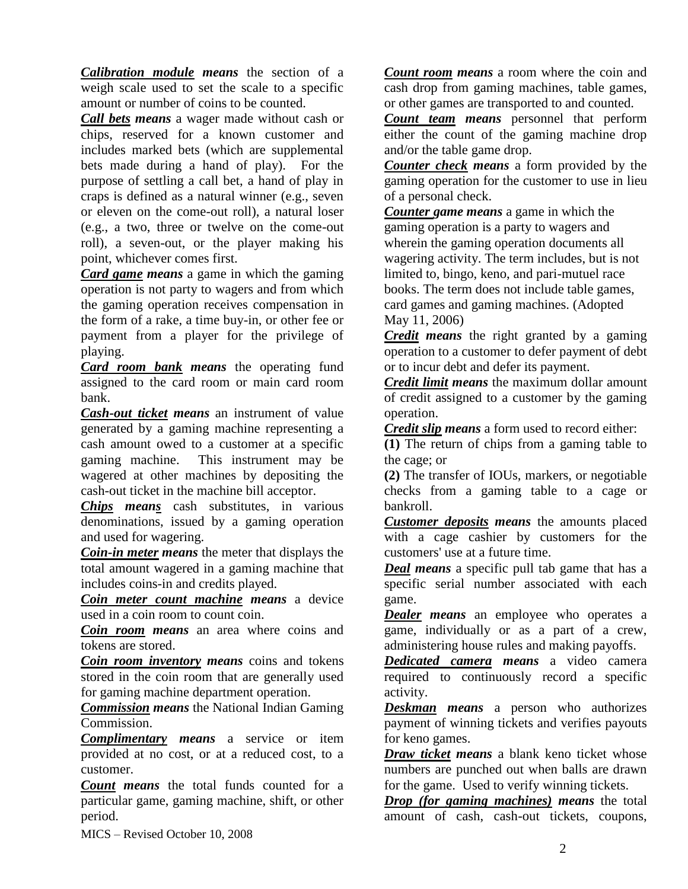*Calibration module means* the section of a weigh scale used to set the scale to a specific amount or number of coins to be counted.

*Call bets means* a wager made without cash or chips, reserved for a known customer and includes marked bets (which are supplemental bets made during a hand of play). For the purpose of settling a call bet, a hand of play in craps is defined as a natural winner (e.g., seven or eleven on the come-out roll), a natural loser (e.g., a two, three or twelve on the come-out roll), a seven-out, or the player making his point, whichever comes first.

*Card game means* a game in which the gaming operation is not party to wagers and from which the gaming operation receives compensation in the form of a rake, a time buy-in, or other fee or payment from a player for the privilege of playing.

*Card room bank means* the operating fund assigned to the card room or main card room bank.

*Cash-out ticket means* an instrument of value generated by a gaming machine representing a cash amount owed to a customer at a specific gaming machine. This instrument may be wagered at other machines by depositing the cash-out ticket in the machine bill acceptor.

*Chips means* cash substitutes, in various denominations, issued by a gaming operation and used for wagering.

*Coin-in meter means* the meter that displays the total amount wagered in a gaming machine that includes coins-in and credits played.

*Coin meter count machine means* a device used in a coin room to count coin.

*Coin room means* an area where coins and tokens are stored.

*Coin room inventory means* coins and tokens stored in the coin room that are generally used for gaming machine department operation.

*Commission means* the National Indian Gaming Commission.

*Complimentary means* a service or item provided at no cost, or at a reduced cost, to a customer.

*Count means* the total funds counted for a particular game, gaming machine, shift, or other period.

*Count room means* a room where the coin and cash drop from gaming machines, table games, or other games are transported to and counted.

*Count team means* personnel that perform either the count of the gaming machine drop and/or the table game drop.

*Counter check means* a form provided by the gaming operation for the customer to use in lieu of a personal check.

*Counter game means* a game in which the gaming operation is a party to wagers and wherein the gaming operation documents all wagering activity. The term includes, but is not limited to, bingo, keno, and pari-mutuel race books. The term does not include table games, card games and gaming machines. (Adopted May 11, 2006)

*Credit means* the right granted by a gaming operation to a customer to defer payment of debt or to incur debt and defer its payment.

*Credit limit means* the maximum dollar amount of credit assigned to a customer by the gaming operation.

*Credit slip means* a form used to record either:

**(1)** The return of chips from a gaming table to the cage; or

**(2)** The transfer of IOUs, markers, or negotiable checks from a gaming table to a cage or bankroll.

*Customer deposits means* the amounts placed with a cage cashier by customers for the customers' use at a future time.

*Deal means* a specific pull tab game that has a specific serial number associated with each game.

*Dealer means* an employee who operates a game, individually or as a part of a crew, administering house rules and making payoffs.

*Dedicated camera means* a video camera required to continuously record a specific activity.

*Deskman means* a person who authorizes payment of winning tickets and verifies payouts for keno games.

*Draw ticket means* a blank keno ticket whose numbers are punched out when balls are drawn for the game. Used to verify winning tickets.

*Drop (for gaming machines) means* the total amount of cash, cash-out tickets, coupons,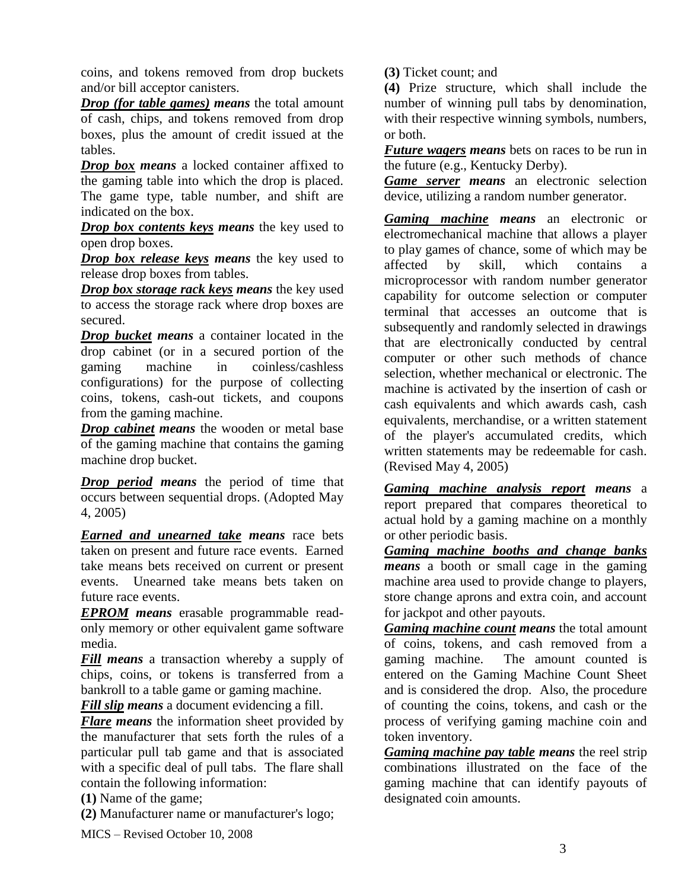coins, and tokens removed from drop buckets and/or bill acceptor canisters.

*Drop (for table games) means* the total amount of cash, chips, and tokens removed from drop boxes, plus the amount of credit issued at the tables.

*Drop box means* a locked container affixed to the gaming table into which the drop is placed. The game type, table number, and shift are indicated on the box.

*Drop box contents keys means* the key used to open drop boxes.

*Drop box release keys means* the key used to release drop boxes from tables.

*Drop box storage rack keys means* the key used to access the storage rack where drop boxes are secured.

*Drop bucket means* a container located in the drop cabinet (or in a secured portion of the gaming machine in coinless/cashless configurations) for the purpose of collecting coins, tokens, cash-out tickets, and coupons from the gaming machine.

*Drop cabinet means* the wooden or metal base of the gaming machine that contains the gaming machine drop bucket.

*Drop period means* the period of time that occurs between sequential drops. (Adopted May 4, 2005)

*Earned and unearned take means* race bets taken on present and future race events. Earned take means bets received on current or present events. Unearned take means bets taken on future race events.

*EPROM means* erasable programmable readonly memory or other equivalent game software media.

*Fill means* a transaction whereby a supply of chips, coins, or tokens is transferred from a bankroll to a table game or gaming machine.

*Fill slip means* a document evidencing a fill.

*Flare means* the information sheet provided by the manufacturer that sets forth the rules of a particular pull tab game and that is associated with a specific deal of pull tabs. The flare shall contain the following information:

**(1)** Name of the game;

**(2)** Manufacturer name or manufacturer's logo;

MICS – Revised October 10, 2008

**(3)** Ticket count; and

**(4)** Prize structure, which shall include the number of winning pull tabs by denomination, with their respective winning symbols, numbers, or both.

*Future wagers means* bets on races to be run in the future (e.g., Kentucky Derby).

*Game server means* an electronic selection device, utilizing a random number generator.

*Gaming machine means* an electronic or electromechanical machine that allows a player to play games of chance, some of which may be affected by skill, which contains a microprocessor with random number generator capability for outcome selection or computer terminal that accesses an outcome that is subsequently and randomly selected in drawings that are electronically conducted by central computer or other such methods of chance selection, whether mechanical or electronic. The machine is activated by the insertion of cash or cash equivalents and which awards cash, cash equivalents, merchandise, or a written statement of the player's accumulated credits, which written statements may be redeemable for cash. (Revised May 4, 2005)

*Gaming machine analysis report means* a report prepared that compares theoretical to actual hold by a gaming machine on a monthly or other periodic basis.

*Gaming machine booths and change banks means* a booth or small cage in the gaming machine area used to provide change to players, store change aprons and extra coin, and account for jackpot and other payouts.

*Gaming machine count means* the total amount of coins, tokens, and cash removed from a gaming machine. The amount counted is entered on the Gaming Machine Count Sheet and is considered the drop. Also, the procedure of counting the coins, tokens, and cash or the process of verifying gaming machine coin and token inventory.

*Gaming machine pay table means* the reel strip combinations illustrated on the face of the gaming machine that can identify payouts of designated coin amounts.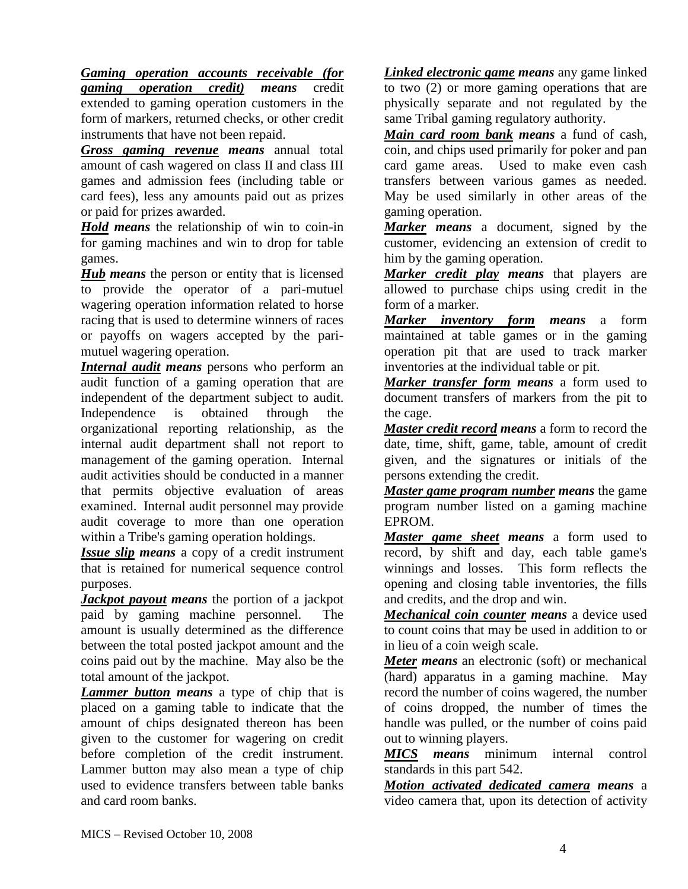*Gaming operation accounts receivable (for gaming operation credit) means* credit extended to gaming operation customers in the form of markers, returned checks, or other credit instruments that have not been repaid.

*Gross gaming revenue means* annual total amount of cash wagered on class II and class III games and admission fees (including table or card fees), less any amounts paid out as prizes or paid for prizes awarded.

*Hold means* the relationship of win to coin-in for gaming machines and win to drop for table games.

*Hub means* the person or entity that is licensed to provide the operator of a pari-mutuel wagering operation information related to horse racing that is used to determine winners of races or payoffs on wagers accepted by the parimutuel wagering operation.

*Internal audit means* persons who perform an audit function of a gaming operation that are independent of the department subject to audit. Independence is obtained through the organizational reporting relationship, as the internal audit department shall not report to management of the gaming operation. Internal audit activities should be conducted in a manner that permits objective evaluation of areas examined. Internal audit personnel may provide audit coverage to more than one operation within a Tribe's gaming operation holdings.

*Issue slip means* a copy of a credit instrument that is retained for numerical sequence control purposes.

*Jackpot payout means* the portion of a jackpot paid by gaming machine personnel. The amount is usually determined as the difference between the total posted jackpot amount and the coins paid out by the machine. May also be the total amount of the jackpot.

*Lammer button means* a type of chip that is placed on a gaming table to indicate that the amount of chips designated thereon has been given to the customer for wagering on credit before completion of the credit instrument. Lammer button may also mean a type of chip used to evidence transfers between table banks and card room banks.

*Linked electronic game means* any game linked to two (2) or more gaming operations that are physically separate and not regulated by the same Tribal gaming regulatory authority.

*Main card room bank means* a fund of cash, coin, and chips used primarily for poker and pan card game areas. Used to make even cash transfers between various games as needed. May be used similarly in other areas of the gaming operation.

*Marker means* a document, signed by the customer, evidencing an extension of credit to him by the gaming operation.

*Marker credit play means* that players are allowed to purchase chips using credit in the form of a marker.

*Marker inventory form means* a form maintained at table games or in the gaming operation pit that are used to track marker inventories at the individual table or pit.

*Marker transfer form means* a form used to document transfers of markers from the pit to the cage.

*Master credit record means* a form to record the date, time, shift, game, table, amount of credit given, and the signatures or initials of the persons extending the credit.

*Master game program number means* the game program number listed on a gaming machine EPROM.

*Master game sheet means* a form used to record, by shift and day, each table game's winnings and losses. This form reflects the opening and closing table inventories, the fills and credits, and the drop and win.

*Mechanical coin counter means* a device used to count coins that may be used in addition to or in lieu of a coin weigh scale.

*Meter means* an electronic (soft) or mechanical (hard) apparatus in a gaming machine. May record the number of coins wagered, the number of coins dropped, the number of times the handle was pulled, or the number of coins paid out to winning players.

*MICS means* minimum internal control standards in this part 542.

*Motion activated dedicated camera means* a video camera that, upon its detection of activity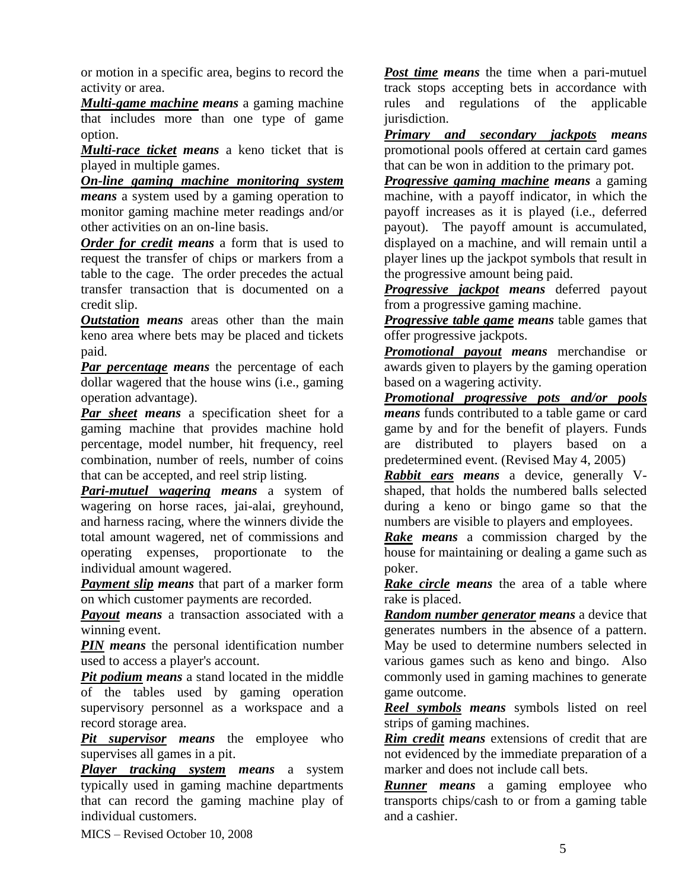or motion in a specific area, begins to record the activity or area.

*Multi-game machine means* a gaming machine that includes more than one type of game option.

*Multi-race ticket means* a keno ticket that is played in multiple games.

*On-line gaming machine monitoring system means* a system used by a gaming operation to monitor gaming machine meter readings and/or other activities on an on-line basis.

*Order for credit means* a form that is used to request the transfer of chips or markers from a table to the cage. The order precedes the actual transfer transaction that is documented on a credit slip.

*Outstation means* areas other than the main keno area where bets may be placed and tickets paid.

*Par percentage means* the percentage of each dollar wagered that the house wins (i.e., gaming operation advantage).

*Par sheet means* a specification sheet for a gaming machine that provides machine hold percentage, model number, hit frequency, reel combination, number of reels, number of coins that can be accepted, and reel strip listing.

*Pari-mutuel wagering means* a system of wagering on horse races, jai-alai, greyhound, and harness racing, where the winners divide the total amount wagered, net of commissions and operating expenses, proportionate to the individual amount wagered.

*Payment slip means* that part of a marker form on which customer payments are recorded.

*Payout means* a transaction associated with a winning event.

*PIN means* the personal identification number used to access a player's account.

*Pit podium means* a stand located in the middle of the tables used by gaming operation supervisory personnel as a workspace and a record storage area.

*Pit supervisor means* the employee who supervises all games in a pit.

*Player tracking system means* a system typically used in gaming machine departments that can record the gaming machine play of individual customers.

MICS – Revised October 10, 2008

*Post time means* the time when a pari-mutuel track stops accepting bets in accordance with rules and regulations of the applicable jurisdiction.

*Primary and secondary jackpots means* promotional pools offered at certain card games that can be won in addition to the primary pot.

*Progressive gaming machine means* a gaming machine, with a payoff indicator, in which the payoff increases as it is played (i.e., deferred payout). The payoff amount is accumulated, displayed on a machine, and will remain until a player lines up the jackpot symbols that result in the progressive amount being paid.

*Progressive jackpot means* deferred payout from a progressive gaming machine.

*Progressive table game means* table games that offer progressive jackpots.

*Promotional payout means* merchandise or awards given to players by the gaming operation based on a wagering activity.

*Promotional progressive pots and/or pools means* funds contributed to a table game or card game by and for the benefit of players. Funds are distributed to players based on a predetermined event. (Revised May 4, 2005)

*Rabbit ears means* a device, generally Vshaped, that holds the numbered balls selected during a keno or bingo game so that the numbers are visible to players and employees.

*Rake means* a commission charged by the house for maintaining or dealing a game such as poker.

*Rake circle means* the area of a table where rake is placed.

*Random number generator means* a device that generates numbers in the absence of a pattern. May be used to determine numbers selected in various games such as keno and bingo. Also commonly used in gaming machines to generate game outcome.

*Reel symbols means* symbols listed on reel strips of gaming machines.

*Rim credit means* extensions of credit that are not evidenced by the immediate preparation of a marker and does not include call bets.

*Runner means* a gaming employee who transports chips/cash to or from a gaming table and a cashier.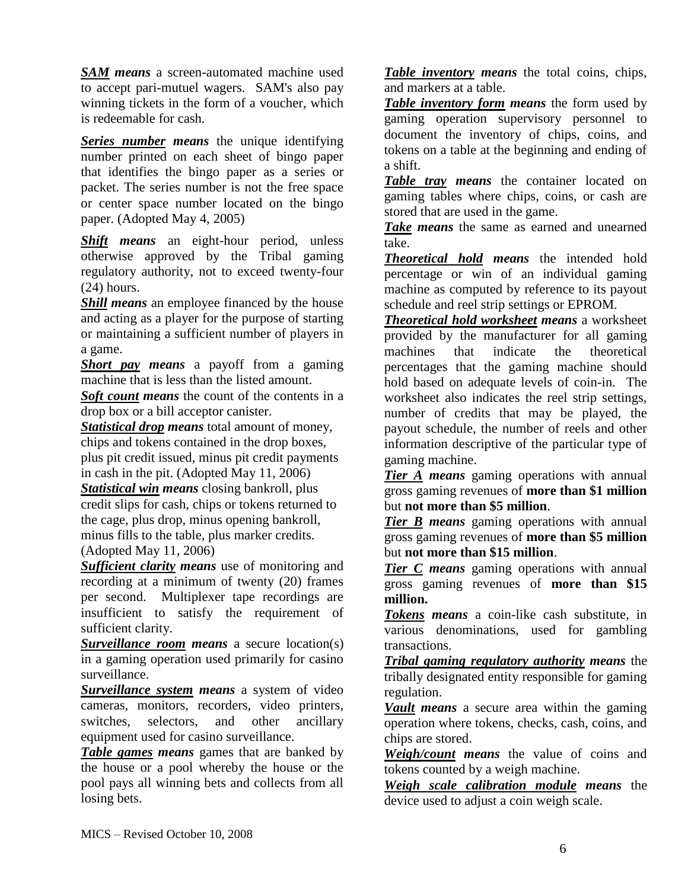*SAM means* a screen-automated machine used to accept pari-mutuel wagers. SAM's also pay winning tickets in the form of a voucher, which is redeemable for cash.

*Series number means* the unique identifying number printed on each sheet of bingo paper that identifies the bingo paper as a series or packet. The series number is not the free space or center space number located on the bingo paper. (Adopted May 4, 2005)

*Shift means* an eight-hour period, unless otherwise approved by the Tribal gaming regulatory authority, not to exceed twenty-four (24) hours.

*Shill means* an employee financed by the house and acting as a player for the purpose of starting or maintaining a sufficient number of players in a game.

*Short pay means* a payoff from a gaming machine that is less than the listed amount.

*Soft count means* the count of the contents in a drop box or a bill acceptor canister.

*Statistical drop means* total amount of money, chips and tokens contained in the drop boxes, plus pit credit issued, minus pit credit payments in cash in the pit. (Adopted May 11, 2006)

*Statistical win means* closing bankroll, plus credit slips for cash, chips or tokens returned to the cage, plus drop, minus opening bankroll, minus fills to the table, plus marker credits. (Adopted May 11, 2006)

*Sufficient clarity means* use of monitoring and recording at a minimum of twenty (20) frames per second. Multiplexer tape recordings are insufficient to satisfy the requirement of sufficient clarity.

*Surveillance room means* a secure location(s) in a gaming operation used primarily for casino surveillance.

*Surveillance system means* a system of video cameras, monitors, recorders, video printers, switches, selectors, and other ancillary equipment used for casino surveillance.

*Table games means* games that are banked by the house or a pool whereby the house or the pool pays all winning bets and collects from all losing bets.

*Table inventory means* the total coins, chips, and markers at a table.

*Table inventory form means* the form used by gaming operation supervisory personnel to document the inventory of chips, coins, and tokens on a table at the beginning and ending of a shift.

*Table tray means* the container located on gaming tables where chips, coins, or cash are stored that are used in the game.

*Take means* the same as earned and unearned take.

*Theoretical hold means* the intended hold percentage or win of an individual gaming machine as computed by reference to its payout schedule and reel strip settings or EPROM.

*Theoretical hold worksheet means* a worksheet provided by the manufacturer for all gaming machines that indicate the theoretical percentages that the gaming machine should hold based on adequate levels of coin-in. The worksheet also indicates the reel strip settings, number of credits that may be played, the payout schedule, the number of reels and other information descriptive of the particular type of gaming machine.

**Tier A** *means* gaming operations with annual gross gaming revenues of **more than \$1 million** but **not more than \$5 million**.

*Tier B means* gaming operations with annual gross gaming revenues of **more than \$5 million** but **not more than \$15 million**.

*Tier C means* gaming operations with annual gross gaming revenues of **more than \$15 million.**

*Tokens means* a coin-like cash substitute, in various denominations, used for gambling transactions.

*Tribal gaming regulatory authority means* the tribally designated entity responsible for gaming regulation.

*Vault means* a secure area within the gaming operation where tokens, checks, cash, coins, and chips are stored.

*Weigh/count means* the value of coins and tokens counted by a weigh machine.

*Weigh scale calibration module means* the device used to adjust a coin weigh scale.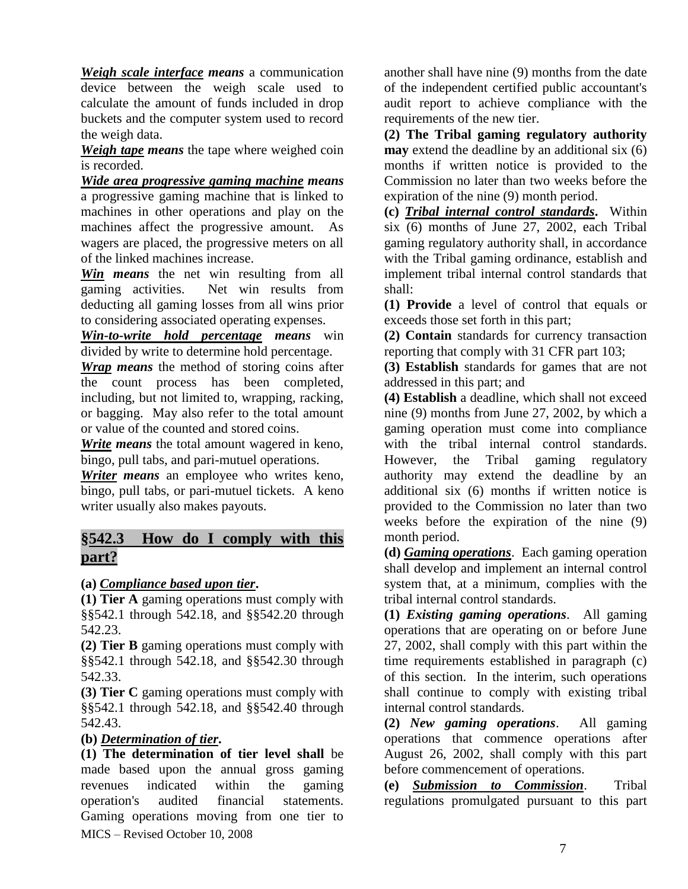*Weigh scale interface means* a communication device between the weigh scale used to calculate the amount of funds included in drop buckets and the computer system used to record the weigh data.

*Weigh tape means* the tape where weighed coin is recorded.

*Wide area progressive gaming machine means* a progressive gaming machine that is linked to machines in other operations and play on the machines affect the progressive amount. As wagers are placed, the progressive meters on all of the linked machines increase.

*Win means* the net win resulting from all gaming activities. Net win results from deducting all gaming losses from all wins prior to considering associated operating expenses.

*Win-to-write hold percentage means* win divided by write to determine hold percentage.

*Wrap means* the method of storing coins after the count process has been completed, including, but not limited to, wrapping, racking, or bagging. May also refer to the total amount or value of the counted and stored coins.

*Write means* the total amount wagered in keno, bingo, pull tabs, and pari-mutuel operations.

*Writer means* an employee who writes keno, bingo, pull tabs, or pari-mutuel tickets. A keno writer usually also makes payouts.

# **§542.3 How do I comply with this part?**

# **(a)** *Compliance based upon tier***.**

**(1) Tier A** gaming operations must comply with §§542.1 through 542.18, and §§542.20 through 542.23.

**(2) Tier B** gaming operations must comply with §§542.1 through 542.18, and §§542.30 through 542.33.

**(3) Tier C** gaming operations must comply with §§542.1 through 542.18, and §§542.40 through 542.43.

#### **(b)** *Determination of tier***.**

MICS – Revised October 10, 2008 **(1) The determination of tier level shall** be made based upon the annual gross gaming revenues indicated within the gaming operation's audited financial statements. Gaming operations moving from one tier to

another shall have nine (9) months from the date of the independent certified public accountant's audit report to achieve compliance with the requirements of the new tier.

**(2) The Tribal gaming regulatory authority may** extend the deadline by an additional six (6) months if written notice is provided to the Commission no later than two weeks before the expiration of the nine (9) month period.

**(c)** *Tribal internal control standards***.** Within six (6) months of June 27, 2002, each Tribal gaming regulatory authority shall, in accordance with the Tribal gaming ordinance, establish and implement tribal internal control standards that shall:

**(1) Provide** a level of control that equals or exceeds those set forth in this part;

**(2) Contain** standards for currency transaction reporting that comply with 31 CFR part 103;

**(3) Establish** standards for games that are not addressed in this part; and

**(4) Establish** a deadline, which shall not exceed nine (9) months from June 27, 2002, by which a gaming operation must come into compliance with the tribal internal control standards. However, the Tribal gaming regulatory authority may extend the deadline by an additional six (6) months if written notice is provided to the Commission no later than two weeks before the expiration of the nine (9) month period.

**(d)** *Gaming operations*. Each gaming operation shall develop and implement an internal control system that, at a minimum, complies with the tribal internal control standards.

**(1)** *Existing gaming operations*. All gaming operations that are operating on or before June 27, 2002, shall comply with this part within the time requirements established in paragraph (c) of this section. In the interim, such operations shall continue to comply with existing tribal internal control standards.

**(2)** *New gaming operations*. All gaming operations that commence operations after August 26, 2002, shall comply with this part before commencement of operations.

**(e)** *Submission to Commission*. Tribal regulations promulgated pursuant to this part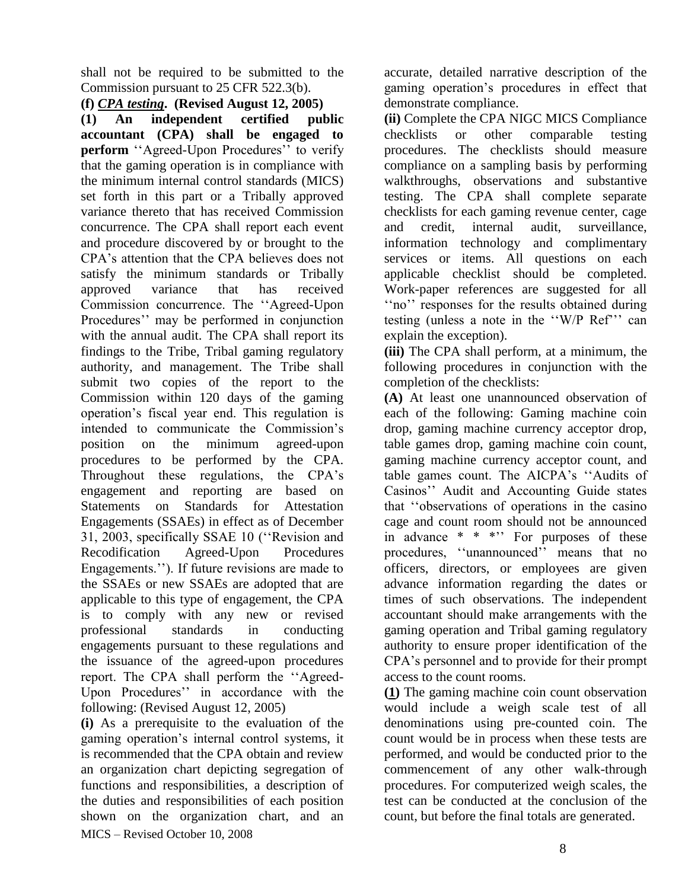shall not be required to be submitted to the Commission pursuant to 25 CFR 522.3(b).

#### **(f)** *CPA testing***. (Revised August 12, 2005)**

**(1) An independent certified public accountant (CPA) shall be engaged to perform** ''Agreed-Upon Procedures'' to verify that the gaming operation is in compliance with the minimum internal control standards (MICS) set forth in this part or a Tribally approved variance thereto that has received Commission concurrence. The CPA shall report each event and procedure discovered by or brought to the CPA's attention that the CPA believes does not satisfy the minimum standards or Tribally approved variance that has received Commission concurrence. The ''Agreed-Upon Procedures'' may be performed in conjunction with the annual audit. The CPA shall report its findings to the Tribe, Tribal gaming regulatory authority, and management. The Tribe shall submit two copies of the report to the Commission within 120 days of the gaming operation's fiscal year end. This regulation is intended to communicate the Commission's position on the minimum agreed-upon procedures to be performed by the CPA. Throughout these regulations, the CPA's engagement and reporting are based on Statements on Standards for Attestation Engagements (SSAEs) in effect as of December 31, 2003, specifically SSAE 10 (''Revision and Recodification Agreed-Upon Procedures Engagements.''). If future revisions are made to the SSAEs or new SSAEs are adopted that are applicable to this type of engagement, the CPA is to comply with any new or revised professional standards in conducting engagements pursuant to these regulations and the issuance of the agreed-upon procedures report. The CPA shall perform the ''Agreed-Upon Procedures'' in accordance with the following: (Revised August 12, 2005)

MICS – Revised October 10, 2008 **(i)** As a prerequisite to the evaluation of the gaming operation's internal control systems, it is recommended that the CPA obtain and review an organization chart depicting segregation of functions and responsibilities, a description of the duties and responsibilities of each position shown on the organization chart, and an accurate, detailed narrative description of the gaming operation's procedures in effect that demonstrate compliance.

**(ii)** Complete the CPA NIGC MICS Compliance checklists or other comparable testing procedures. The checklists should measure compliance on a sampling basis by performing walkthroughs, observations and substantive testing. The CPA shall complete separate checklists for each gaming revenue center, cage and credit, internal audit, surveillance, information technology and complimentary services or items. All questions on each applicable checklist should be completed. Work-paper references are suggested for all ''no'' responses for the results obtained during testing (unless a note in the ''W/P Ref''' can explain the exception).

**(iii)** The CPA shall perform, at a minimum, the following procedures in conjunction with the completion of the checklists:

**(A)** At least one unannounced observation of each of the following: Gaming machine coin drop, gaming machine currency acceptor drop, table games drop, gaming machine coin count, gaming machine currency acceptor count, and table games count. The AICPA's ''Audits of Casinos'' Audit and Accounting Guide states that ''observations of operations in the casino cage and count room should not be announced in advance  $* * * "$  For purposes of these procedures, ''unannounced'' means that no officers, directors, or employees are given advance information regarding the dates or times of such observations. The independent accountant should make arrangements with the gaming operation and Tribal gaming regulatory authority to ensure proper identification of the CPA's personnel and to provide for their prompt access to the count rooms.

**(1)** The gaming machine coin count observation would include a weigh scale test of all denominations using pre-counted coin. The count would be in process when these tests are performed, and would be conducted prior to the commencement of any other walk-through procedures. For computerized weigh scales, the test can be conducted at the conclusion of the count, but before the final totals are generated.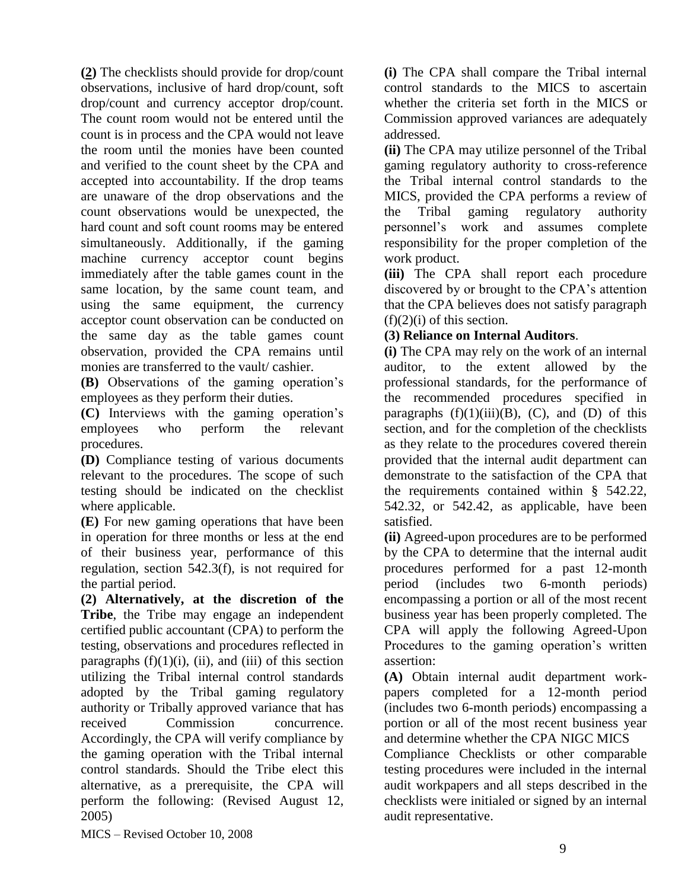**(2)** The checklists should provide for drop/count observations, inclusive of hard drop/count, soft drop/count and currency acceptor drop/count. The count room would not be entered until the count is in process and the CPA would not leave the room until the monies have been counted and verified to the count sheet by the CPA and accepted into accountability. If the drop teams are unaware of the drop observations and the count observations would be unexpected, the hard count and soft count rooms may be entered simultaneously. Additionally, if the gaming machine currency acceptor count begins immediately after the table games count in the same location, by the same count team, and using the same equipment, the currency acceptor count observation can be conducted on the same day as the table games count observation, provided the CPA remains until monies are transferred to the vault/ cashier.

**(B)** Observations of the gaming operation's employees as they perform their duties.

**(C)** Interviews with the gaming operation's employees who perform the relevant procedures.

**(D)** Compliance testing of various documents relevant to the procedures. The scope of such testing should be indicated on the checklist where applicable.

**(E)** For new gaming operations that have been in operation for three months or less at the end of their business year, performance of this regulation, section 542.3(f), is not required for the partial period.

**(2) Alternatively, at the discretion of the Tribe**, the Tribe may engage an independent certified public accountant (CPA) to perform the testing, observations and procedures reflected in paragraphs  $(f)(1)(i)$ ,  $(ii)$ , and  $(iii)$  of this section utilizing the Tribal internal control standards adopted by the Tribal gaming regulatory authority or Tribally approved variance that has received Commission concurrence. Accordingly, the CPA will verify compliance by the gaming operation with the Tribal internal control standards. Should the Tribe elect this alternative, as a prerequisite, the CPA will perform the following: (Revised August 12, 2005)

**(i)** The CPA shall compare the Tribal internal control standards to the MICS to ascertain whether the criteria set forth in the MICS or Commission approved variances are adequately addressed.

**(ii)** The CPA may utilize personnel of the Tribal gaming regulatory authority to cross-reference the Tribal internal control standards to the MICS, provided the CPA performs a review of the Tribal gaming regulatory authority personnel's work and assumes complete responsibility for the proper completion of the work product.

**(iii)** The CPA shall report each procedure discovered by or brought to the CPA's attention that the CPA believes does not satisfy paragraph  $(f)(2)(i)$  of this section.

### **(3) Reliance on Internal Auditors**.

**(i)** The CPA may rely on the work of an internal auditor, to the extent allowed by the professional standards, for the performance of the recommended procedures specified in paragraphs  $(f)(1)(iii)(B)$ ,  $(C)$ , and  $(D)$  of this section, and for the completion of the checklists as they relate to the procedures covered therein provided that the internal audit department can demonstrate to the satisfaction of the CPA that the requirements contained within § 542.22, 542.32, or 542.42, as applicable, have been satisfied.

**(ii)** Agreed-upon procedures are to be performed by the CPA to determine that the internal audit procedures performed for a past 12-month period (includes two 6-month periods) encompassing a portion or all of the most recent business year has been properly completed. The CPA will apply the following Agreed-Upon Procedures to the gaming operation's written assertion:

**(A)** Obtain internal audit department workpapers completed for a 12-month period (includes two 6-month periods) encompassing a portion or all of the most recent business year and determine whether the CPA NIGC MICS

Compliance Checklists or other comparable testing procedures were included in the internal audit workpapers and all steps described in the checklists were initialed or signed by an internal audit representative.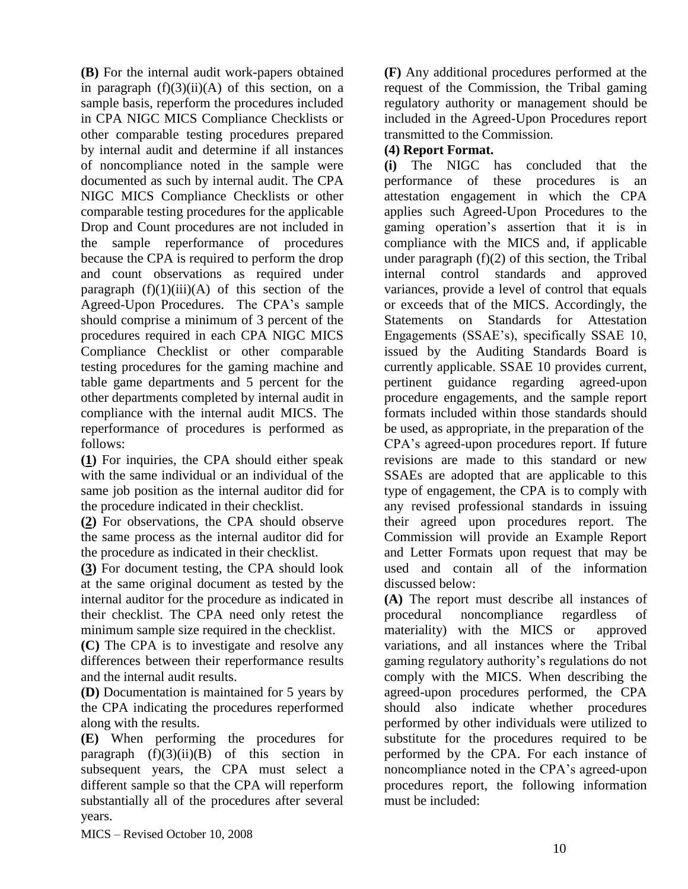**(B)** For the internal audit work-papers obtained in paragraph  $(f)(3)(ii)(A)$  of this section, on a sample basis, reperform the procedures included in CPA NIGC MICS Compliance Checklists or other comparable testing procedures prepared by internal audit and determine if all instances of noncompliance noted in the sample were documented as such by internal audit. The CPA NIGC MICS Compliance Checklists or other comparable testing procedures for the applicable Drop and Count procedures are not included in the sample reperformance of procedures because the CPA is required to perform the drop and count observations as required under paragraph  $(f)(1)(iii)(A)$  of this section of the Agreed-Upon Procedures. The CPA's sample should comprise a minimum of 3 percent of the procedures required in each CPA NIGC MICS Compliance Checklist or other comparable testing procedures for the gaming machine and table game departments and 5 percent for the other departments completed by internal audit in compliance with the internal audit MICS. The reperformance of procedures is performed as follows:

**(1)** For inquiries, the CPA should either speak with the same individual or an individual of the same job position as the internal auditor did for the procedure indicated in their checklist.

**(2)** For observations, the CPA should observe the same process as the internal auditor did for the procedure as indicated in their checklist.

**(3)** For document testing, the CPA should look at the same original document as tested by the internal auditor for the procedure as indicated in their checklist. The CPA need only retest the minimum sample size required in the checklist.

**(C)** The CPA is to investigate and resolve any differences between their reperformance results and the internal audit results.

**(D)** Documentation is maintained for 5 years by the CPA indicating the procedures reperformed along with the results.

**(E)** When performing the procedures for paragraph  $(f)(3)(ii)(B)$  of this section in subsequent years, the CPA must select a different sample so that the CPA will reperform substantially all of the procedures after several years.

**(F)** Any additional procedures performed at the request of the Commission, the Tribal gaming regulatory authority or management should be included in the Agreed-Upon Procedures report transmitted to the Commission.

### **(4) Report Format.**

**(i)** The NIGC has concluded that the performance of these procedures is an attestation engagement in which the CPA applies such Agreed-Upon Procedures to the gaming operation's assertion that it is in compliance with the MICS and, if applicable under paragraph  $(f)(2)$  of this section, the Tribal internal control standards and approved variances, provide a level of control that equals or exceeds that of the MICS. Accordingly, the Statements on Standards for Attestation Engagements (SSAE's), specifically SSAE 10, issued by the Auditing Standards Board is currently applicable. SSAE 10 provides current, pertinent guidance regarding agreed-upon procedure engagements, and the sample report formats included within those standards should be used, as appropriate, in the preparation of the CPA's agreed-upon procedures report. If future revisions are made to this standard or new SSAEs are adopted that are applicable to this type of engagement, the CPA is to comply with any revised professional standards in issuing their agreed upon procedures report. The Commission will provide an Example Report and Letter Formats upon request that may be used and contain all of the information discussed below:

**(A)** The report must describe all instances of procedural noncompliance regardless of materiality) with the MICS or approved variations, and all instances where the Tribal gaming regulatory authority's regulations do not comply with the MICS. When describing the agreed-upon procedures performed, the CPA should also indicate whether procedures performed by other individuals were utilized to substitute for the procedures required to be performed by the CPA. For each instance of noncompliance noted in the CPA's agreed-upon procedures report, the following information must be included: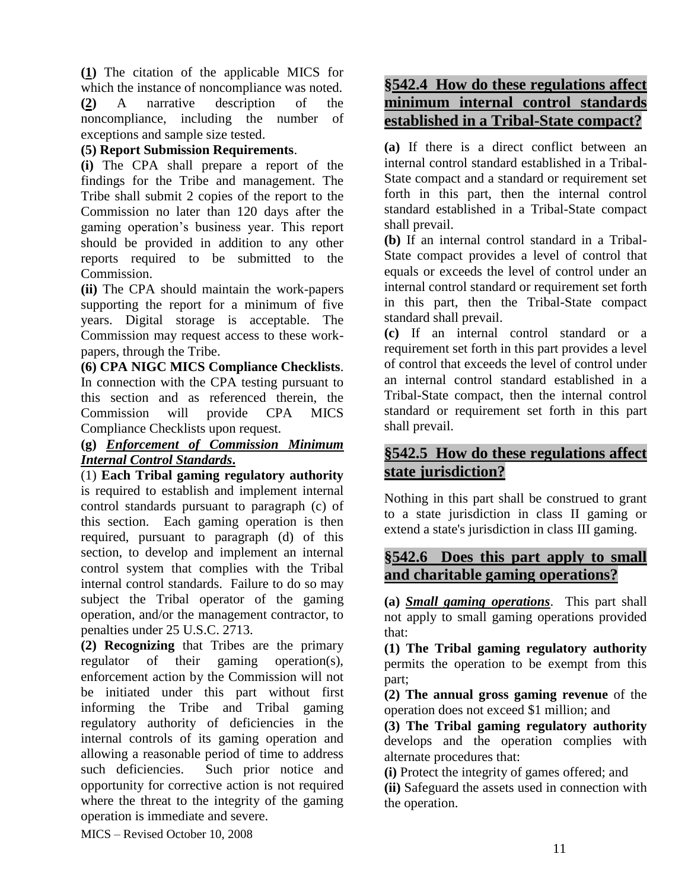**(1)** The citation of the applicable MICS for which the instance of noncompliance was noted. **(2)** A narrative description of the noncompliance, including the number of exceptions and sample size tested.

## **(5) Report Submission Requirements**.

**(i)** The CPA shall prepare a report of the findings for the Tribe and management. The Tribe shall submit 2 copies of the report to the Commission no later than 120 days after the gaming operation's business year. This report should be provided in addition to any other reports required to be submitted to the Commission.

**(ii)** The CPA should maintain the work-papers supporting the report for a minimum of five years. Digital storage is acceptable. The Commission may request access to these workpapers, through the Tribe.

**(6) CPA NIGC MICS Compliance Checklists**. In connection with the CPA testing pursuant to this section and as referenced therein, the Commission will provide CPA MICS Compliance Checklists upon request.

# **(g)** *Enforcement of Commission Minimum Internal Control Standards***.**

(1) **Each Tribal gaming regulatory authority** is required to establish and implement internal control standards pursuant to paragraph (c) of this section. Each gaming operation is then required, pursuant to paragraph (d) of this section, to develop and implement an internal control system that complies with the Tribal internal control standards. Failure to do so may subject the Tribal operator of the gaming operation, and/or the management contractor, to penalties under 25 U.S.C. 2713.

**(2) Recognizing** that Tribes are the primary regulator of their gaming operation(s), enforcement action by the Commission will not be initiated under this part without first informing the Tribe and Tribal gaming regulatory authority of deficiencies in the internal controls of its gaming operation and allowing a reasonable period of time to address such deficiencies. Such prior notice and opportunity for corrective action is not required where the threat to the integrity of the gaming operation is immediate and severe.

# **§542.4 How do these regulations affect minimum internal control standards established in a Tribal-State compact?**

**(a)** If there is a direct conflict between an internal control standard established in a Tribal-State compact and a standard or requirement set forth in this part, then the internal control standard established in a Tribal-State compact shall prevail.

**(b)** If an internal control standard in a Tribal-State compact provides a level of control that equals or exceeds the level of control under an internal control standard or requirement set forth in this part, then the Tribal-State compact standard shall prevail.

**(c)** If an internal control standard or a requirement set forth in this part provides a level of control that exceeds the level of control under an internal control standard established in a Tribal-State compact, then the internal control standard or requirement set forth in this part shall prevail.

# **§542.5 How do these regulations affect state jurisdiction?**

Nothing in this part shall be construed to grant to a state jurisdiction in class II gaming or extend a state's jurisdiction in class III gaming.

# **§542.6 Does this part apply to small and charitable gaming operations?**

**(a)** *Small gaming operations*. This part shall not apply to small gaming operations provided that:

**(1) The Tribal gaming regulatory authority** permits the operation to be exempt from this part;

**(2) The annual gross gaming revenue** of the operation does not exceed \$1 million; and

**(3) The Tribal gaming regulatory authority** develops and the operation complies with alternate procedures that:

**(i)** Protect the integrity of games offered; and

**(ii)** Safeguard the assets used in connection with the operation.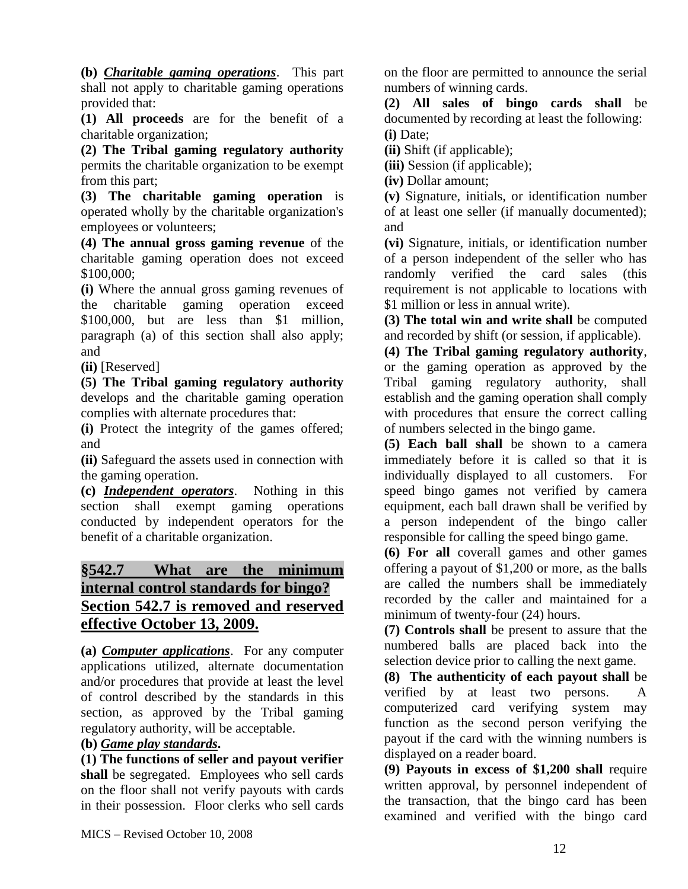**(b)** *Charitable gaming operations*. This part shall not apply to charitable gaming operations provided that:

**(1) All proceeds** are for the benefit of a charitable organization;

**(2) The Tribal gaming regulatory authority** permits the charitable organization to be exempt from this part;

**(3) The charitable gaming operation** is operated wholly by the charitable organization's employees or volunteers;

**(4) The annual gross gaming revenue** of the charitable gaming operation does not exceed \$100,000;

**(i)** Where the annual gross gaming revenues of the charitable gaming operation exceed \$100,000, but are less than \$1 million, paragraph (a) of this section shall also apply; and

**(ii)** [Reserved]

**(5) The Tribal gaming regulatory authority** develops and the charitable gaming operation complies with alternate procedures that:

**(i)** Protect the integrity of the games offered; and

**(ii)** Safeguard the assets used in connection with the gaming operation.

**(c)** *Independent operators*. Nothing in this section shall exempt gaming operations conducted by independent operators for the benefit of a charitable organization.

# **§542.7 What are the minimum internal control standards for bingo? Section 542.7 is removed and reserved effective October 13, 2009.**

**(a)** *Computer applications*. For any computer applications utilized, alternate documentation and/or procedures that provide at least the level of control described by the standards in this section, as approved by the Tribal gaming regulatory authority, will be acceptable.

# **(b)** *Game play standards***.**

**(1) The functions of seller and payout verifier shall** be segregated. Employees who sell cards on the floor shall not verify payouts with cards in their possession. Floor clerks who sell cards

on the floor are permitted to announce the serial numbers of winning cards.

**(2) All sales of bingo cards shall** be documented by recording at least the following: **(i)** Date;

**(ii)** Shift (if applicable);

**(iii)** Session (if applicable);

**(iv)** Dollar amount;

**(v)** Signature, initials, or identification number of at least one seller (if manually documented); and

**(vi)** Signature, initials, or identification number of a person independent of the seller who has randomly verified the card sales (this requirement is not applicable to locations with \$1 million or less in annual write).

**(3) The total win and write shall** be computed and recorded by shift (or session, if applicable).

**(4) The Tribal gaming regulatory authority**, or the gaming operation as approved by the Tribal gaming regulatory authority, shall establish and the gaming operation shall comply with procedures that ensure the correct calling of numbers selected in the bingo game.

**(5) Each ball shall** be shown to a camera immediately before it is called so that it is individually displayed to all customers. For speed bingo games not verified by camera equipment, each ball drawn shall be verified by a person independent of the bingo caller responsible for calling the speed bingo game.

**(6) For all** coverall games and other games offering a payout of \$1,200 or more, as the balls are called the numbers shall be immediately recorded by the caller and maintained for a minimum of twenty-four (24) hours.

**(7) Controls shall** be present to assure that the numbered balls are placed back into the selection device prior to calling the next game.

**(8) The authenticity of each payout shall** be verified by at least two persons. A computerized card verifying system may function as the second person verifying the payout if the card with the winning numbers is displayed on a reader board.

**(9) Payouts in excess of \$1,200 shall** require written approval, by personnel independent of the transaction, that the bingo card has been examined and verified with the bingo card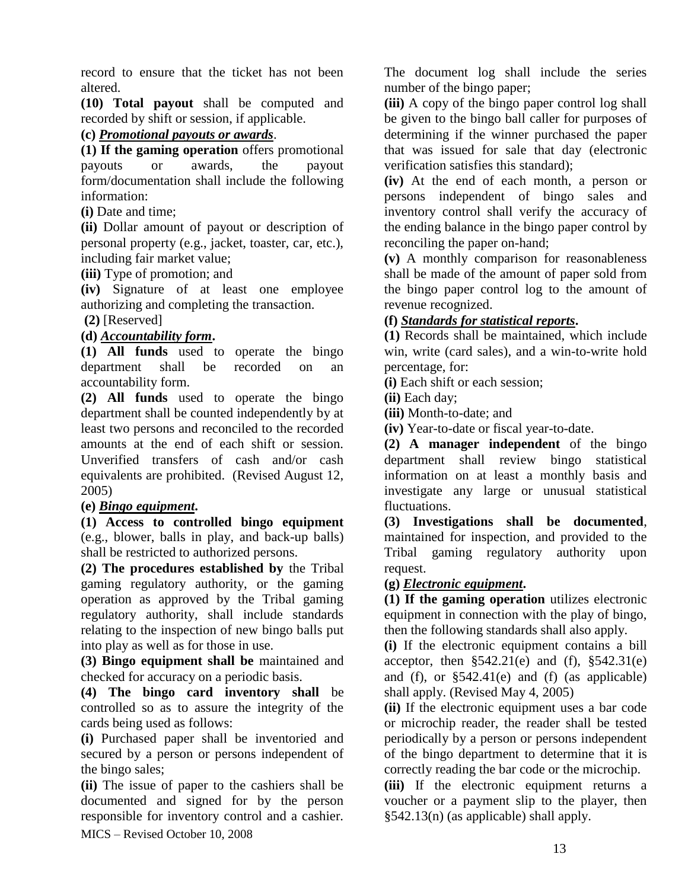record to ensure that the ticket has not been altered.

**(10) Total payout** shall be computed and recorded by shift or session, if applicable.

## **(c)** *Promotional payouts or awards*.

**(1) If the gaming operation** offers promotional payouts or awards, the payout form/documentation shall include the following information:

**(i)** Date and time;

**(ii)** Dollar amount of payout or description of personal property (e.g., jacket, toaster, car, etc.), including fair market value;

**(iii)** Type of promotion; and

**(iv)** Signature of at least one employee authorizing and completing the transaction.

### **(2)** [Reserved]

## **(d)** *Accountability form***.**

**(1) All funds** used to operate the bingo department shall be recorded on an accountability form.

**(2) All funds** used to operate the bingo department shall be counted independently by at least two persons and reconciled to the recorded amounts at the end of each shift or session. Unverified transfers of cash and/or cash equivalents are prohibited. (Revised August 12, 2005)

### **(e)** *Bingo equipment***.**

**(1) Access to controlled bingo equipment** (e.g., blower, balls in play, and back-up balls) shall be restricted to authorized persons.

**(2) The procedures established by** the Tribal gaming regulatory authority, or the gaming operation as approved by the Tribal gaming regulatory authority, shall include standards relating to the inspection of new bingo balls put into play as well as for those in use.

**(3) Bingo equipment shall be** maintained and checked for accuracy on a periodic basis.

**(4) The bingo card inventory shall** be controlled so as to assure the integrity of the cards being used as follows:

**(i)** Purchased paper shall be inventoried and secured by a person or persons independent of the bingo sales;

MICS – Revised October 10, 2008 **(ii)** The issue of paper to the cashiers shall be documented and signed for by the person responsible for inventory control and a cashier. The document log shall include the series number of the bingo paper;

**(iii)** A copy of the bingo paper control log shall be given to the bingo ball caller for purposes of determining if the winner purchased the paper that was issued for sale that day (electronic verification satisfies this standard);

**(iv)** At the end of each month, a person or persons independent of bingo sales and inventory control shall verify the accuracy of the ending balance in the bingo paper control by reconciling the paper on-hand;

**(v)** A monthly comparison for reasonableness shall be made of the amount of paper sold from the bingo paper control log to the amount of revenue recognized.

# **(f)** *Standards for statistical reports***.**

**(1)** Records shall be maintained, which include win, write (card sales), and a win-to-write hold percentage, for:

**(i)** Each shift or each session;

**(ii)** Each day;

**(iii)** Month-to-date; and

**(iv)** Year-to-date or fiscal year-to-date.

**(2) A manager independent** of the bingo department shall review bingo statistical information on at least a monthly basis and investigate any large or unusual statistical fluctuations.

**(3) Investigations shall be documented**, maintained for inspection, and provided to the Tribal gaming regulatory authority upon request.

# **(g)** *Electronic equipment***.**

**(1) If the gaming operation** utilizes electronic equipment in connection with the play of bingo, then the following standards shall also apply.

**(i)** If the electronic equipment contains a bill acceptor, then  $$542.21(e)$  and (f),  $$542.31(e)$ and (f), or §542.41(e) and (f) (as applicable) shall apply. (Revised May 4, 2005)

**(ii)** If the electronic equipment uses a bar code or microchip reader, the reader shall be tested periodically by a person or persons independent of the bingo department to determine that it is correctly reading the bar code or the microchip.

**(iii)** If the electronic equipment returns a voucher or a payment slip to the player, then §542.13(n) (as applicable) shall apply.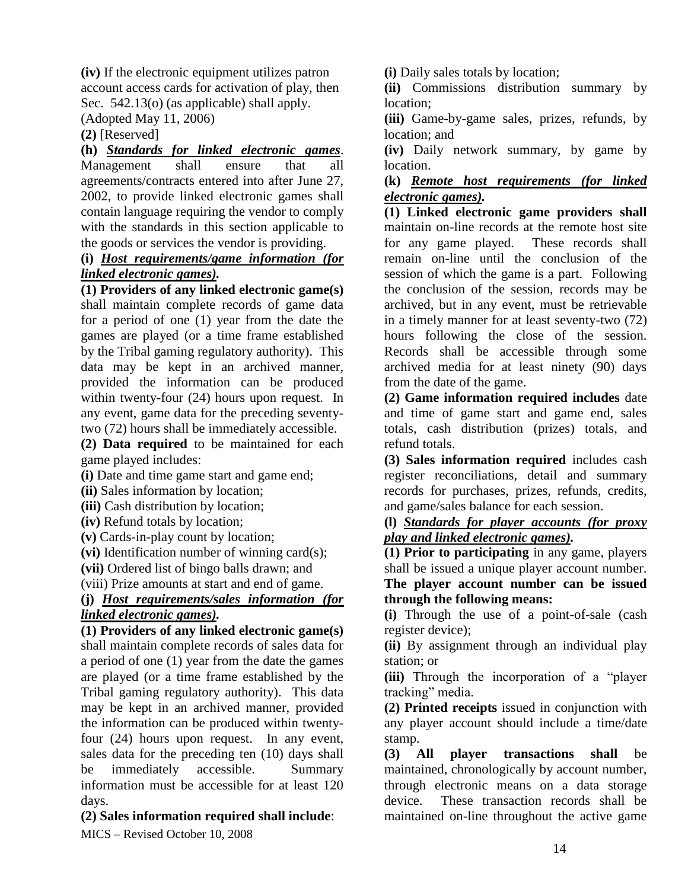**(iv)** If the electronic equipment utilizes patron account access cards for activation of play, then Sec. 542.13(o) (as applicable) shall apply.

(Adopted May 11, 2006)

**(2)** [Reserved]

**(h)** *Standards for linked electronic games*. Management shall ensure that all agreements/contracts entered into after June 27, 2002, to provide linked electronic games shall contain language requiring the vendor to comply with the standards in this section applicable to the goods or services the vendor is providing.

#### **(i)** *Host requirements/game information (for linked electronic games).*

**(1) Providers of any linked electronic game(s)** shall maintain complete records of game data for a period of one (1) year from the date the games are played (or a time frame established by the Tribal gaming regulatory authority). This data may be kept in an archived manner, provided the information can be produced within twenty-four (24) hours upon request. In any event, game data for the preceding seventytwo (72) hours shall be immediately accessible.

**(2) Data required** to be maintained for each game played includes:

**(i)** Date and time game start and game end;

**(ii)** Sales information by location;

**(iii)** Cash distribution by location;

**(iv)** Refund totals by location;

**(v)** Cards-in-play count by location;

**(vi)** Identification number of winning card(s);

**(vii)** Ordered list of bingo balls drawn; and

(viii) Prize amounts at start and end of game.

**(j)** *Host requirements/sales information (for linked electronic games).*

**(1) Providers of any linked electronic game(s)** shall maintain complete records of sales data for a period of one (1) year from the date the games are played (or a time frame established by the Tribal gaming regulatory authority). This data may be kept in an archived manner, provided the information can be produced within twentyfour (24) hours upon request. In any event, sales data for the preceding ten (10) days shall be immediately accessible. Summary information must be accessible for at least 120 days.

# **(2) Sales information required shall include**:

MICS – Revised October 10, 2008

**(i)** Daily sales totals by location;

**(ii)** Commissions distribution summary by location;

**(iii)** Game-by-game sales, prizes, refunds, by location; and

**(iv)** Daily network summary, by game by location.

### **(k)** *Remote host requirements (for linked electronic games).*

**(1) Linked electronic game providers shall** maintain on-line records at the remote host site for any game played. These records shall remain on-line until the conclusion of the session of which the game is a part. Following the conclusion of the session, records may be archived, but in any event, must be retrievable in a timely manner for at least seventy-two (72) hours following the close of the session. Records shall be accessible through some archived media for at least ninety (90) days from the date of the game.

**(2) Game information required includes** date and time of game start and game end, sales totals, cash distribution (prizes) totals, and refund totals.

**(3) Sales information required** includes cash register reconciliations, detail and summary records for purchases, prizes, refunds, credits, and game/sales balance for each session.

**(l)** *Standards for player accounts (for proxy play and linked electronic games).*

**(1) Prior to participating** in any game, players shall be issued a unique player account number. **The player account number can be issued through the following means:**

**(i)** Through the use of a point-of-sale (cash register device);

**(ii)** By assignment through an individual play station; or

**(iii)** Through the incorporation of a "player tracking" media.

**(2) Printed receipts** issued in conjunction with any player account should include a time/date stamp.

**(3) All player transactions shall** be maintained, chronologically by account number, through electronic means on a data storage device. These transaction records shall be maintained on-line throughout the active game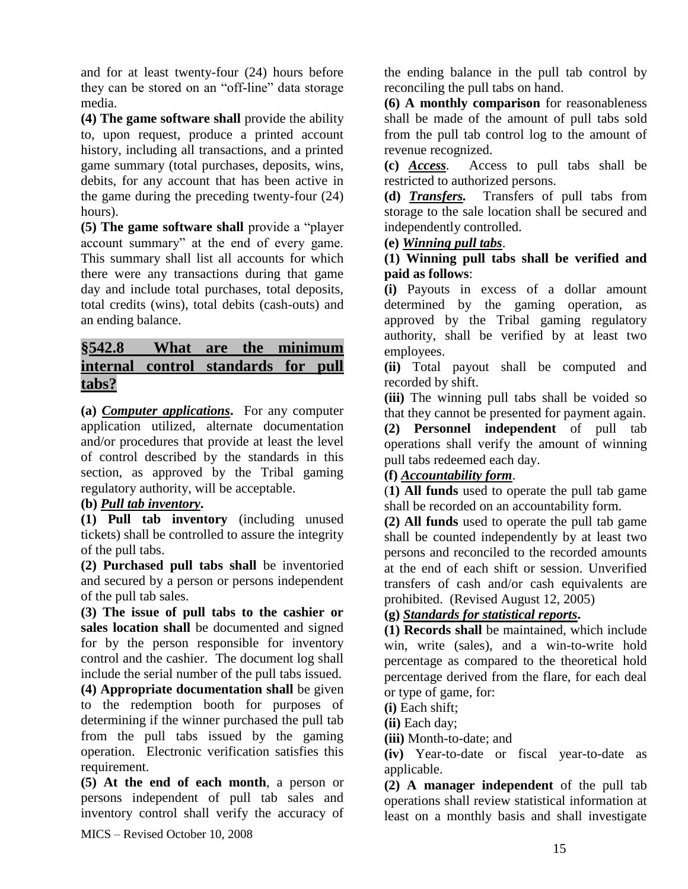and for at least twenty-four (24) hours before they can be stored on an "off-line" data storage media.

**(4) The game software shall** provide the ability to, upon request, produce a printed account history, including all transactions, and a printed game summary (total purchases, deposits, wins, debits, for any account that has been active in the game during the preceding twenty-four (24) hours).

**(5) The game software shall** provide a "player account summary" at the end of every game. This summary shall list all accounts for which there were any transactions during that game day and include total purchases, total deposits, total credits (wins), total debits (cash-outs) and an ending balance.

# **§542.8 What are the minimum internal control standards for pull tabs?**

**(a)** *Computer applications***.** For any computer application utilized, alternate documentation and/or procedures that provide at least the level of control described by the standards in this section, as approved by the Tribal gaming regulatory authority, will be acceptable.

# **(b)** *Pull tab inventory***.**

**(1) Pull tab inventory** (including unused tickets) shall be controlled to assure the integrity of the pull tabs.

**(2) Purchased pull tabs shall** be inventoried and secured by a person or persons independent of the pull tab sales.

**(3) The issue of pull tabs to the cashier or sales location shall** be documented and signed for by the person responsible for inventory control and the cashier. The document log shall include the serial number of the pull tabs issued.

**(4) Appropriate documentation shall** be given to the redemption booth for purposes of determining if the winner purchased the pull tab from the pull tabs issued by the gaming operation. Electronic verification satisfies this requirement.

**(5) At the end of each month**, a person or persons independent of pull tab sales and inventory control shall verify the accuracy of

the ending balance in the pull tab control by reconciling the pull tabs on hand.

**(6) A monthly comparison** for reasonableness shall be made of the amount of pull tabs sold from the pull tab control log to the amount of revenue recognized.

**(c)** *Access.* Access to pull tabs shall be restricted to authorized persons.

**(d)** *Transfers.* Transfers of pull tabs from storage to the sale location shall be secured and independently controlled.

# **(e)** *Winning pull tabs*.

## **(1) Winning pull tabs shall be verified and paid as follows**:

**(i)** Payouts in excess of a dollar amount determined by the gaming operation, as approved by the Tribal gaming regulatory authority, shall be verified by at least two employees.

**(ii)** Total payout shall be computed and recorded by shift.

**(iii)** The winning pull tabs shall be voided so that they cannot be presented for payment again.

**(2) Personnel independent** of pull tab operations shall verify the amount of winning pull tabs redeemed each day.

# **(f)** *Accountability form*.

(**1) All funds** used to operate the pull tab game shall be recorded on an accountability form.

**(2) All funds** used to operate the pull tab game shall be counted independently by at least two persons and reconciled to the recorded amounts at the end of each shift or session. Unverified transfers of cash and/or cash equivalents are prohibited. (Revised August 12, 2005)

# **(g)** *Standards for statistical reports***.**

**(1) Records shall** be maintained, which include win, write (sales), and a win-to-write hold percentage as compared to the theoretical hold percentage derived from the flare, for each deal or type of game, for:

**(i)** Each shift;

**(ii)** Each day;

**(iii)** Month-to-date; and

**(iv)** Year-to-date or fiscal year-to-date as applicable.

**(2) A manager independent** of the pull tab operations shall review statistical information at least on a monthly basis and shall investigate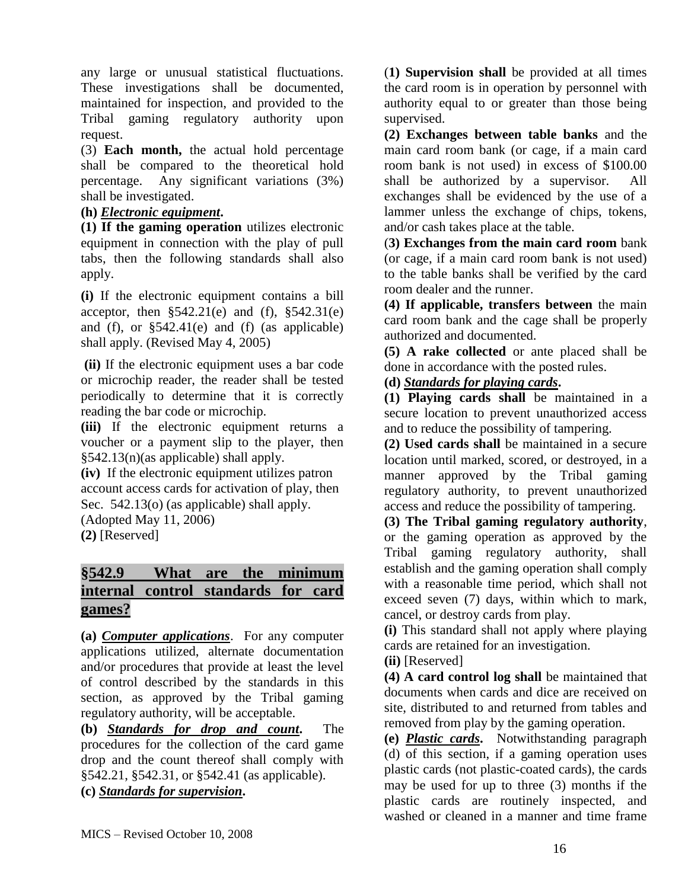any large or unusual statistical fluctuations. These investigations shall be documented, maintained for inspection, and provided to the Tribal gaming regulatory authority upon request.

(3) **Each month,** the actual hold percentage shall be compared to the theoretical hold percentage. Any significant variations (3%) shall be investigated.

### **(h)** *Electronic equipment***.**

**(1) If the gaming operation** utilizes electronic equipment in connection with the play of pull tabs, then the following standards shall also apply.

**(i)** If the electronic equipment contains a bill acceptor, then  $$542.21(e)$  and (f),  $$542.31(e)$ and (f), or §542.41(e) and (f) (as applicable) shall apply. (Revised May 4, 2005)

**(ii)** If the electronic equipment uses a bar code or microchip reader, the reader shall be tested periodically to determine that it is correctly reading the bar code or microchip.

**(iii)** If the electronic equipment returns a voucher or a payment slip to the player, then §542.13(n)(as applicable) shall apply.

**(iv)** If the electronic equipment utilizes patron account access cards for activation of play, then Sec. 542.13(o) (as applicable) shall apply.

(Adopted May 11, 2006)

**(2)** [Reserved]

# **§542.9 What are the minimum internal control standards for card games?**

**(a)** *Computer applications*. For any computer applications utilized, alternate documentation and/or procedures that provide at least the level of control described by the standards in this section, as approved by the Tribal gaming regulatory authority, will be acceptable.

**(b)** *Standards for drop and count***.** The procedures for the collection of the card game drop and the count thereof shall comply with §542.21, §542.31, or §542.41 (as applicable).

**(c)** *Standards for supervision***.** 

(**1) Supervision shall** be provided at all times the card room is in operation by personnel with authority equal to or greater than those being supervised.

**(2) Exchanges between table banks** and the main card room bank (or cage, if a main card room bank is not used) in excess of \$100.00 shall be authorized by a supervisor. All exchanges shall be evidenced by the use of a lammer unless the exchange of chips, tokens, and/or cash takes place at the table.

(**3) Exchanges from the main card room** bank (or cage, if a main card room bank is not used) to the table banks shall be verified by the card room dealer and the runner.

**(4) If applicable, transfers between** the main card room bank and the cage shall be properly authorized and documented.

**(5) A rake collected** or ante placed shall be done in accordance with the posted rules.

# **(d)** *Standards for playing cards***.**

**(1) Playing cards shall** be maintained in a secure location to prevent unauthorized access and to reduce the possibility of tampering.

**(2) Used cards shall** be maintained in a secure location until marked, scored, or destroyed, in a manner approved by the Tribal gaming regulatory authority, to prevent unauthorized access and reduce the possibility of tampering.

### **(3) The Tribal gaming regulatory authority**,

or the gaming operation as approved by the Tribal gaming regulatory authority, shall establish and the gaming operation shall comply with a reasonable time period, which shall not exceed seven (7) days, within which to mark, cancel, or destroy cards from play.

**(i)** This standard shall not apply where playing cards are retained for an investigation.

**(ii)** [Reserved]

**(4) A card control log shall** be maintained that documents when cards and dice are received on site, distributed to and returned from tables and removed from play by the gaming operation.

**(e)** *Plastic cards***.** Notwithstanding paragraph (d) of this section, if a gaming operation uses plastic cards (not plastic-coated cards), the cards may be used for up to three (3) months if the plastic cards are routinely inspected, and washed or cleaned in a manner and time frame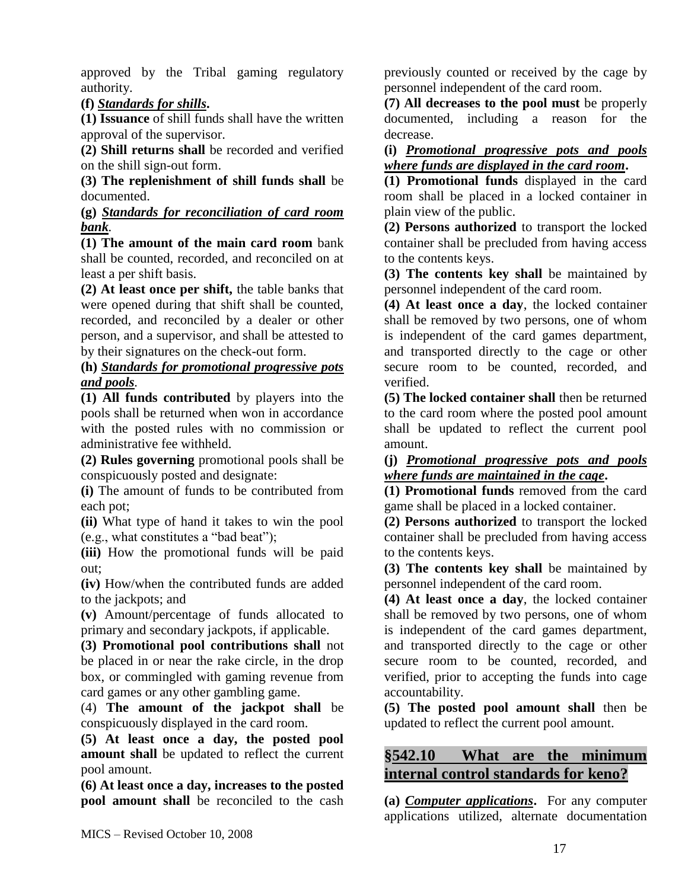approved by the Tribal gaming regulatory authority.

**(f)** *Standards for shills***.** 

**(1) Issuance** of shill funds shall have the written approval of the supervisor.

**(2) Shill returns shall** be recorded and verified on the shill sign-out form.

**(3) The replenishment of shill funds shall** be documented.

**(g)** *Standards for reconciliation of card room bank.*

**(1) The amount of the main card room** bank shall be counted, recorded, and reconciled on at least a per shift basis.

**(2) At least once per shift,** the table banks that were opened during that shift shall be counted, recorded, and reconciled by a dealer or other person, and a supervisor, and shall be attested to by their signatures on the check-out form.

**(h)** *Standards for promotional progressive pots and pools.* 

**(1) All funds contributed** by players into the pools shall be returned when won in accordance with the posted rules with no commission or administrative fee withheld.

**(2) Rules governing** promotional pools shall be conspicuously posted and designate:

**(i)** The amount of funds to be contributed from each pot;

**(ii)** What type of hand it takes to win the pool (e.g., what constitutes a "bad beat");

**(iii)** How the promotional funds will be paid out;

**(iv)** How/when the contributed funds are added to the jackpots; and

**(v)** Amount/percentage of funds allocated to primary and secondary jackpots, if applicable.

**(3) Promotional pool contributions shall** not be placed in or near the rake circle, in the drop box, or commingled with gaming revenue from card games or any other gambling game.

(4) **The amount of the jackpot shall** be conspicuously displayed in the card room.

**(5) At least once a day, the posted pool amount shall** be updated to reflect the current pool amount.

**(6) At least once a day, increases to the posted pool amount shall** be reconciled to the cash previously counted or received by the cage by personnel independent of the card room.

**(7) All decreases to the pool must** be properly documented, including a reason for the decrease.

**(i)** *Promotional progressive pots and pools where funds are displayed in the card room***.** 

**(1) Promotional funds** displayed in the card room shall be placed in a locked container in plain view of the public.

**(2) Persons authorized** to transport the locked container shall be precluded from having access to the contents keys.

**(3) The contents key shall** be maintained by personnel independent of the card room.

**(4) At least once a day**, the locked container shall be removed by two persons, one of whom is independent of the card games department, and transported directly to the cage or other secure room to be counted, recorded, and verified.

**(5) The locked container shall** then be returned to the card room where the posted pool amount shall be updated to reflect the current pool amount.

**(j)** *Promotional progressive pots and pools where funds are maintained in the cage***.** 

**(1) Promotional funds** removed from the card game shall be placed in a locked container.

**(2) Persons authorized** to transport the locked container shall be precluded from having access to the contents keys.

**(3) The contents key shall** be maintained by personnel independent of the card room.

**(4) At least once a day**, the locked container shall be removed by two persons, one of whom is independent of the card games department, and transported directly to the cage or other secure room to be counted, recorded, and verified, prior to accepting the funds into cage accountability.

**(5) The posted pool amount shall** then be updated to reflect the current pool amount.

# **§542.10 What are the minimum internal control standards for keno?**

**(a)** *Computer applications***.** For any computer applications utilized, alternate documentation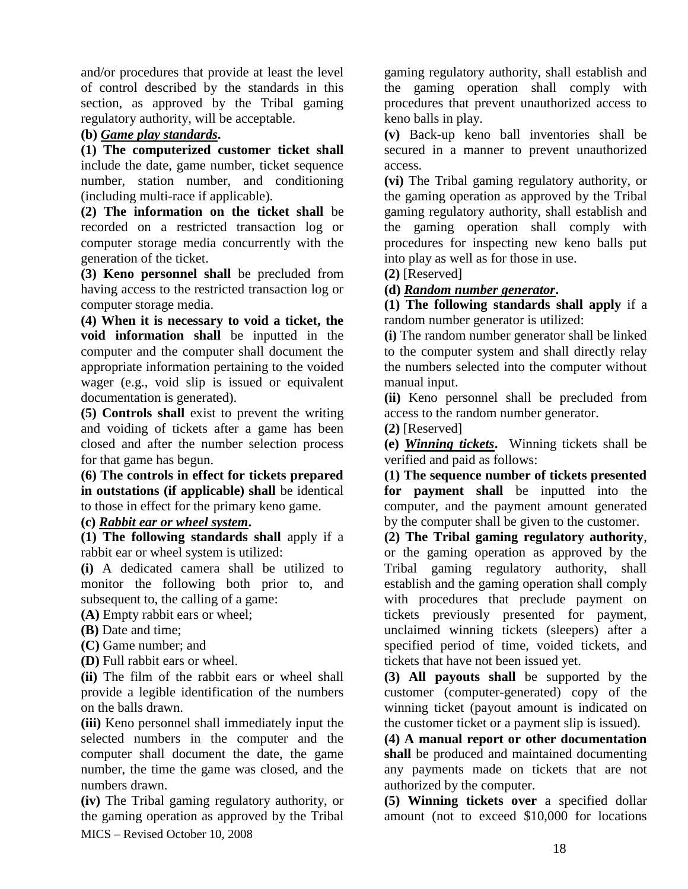and/or procedures that provide at least the level of control described by the standards in this section, as approved by the Tribal gaming regulatory authority, will be acceptable.

## **(b)** *Game play standards***.**

**(1) The computerized customer ticket shall** include the date, game number, ticket sequence number, station number, and conditioning (including multi-race if applicable).

**(2) The information on the ticket shall** be recorded on a restricted transaction log or computer storage media concurrently with the generation of the ticket.

**(3) Keno personnel shall** be precluded from having access to the restricted transaction log or computer storage media.

**(4) When it is necessary to void a ticket, the void information shall** be inputted in the computer and the computer shall document the appropriate information pertaining to the voided wager (e.g., void slip is issued or equivalent documentation is generated).

**(5) Controls shall** exist to prevent the writing and voiding of tickets after a game has been closed and after the number selection process for that game has begun.

**(6) The controls in effect for tickets prepared in outstations (if applicable) shall** be identical to those in effect for the primary keno game.

**(c)** *Rabbit ear or wheel system***.** 

**(1) The following standards shall** apply if a rabbit ear or wheel system is utilized:

**(i)** A dedicated camera shall be utilized to monitor the following both prior to, and subsequent to, the calling of a game:

**(A)** Empty rabbit ears or wheel;

**(B)** Date and time;

**(C)** Game number; and

**(D)** Full rabbit ears or wheel.

**(ii)** The film of the rabbit ears or wheel shall provide a legible identification of the numbers on the balls drawn.

**(iii)** Keno personnel shall immediately input the selected numbers in the computer and the computer shall document the date, the game number, the time the game was closed, and the numbers drawn.

MICS – Revised October 10, 2008 **(iv)** The Tribal gaming regulatory authority, or the gaming operation as approved by the Tribal gaming regulatory authority, shall establish and the gaming operation shall comply with procedures that prevent unauthorized access to keno balls in play.

**(v)** Back-up keno ball inventories shall be secured in a manner to prevent unauthorized access.

**(vi)** The Tribal gaming regulatory authority, or the gaming operation as approved by the Tribal gaming regulatory authority, shall establish and the gaming operation shall comply with procedures for inspecting new keno balls put into play as well as for those in use.

**(2)** [Reserved]

## **(d)** *Random number generator***.**

**(1) The following standards shall apply** if a random number generator is utilized:

**(i)** The random number generator shall be linked to the computer system and shall directly relay the numbers selected into the computer without manual input.

**(ii)** Keno personnel shall be precluded from access to the random number generator.

**(2)** [Reserved]

**(e)** *Winning tickets***.** Winning tickets shall be verified and paid as follows:

**(1) The sequence number of tickets presented for payment shall** be inputted into the computer, and the payment amount generated by the computer shall be given to the customer.

**(2) The Tribal gaming regulatory authority**, or the gaming operation as approved by the Tribal gaming regulatory authority, shall establish and the gaming operation shall comply with procedures that preclude payment on tickets previously presented for payment, unclaimed winning tickets (sleepers) after a specified period of time, voided tickets, and tickets that have not been issued yet.

**(3) All payouts shall** be supported by the customer (computer-generated) copy of the winning ticket (payout amount is indicated on the customer ticket or a payment slip is issued).

**(4) A manual report or other documentation shall** be produced and maintained documenting any payments made on tickets that are not authorized by the computer.

**(5) Winning tickets over** a specified dollar amount (not to exceed \$10,000 for locations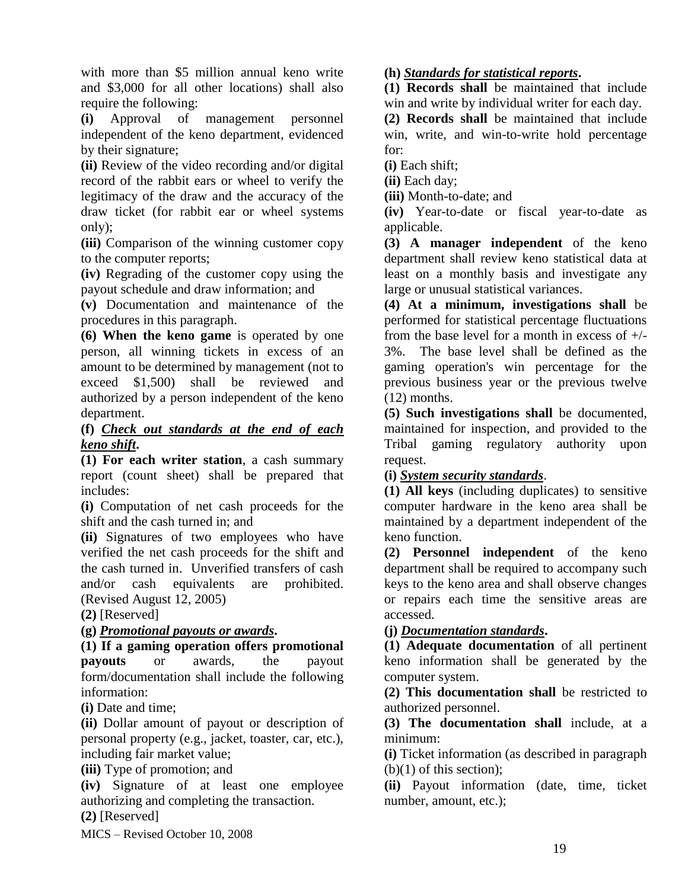with more than \$5 million annual keno write and \$3,000 for all other locations) shall also require the following:

**(i)** Approval of management personnel independent of the keno department, evidenced by their signature;

**(ii)** Review of the video recording and/or digital record of the rabbit ears or wheel to verify the legitimacy of the draw and the accuracy of the draw ticket (for rabbit ear or wheel systems only);

**(iii)** Comparison of the winning customer copy to the computer reports;

**(iv)** Regrading of the customer copy using the payout schedule and draw information; and

**(v)** Documentation and maintenance of the procedures in this paragraph.

**(6) When the keno game** is operated by one person, all winning tickets in excess of an amount to be determined by management (not to exceed \$1,500) shall be reviewed and authorized by a person independent of the keno department.

## **(f)** *Check out standards at the end of each keno shift***.**

**(1) For each writer station**, a cash summary report (count sheet) shall be prepared that includes:

**(i)** Computation of net cash proceeds for the shift and the cash turned in; and

**(ii)** Signatures of two employees who have verified the net cash proceeds for the shift and the cash turned in. Unverified transfers of cash and/or cash equivalents are prohibited. (Revised August 12, 2005)

**(2)** [Reserved]

# **(g)** *Promotional payouts or awards***.**

**(1) If a gaming operation offers promotional payouts** or awards, the payout form/documentation shall include the following information:

**(i)** Date and time;

**(ii)** Dollar amount of payout or description of personal property (e.g., jacket, toaster, car, etc.), including fair market value;

**(iii)** Type of promotion; and

**(iv)** Signature of at least one employee authorizing and completing the transaction.

**(2)** [Reserved]

MICS – Revised October 10, 2008

# **(h)** *Standards for statistical reports***.**

**(1) Records shall** be maintained that include win and write by individual writer for each day.

**(2) Records shall** be maintained that include win, write, and win-to-write hold percentage for:

**(i)** Each shift;

**(ii)** Each day;

**(iii)** Month-to-date; and

**(iv)** Year-to-date or fiscal year-to-date as applicable.

**(3) A manager independent** of the keno department shall review keno statistical data at least on a monthly basis and investigate any large or unusual statistical variances.

**(4) At a minimum, investigations shall** be performed for statistical percentage fluctuations from the base level for a month in excess of  $+/-$ 3%. The base level shall be defined as the gaming operation's win percentage for the previous business year or the previous twelve (12) months.

**(5) Such investigations shall** be documented, maintained for inspection, and provided to the Tribal gaming regulatory authority upon request.

# **(i)** *System security standards*.

**(1) All keys** (including duplicates) to sensitive computer hardware in the keno area shall be maintained by a department independent of the keno function.

**(2) Personnel independent** of the keno department shall be required to accompany such keys to the keno area and shall observe changes or repairs each time the sensitive areas are accessed.

# **(j)** *Documentation standards***.**

**(1) Adequate documentation** of all pertinent keno information shall be generated by the computer system.

**(2) This documentation shall** be restricted to authorized personnel.

**(3) The documentation shall** include, at a minimum:

**(i)** Ticket information (as described in paragraph  $(b)(1)$  of this section);

**(ii)** Payout information (date, time, ticket number, amount, etc.);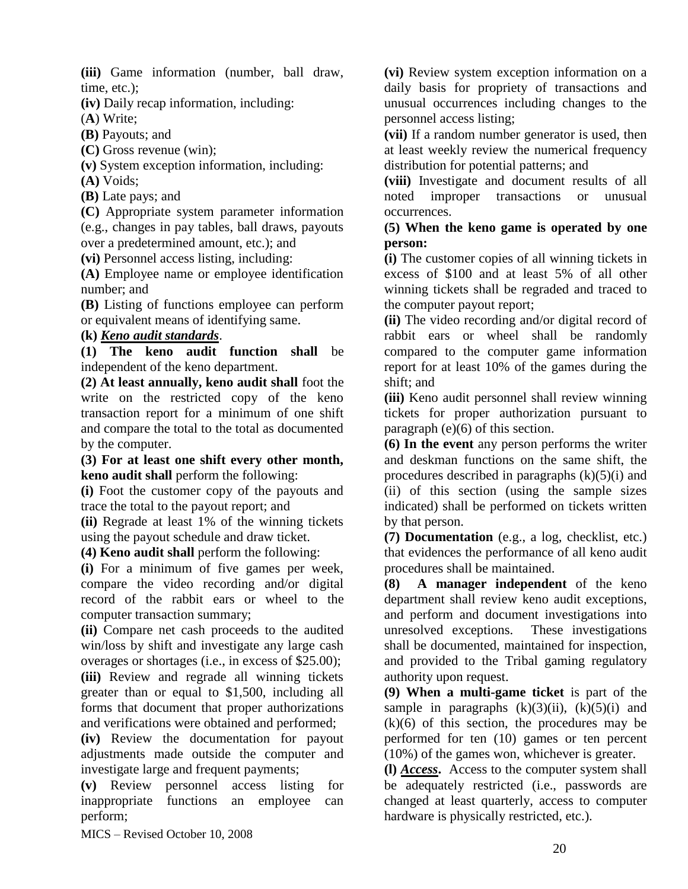**(iii)** Game information (number, ball draw, time, etc.);

**(iv)** Daily recap information, including:

(**A**) Write;

**(B)** Payouts; and

**(C)** Gross revenue (win);

**(v)** System exception information, including:

**(A)** Voids;

**(B)** Late pays; and

**(C)** Appropriate system parameter information (e.g., changes in pay tables, ball draws, payouts over a predetermined amount, etc.); and

**(vi)** Personnel access listing, including:

**(A)** Employee name or employee identification number; and

**(B)** Listing of functions employee can perform or equivalent means of identifying same.

# **(k)** *Keno audit standards*.

**(1) The keno audit function shall** be independent of the keno department.

**(2) At least annually, keno audit shall** foot the write on the restricted copy of the keno transaction report for a minimum of one shift and compare the total to the total as documented by the computer.

**(3) For at least one shift every other month, keno audit shall** perform the following:

**(i)** Foot the customer copy of the payouts and trace the total to the payout report; and

**(ii)** Regrade at least 1% of the winning tickets using the payout schedule and draw ticket.

**(4) Keno audit shall** perform the following:

**(i)** For a minimum of five games per week, compare the video recording and/or digital record of the rabbit ears or wheel to the computer transaction summary;

**(ii)** Compare net cash proceeds to the audited win/loss by shift and investigate any large cash overages or shortages (i.e., in excess of \$25.00);

**(iii)** Review and regrade all winning tickets greater than or equal to \$1,500, including all forms that document that proper authorizations and verifications were obtained and performed;

**(iv)** Review the documentation for payout adjustments made outside the computer and investigate large and frequent payments;

**(v)** Review personnel access listing for inappropriate functions an employee can perform;

**(vi)** Review system exception information on a daily basis for propriety of transactions and unusual occurrences including changes to the personnel access listing;

**(vii)** If a random number generator is used, then at least weekly review the numerical frequency distribution for potential patterns; and

**(viii)** Investigate and document results of all noted improper transactions or unusual occurrences.

### **(5) When the keno game is operated by one person:**

**(i)** The customer copies of all winning tickets in excess of \$100 and at least 5% of all other winning tickets shall be regraded and traced to the computer payout report;

**(ii)** The video recording and/or digital record of rabbit ears or wheel shall be randomly compared to the computer game information report for at least 10% of the games during the shift; and

**(iii)** Keno audit personnel shall review winning tickets for proper authorization pursuant to paragraph (e)(6) of this section.

**(6) In the event** any person performs the writer and deskman functions on the same shift, the procedures described in paragraphs  $(k)(5)(i)$  and (ii) of this section (using the sample sizes indicated) shall be performed on tickets written by that person.

**(7) Documentation** (e.g., a log, checklist, etc.) that evidences the performance of all keno audit procedures shall be maintained.

**(8) A manager independent** of the keno department shall review keno audit exceptions, and perform and document investigations into unresolved exceptions. These investigations shall be documented, maintained for inspection, and provided to the Tribal gaming regulatory authority upon request.

**(9) When a multi-game ticket** is part of the sample in paragraphs  $(k)(3)(ii)$ ,  $(k)(5)(i)$  and  $(k)(6)$  of this section, the procedures may be performed for ten (10) games or ten percent (10%) of the games won, whichever is greater.

**(l)** *Access***.** Access to the computer system shall be adequately restricted (i.e., passwords are changed at least quarterly, access to computer hardware is physically restricted, etc.).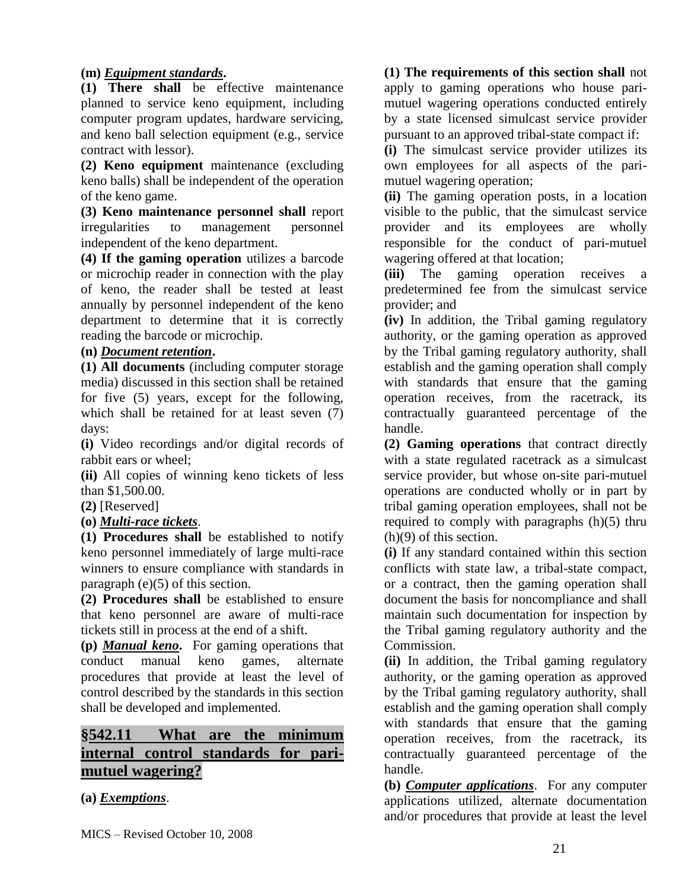## **(m)** *Equipment standards***.**

**(1) There shall** be effective maintenance planned to service keno equipment, including computer program updates, hardware servicing, and keno ball selection equipment (e.g., service contract with lessor).

**(2) Keno equipment** maintenance (excluding keno balls) shall be independent of the operation of the keno game.

**(3) Keno maintenance personnel shall** report irregularities to management personnel independent of the keno department.

**(4) If the gaming operation** utilizes a barcode or microchip reader in connection with the play of keno, the reader shall be tested at least annually by personnel independent of the keno department to determine that it is correctly reading the barcode or microchip.

### **(n)** *Document retention***.**

**(1) All documents** (including computer storage media) discussed in this section shall be retained for five (5) years, except for the following, which shall be retained for at least seven (7) days:

**(i)** Video recordings and/or digital records of rabbit ears or wheel;

**(ii)** All copies of winning keno tickets of less than \$1,500.00.

**(2)** [Reserved]

**(o)** *Multi-race tickets*.

**(1) Procedures shall** be established to notify keno personnel immediately of large multi-race winners to ensure compliance with standards in paragraph (e)(5) of this section.

**(2) Procedures shall** be established to ensure that keno personnel are aware of multi-race tickets still in process at the end of a shift.

**(p)** *Manual keno***.** For gaming operations that conduct manual keno games, alternate procedures that provide at least the level of control described by the standards in this section shall be developed and implemented.

# **§542.11 What are the minimum internal control standards for parimutuel wagering?**

**(a)** *Exemptions*.

## **(1) The requirements of this section shall** not

apply to gaming operations who house parimutuel wagering operations conducted entirely by a state licensed simulcast service provider pursuant to an approved tribal-state compact if:

**(i)** The simulcast service provider utilizes its own employees for all aspects of the parimutuel wagering operation;

**(ii)** The gaming operation posts, in a location visible to the public, that the simulcast service provider and its employees are wholly responsible for the conduct of pari-mutuel wagering offered at that location;

**(iii)** The gaming operation receives a predetermined fee from the simulcast service provider; and

**(iv)** In addition, the Tribal gaming regulatory authority, or the gaming operation as approved by the Tribal gaming regulatory authority, shall establish and the gaming operation shall comply with standards that ensure that the gaming operation receives, from the racetrack, its contractually guaranteed percentage of the handle.

**(2) Gaming operations** that contract directly with a state regulated racetrack as a simulcast service provider, but whose on-site pari-mutuel operations are conducted wholly or in part by tribal gaming operation employees, shall not be required to comply with paragraphs (h)(5) thru (h)(9) of this section.

**(i)** If any standard contained within this section conflicts with state law, a tribal-state compact, or a contract, then the gaming operation shall document the basis for noncompliance and shall maintain such documentation for inspection by the Tribal gaming regulatory authority and the Commission.

**(ii)** In addition, the Tribal gaming regulatory authority, or the gaming operation as approved by the Tribal gaming regulatory authority, shall establish and the gaming operation shall comply with standards that ensure that the gaming operation receives, from the racetrack, its contractually guaranteed percentage of the handle.

**(b)** *Computer applications*. For any computer applications utilized, alternate documentation and/or procedures that provide at least the level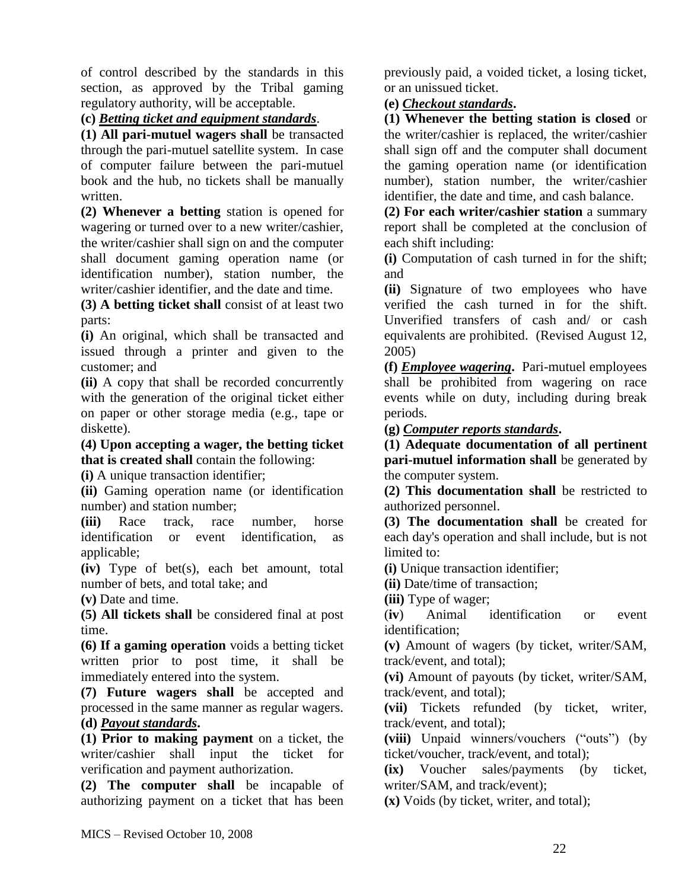of control described by the standards in this section, as approved by the Tribal gaming regulatory authority, will be acceptable.

**(c)** *Betting ticket and equipment standards*.

**(1) All pari-mutuel wagers shall** be transacted through the pari-mutuel satellite system. In case of computer failure between the pari-mutuel book and the hub, no tickets shall be manually written.

**(2) Whenever a betting** station is opened for wagering or turned over to a new writer/cashier, the writer/cashier shall sign on and the computer shall document gaming operation name (or identification number), station number, the writer/cashier identifier, and the date and time.

**(3) A betting ticket shall** consist of at least two parts:

**(i)** An original, which shall be transacted and issued through a printer and given to the customer; and

**(ii)** A copy that shall be recorded concurrently with the generation of the original ticket either on paper or other storage media (e.g., tape or diskette).

**(4) Upon accepting a wager, the betting ticket that is created shall** contain the following:

**(i)** A unique transaction identifier;

**(ii)** Gaming operation name (or identification number) and station number;

**(iii)** Race track, race number, horse identification or event identification, as applicable;

**(iv)** Type of bet(s), each bet amount, total number of bets, and total take; and

**(v)** Date and time.

**(5) All tickets shall** be considered final at post time.

**(6) If a gaming operation** voids a betting ticket written prior to post time, it shall be immediately entered into the system.

**(7) Future wagers shall** be accepted and processed in the same manner as regular wagers. **(d)** *Payout standards***.** 

**(1) Prior to making payment** on a ticket, the writer/cashier shall input the ticket for verification and payment authorization.

**(2) The computer shall** be incapable of authorizing payment on a ticket that has been previously paid, a voided ticket, a losing ticket, or an unissued ticket.

# **(e)** *Checkout standards***.**

**(1) Whenever the betting station is closed** or the writer/cashier is replaced, the writer/cashier shall sign off and the computer shall document the gaming operation name (or identification number), station number, the writer/cashier identifier, the date and time, and cash balance.

**(2) For each writer/cashier station** a summary report shall be completed at the conclusion of each shift including:

**(i)** Computation of cash turned in for the shift; and

**(ii)** Signature of two employees who have verified the cash turned in for the shift. Unverified transfers of cash and/ or cash equivalents are prohibited. (Revised August 12, 2005)

**(f)** *Employee wagering***.** Pari-mutuel employees shall be prohibited from wagering on race events while on duty, including during break periods.

**(g)** *Computer reports standards***.** 

**(1) Adequate documentation of all pertinent pari-mutuel information shall** be generated by the computer system.

**(2) This documentation shall** be restricted to authorized personnel.

**(3) The documentation shall** be created for each day's operation and shall include, but is not limited to:

**(i)** Unique transaction identifier;

**(ii)** Date/time of transaction;

**(iii)** Type of wager;

(**iv**) Animal identification or event identification;

**(v)** Amount of wagers (by ticket, writer/SAM, track/event, and total);

**(vi)** Amount of payouts (by ticket, writer/SAM, track/event, and total);

**(vii)** Tickets refunded (by ticket, writer, track/event, and total);

**(viii)** Unpaid winners/vouchers ("outs") (by ticket/voucher, track/event, and total);

**(ix)** Voucher sales/payments (by ticket, writer/SAM, and track/event);

**(x)** Voids (by ticket, writer, and total);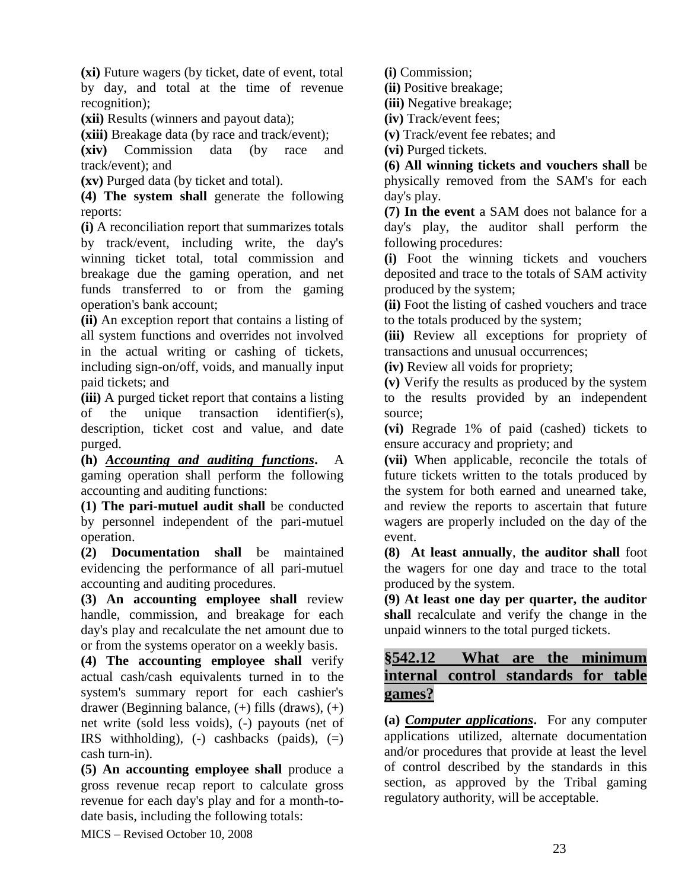**(xi)** Future wagers (by ticket, date of event, total by day, and total at the time of revenue recognition);

**(xii)** Results (winners and payout data);

**(xiii)** Breakage data (by race and track/event);

**(xiv)** Commission data (by race and track/event); and

**(xv)** Purged data (by ticket and total).

**(4) The system shall** generate the following reports:

**(i)** A reconciliation report that summarizes totals by track/event, including write, the day's winning ticket total, total commission and breakage due the gaming operation, and net funds transferred to or from the gaming operation's bank account;

**(ii)** An exception report that contains a listing of all system functions and overrides not involved in the actual writing or cashing of tickets, including sign-on/off, voids, and manually input paid tickets; and

**(iii)** A purged ticket report that contains a listing of the unique transaction identifier(s), description, ticket cost and value, and date purged.

**(h)** *Accounting and auditing functions***.** A gaming operation shall perform the following accounting and auditing functions:

**(1) The pari-mutuel audit shall** be conducted by personnel independent of the pari-mutuel operation.

**(2) Documentation shall** be maintained evidencing the performance of all pari-mutuel accounting and auditing procedures.

**(3) An accounting employee shall** review handle, commission, and breakage for each day's play and recalculate the net amount due to or from the systems operator on a weekly basis.

**(4) The accounting employee shall** verify actual cash/cash equivalents turned in to the system's summary report for each cashier's drawer (Beginning balance, (+) fills (draws), (+) net write (sold less voids), (-) payouts (net of IRS withholding),  $(-)$  cashbacks (paids),  $(=)$ cash turn-in).

**(5) An accounting employee shall** produce a gross revenue recap report to calculate gross revenue for each day's play and for a month-todate basis, including the following totals:

MICS – Revised October 10, 2008

**(i)** Commission;

**(ii)** Positive breakage;

**(iii)** Negative breakage;

**(iv)** Track/event fees;

**(v)** Track/event fee rebates; and

**(vi)** Purged tickets.

**(6) All winning tickets and vouchers shall** be physically removed from the SAM's for each day's play.

**(7) In the event** a SAM does not balance for a day's play, the auditor shall perform the following procedures:

**(i)** Foot the winning tickets and vouchers deposited and trace to the totals of SAM activity produced by the system;

**(ii)** Foot the listing of cashed vouchers and trace to the totals produced by the system;

**(iii)** Review all exceptions for propriety of transactions and unusual occurrences;

**(iv)** Review all voids for propriety;

**(v)** Verify the results as produced by the system to the results provided by an independent source;

**(vi)** Regrade 1% of paid (cashed) tickets to ensure accuracy and propriety; and

**(vii)** When applicable, reconcile the totals of future tickets written to the totals produced by the system for both earned and unearned take, and review the reports to ascertain that future wagers are properly included on the day of the event.

**(8) At least annually**, **the auditor shall** foot the wagers for one day and trace to the total produced by the system.

**(9) At least one day per quarter, the auditor shall** recalculate and verify the change in the unpaid winners to the total purged tickets.

# **§542.12 What are the minimum internal control standards for table games?**

**(a)** *Computer applications***.** For any computer applications utilized, alternate documentation and/or procedures that provide at least the level of control described by the standards in this section, as approved by the Tribal gaming regulatory authority, will be acceptable.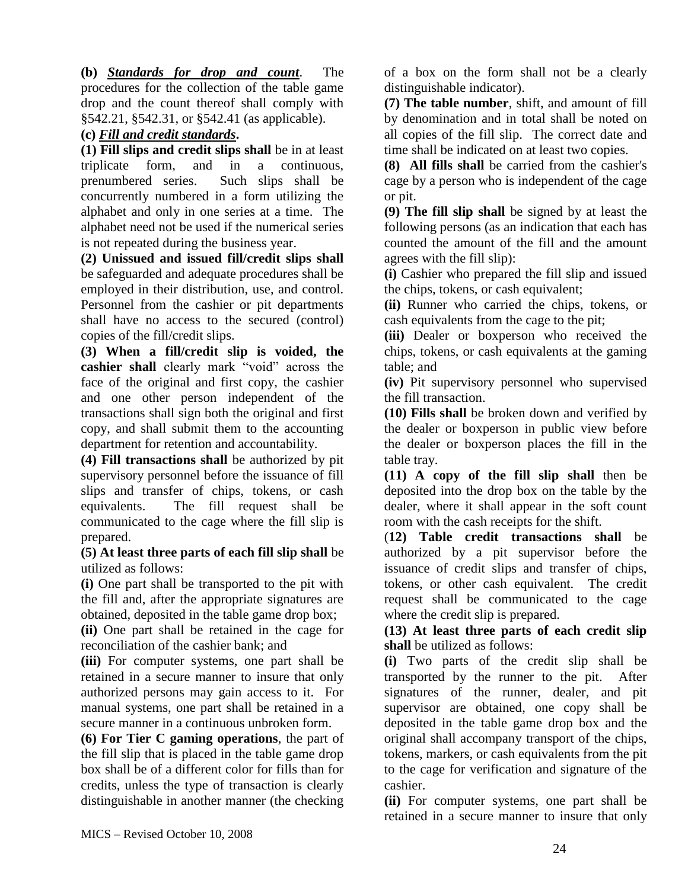**(b)** *Standards for drop and count*. The procedures for the collection of the table game drop and the count thereof shall comply with §542.21, §542.31, or §542.41 (as applicable).

## **(c)** *Fill and credit standards***.**

**(1) Fill slips and credit slips shall** be in at least triplicate form, and in a continuous, prenumbered series. Such slips shall be concurrently numbered in a form utilizing the alphabet and only in one series at a time. The alphabet need not be used if the numerical series is not repeated during the business year.

**(2) Unissued and issued fill/credit slips shall** be safeguarded and adequate procedures shall be employed in their distribution, use, and control. Personnel from the cashier or pit departments shall have no access to the secured (control) copies of the fill/credit slips.

**(3) When a fill/credit slip is voided, the cashier shall** clearly mark "void" across the face of the original and first copy, the cashier and one other person independent of the transactions shall sign both the original and first copy, and shall submit them to the accounting department for retention and accountability.

**(4) Fill transactions shall** be authorized by pit supervisory personnel before the issuance of fill slips and transfer of chips, tokens, or cash equivalents. The fill request shall be communicated to the cage where the fill slip is prepared.

**(5) At least three parts of each fill slip shall** be utilized as follows:

**(i)** One part shall be transported to the pit with the fill and, after the appropriate signatures are obtained, deposited in the table game drop box;

**(ii)** One part shall be retained in the cage for reconciliation of the cashier bank; and

**(iii)** For computer systems, one part shall be retained in a secure manner to insure that only authorized persons may gain access to it. For manual systems, one part shall be retained in a secure manner in a continuous unbroken form.

**(6) For Tier C gaming operations**, the part of the fill slip that is placed in the table game drop box shall be of a different color for fills than for credits, unless the type of transaction is clearly distinguishable in another manner (the checking

of a box on the form shall not be a clearly distinguishable indicator).

**(7) The table number**, shift, and amount of fill by denomination and in total shall be noted on all copies of the fill slip. The correct date and time shall be indicated on at least two copies.

**(8) All fills shall** be carried from the cashier's cage by a person who is independent of the cage or pit.

**(9) The fill slip shall** be signed by at least the following persons (as an indication that each has counted the amount of the fill and the amount agrees with the fill slip):

**(i)** Cashier who prepared the fill slip and issued the chips, tokens, or cash equivalent;

**(ii)** Runner who carried the chips, tokens, or cash equivalents from the cage to the pit;

**(iii)** Dealer or boxperson who received the chips, tokens, or cash equivalents at the gaming table; and

**(iv)** Pit supervisory personnel who supervised the fill transaction.

**(10) Fills shall** be broken down and verified by the dealer or boxperson in public view before the dealer or boxperson places the fill in the table tray.

**(11) A copy of the fill slip shall** then be deposited into the drop box on the table by the dealer, where it shall appear in the soft count room with the cash receipts for the shift.

(**12) Table credit transactions shall** be authorized by a pit supervisor before the issuance of credit slips and transfer of chips, tokens, or other cash equivalent. The credit request shall be communicated to the cage where the credit slip is prepared.

**(13) At least three parts of each credit slip shall** be utilized as follows:

**(i)** Two parts of the credit slip shall be transported by the runner to the pit. After signatures of the runner, dealer, and pit supervisor are obtained, one copy shall be deposited in the table game drop box and the original shall accompany transport of the chips, tokens, markers, or cash equivalents from the pit to the cage for verification and signature of the cashier.

**(ii)** For computer systems, one part shall be retained in a secure manner to insure that only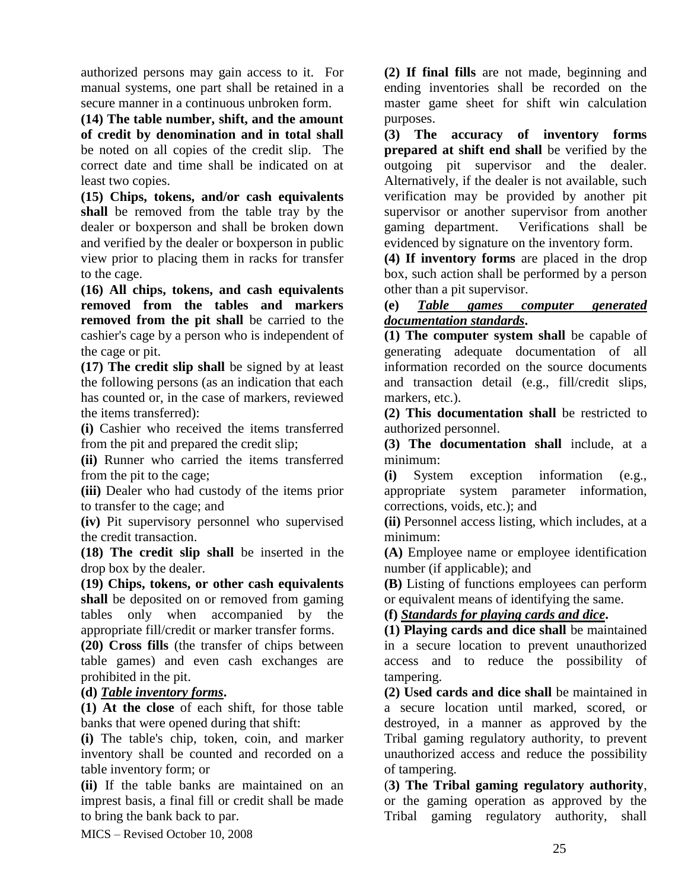authorized persons may gain access to it. For manual systems, one part shall be retained in a secure manner in a continuous unbroken form.

**(14) The table number, shift, and the amount of credit by denomination and in total shall** be noted on all copies of the credit slip. The correct date and time shall be indicated on at least two copies.

**(15) Chips, tokens, and/or cash equivalents shall** be removed from the table tray by the dealer or boxperson and shall be broken down and verified by the dealer or boxperson in public view prior to placing them in racks for transfer to the cage.

**(16) All chips, tokens, and cash equivalents removed from the tables and markers removed from the pit shall** be carried to the cashier's cage by a person who is independent of the cage or pit.

**(17) The credit slip shall** be signed by at least the following persons (as an indication that each has counted or, in the case of markers, reviewed the items transferred):

**(i)** Cashier who received the items transferred from the pit and prepared the credit slip;

**(ii)** Runner who carried the items transferred from the pit to the cage;

**(iii)** Dealer who had custody of the items prior to transfer to the cage; and

**(iv)** Pit supervisory personnel who supervised the credit transaction.

**(18) The credit slip shall** be inserted in the drop box by the dealer.

**(19) Chips, tokens, or other cash equivalents shall** be deposited on or removed from gaming tables only when accompanied by the appropriate fill/credit or marker transfer forms.

**(20) Cross fills** (the transfer of chips between table games) and even cash exchanges are prohibited in the pit.

### **(d)** *Table inventory forms***.**

**(1) At the close** of each shift, for those table banks that were opened during that shift:

**(i)** The table's chip, token, coin, and marker inventory shall be counted and recorded on a table inventory form; or

**(ii)** If the table banks are maintained on an imprest basis, a final fill or credit shall be made to bring the bank back to par.

MICS – Revised October 10, 2008

**(2) If final fills** are not made, beginning and ending inventories shall be recorded on the master game sheet for shift win calculation purposes.

**(3) The accuracy of inventory forms prepared at shift end shall** be verified by the outgoing pit supervisor and the dealer. Alternatively, if the dealer is not available, such verification may be provided by another pit supervisor or another supervisor from another gaming department. Verifications shall be evidenced by signature on the inventory form.

**(4) If inventory forms** are placed in the drop box, such action shall be performed by a person other than a pit supervisor.

### **(e)** *Table games computer generated documentation standards***.**

**(1) The computer system shall** be capable of generating adequate documentation of all information recorded on the source documents and transaction detail (e.g., fill/credit slips, markers, etc.).

**(2) This documentation shall** be restricted to authorized personnel.

**(3) The documentation shall** include, at a minimum:

**(i)** System exception information (e.g., appropriate system parameter information, corrections, voids, etc.); and

**(ii)** Personnel access listing, which includes, at a minimum:

**(A)** Employee name or employee identification number (if applicable); and

**(B)** Listing of functions employees can perform or equivalent means of identifying the same.

### **(f)** *Standards for playing cards and dice***.**

**(1) Playing cards and dice shall** be maintained in a secure location to prevent unauthorized access and to reduce the possibility of tampering.

**(2) Used cards and dice shall** be maintained in a secure location until marked, scored, or destroyed, in a manner as approved by the Tribal gaming regulatory authority, to prevent unauthorized access and reduce the possibility of tampering.

(**3) The Tribal gaming regulatory authority**, or the gaming operation as approved by the Tribal gaming regulatory authority, shall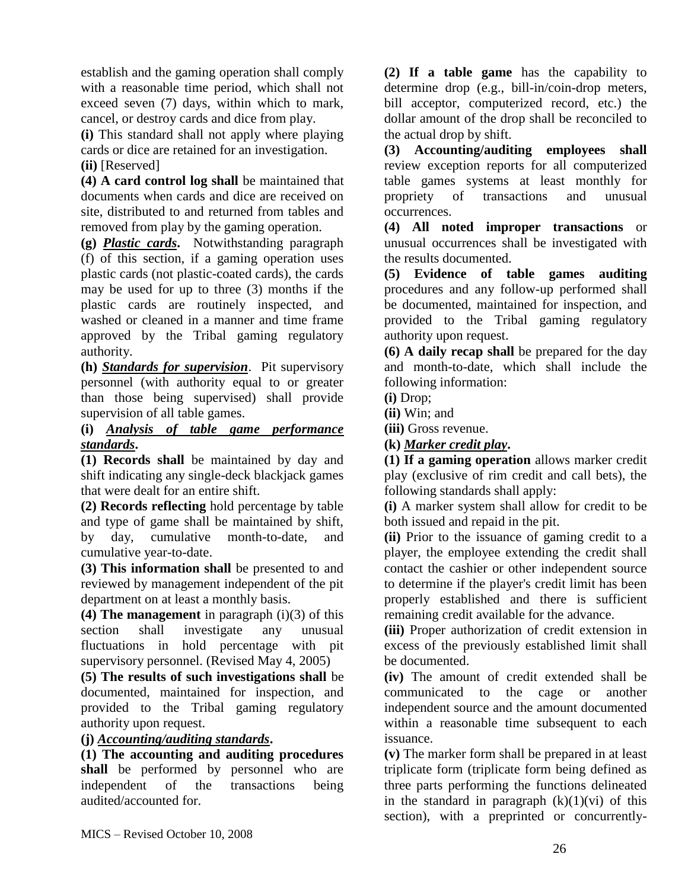establish and the gaming operation shall comply with a reasonable time period, which shall not exceed seven (7) days, within which to mark, cancel, or destroy cards and dice from play.

**(i)** This standard shall not apply where playing cards or dice are retained for an investigation. **(ii)** [Reserved]

**(4) A card control log shall** be maintained that documents when cards and dice are received on site, distributed to and returned from tables and removed from play by the gaming operation.

**(g)** *Plastic cards***.** Notwithstanding paragraph (f) of this section, if a gaming operation uses plastic cards (not plastic-coated cards), the cards may be used for up to three (3) months if the plastic cards are routinely inspected, and washed or cleaned in a manner and time frame approved by the Tribal gaming regulatory authority.

**(h)** *Standards for supervision*. Pit supervisory personnel (with authority equal to or greater than those being supervised) shall provide supervision of all table games.

## **(i)** *Analysis of table game performance standards***.**

**(1) Records shall** be maintained by day and shift indicating any single-deck blackjack games that were dealt for an entire shift.

**(2) Records reflecting** hold percentage by table and type of game shall be maintained by shift, by day, cumulative month-to-date, and cumulative year-to-date.

**(3) This information shall** be presented to and reviewed by management independent of the pit department on at least a monthly basis.

**(4) The management** in paragraph (i)(3) of this section shall investigate any unusual fluctuations in hold percentage with pit supervisory personnel. (Revised May 4, 2005)

**(5) The results of such investigations shall** be documented, maintained for inspection, and provided to the Tribal gaming regulatory authority upon request.

### **(j)** *Accounting/auditing standards***.**

**(1) The accounting and auditing procedures shall** be performed by personnel who are independent of the transactions being audited/accounted for.

**(2) If a table game** has the capability to determine drop (e.g., bill-in/coin-drop meters, bill acceptor, computerized record, etc.) the dollar amount of the drop shall be reconciled to the actual drop by shift.

**(3) Accounting/auditing employees shall** review exception reports for all computerized table games systems at least monthly for propriety of transactions and unusual occurrences.

**(4) All noted improper transactions** or unusual occurrences shall be investigated with the results documented.

**(5) Evidence of table games auditing** procedures and any follow-up performed shall be documented, maintained for inspection, and provided to the Tribal gaming regulatory authority upon request.

**(6) A daily recap shall** be prepared for the day and month-to-date, which shall include the following information:

**(i)** Drop;

**(ii)** Win; and

**(iii)** Gross revenue.

**(k)** *Marker credit play***.** 

**(1) If a gaming operation** allows marker credit play (exclusive of rim credit and call bets), the following standards shall apply:

**(i)** A marker system shall allow for credit to be both issued and repaid in the pit.

**(ii)** Prior to the issuance of gaming credit to a player, the employee extending the credit shall contact the cashier or other independent source to determine if the player's credit limit has been properly established and there is sufficient remaining credit available for the advance.

**(iii)** Proper authorization of credit extension in excess of the previously established limit shall be documented.

**(iv)** The amount of credit extended shall be communicated to the cage or another independent source and the amount documented within a reasonable time subsequent to each issuance.

**(v)** The marker form shall be prepared in at least triplicate form (triplicate form being defined as three parts performing the functions delineated in the standard in paragraph  $(k)(1)(vi)$  of this section), with a preprinted or concurrently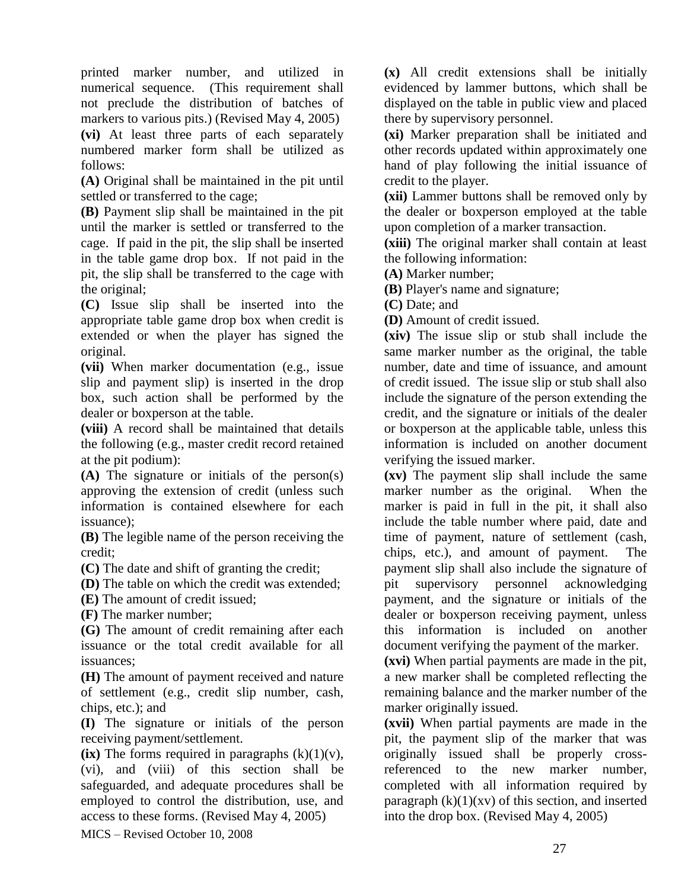printed marker number, and utilized in numerical sequence. (This requirement shall not preclude the distribution of batches of markers to various pits.) (Revised May 4, 2005)

**(vi)** At least three parts of each separately numbered marker form shall be utilized as follows:

**(A)** Original shall be maintained in the pit until settled or transferred to the cage;

**(B)** Payment slip shall be maintained in the pit until the marker is settled or transferred to the cage. If paid in the pit, the slip shall be inserted in the table game drop box. If not paid in the pit, the slip shall be transferred to the cage with the original;

**(C)** Issue slip shall be inserted into the appropriate table game drop box when credit is extended or when the player has signed the original.

**(vii)** When marker documentation (e.g., issue slip and payment slip) is inserted in the drop box, such action shall be performed by the dealer or boxperson at the table.

**(viii)** A record shall be maintained that details the following (e.g., master credit record retained at the pit podium):

**(A)** The signature or initials of the person(s) approving the extension of credit (unless such information is contained elsewhere for each issuance);

**(B)** The legible name of the person receiving the credit;

**(C)** The date and shift of granting the credit;

**(D)** The table on which the credit was extended;

**(E)** The amount of credit issued;

**(F)** The marker number;

**(G)** The amount of credit remaining after each issuance or the total credit available for all issuances;

**(H)** The amount of payment received and nature of settlement (e.g., credit slip number, cash, chips, etc.); and

**(I)** The signature or initials of the person receiving payment/settlement.

 $(ix)$  The forms required in paragraphs  $(k)(1)(v)$ , (vi), and (viii) of this section shall be safeguarded, and adequate procedures shall be employed to control the distribution, use, and access to these forms. (Revised May 4, 2005)

MICS – Revised October 10, 2008

**(x)** All credit extensions shall be initially evidenced by lammer buttons, which shall be displayed on the table in public view and placed there by supervisory personnel.

**(xi)** Marker preparation shall be initiated and other records updated within approximately one hand of play following the initial issuance of credit to the player.

**(xii)** Lammer buttons shall be removed only by the dealer or boxperson employed at the table upon completion of a marker transaction.

**(xiii)** The original marker shall contain at least the following information:

**(A)** Marker number;

**(B)** Player's name and signature;

**(C)** Date; and

**(D)** Amount of credit issued.

**(xiv)** The issue slip or stub shall include the same marker number as the original, the table number, date and time of issuance, and amount of credit issued. The issue slip or stub shall also include the signature of the person extending the credit, and the signature or initials of the dealer or boxperson at the applicable table, unless this information is included on another document verifying the issued marker.

**(xv)** The payment slip shall include the same marker number as the original. When the marker is paid in full in the pit, it shall also include the table number where paid, date and time of payment, nature of settlement (cash, chips, etc.), and amount of payment. The payment slip shall also include the signature of pit supervisory personnel acknowledging payment, and the signature or initials of the dealer or boxperson receiving payment, unless this information is included on another document verifying the payment of the marker.

**(xvi)** When partial payments are made in the pit, a new marker shall be completed reflecting the remaining balance and the marker number of the marker originally issued.

**(xvii)** When partial payments are made in the pit, the payment slip of the marker that was originally issued shall be properly crossreferenced to the new marker number, completed with all information required by paragraph  $(k)(1)(xv)$  of this section, and inserted into the drop box. (Revised May 4, 2005)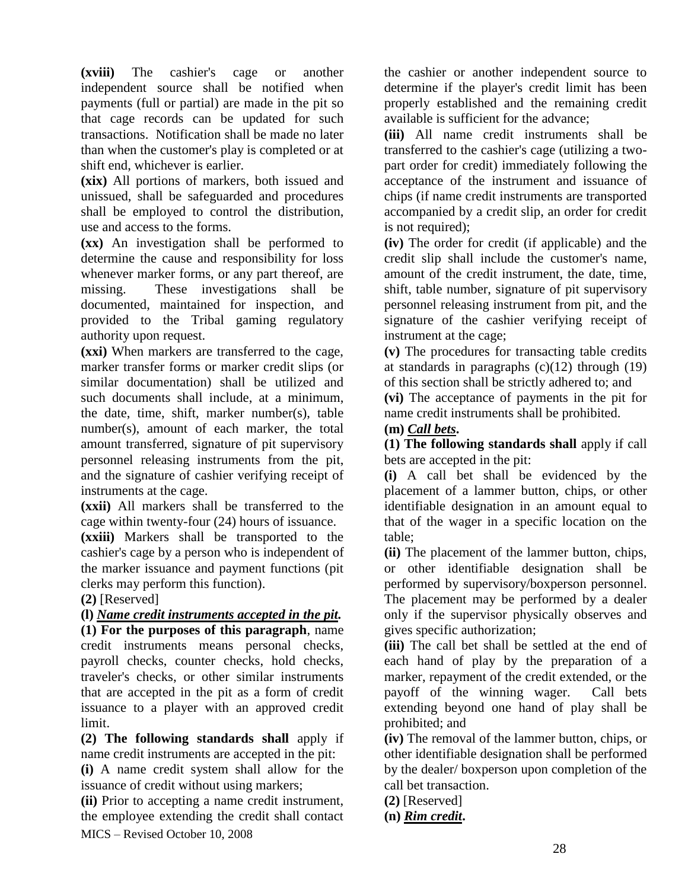**(xviii)** The cashier's cage or another independent source shall be notified when payments (full or partial) are made in the pit so that cage records can be updated for such transactions. Notification shall be made no later than when the customer's play is completed or at shift end, whichever is earlier.

**(xix)** All portions of markers, both issued and unissued, shall be safeguarded and procedures shall be employed to control the distribution, use and access to the forms.

**(xx)** An investigation shall be performed to determine the cause and responsibility for loss whenever marker forms, or any part thereof, are missing. These investigations shall be documented, maintained for inspection, and provided to the Tribal gaming regulatory authority upon request.

**(xxi)** When markers are transferred to the cage, marker transfer forms or marker credit slips (or similar documentation) shall be utilized and such documents shall include, at a minimum, the date, time, shift, marker number(s), table number(s), amount of each marker, the total amount transferred, signature of pit supervisory personnel releasing instruments from the pit, and the signature of cashier verifying receipt of instruments at the cage.

**(xxii)** All markers shall be transferred to the cage within twenty-four (24) hours of issuance.

**(xxiii)** Markers shall be transported to the cashier's cage by a person who is independent of the marker issuance and payment functions (pit clerks may perform this function).

**(2)** [Reserved]

**(l)** *Name credit instruments accepted in the pit.*  **(1) For the purposes of this paragraph**, name credit instruments means personal checks, payroll checks, counter checks, hold checks, traveler's checks, or other similar instruments that are accepted in the pit as a form of credit issuance to a player with an approved credit limit.

**(2) The following standards shall** apply if name credit instruments are accepted in the pit:

**(i)** A name credit system shall allow for the issuance of credit without using markers;

MICS – Revised October 10, 2008 **(ii)** Prior to accepting a name credit instrument, the employee extending the credit shall contact the cashier or another independent source to determine if the player's credit limit has been properly established and the remaining credit available is sufficient for the advance;

**(iii)** All name credit instruments shall be transferred to the cashier's cage (utilizing a twopart order for credit) immediately following the acceptance of the instrument and issuance of chips (if name credit instruments are transported accompanied by a credit slip, an order for credit is not required);

**(iv)** The order for credit (if applicable) and the credit slip shall include the customer's name, amount of the credit instrument, the date, time, shift, table number, signature of pit supervisory personnel releasing instrument from pit, and the signature of the cashier verifying receipt of instrument at the cage;

**(v)** The procedures for transacting table credits at standards in paragraphs  $(c)(12)$  through  $(19)$ of this section shall be strictly adhered to; and

**(vi)** The acceptance of payments in the pit for name credit instruments shall be prohibited.

# **(m)** *Call bets***.**

**(1) The following standards shall** apply if call bets are accepted in the pit:

**(i)** A call bet shall be evidenced by the placement of a lammer button, chips, or other identifiable designation in an amount equal to that of the wager in a specific location on the table;

**(ii)** The placement of the lammer button, chips, or other identifiable designation shall be performed by supervisory/boxperson personnel. The placement may be performed by a dealer only if the supervisor physically observes and gives specific authorization;

**(iii)** The call bet shall be settled at the end of each hand of play by the preparation of a marker, repayment of the credit extended, or the payoff of the winning wager. Call bets extending beyond one hand of play shall be prohibited; and

**(iv)** The removal of the lammer button, chips, or other identifiable designation shall be performed by the dealer/ boxperson upon completion of the call bet transaction.

**(2)** [Reserved]

**(n)** *Rim credit***.**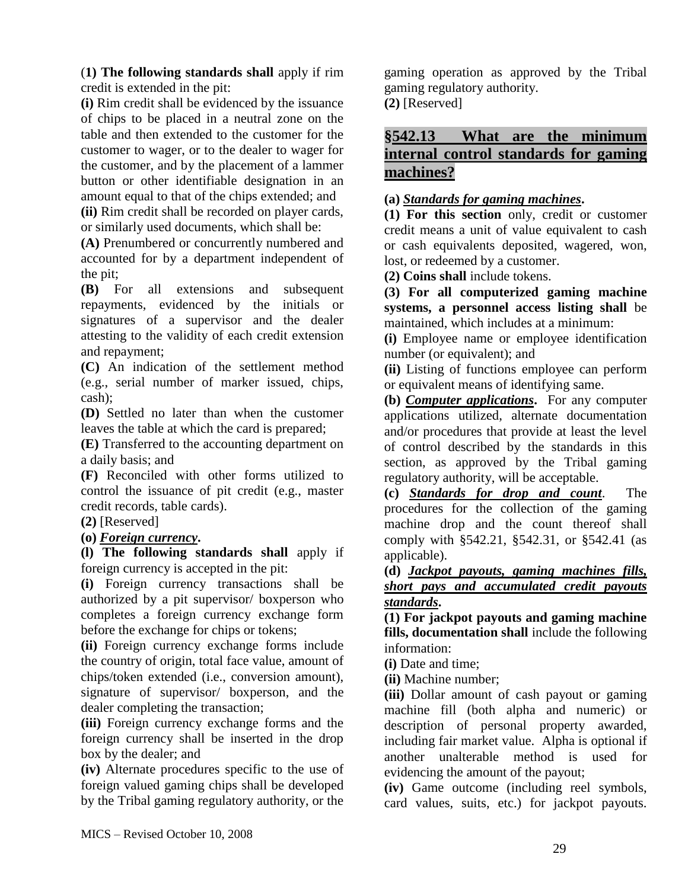(**1) The following standards shall** apply if rim credit is extended in the pit:

**(i)** Rim credit shall be evidenced by the issuance of chips to be placed in a neutral zone on the table and then extended to the customer for the customer to wager, or to the dealer to wager for the customer, and by the placement of a lammer button or other identifiable designation in an amount equal to that of the chips extended; and

**(ii)** Rim credit shall be recorded on player cards, or similarly used documents, which shall be:

**(A)** Prenumbered or concurrently numbered and accounted for by a department independent of the pit;

**(B)** For all extensions and subsequent repayments, evidenced by the initials or signatures of a supervisor and the dealer attesting to the validity of each credit extension and repayment;

**(C)** An indication of the settlement method (e.g., serial number of marker issued, chips, cash);

**(D)** Settled no later than when the customer leaves the table at which the card is prepared;

**(E)** Transferred to the accounting department on a daily basis; and

**(F)** Reconciled with other forms utilized to control the issuance of pit credit (e.g., master credit records, table cards).

**(2)** [Reserved]

### **(o)** *Foreign currency***.**

**(l) The following standards shall** apply if foreign currency is accepted in the pit:

**(i)** Foreign currency transactions shall be authorized by a pit supervisor/ boxperson who completes a foreign currency exchange form before the exchange for chips or tokens;

**(ii)** Foreign currency exchange forms include the country of origin, total face value, amount of chips/token extended (i.e., conversion amount), signature of supervisor/ boxperson, and the dealer completing the transaction;

**(iii)** Foreign currency exchange forms and the foreign currency shall be inserted in the drop box by the dealer; and

**(iv)** Alternate procedures specific to the use of foreign valued gaming chips shall be developed by the Tribal gaming regulatory authority, or the

gaming operation as approved by the Tribal gaming regulatory authority. **(2)** [Reserved]

# **§542.13 What are the minimum internal control standards for gaming machines?**

### **(a)** *Standards for gaming machines***.**

**(1) For this section** only, credit or customer credit means a unit of value equivalent to cash or cash equivalents deposited, wagered, won, lost, or redeemed by a customer.

**(2) Coins shall** include tokens.

**(3) For all computerized gaming machine systems, a personnel access listing shall** be maintained, which includes at a minimum:

**(i)** Employee name or employee identification number (or equivalent); and

**(ii)** Listing of functions employee can perform or equivalent means of identifying same.

**(b)** *Computer applications***.** For any computer applications utilized, alternate documentation and/or procedures that provide at least the level of control described by the standards in this section, as approved by the Tribal gaming regulatory authority, will be acceptable.

**(c)** *Standards for drop and count*. The procedures for the collection of the gaming machine drop and the count thereof shall comply with §542.21, §542.31, or §542.41 (as applicable).

## **(d)** *Jackpot payouts, gaming machines fills, short pays and accumulated credit payouts standards***.**

**(1) For jackpot payouts and gaming machine fills, documentation shall** include the following information:

**(i)** Date and time;

**(ii)** Machine number;

**(iii)** Dollar amount of cash payout or gaming machine fill (both alpha and numeric) or description of personal property awarded, including fair market value. Alpha is optional if another unalterable method is used for evidencing the amount of the payout;

**(iv)** Game outcome (including reel symbols, card values, suits, etc.) for jackpot payouts.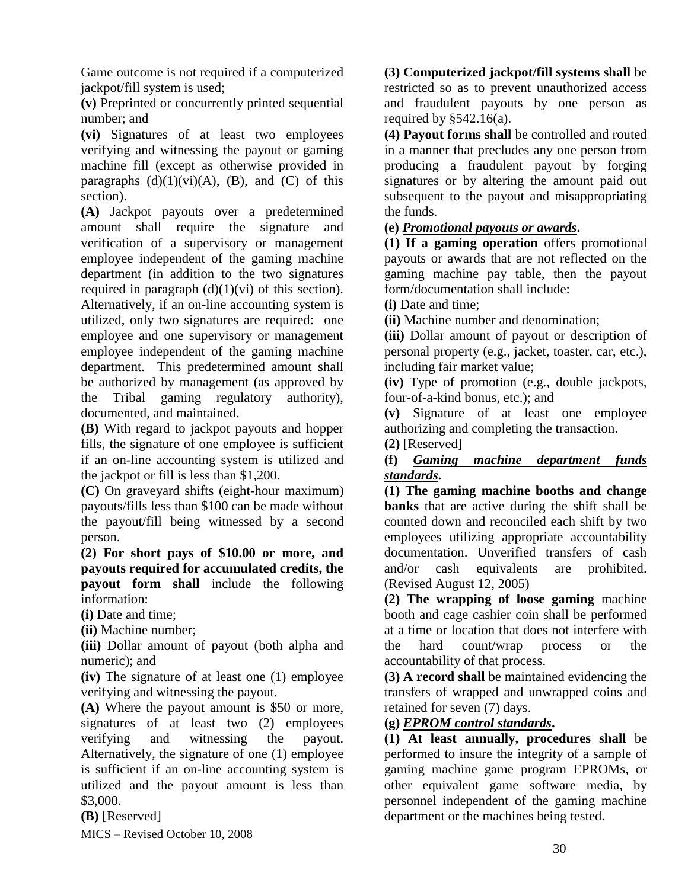Game outcome is not required if a computerized jackpot/fill system is used;

**(v)** Preprinted or concurrently printed sequential number; and

**(vi)** Signatures of at least two employees verifying and witnessing the payout or gaming machine fill (except as otherwise provided in paragraphs  $(d)(1)(vi)(A)$ ,  $(B)$ , and  $(C)$  of this section).

**(A)** Jackpot payouts over a predetermined amount shall require the signature and verification of a supervisory or management employee independent of the gaming machine department (in addition to the two signatures required in paragraph  $(d)(1)(vi)$  of this section). Alternatively, if an on-line accounting system is utilized, only two signatures are required: one employee and one supervisory or management employee independent of the gaming machine department. This predetermined amount shall be authorized by management (as approved by the Tribal gaming regulatory authority), documented, and maintained.

**(B)** With regard to jackpot payouts and hopper fills, the signature of one employee is sufficient if an on-line accounting system is utilized and the jackpot or fill is less than \$1,200.

**(C)** On graveyard shifts (eight-hour maximum) payouts/fills less than \$100 can be made without the payout/fill being witnessed by a second person.

**(2) For short pays of \$10.00 or more, and payouts required for accumulated credits, the payout form shall** include the following information:

**(i)** Date and time;

**(ii)** Machine number;

**(iii)** Dollar amount of payout (both alpha and numeric); and

**(iv)** The signature of at least one (1) employee verifying and witnessing the payout.

**(A)** Where the payout amount is \$50 or more, signatures of at least two (2) employees verifying and witnessing the payout. Alternatively, the signature of one (1) employee is sufficient if an on-line accounting system is utilized and the payout amount is less than \$3,000.

**(B)** [Reserved]

MICS – Revised October 10, 2008

**(3) Computerized jackpot/fill systems shall** be restricted so as to prevent unauthorized access and fraudulent payouts by one person as required by  $§542.16(a)$ .

**(4) Payout forms shall** be controlled and routed in a manner that precludes any one person from producing a fraudulent payout by forging signatures or by altering the amount paid out subsequent to the payout and misappropriating the funds.

### **(e)** *Promotional payouts or awards***.**

**(1) If a gaming operation** offers promotional payouts or awards that are not reflected on the gaming machine pay table, then the payout form/documentation shall include:

**(i)** Date and time;

**(ii)** Machine number and denomination;

**(iii)** Dollar amount of payout or description of personal property (e.g., jacket, toaster, car, etc.), including fair market value;

**(iv)** Type of promotion (e.g., double jackpots, four-of-a-kind bonus, etc.); and

**(v)** Signature of at least one employee authorizing and completing the transaction.

**(2)** [Reserved]

### **(f)** *Gaming machine department funds standards***.**

**(1) The gaming machine booths and change banks** that are active during the shift shall be counted down and reconciled each shift by two employees utilizing appropriate accountability documentation. Unverified transfers of cash and/or cash equivalents are prohibited. (Revised August 12, 2005)

**(2) The wrapping of loose gaming** machine booth and cage cashier coin shall be performed at a time or location that does not interfere with the hard count/wrap process or the accountability of that process.

**(3) A record shall** be maintained evidencing the transfers of wrapped and unwrapped coins and retained for seven (7) days.

### **(g)** *EPROM control standards***.**

**(1) At least annually, procedures shall** be performed to insure the integrity of a sample of gaming machine game program EPROMs, or other equivalent game software media, by personnel independent of the gaming machine department or the machines being tested.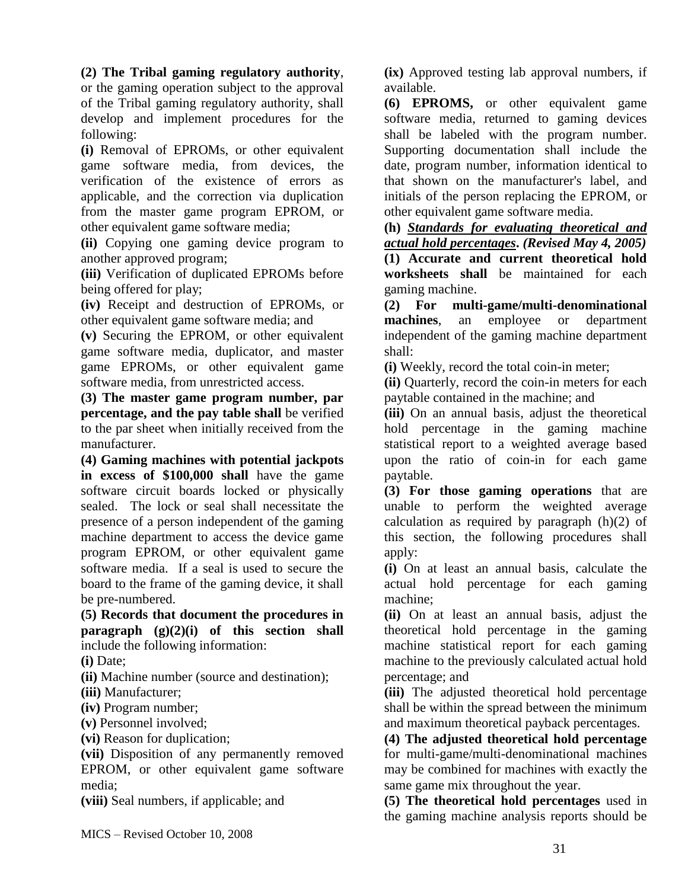**(2) The Tribal gaming regulatory authority**,

or the gaming operation subject to the approval of the Tribal gaming regulatory authority, shall develop and implement procedures for the following:

**(i)** Removal of EPROMs, or other equivalent game software media, from devices, the verification of the existence of errors as applicable, and the correction via duplication from the master game program EPROM, or other equivalent game software media;

**(ii)** Copying one gaming device program to another approved program;

**(iii)** Verification of duplicated EPROMs before being offered for play;

**(iv)** Receipt and destruction of EPROMs, or other equivalent game software media; and

**(v)** Securing the EPROM, or other equivalent game software media, duplicator, and master game EPROMs, or other equivalent game software media, from unrestricted access.

**(3) The master game program number, par percentage, and the pay table shall** be verified to the par sheet when initially received from the manufacturer.

**(4) Gaming machines with potential jackpots in excess of \$100,000 shall** have the game software circuit boards locked or physically sealed. The lock or seal shall necessitate the presence of a person independent of the gaming machine department to access the device game program EPROM, or other equivalent game software media. If a seal is used to secure the board to the frame of the gaming device, it shall be pre-numbered.

**(5) Records that document the procedures in paragraph (g)(2)(i) of this section shall** include the following information:

**(i)** Date;

**(ii)** Machine number (source and destination);

**(iii)** Manufacturer;

**(iv)** Program number;

**(v)** Personnel involved;

**(vi)** Reason for duplication;

**(vii)** Disposition of any permanently removed EPROM, or other equivalent game software media;

**(viii)** Seal numbers, if applicable; and

**(ix)** Approved testing lab approval numbers, if available.

**(6) EPROMS,** or other equivalent game software media, returned to gaming devices shall be labeled with the program number. Supporting documentation shall include the date, program number, information identical to that shown on the manufacturer's label, and initials of the person replacing the EPROM, or other equivalent game software media.

**(h)** *Standards for evaluating theoretical and actual hold percentages***.** *(Revised May 4, 2005)* **(1) Accurate and current theoretical hold worksheets shall** be maintained for each gaming machine.

**(2) For multi-game/multi-denominational machines**, an employee or department independent of the gaming machine department shall:

**(i)** Weekly, record the total coin-in meter;

**(ii)** Quarterly, record the coin-in meters for each paytable contained in the machine; and

**(iii)** On an annual basis, adjust the theoretical hold percentage in the gaming machine statistical report to a weighted average based upon the ratio of coin-in for each game paytable.

**(3) For those gaming operations** that are unable to perform the weighted average calculation as required by paragraph (h)(2) of this section, the following procedures shall apply:

**(i)** On at least an annual basis, calculate the actual hold percentage for each gaming machine;

**(ii)** On at least an annual basis, adjust the theoretical hold percentage in the gaming machine statistical report for each gaming machine to the previously calculated actual hold percentage; and

**(iii)** The adjusted theoretical hold percentage shall be within the spread between the minimum and maximum theoretical payback percentages.

**(4) The adjusted theoretical hold percentage** for multi-game/multi-denominational machines may be combined for machines with exactly the same game mix throughout the year.

**(5) The theoretical hold percentages** used in the gaming machine analysis reports should be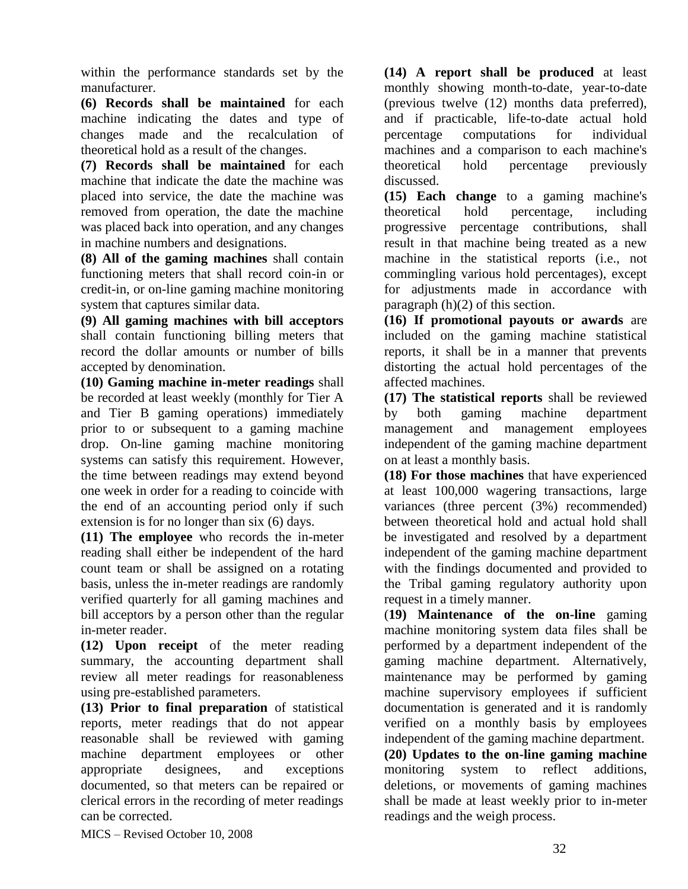within the performance standards set by the manufacturer.

**(6) Records shall be maintained** for each machine indicating the dates and type of changes made and the recalculation of theoretical hold as a result of the changes.

**(7) Records shall be maintained** for each machine that indicate the date the machine was placed into service, the date the machine was removed from operation, the date the machine was placed back into operation, and any changes in machine numbers and designations.

**(8) All of the gaming machines** shall contain functioning meters that shall record coin-in or credit-in, or on-line gaming machine monitoring system that captures similar data.

**(9) All gaming machines with bill acceptors** shall contain functioning billing meters that record the dollar amounts or number of bills accepted by denomination.

**(10) Gaming machine in-meter readings** shall be recorded at least weekly (monthly for Tier A and Tier B gaming operations) immediately prior to or subsequent to a gaming machine drop. On-line gaming machine monitoring systems can satisfy this requirement. However, the time between readings may extend beyond one week in order for a reading to coincide with the end of an accounting period only if such extension is for no longer than six (6) days.

**(11) The employee** who records the in-meter reading shall either be independent of the hard count team or shall be assigned on a rotating basis, unless the in-meter readings are randomly verified quarterly for all gaming machines and bill acceptors by a person other than the regular in-meter reader.

**(12) Upon receipt** of the meter reading summary, the accounting department shall review all meter readings for reasonableness using pre-established parameters.

**(13) Prior to final preparation** of statistical reports, meter readings that do not appear reasonable shall be reviewed with gaming machine department employees or other appropriate designees, and exceptions documented, so that meters can be repaired or clerical errors in the recording of meter readings can be corrected.

**(14) A report shall be produced** at least monthly showing month-to-date, year-to-date (previous twelve (12) months data preferred), and if practicable, life-to-date actual hold percentage computations for individual machines and a comparison to each machine's theoretical hold percentage previously discussed.

**(15) Each change** to a gaming machine's theoretical hold percentage, including progressive percentage contributions, shall result in that machine being treated as a new machine in the statistical reports (i.e., not commingling various hold percentages), except for adjustments made in accordance with paragraph (h)(2) of this section.

**(16) If promotional payouts or awards** are included on the gaming machine statistical reports, it shall be in a manner that prevents distorting the actual hold percentages of the affected machines.

**(17) The statistical reports** shall be reviewed by both gaming machine department management and management employees independent of the gaming machine department on at least a monthly basis.

**(18) For those machines** that have experienced at least 100,000 wagering transactions, large variances (three percent (3%) recommended) between theoretical hold and actual hold shall be investigated and resolved by a department independent of the gaming machine department with the findings documented and provided to the Tribal gaming regulatory authority upon request in a timely manner.

(**19) Maintenance of the on-line** gaming machine monitoring system data files shall be performed by a department independent of the gaming machine department. Alternatively, maintenance may be performed by gaming machine supervisory employees if sufficient documentation is generated and it is randomly verified on a monthly basis by employees independent of the gaming machine department. **(20) Updates to the on-line gaming machine** monitoring system to reflect additions, deletions, or movements of gaming machines shall be made at least weekly prior to in-meter readings and the weigh process.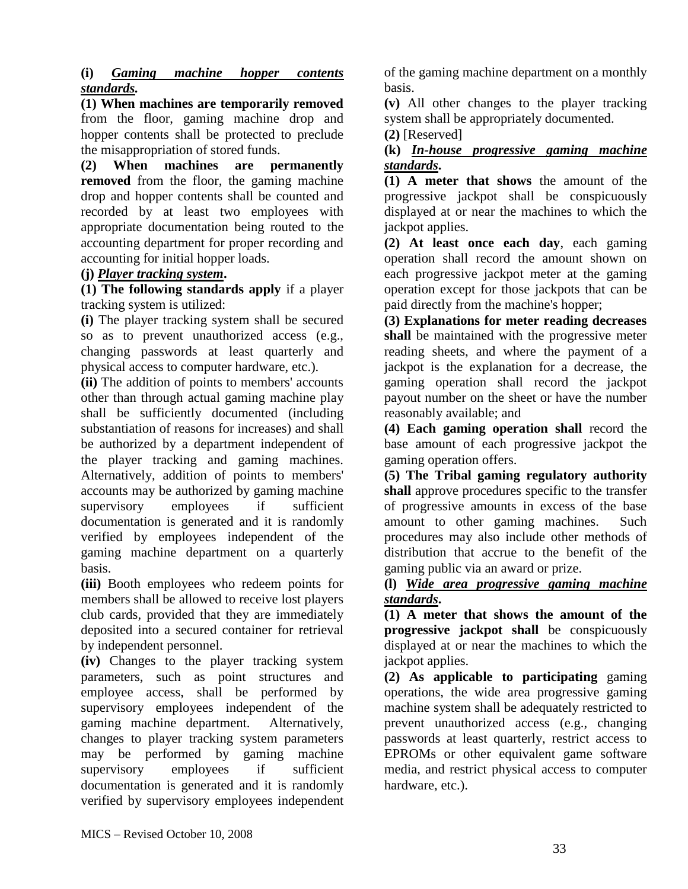### **(i)** *Gaming machine hopper contents standards.*

**(1) When machines are temporarily removed** from the floor, gaming machine drop and hopper contents shall be protected to preclude the misappropriation of stored funds.

**(2) When machines are permanently removed** from the floor, the gaming machine drop and hopper contents shall be counted and recorded by at least two employees with appropriate documentation being routed to the accounting department for proper recording and accounting for initial hopper loads.

### **(j)** *Player tracking system***.**

**(1) The following standards apply** if a player tracking system is utilized:

**(i)** The player tracking system shall be secured so as to prevent unauthorized access (e.g., changing passwords at least quarterly and physical access to computer hardware, etc.).

**(ii)** The addition of points to members' accounts other than through actual gaming machine play shall be sufficiently documented (including substantiation of reasons for increases) and shall be authorized by a department independent of the player tracking and gaming machines. Alternatively, addition of points to members' accounts may be authorized by gaming machine supervisory employees if sufficient documentation is generated and it is randomly verified by employees independent of the gaming machine department on a quarterly basis.

**(iii)** Booth employees who redeem points for members shall be allowed to receive lost players club cards, provided that they are immediately deposited into a secured container for retrieval by independent personnel.

**(iv)** Changes to the player tracking system parameters, such as point structures and employee access, shall be performed by supervisory employees independent of the gaming machine department. Alternatively, changes to player tracking system parameters may be performed by gaming machine supervisory employees if sufficient documentation is generated and it is randomly verified by supervisory employees independent

of the gaming machine department on a monthly basis.

**(v)** All other changes to the player tracking system shall be appropriately documented.

**(2)** [Reserved]

### **(k)** *In-house progressive gaming machine standards***.**

**(1) A meter that shows** the amount of the progressive jackpot shall be conspicuously displayed at or near the machines to which the jackpot applies.

**(2) At least once each day**, each gaming operation shall record the amount shown on each progressive jackpot meter at the gaming operation except for those jackpots that can be paid directly from the machine's hopper;

**(3) Explanations for meter reading decreases shall** be maintained with the progressive meter reading sheets, and where the payment of a jackpot is the explanation for a decrease, the gaming operation shall record the jackpot payout number on the sheet or have the number reasonably available; and

**(4) Each gaming operation shall** record the base amount of each progressive jackpot the gaming operation offers.

**(5) The Tribal gaming regulatory authority shall** approve procedures specific to the transfer of progressive amounts in excess of the base amount to other gaming machines. Such procedures may also include other methods of distribution that accrue to the benefit of the gaming public via an award or prize.

### **(l)** *Wide area progressive gaming machine standards***.**

**(1) A meter that shows the amount of the progressive jackpot shall** be conspicuously displayed at or near the machines to which the jackpot applies.

**(2) As applicable to participating** gaming operations, the wide area progressive gaming machine system shall be adequately restricted to prevent unauthorized access (e.g., changing passwords at least quarterly, restrict access to EPROMs or other equivalent game software media, and restrict physical access to computer hardware, etc.).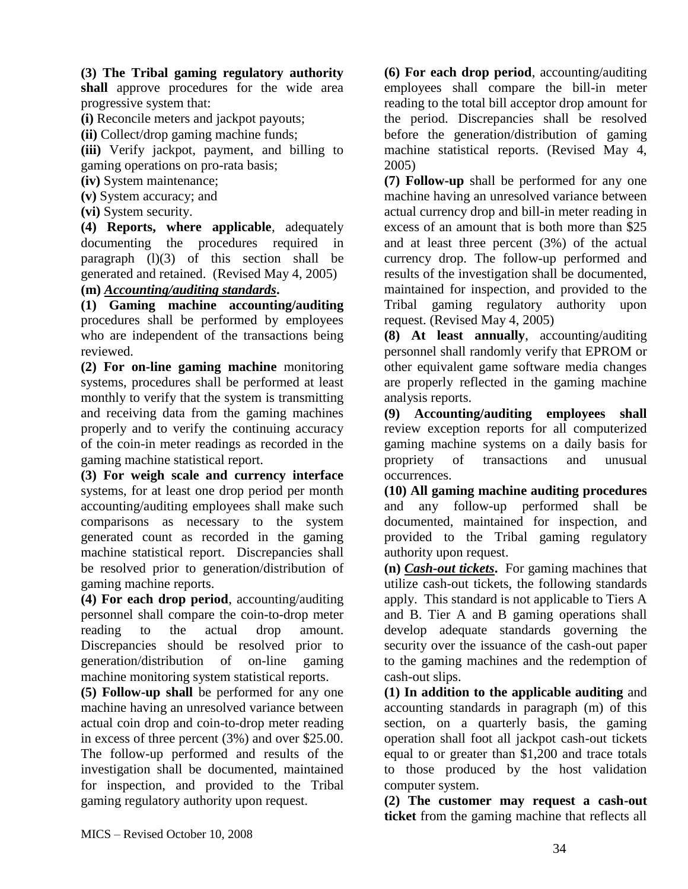**(3) The Tribal gaming regulatory authority** 

**shall** approve procedures for the wide area progressive system that:

**(i)** Reconcile meters and jackpot payouts;

**(ii)** Collect/drop gaming machine funds;

**(iii)** Verify jackpot, payment, and billing to gaming operations on pro-rata basis;

**(iv)** System maintenance;

**(v)** System accuracy; and

**(vi)** System security.

**(4) Reports, where applicable**, adequately documenting the procedures required in paragraph  $(l)(3)$  of this section shall be generated and retained. (Revised May 4, 2005)

#### **(m)** *Accounting/auditing standards***.**

**(1) Gaming machine accounting/auditing** procedures shall be performed by employees who are independent of the transactions being reviewed.

**(2) For on-line gaming machine** monitoring systems, procedures shall be performed at least monthly to verify that the system is transmitting and receiving data from the gaming machines properly and to verify the continuing accuracy of the coin-in meter readings as recorded in the gaming machine statistical report.

**(3) For weigh scale and currency interface** systems, for at least one drop period per month accounting/auditing employees shall make such comparisons as necessary to the system generated count as recorded in the gaming machine statistical report. Discrepancies shall be resolved prior to generation/distribution of gaming machine reports.

**(4) For each drop period**, accounting/auditing personnel shall compare the coin-to-drop meter reading to the actual drop amount. Discrepancies should be resolved prior to generation/distribution of on-line gaming machine monitoring system statistical reports.

**(5) Follow-up shall** be performed for any one machine having an unresolved variance between actual coin drop and coin-to-drop meter reading in excess of three percent (3%) and over \$25.00. The follow-up performed and results of the investigation shall be documented, maintained for inspection, and provided to the Tribal gaming regulatory authority upon request.

**(6) For each drop period**, accounting/auditing employees shall compare the bill-in meter reading to the total bill acceptor drop amount for the period. Discrepancies shall be resolved before the generation/distribution of gaming machine statistical reports. (Revised May 4, 2005)

**(7) Follow-up** shall be performed for any one machine having an unresolved variance between actual currency drop and bill-in meter reading in excess of an amount that is both more than \$25 and at least three percent (3%) of the actual currency drop. The follow-up performed and results of the investigation shall be documented, maintained for inspection, and provided to the Tribal gaming regulatory authority upon request. (Revised May 4, 2005)

**(8) At least annually**, accounting/auditing personnel shall randomly verify that EPROM or other equivalent game software media changes are properly reflected in the gaming machine analysis reports.

**(9) Accounting/auditing employees shall** review exception reports for all computerized gaming machine systems on a daily basis for propriety of transactions and unusual occurrences.

**(10) All gaming machine auditing procedures** and any follow-up performed shall be documented, maintained for inspection, and provided to the Tribal gaming regulatory authority upon request.

**(n)** *Cash-out tickets***.** For gaming machines that utilize cash-out tickets, the following standards apply. This standard is not applicable to Tiers A and B. Tier A and B gaming operations shall develop adequate standards governing the security over the issuance of the cash-out paper to the gaming machines and the redemption of cash-out slips.

**(1) In addition to the applicable auditing** and accounting standards in paragraph (m) of this section, on a quarterly basis, the gaming operation shall foot all jackpot cash-out tickets equal to or greater than \$1,200 and trace totals to those produced by the host validation computer system.

**(2) The customer may request a cash-out ticket** from the gaming machine that reflects all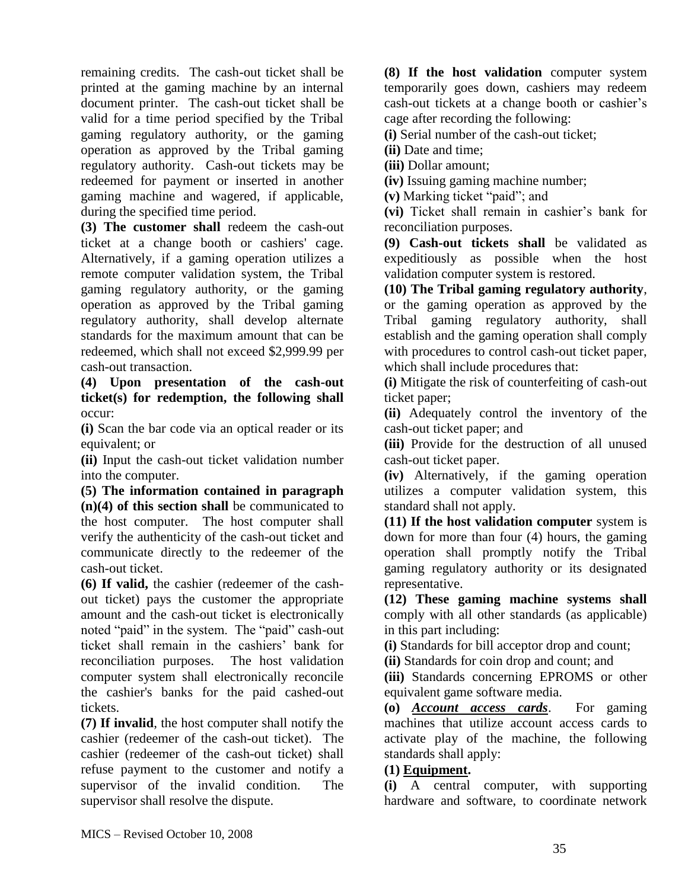remaining credits. The cash-out ticket shall be printed at the gaming machine by an internal document printer. The cash-out ticket shall be valid for a time period specified by the Tribal gaming regulatory authority, or the gaming operation as approved by the Tribal gaming regulatory authority. Cash-out tickets may be redeemed for payment or inserted in another gaming machine and wagered, if applicable, during the specified time period.

**(3) The customer shall** redeem the cash-out ticket at a change booth or cashiers' cage. Alternatively, if a gaming operation utilizes a remote computer validation system, the Tribal gaming regulatory authority, or the gaming operation as approved by the Tribal gaming regulatory authority, shall develop alternate standards for the maximum amount that can be redeemed, which shall not exceed \$2,999.99 per cash-out transaction.

**(4) Upon presentation of the cash-out ticket(s) for redemption, the following shall** occur:

**(i)** Scan the bar code via an optical reader or its equivalent; or

**(ii)** Input the cash-out ticket validation number into the computer.

**(5) The information contained in paragraph (n)(4) of this section shall** be communicated to the host computer. The host computer shall verify the authenticity of the cash-out ticket and communicate directly to the redeemer of the cash-out ticket.

**(6) If valid,** the cashier (redeemer of the cashout ticket) pays the customer the appropriate amount and the cash-out ticket is electronically noted "paid" in the system. The "paid" cash-out ticket shall remain in the cashiers' bank for reconciliation purposes. The host validation computer system shall electronically reconcile the cashier's banks for the paid cashed-out tickets.

**(7) If invalid**, the host computer shall notify the cashier (redeemer of the cash-out ticket). The cashier (redeemer of the cash-out ticket) shall refuse payment to the customer and notify a supervisor of the invalid condition. The supervisor shall resolve the dispute.

**(8) If the host validation** computer system temporarily goes down, cashiers may redeem cash-out tickets at a change booth or cashier's cage after recording the following:

**(i)** Serial number of the cash-out ticket;

**(ii)** Date and time;

**(iii)** Dollar amount;

**(iv)** Issuing gaming machine number;

**(v)** Marking ticket "paid"; and

**(vi)** Ticket shall remain in cashier's bank for reconciliation purposes.

**(9) Cash-out tickets shall** be validated as expeditiously as possible when the host validation computer system is restored.

**(10) The Tribal gaming regulatory authority**, or the gaming operation as approved by the Tribal gaming regulatory authority, shall establish and the gaming operation shall comply with procedures to control cash-out ticket paper, which shall include procedures that:

**(i)** Mitigate the risk of counterfeiting of cash-out ticket paper;

**(ii)** Adequately control the inventory of the cash-out ticket paper; and

**(iii)** Provide for the destruction of all unused cash-out ticket paper.

**(iv)** Alternatively, if the gaming operation utilizes a computer validation system, this standard shall not apply.

**(11) If the host validation computer** system is down for more than four (4) hours, the gaming operation shall promptly notify the Tribal gaming regulatory authority or its designated representative.

**(12) These gaming machine systems shall** comply with all other standards (as applicable) in this part including:

**(i)** Standards for bill acceptor drop and count;

**(ii)** Standards for coin drop and count; and

**(iii)** Standards concerning EPROMS or other equivalent game software media.

**(o)** *Account access cards*. For gaming machines that utilize account access cards to activate play of the machine, the following standards shall apply:

### **(1) Equipment.**

**(i)** A central computer, with supporting hardware and software, to coordinate network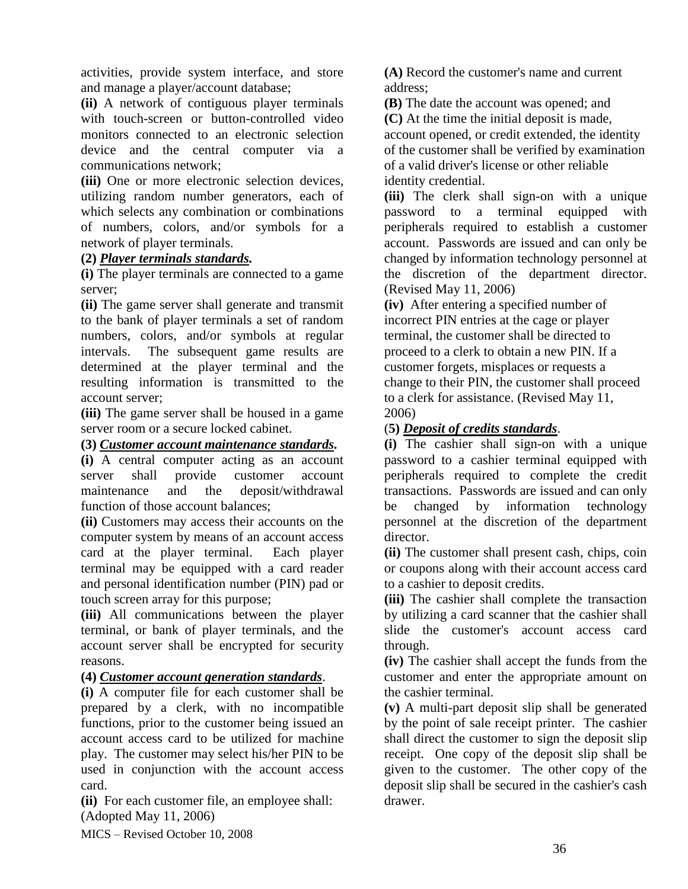activities, provide system interface, and store and manage a player/account database;

**(ii)** A network of contiguous player terminals with touch-screen or button-controlled video monitors connected to an electronic selection device and the central computer via a communications network;

**(iii)** One or more electronic selection devices, utilizing random number generators, each of which selects any combination or combinations of numbers, colors, and/or symbols for a network of player terminals.

#### **(2)** *Player terminals standards.*

**(i)** The player terminals are connected to a game server;

**(ii)** The game server shall generate and transmit to the bank of player terminals a set of random numbers, colors, and/or symbols at regular intervals. The subsequent game results are determined at the player terminal and the resulting information is transmitted to the account server;

**(iii)** The game server shall be housed in a game server room or a secure locked cabinet.

### **(3)** *Customer account maintenance standards.*

**(i)** A central computer acting as an account server shall provide customer account maintenance and the deposit/withdrawal function of those account balances;

**(ii)** Customers may access their accounts on the computer system by means of an account access card at the player terminal. Each player terminal may be equipped with a card reader and personal identification number (PIN) pad or touch screen array for this purpose;

**(iii)** All communications between the player terminal, or bank of player terminals, and the account server shall be encrypted for security reasons.

### **(4)** *Customer account generation standards*.

**(i)** A computer file for each customer shall be prepared by a clerk, with no incompatible functions, prior to the customer being issued an account access card to be utilized for machine play. The customer may select his/her PIN to be used in conjunction with the account access card.

**(ii)** For each customer file, an employee shall: (Adopted May 11, 2006)

**(A)** Record the customer's name and current address;

**(B)** The date the account was opened; and **(C)** At the time the initial deposit is made, account opened, or credit extended, the identity of the customer shall be verified by examination of a valid driver's license or other reliable identity credential.

**(iii)** The clerk shall sign-on with a unique password to a terminal equipped with peripherals required to establish a customer account. Passwords are issued and can only be changed by information technology personnel at the discretion of the department director. (Revised May 11, 2006)

**(iv)** After entering a specified number of incorrect PIN entries at the cage or player terminal, the customer shall be directed to proceed to a clerk to obtain a new PIN. If a customer forgets, misplaces or requests a change to their PIN, the customer shall proceed to a clerk for assistance. (Revised May 11, 2006)

### (**5)** *Deposit of credits standards*.

**(i)** The cashier shall sign-on with a unique password to a cashier terminal equipped with peripherals required to complete the credit transactions. Passwords are issued and can only be changed by information technology personnel at the discretion of the department director.

**(ii)** The customer shall present cash, chips, coin or coupons along with their account access card to a cashier to deposit credits.

**(iii)** The cashier shall complete the transaction by utilizing a card scanner that the cashier shall slide the customer's account access card through.

**(iv)** The cashier shall accept the funds from the customer and enter the appropriate amount on the cashier terminal.

**(v)** A multi-part deposit slip shall be generated by the point of sale receipt printer. The cashier shall direct the customer to sign the deposit slip receipt. One copy of the deposit slip shall be given to the customer. The other copy of the deposit slip shall be secured in the cashier's cash drawer.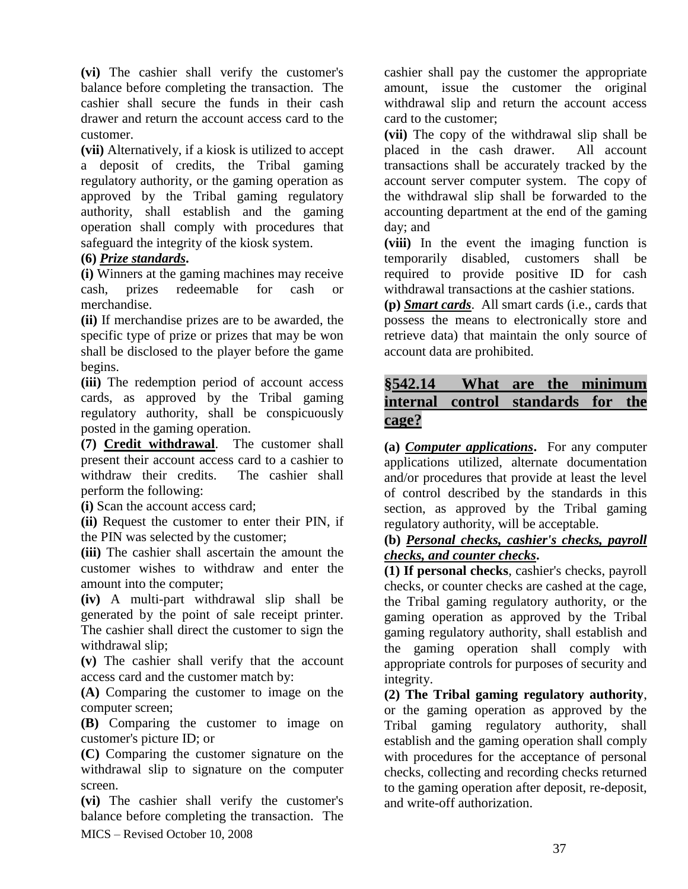**(vi)** The cashier shall verify the customer's balance before completing the transaction. The cashier shall secure the funds in their cash drawer and return the account access card to the customer.

**(vii)** Alternatively, if a kiosk is utilized to accept a deposit of credits, the Tribal gaming regulatory authority, or the gaming operation as approved by the Tribal gaming regulatory authority, shall establish and the gaming operation shall comply with procedures that safeguard the integrity of the kiosk system.

### **(6)** *Prize standards***.**

**(i)** Winners at the gaming machines may receive cash, prizes redeemable for cash or merchandise.

**(ii)** If merchandise prizes are to be awarded, the specific type of prize or prizes that may be won shall be disclosed to the player before the game begins.

**(iii)** The redemption period of account access cards, as approved by the Tribal gaming regulatory authority, shall be conspicuously posted in the gaming operation.

**(7) Credit withdrawal**. The customer shall present their account access card to a cashier to withdraw their credits. The cashier shall perform the following:

**(i)** Scan the account access card;

**(ii)** Request the customer to enter their PIN, if the PIN was selected by the customer;

**(iii)** The cashier shall ascertain the amount the customer wishes to withdraw and enter the amount into the computer;

**(iv)** A multi-part withdrawal slip shall be generated by the point of sale receipt printer. The cashier shall direct the customer to sign the withdrawal slip:

**(v)** The cashier shall verify that the account access card and the customer match by:

**(A)** Comparing the customer to image on the computer screen;

**(B)** Comparing the customer to image on customer's picture ID; or

**(C)** Comparing the customer signature on the withdrawal slip to signature on the computer screen.

MICS – Revised October 10, 2008 **(vi)** The cashier shall verify the customer's balance before completing the transaction. The

cashier shall pay the customer the appropriate amount, issue the customer the original withdrawal slip and return the account access card to the customer;

**(vii)** The copy of the withdrawal slip shall be placed in the cash drawer. All account transactions shall be accurately tracked by the account server computer system. The copy of the withdrawal slip shall be forwarded to the accounting department at the end of the gaming day; and

**(viii)** In the event the imaging function is temporarily disabled, customers shall be required to provide positive ID for cash withdrawal transactions at the cashier stations.

**(p)** *Smart cards*. All smart cards (i.e., cards that possess the means to electronically store and retrieve data) that maintain the only source of account data are prohibited.

# **§542.14 What are the minimum internal control standards for the cage?**

**(a)** *Computer applications***.** For any computer applications utilized, alternate documentation and/or procedures that provide at least the level of control described by the standards in this section, as approved by the Tribal gaming regulatory authority, will be acceptable.

#### **(b)** *Personal checks, cashier's checks, payroll checks, and counter checks***.**

**(1) If personal checks**, cashier's checks, payroll checks, or counter checks are cashed at the cage, the Tribal gaming regulatory authority, or the gaming operation as approved by the Tribal gaming regulatory authority, shall establish and the gaming operation shall comply with appropriate controls for purposes of security and integrity.

**(2) The Tribal gaming regulatory authority**, or the gaming operation as approved by the Tribal gaming regulatory authority, shall establish and the gaming operation shall comply with procedures for the acceptance of personal checks, collecting and recording checks returned to the gaming operation after deposit, re-deposit, and write-off authorization.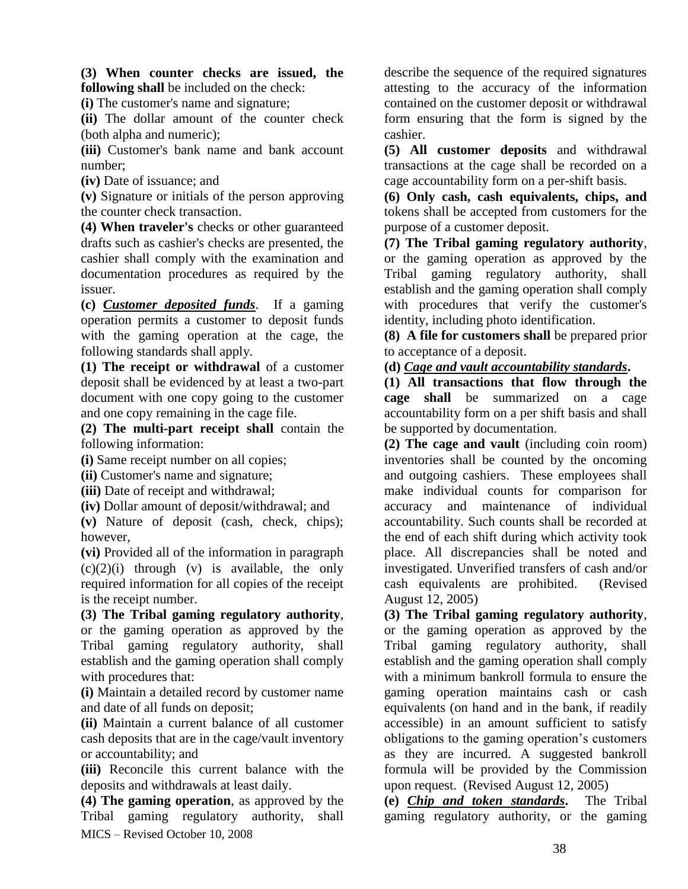**(3) When counter checks are issued, the following shall** be included on the check:

**(i)** The customer's name and signature;

**(ii)** The dollar amount of the counter check (both alpha and numeric);

**(iii)** Customer's bank name and bank account number;

**(iv)** Date of issuance; and

**(v)** Signature or initials of the person approving the counter check transaction.

**(4) When traveler's** checks or other guaranteed drafts such as cashier's checks are presented, the cashier shall comply with the examination and documentation procedures as required by the issuer.

**(c)** *Customer deposited funds*. If a gaming operation permits a customer to deposit funds with the gaming operation at the cage, the following standards shall apply.

**(1) The receipt or withdrawal** of a customer deposit shall be evidenced by at least a two-part document with one copy going to the customer and one copy remaining in the cage file.

**(2) The multi-part receipt shall** contain the following information:

**(i)** Same receipt number on all copies;

**(ii)** Customer's name and signature;

**(iii)** Date of receipt and withdrawal;

**(iv)** Dollar amount of deposit/withdrawal; and

**(v)** Nature of deposit (cash, check, chips); however,

**(vi)** Provided all of the information in paragraph  $(c)(2)(i)$  through  $(v)$  is available, the only required information for all copies of the receipt is the receipt number.

**(3) The Tribal gaming regulatory authority**, or the gaming operation as approved by the Tribal gaming regulatory authority, shall establish and the gaming operation shall comply with procedures that:

**(i)** Maintain a detailed record by customer name and date of all funds on deposit;

**(ii)** Maintain a current balance of all customer cash deposits that are in the cage/vault inventory or accountability; and

**(iii)** Reconcile this current balance with the deposits and withdrawals at least daily.

MICS – Revised October 10, 2008 **(4) The gaming operation**, as approved by the Tribal gaming regulatory authority, shall describe the sequence of the required signatures attesting to the accuracy of the information contained on the customer deposit or withdrawal form ensuring that the form is signed by the cashier.

**(5) All customer deposits** and withdrawal transactions at the cage shall be recorded on a cage accountability form on a per-shift basis.

**(6) Only cash, cash equivalents, chips, and** tokens shall be accepted from customers for the purpose of a customer deposit.

**(7) The Tribal gaming regulatory authority**, or the gaming operation as approved by the Tribal gaming regulatory authority, shall establish and the gaming operation shall comply with procedures that verify the customer's identity, including photo identification.

**(8) A file for customers shall** be prepared prior to acceptance of a deposit.

**(d)** *Cage and vault accountability standards***.** 

**(1) All transactions that flow through the cage shall** be summarized on a cage accountability form on a per shift basis and shall be supported by documentation.

**(2) The cage and vault** (including coin room) inventories shall be counted by the oncoming and outgoing cashiers. These employees shall make individual counts for comparison for accuracy and maintenance of individual accountability. Such counts shall be recorded at the end of each shift during which activity took place. All discrepancies shall be noted and investigated. Unverified transfers of cash and/or cash equivalents are prohibited. (Revised August 12, 2005)

**(3) The Tribal gaming regulatory authority**, or the gaming operation as approved by the Tribal gaming regulatory authority, shall establish and the gaming operation shall comply with a minimum bankroll formula to ensure the gaming operation maintains cash or cash equivalents (on hand and in the bank, if readily accessible) in an amount sufficient to satisfy obligations to the gaming operation's customers as they are incurred. A suggested bankroll formula will be provided by the Commission upon request. (Revised August 12, 2005)

**(e)** *Chip and token standards***.** The Tribal gaming regulatory authority, or the gaming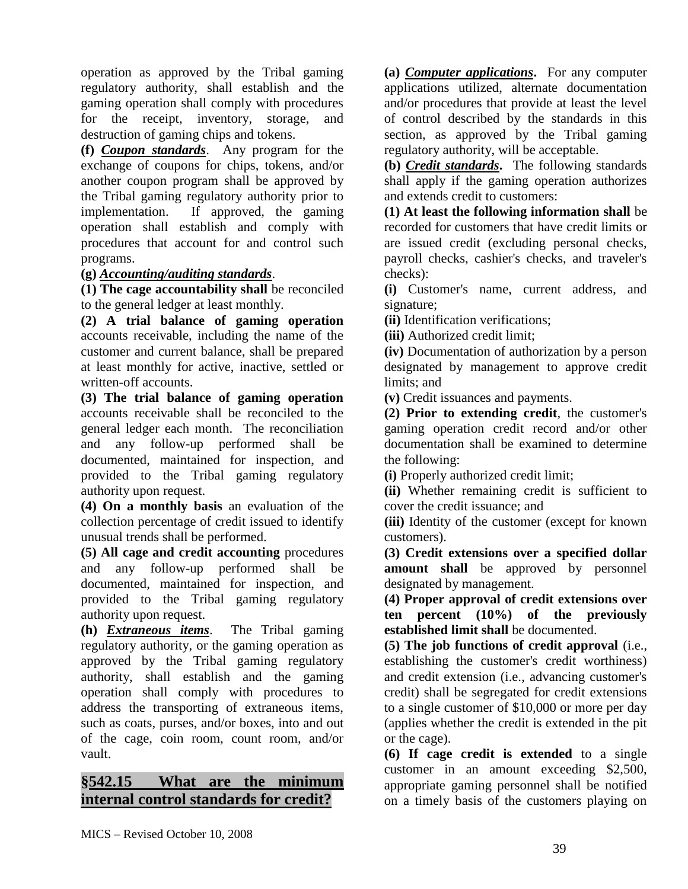operation as approved by the Tribal gaming regulatory authority, shall establish and the gaming operation shall comply with procedures for the receipt, inventory, storage, and destruction of gaming chips and tokens.

**(f)** *Coupon standards*. Any program for the exchange of coupons for chips, tokens, and/or another coupon program shall be approved by the Tribal gaming regulatory authority prior to implementation. If approved, the gaming operation shall establish and comply with procedures that account for and control such programs.

### **(g)** *Accounting/auditing standards*.

**(1) The cage accountability shall** be reconciled to the general ledger at least monthly.

**(2) A trial balance of gaming operation** accounts receivable, including the name of the customer and current balance, shall be prepared at least monthly for active, inactive, settled or written-off accounts.

**(3) The trial balance of gaming operation** accounts receivable shall be reconciled to the general ledger each month. The reconciliation and any follow-up performed shall be documented, maintained for inspection, and provided to the Tribal gaming regulatory authority upon request.

**(4) On a monthly basis** an evaluation of the collection percentage of credit issued to identify unusual trends shall be performed.

**(5) All cage and credit accounting** procedures and any follow-up performed shall be documented, maintained for inspection, and provided to the Tribal gaming regulatory authority upon request.

**(h)** *Extraneous items*. The Tribal gaming regulatory authority, or the gaming operation as approved by the Tribal gaming regulatory authority, shall establish and the gaming operation shall comply with procedures to address the transporting of extraneous items, such as coats, purses, and/or boxes, into and out of the cage, coin room, count room, and/or vault.

# **§542.15 What are the minimum internal control standards for credit?**

**(a)** *Computer applications***.** For any computer applications utilized, alternate documentation and/or procedures that provide at least the level of control described by the standards in this section, as approved by the Tribal gaming regulatory authority, will be acceptable.

**(b)** *Credit standards***.** The following standards shall apply if the gaming operation authorizes and extends credit to customers:

**(1) At least the following information shall** be recorded for customers that have credit limits or are issued credit (excluding personal checks, payroll checks, cashier's checks, and traveler's checks):

**(i)** Customer's name, current address, and signature;

**(ii)** Identification verifications;

**(iii)** Authorized credit limit;

**(iv)** Documentation of authorization by a person designated by management to approve credit limits; and

**(v)** Credit issuances and payments.

**(2) Prior to extending credit**, the customer's gaming operation credit record and/or other documentation shall be examined to determine the following:

**(i)** Properly authorized credit limit;

**(ii)** Whether remaining credit is sufficient to cover the credit issuance; and

**(iii)** Identity of the customer (except for known customers).

**(3) Credit extensions over a specified dollar amount shall** be approved by personnel designated by management.

**(4) Proper approval of credit extensions over ten percent (10%) of the previously established limit shall** be documented.

**(5) The job functions of credit approval** (i.e., establishing the customer's credit worthiness) and credit extension (i.e., advancing customer's credit) shall be segregated for credit extensions to a single customer of \$10,000 or more per day (applies whether the credit is extended in the pit or the cage).

**(6) If cage credit is extended** to a single customer in an amount exceeding \$2,500, appropriate gaming personnel shall be notified on a timely basis of the customers playing on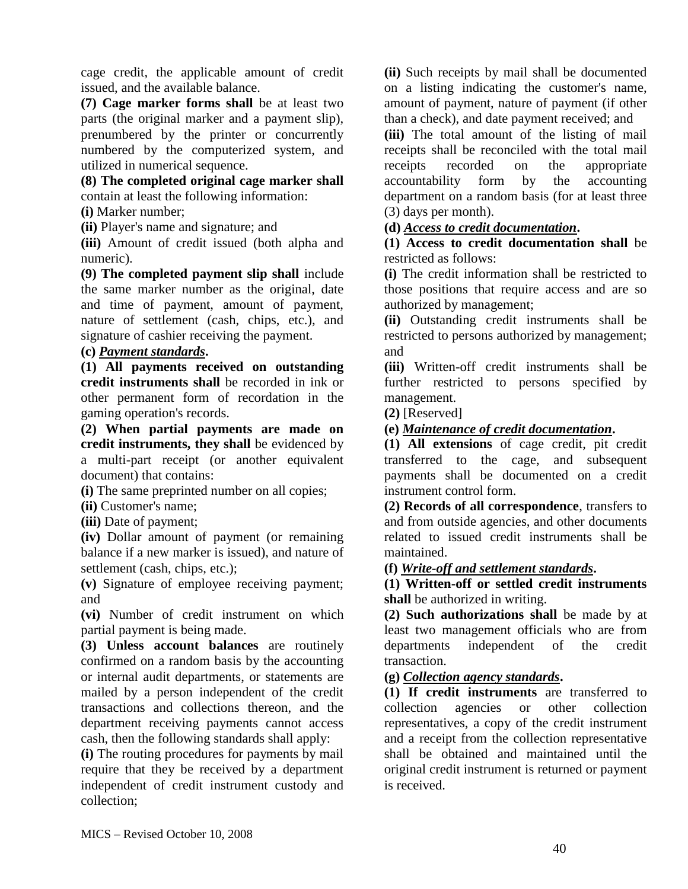cage credit, the applicable amount of credit issued, and the available balance.

**(7) Cage marker forms shall** be at least two parts (the original marker and a payment slip), prenumbered by the printer or concurrently numbered by the computerized system, and utilized in numerical sequence.

**(8) The completed original cage marker shall** contain at least the following information:

**(i)** Marker number;

**(ii)** Player's name and signature; and

**(iii)** Amount of credit issued (both alpha and numeric).

**(9) The completed payment slip shall** include the same marker number as the original, date and time of payment, amount of payment, nature of settlement (cash, chips, etc.), and signature of cashier receiving the payment.

### **(c)** *Payment standards***.**

**(1) All payments received on outstanding credit instruments shall** be recorded in ink or other permanent form of recordation in the gaming operation's records.

**(2) When partial payments are made on credit instruments, they shall** be evidenced by a multi-part receipt (or another equivalent document) that contains:

**(i)** The same preprinted number on all copies;

**(ii)** Customer's name;

**(iii)** Date of payment;

**(iv)** Dollar amount of payment (or remaining balance if a new marker is issued), and nature of settlement (cash, chips, etc.);

**(v)** Signature of employee receiving payment; and

**(vi)** Number of credit instrument on which partial payment is being made.

**(3) Unless account balances** are routinely confirmed on a random basis by the accounting or internal audit departments, or statements are mailed by a person independent of the credit transactions and collections thereon, and the department receiving payments cannot access cash, then the following standards shall apply:

**(i)** The routing procedures for payments by mail require that they be received by a department independent of credit instrument custody and collection;

**(ii)** Such receipts by mail shall be documented on a listing indicating the customer's name, amount of payment, nature of payment (if other than a check), and date payment received; and

**(iii)** The total amount of the listing of mail receipts shall be reconciled with the total mail receipts recorded on the appropriate accountability form by the accounting department on a random basis (for at least three (3) days per month).

### **(d)** *Access to credit documentation***.**

**(1) Access to credit documentation shall** be restricted as follows:

**(i)** The credit information shall be restricted to those positions that require access and are so authorized by management;

**(ii)** Outstanding credit instruments shall be restricted to persons authorized by management; and

**(iii)** Written-off credit instruments shall be further restricted to persons specified by management.

**(2)** [Reserved]

**(e)** *Maintenance of credit documentation***.** 

**(1) All extensions** of cage credit, pit credit transferred to the cage, and subsequent payments shall be documented on a credit instrument control form.

**(2) Records of all correspondence**, transfers to and from outside agencies, and other documents related to issued credit instruments shall be maintained.

### **(f)** *Write-off and settlement standards***.**

**(1) Written-off or settled credit instruments shall** be authorized in writing.

**(2) Such authorizations shall** be made by at least two management officials who are from departments independent of the credit transaction.

### **(g)** *Collection agency standards***.**

**(1) If credit instruments** are transferred to collection agencies or other collection representatives, a copy of the credit instrument and a receipt from the collection representative shall be obtained and maintained until the original credit instrument is returned or payment is received.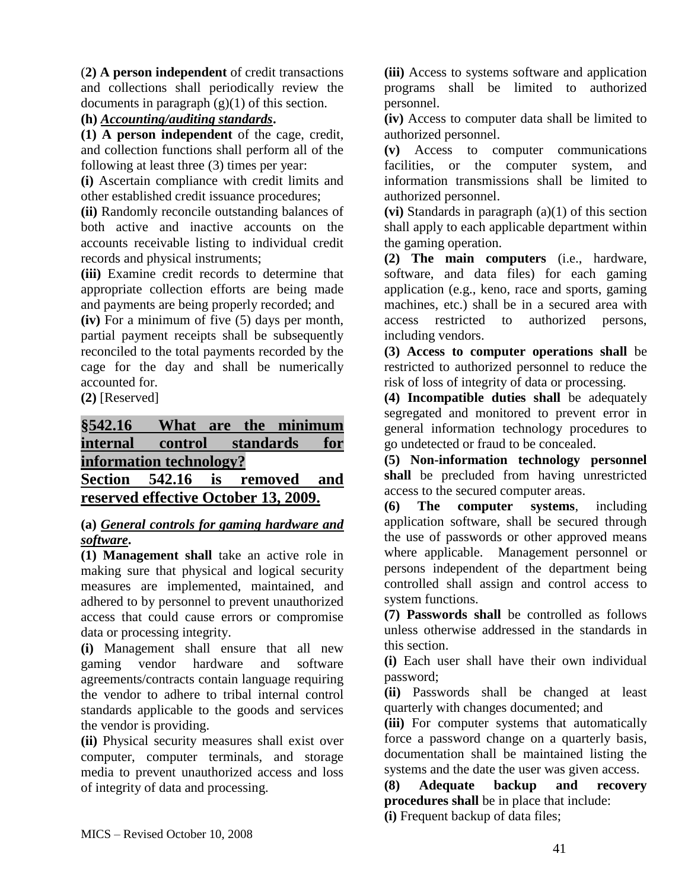(**2) A person independent** of credit transactions and collections shall periodically review the documents in paragraph  $(g)(1)$  of this section.

## **(h)** *Accounting/auditing standards***.**

**(1) A person independent** of the cage, credit, and collection functions shall perform all of the following at least three (3) times per year:

**(i)** Ascertain compliance with credit limits and other established credit issuance procedures;

**(ii)** Randomly reconcile outstanding balances of both active and inactive accounts on the accounts receivable listing to individual credit records and physical instruments;

**(iii)** Examine credit records to determine that appropriate collection efforts are being made and payments are being properly recorded; and

**(iv)** For a minimum of five (5) days per month, partial payment receipts shall be subsequently reconciled to the total payments recorded by the cage for the day and shall be numerically accounted for.

**(2)** [Reserved]

**§542.16 What are the minimum internal control standards for information technology? Section 542.16 is removed and reserved effective October 13, 2009.**

### **(a)** *General controls for gaming hardware and software***.**

**(1) Management shall** take an active role in making sure that physical and logical security measures are implemented, maintained, and adhered to by personnel to prevent unauthorized access that could cause errors or compromise data or processing integrity.

**(i)** Management shall ensure that all new gaming vendor hardware and software agreements/contracts contain language requiring the vendor to adhere to tribal internal control standards applicable to the goods and services the vendor is providing.

**(ii)** Physical security measures shall exist over computer, computer terminals, and storage media to prevent unauthorized access and loss of integrity of data and processing.

**(iii)** Access to systems software and application programs shall be limited to authorized personnel.

**(iv)** Access to computer data shall be limited to authorized personnel.

**(v)** Access to computer communications facilities, or the computer system, and information transmissions shall be limited to authorized personnel.

**(vi)** Standards in paragraph (a)(1) of this section shall apply to each applicable department within the gaming operation.

**(2) The main computers** (i.e., hardware, software, and data files) for each gaming application (e.g., keno, race and sports, gaming machines, etc.) shall be in a secured area with access restricted to authorized persons, including vendors.

**(3) Access to computer operations shall** be restricted to authorized personnel to reduce the risk of loss of integrity of data or processing.

**(4) Incompatible duties shall** be adequately segregated and monitored to prevent error in general information technology procedures to go undetected or fraud to be concealed.

**(5) Non-information technology personnel shall** be precluded from having unrestricted access to the secured computer areas.

**(6) The computer systems**, including application software, shall be secured through the use of passwords or other approved means where applicable. Management personnel or persons independent of the department being controlled shall assign and control access to system functions.

**(7) Passwords shall** be controlled as follows unless otherwise addressed in the standards in this section.

**(i)** Each user shall have their own individual password;

**(ii)** Passwords shall be changed at least quarterly with changes documented; and

**(iii)** For computer systems that automatically force a password change on a quarterly basis, documentation shall be maintained listing the systems and the date the user was given access.

**(8) Adequate backup and recovery procedures shall** be in place that include:

**(i)** Frequent backup of data files;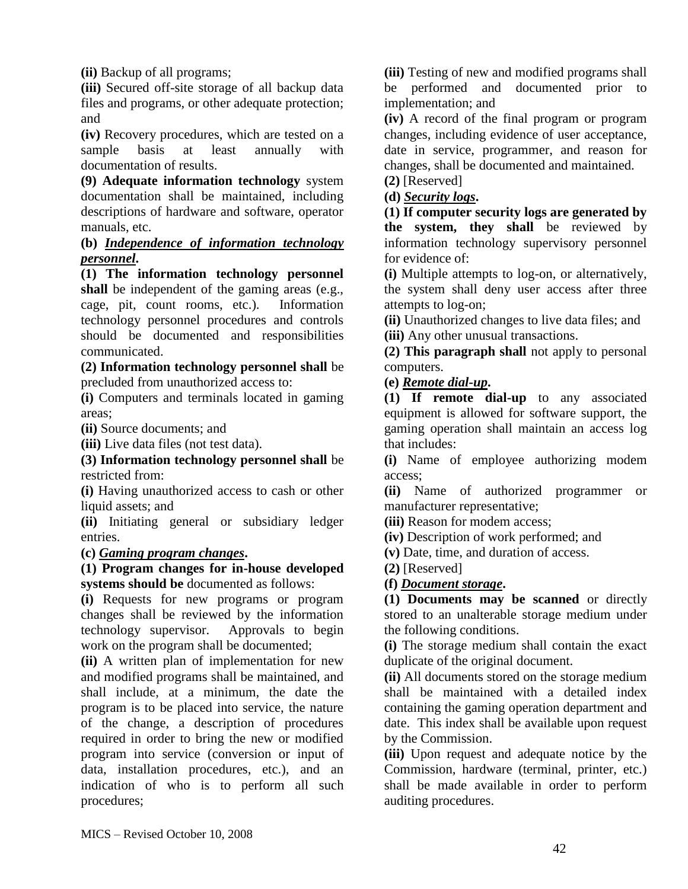**(ii)** Backup of all programs;

**(iii)** Secured off-site storage of all backup data files and programs, or other adequate protection; and

**(iv)** Recovery procedures, which are tested on a sample basis at least annually with documentation of results.

**(9) Adequate information technology** system documentation shall be maintained, including descriptions of hardware and software, operator manuals, etc.

## **(b)** *Independence of information technology personnel***.**

**(1) The information technology personnel shall** be independent of the gaming areas (e.g., cage, pit, count rooms, etc.). Information technology personnel procedures and controls should be documented and responsibilities communicated.

**(2) Information technology personnel shall** be precluded from unauthorized access to:

**(i)** Computers and terminals located in gaming areas;

**(ii)** Source documents; and

**(iii)** Live data files (not test data).

**(3) Information technology personnel shall** be restricted from:

**(i)** Having unauthorized access to cash or other liquid assets; and

**(ii)** Initiating general or subsidiary ledger entries.

### **(c)** *Gaming program changes***.**

**(1) Program changes for in-house developed systems should be** documented as follows:

**(i)** Requests for new programs or program changes shall be reviewed by the information technology supervisor. Approvals to begin work on the program shall be documented;

**(ii)** A written plan of implementation for new and modified programs shall be maintained, and shall include, at a minimum, the date the program is to be placed into service, the nature of the change, a description of procedures required in order to bring the new or modified program into service (conversion or input of data, installation procedures, etc.), and an indication of who is to perform all such procedures;

**(iii)** Testing of new and modified programs shall be performed and documented prior to implementation; and

**(iv)** A record of the final program or program changes, including evidence of user acceptance, date in service, programmer, and reason for changes, shall be documented and maintained. **(2)** [Reserved]

**(d)** *Security logs***.** 

**(1) If computer security logs are generated by the system, they shall** be reviewed by information technology supervisory personnel for evidence of:

**(i)** Multiple attempts to log-on, or alternatively, the system shall deny user access after three attempts to log-on;

**(ii)** Unauthorized changes to live data files; and **(iii)** Any other unusual transactions.

**(2) This paragraph shall** not apply to personal computers.

**(e)** *Remote dial-up***.** 

**(1) If remote dial-up** to any associated equipment is allowed for software support, the gaming operation shall maintain an access log that includes:

**(i)** Name of employee authorizing modem access;

**(ii)** Name of authorized programmer or manufacturer representative;

**(iii)** Reason for modem access;

**(iv)** Description of work performed; and

**(v)** Date, time, and duration of access.

**(2)** [Reserved]

## **(f)** *Document storage***.**

**(1) Documents may be scanned** or directly stored to an unalterable storage medium under the following conditions.

**(i)** The storage medium shall contain the exact duplicate of the original document.

**(ii)** All documents stored on the storage medium shall be maintained with a detailed index containing the gaming operation department and date. This index shall be available upon request by the Commission.

**(iii)** Upon request and adequate notice by the Commission, hardware (terminal, printer, etc.) shall be made available in order to perform auditing procedures.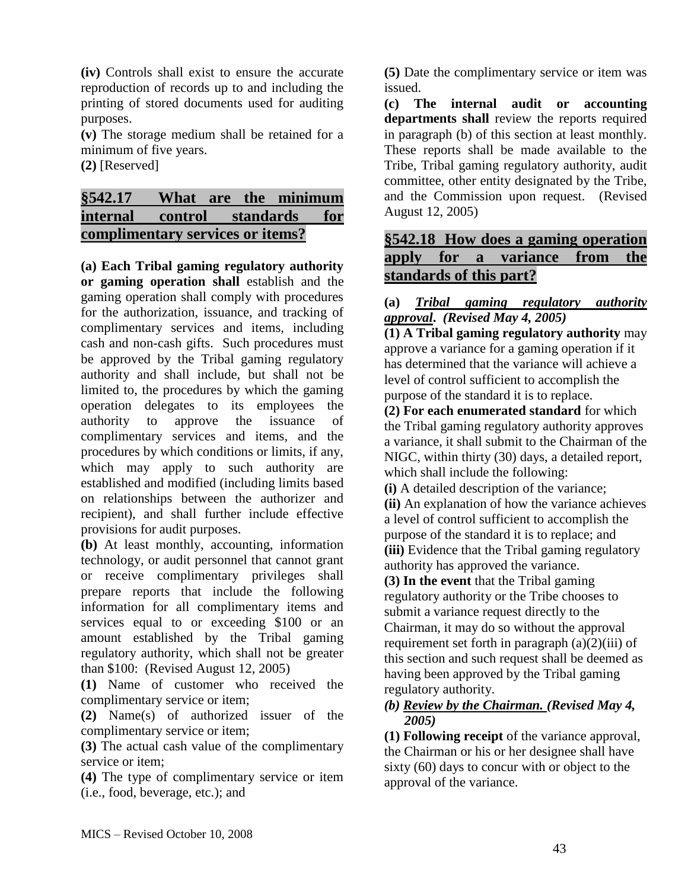**(iv)** Controls shall exist to ensure the accurate reproduction of records up to and including the printing of stored documents used for auditing purposes.

**(v)** The storage medium shall be retained for a minimum of five years.

**(2)** [Reserved]

# **§542.17 What are the minimum internal control standards for complimentary services or items?**

**(a) Each Tribal gaming regulatory authority or gaming operation shall** establish and the gaming operation shall comply with procedures for the authorization, issuance, and tracking of complimentary services and items, including cash and non-cash gifts. Such procedures must be approved by the Tribal gaming regulatory authority and shall include, but shall not be limited to, the procedures by which the gaming operation delegates to its employees the authority to approve the issuance of complimentary services and items, and the procedures by which conditions or limits, if any, which may apply to such authority are established and modified (including limits based on relationships between the authorizer and recipient), and shall further include effective provisions for audit purposes.

**(b)** At least monthly, accounting, information technology, or audit personnel that cannot grant or receive complimentary privileges shall prepare reports that include the following information for all complimentary items and services equal to or exceeding \$100 or an amount established by the Tribal gaming regulatory authority, which shall not be greater than \$100: (Revised August 12, 2005)

**(1)** Name of customer who received the complimentary service or item;

**(2)** Name(s) of authorized issuer of the complimentary service or item;

**(3)** The actual cash value of the complimentary service or item;

**(4)** The type of complimentary service or item (i.e., food, beverage, etc.); and

**(5)** Date the complimentary service or item was issued.

**(c) The internal audit or accounting departments shall** review the reports required in paragraph (b) of this section at least monthly. These reports shall be made available to the Tribe, Tribal gaming regulatory authority, audit committee, other entity designated by the Tribe, and the Commission upon request. (Revised August 12, 2005)

# **§542.18 How does a gaming operation apply for a variance from the standards of this part?**

### **(a)** *Tribal gaming regulatory authority approval***.** *(Revised May 4, 2005)*

**(1) A Tribal gaming regulatory authority** may approve a variance for a gaming operation if it has determined that the variance will achieve a level of control sufficient to accomplish the purpose of the standard it is to replace.

**(2) For each enumerated standard** for which the Tribal gaming regulatory authority approves a variance, it shall submit to the Chairman of the NIGC, within thirty (30) days, a detailed report, which shall include the following:

**(i)** A detailed description of the variance; **(ii)** An explanation of how the variance achieves a level of control sufficient to accomplish the purpose of the standard it is to replace; and **(iii)** Evidence that the Tribal gaming regulatory authority has approved the variance.

**(3) In the event** that the Tribal gaming regulatory authority or the Tribe chooses to submit a variance request directly to the Chairman, it may do so without the approval requirement set forth in paragraph  $(a)(2)(iii)$  of this section and such request shall be deemed as having been approved by the Tribal gaming regulatory authority.

### *(b) Review by the Chairman. (Revised May 4, 2005)*

**(1) Following receipt** of the variance approval, the Chairman or his or her designee shall have sixty (60) days to concur with or object to the approval of the variance.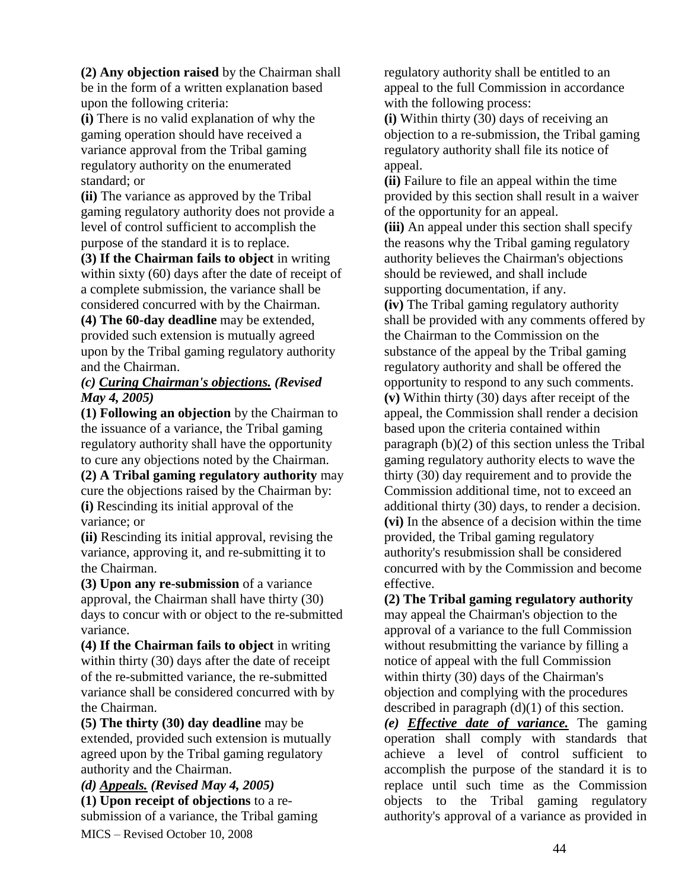**(2) Any objection raised** by the Chairman shall be in the form of a written explanation based upon the following criteria:

**(i)** There is no valid explanation of why the gaming operation should have received a variance approval from the Tribal gaming regulatory authority on the enumerated standard; or

**(ii)** The variance as approved by the Tribal gaming regulatory authority does not provide a level of control sufficient to accomplish the purpose of the standard it is to replace.

**(3) If the Chairman fails to object** in writing within sixty (60) days after the date of receipt of a complete submission, the variance shall be considered concurred with by the Chairman.

**(4) The 60-day deadline** may be extended, provided such extension is mutually agreed upon by the Tribal gaming regulatory authority and the Chairman.

### *(c) Curing Chairman's objections. (Revised May 4, 2005)*

**(1) Following an objection** by the Chairman to the issuance of a variance, the Tribal gaming regulatory authority shall have the opportunity to cure any objections noted by the Chairman.

**(2) A Tribal gaming regulatory authority** may cure the objections raised by the Chairman by: **(i)** Rescinding its initial approval of the variance; or

**(ii)** Rescinding its initial approval, revising the variance, approving it, and re-submitting it to the Chairman.

**(3) Upon any re-submission** of a variance approval, the Chairman shall have thirty (30) days to concur with or object to the re-submitted variance.

**(4) If the Chairman fails to object** in writing within thirty (30) days after the date of receipt of the re-submitted variance, the re-submitted variance shall be considered concurred with by the Chairman.

**(5) The thirty (30) day deadline** may be extended, provided such extension is mutually agreed upon by the Tribal gaming regulatory authority and the Chairman.

MICS – Revised October 10, 2008 *(d) Appeals. (Revised May 4, 2005)* **(1) Upon receipt of objections** to a resubmission of a variance, the Tribal gaming regulatory authority shall be entitled to an appeal to the full Commission in accordance with the following process:

**(i)** Within thirty (30) days of receiving an objection to a re-submission, the Tribal gaming regulatory authority shall file its notice of appeal.

**(ii)** Failure to file an appeal within the time provided by this section shall result in a waiver of the opportunity for an appeal.

**(iii)** An appeal under this section shall specify the reasons why the Tribal gaming regulatory authority believes the Chairman's objections should be reviewed, and shall include supporting documentation, if any.

**(iv)** The Tribal gaming regulatory authority shall be provided with any comments offered by the Chairman to the Commission on the substance of the appeal by the Tribal gaming regulatory authority and shall be offered the opportunity to respond to any such comments. **(v)** Within thirty (30) days after receipt of the appeal, the Commission shall render a decision based upon the criteria contained within paragraph (b)(2) of this section unless the Tribal gaming regulatory authority elects to wave the thirty (30) day requirement and to provide the Commission additional time, not to exceed an additional thirty (30) days, to render a decision. **(vi)** In the absence of a decision within the time provided, the Tribal gaming regulatory authority's resubmission shall be considered concurred with by the Commission and become effective.

**(2) The Tribal gaming regulatory authority** may appeal the Chairman's objection to the approval of a variance to the full Commission without resubmitting the variance by filling a notice of appeal with the full Commission within thirty (30) days of the Chairman's objection and complying with the procedures described in paragraph (d)(1) of this section.

*(e) Effective date of variance.* The gaming operation shall comply with standards that achieve a level of control sufficient to accomplish the purpose of the standard it is to replace until such time as the Commission objects to the Tribal gaming regulatory authority's approval of a variance as provided in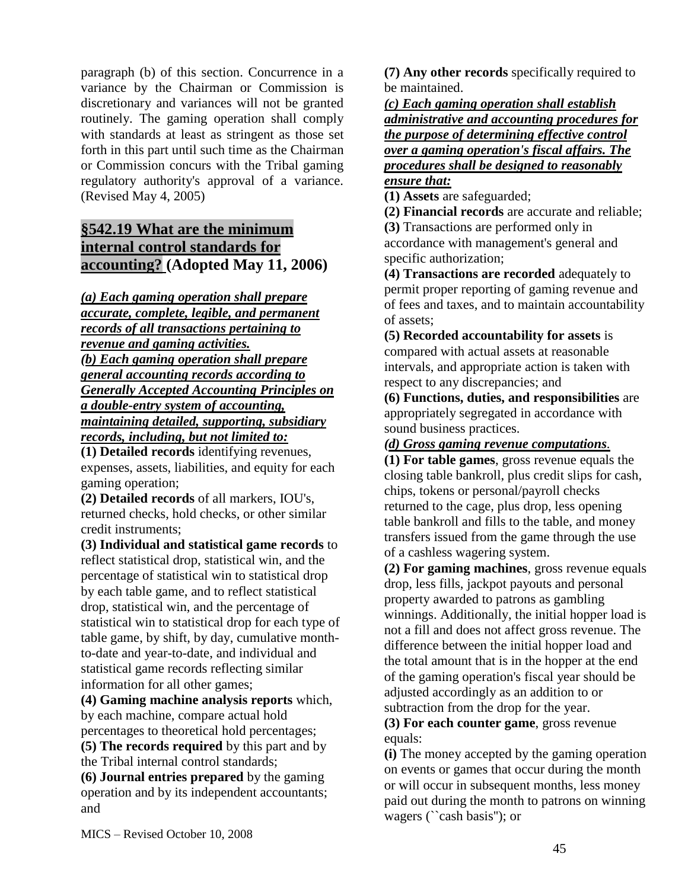paragraph (b) of this section. Concurrence in a variance by the Chairman or Commission is discretionary and variances will not be granted routinely. The gaming operation shall comply with standards at least as stringent as those set forth in this part until such time as the Chairman or Commission concurs with the Tribal gaming regulatory authority's approval of a variance. (Revised May 4, 2005)

# **§542.19 What are the minimum internal control standards for accounting? (Adopted May 11, 2006)**

*(a) Each gaming operation shall prepare accurate, complete, legible, and permanent records of all transactions pertaining to revenue and gaming activities. (b) Each gaming operation shall prepare general accounting records according to Generally Accepted Accounting Principles on a double-entry system of accounting, maintaining detailed, supporting, subsidiary records, including, but not limited to:*

**(1) Detailed records** identifying revenues, expenses, assets, liabilities, and equity for each gaming operation;

**(2) Detailed records** of all markers, IOU's, returned checks, hold checks, or other similar credit instruments;

**(3) Individual and statistical game records** to reflect statistical drop, statistical win, and the percentage of statistical win to statistical drop by each table game, and to reflect statistical drop, statistical win, and the percentage of statistical win to statistical drop for each type of table game, by shift, by day, cumulative monthto-date and year-to-date, and individual and statistical game records reflecting similar information for all other games;

**(4) Gaming machine analysis reports** which, by each machine, compare actual hold percentages to theoretical hold percentages;

**(5) The records required** by this part and by the Tribal internal control standards;

**(6) Journal entries prepared** by the gaming operation and by its independent accountants; and

**(7) Any other records** specifically required to be maintained.

*(c) Each gaming operation shall establish administrative and accounting procedures for the purpose of determining effective control over a gaming operation's fiscal affairs. The procedures shall be designed to reasonably ensure that:*

**(1) Assets** are safeguarded;

**(2) Financial records** are accurate and reliable; **(3)** Transactions are performed only in accordance with management's general and specific authorization;

**(4) Transactions are recorded** adequately to permit proper reporting of gaming revenue and of fees and taxes, and to maintain accountability of assets;

**(5) Recorded accountability for assets** is compared with actual assets at reasonable intervals, and appropriate action is taken with respect to any discrepancies; and

**(6) Functions, duties, and responsibilities** are appropriately segregated in accordance with sound business practices.

*(d) Gross gaming revenue computations.*

**(1) For table games**, gross revenue equals the closing table bankroll, plus credit slips for cash, chips, tokens or personal/payroll checks returned to the cage, plus drop, less opening table bankroll and fills to the table, and money transfers issued from the game through the use of a cashless wagering system.

**(2) For gaming machines**, gross revenue equals drop, less fills, jackpot payouts and personal property awarded to patrons as gambling winnings. Additionally, the initial hopper load is not a fill and does not affect gross revenue. The difference between the initial hopper load and the total amount that is in the hopper at the end of the gaming operation's fiscal year should be adjusted accordingly as an addition to or subtraction from the drop for the year.

#### **(3) For each counter game**, gross revenue equals:

**(i)** The money accepted by the gaming operation on events or games that occur during the month or will occur in subsequent months, less money paid out during the month to patrons on winning wagers (``cash basis''); or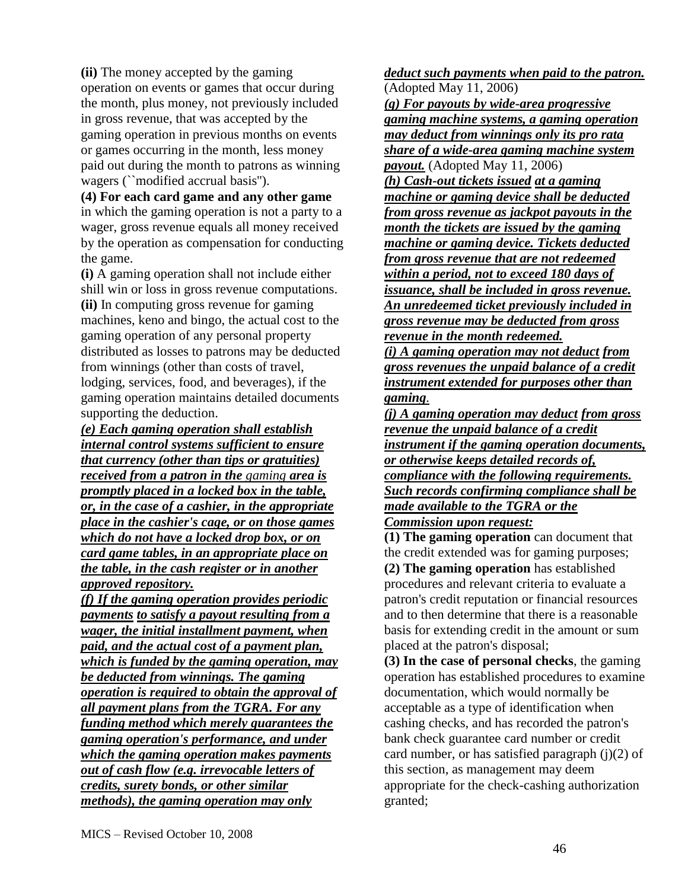**(ii)** The money accepted by the gaming operation on events or games that occur during the month, plus money, not previously included in gross revenue, that was accepted by the gaming operation in previous months on events or games occurring in the month, less money paid out during the month to patrons as winning wagers (``modified accrual basis").

**(4) For each card game and any other game** in which the gaming operation is not a party to a wager, gross revenue equals all money received by the operation as compensation for conducting the game.

**(i)** A gaming operation shall not include either shill win or loss in gross revenue computations. **(ii)** In computing gross revenue for gaming machines, keno and bingo, the actual cost to the gaming operation of any personal property distributed as losses to patrons may be deducted from winnings (other than costs of travel, lodging, services, food, and beverages), if the gaming operation maintains detailed documents supporting the deduction.

*(e) Each gaming operation shall establish internal control systems sufficient to ensure that currency (other than tips or gratuities) received from a patron in the gaming area is promptly placed in a locked box in the table, or, in the case of a cashier, in the appropriate place in the cashier's cage, or on those games which do not have a locked drop box, or on card game tables, in an appropriate place on the table, in the cash register or in another approved repository.*

*(f) If the gaming operation provides periodic payments to satisfy a payout resulting from a wager, the initial installment payment, when paid, and the actual cost of a payment plan, which is funded by the gaming operation, may be deducted from winnings. The gaming operation is required to obtain the approval of all payment plans from the TGRA. For any funding method which merely guarantees the gaming operation's performance, and under which the gaming operation makes payments out of cash flow (e.g. irrevocable letters of credits, surety bonds, or other similar methods), the gaming operation may only* 

*deduct such payments when paid to the patron.* (Adopted May 11, 2006)

*(g) For payouts by wide-area progressive gaming machine systems, a gaming operation may deduct from winnings only its pro rata share of a wide-area gaming machine system payout.* (Adopted May 11, 2006)

*(h) Cash-out tickets issued at a gaming machine or gaming device shall be deducted from gross revenue as jackpot payouts in the month the tickets are issued by the gaming machine or gaming device. Tickets deducted from gross revenue that are not redeemed within a period, not to exceed 180 days of issuance, shall be included in gross revenue. An unredeemed ticket previously included in gross revenue may be deducted from gross revenue in the month redeemed.*

*(i) A gaming operation may not deduct from gross revenues the unpaid balance of a credit instrument extended for purposes other than gaming.*

*(j) A gaming operation may deduct from gross revenue the unpaid balance of a credit instrument if the gaming operation documents, or otherwise keeps detailed records of, compliance with the following requirements. Such records confirming compliance shall be made available to the TGRA or the Commission upon request:*

**(1) The gaming operation** can document that the credit extended was for gaming purposes; **(2) The gaming operation** has established procedures and relevant criteria to evaluate a patron's credit reputation or financial resources and to then determine that there is a reasonable basis for extending credit in the amount or sum placed at the patron's disposal;

**(3) In the case of personal checks**, the gaming operation has established procedures to examine documentation, which would normally be acceptable as a type of identification when cashing checks, and has recorded the patron's bank check guarantee card number or credit card number, or has satisfied paragraph  $(i)(2)$  of this section, as management may deem appropriate for the check-cashing authorization granted;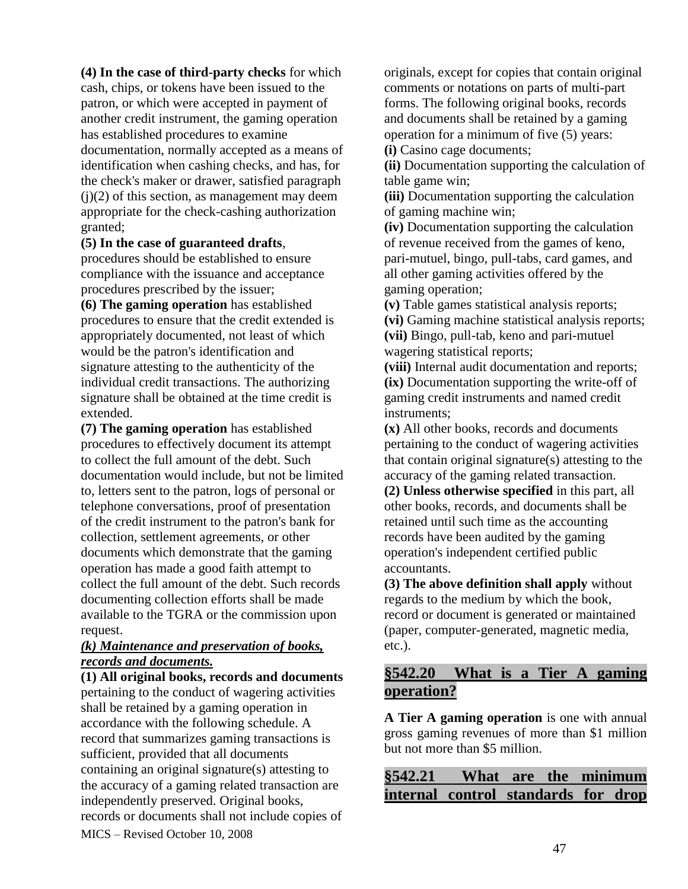**(4) In the case of third-party checks** for which cash, chips, or tokens have been issued to the patron, or which were accepted in payment of another credit instrument, the gaming operation has established procedures to examine documentation, normally accepted as a means of identification when cashing checks, and has, for the check's maker or drawer, satisfied paragraph  $(i)(2)$  of this section, as management may deem appropriate for the check-cashing authorization granted;

#### **(5) In the case of guaranteed drafts**,

procedures should be established to ensure compliance with the issuance and acceptance procedures prescribed by the issuer;

**(6) The gaming operation** has established procedures to ensure that the credit extended is appropriately documented, not least of which would be the patron's identification and signature attesting to the authenticity of the individual credit transactions. The authorizing signature shall be obtained at the time credit is extended.

**(7) The gaming operation** has established procedures to effectively document its attempt to collect the full amount of the debt. Such documentation would include, but not be limited to, letters sent to the patron, logs of personal or telephone conversations, proof of presentation of the credit instrument to the patron's bank for collection, settlement agreements, or other documents which demonstrate that the gaming operation has made a good faith attempt to collect the full amount of the debt. Such records documenting collection efforts shall be made available to the TGRA or the commission upon request.

#### *(k) Maintenance and preservation of books, records and documents.*

MICS – Revised October 10, 2008 **(1) All original books, records and documents** pertaining to the conduct of wagering activities shall be retained by a gaming operation in accordance with the following schedule. A record that summarizes gaming transactions is sufficient, provided that all documents containing an original signature(s) attesting to the accuracy of a gaming related transaction are independently preserved. Original books, records or documents shall not include copies of

originals, except for copies that contain original comments or notations on parts of multi-part forms. The following original books, records and documents shall be retained by a gaming operation for a minimum of five (5) years: **(i)** Casino cage documents;

**(ii)** Documentation supporting the calculation of table game win;

**(iii)** Documentation supporting the calculation of gaming machine win;

**(iv)** Documentation supporting the calculation of revenue received from the games of keno, pari-mutuel, bingo, pull-tabs, card games, and all other gaming activities offered by the gaming operation;

**(v)** Table games statistical analysis reports; **(vi)** Gaming machine statistical analysis reports; **(vii)** Bingo, pull-tab, keno and pari-mutuel wagering statistical reports;

**(viii)** Internal audit documentation and reports; **(ix)** Documentation supporting the write-off of gaming credit instruments and named credit instruments;

**(x)** All other books, records and documents pertaining to the conduct of wagering activities that contain original signature(s) attesting to the accuracy of the gaming related transaction.

**(2) Unless otherwise specified** in this part, all other books, records, and documents shall be retained until such time as the accounting records have been audited by the gaming operation's independent certified public accountants.

**(3) The above definition shall apply** without regards to the medium by which the book, record or document is generated or maintained (paper, computer-generated, magnetic media, etc.).

# **§542.20 What is a Tier A gaming operation?**

**A Tier A gaming operation** is one with annual gross gaming revenues of more than \$1 million but not more than \$5 million.

| §542.21                             | What are the minimum |  |  |
|-------------------------------------|----------------------|--|--|
| internal control standards for drop |                      |  |  |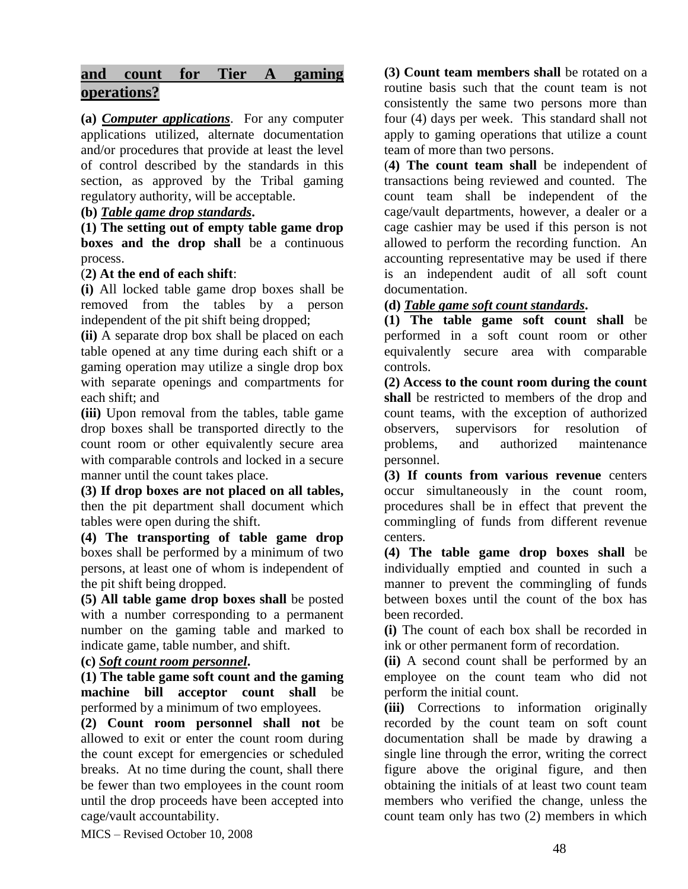# **and count for Tier A gaming operations?**

**(a)** *Computer applications*. For any computer applications utilized, alternate documentation and/or procedures that provide at least the level of control described by the standards in this section, as approved by the Tribal gaming regulatory authority, will be acceptable.

#### **(b)** *Table game drop standards***.**

**(1) The setting out of empty table game drop boxes and the drop shall** be a continuous process.

#### (**2) At the end of each shift**:

**(i)** All locked table game drop boxes shall be removed from the tables by a person independent of the pit shift being dropped;

**(ii)** A separate drop box shall be placed on each table opened at any time during each shift or a gaming operation may utilize a single drop box with separate openings and compartments for each shift; and

**(iii)** Upon removal from the tables, table game drop boxes shall be transported directly to the count room or other equivalently secure area with comparable controls and locked in a secure manner until the count takes place.

**(3) If drop boxes are not placed on all tables,** then the pit department shall document which tables were open during the shift.

**(4) The transporting of table game drop** boxes shall be performed by a minimum of two persons, at least one of whom is independent of the pit shift being dropped.

**(5) All table game drop boxes shall** be posted with a number corresponding to a permanent number on the gaming table and marked to indicate game, table number, and shift.

#### **(c)** *Soft count room personnel***.**

**(1) The table game soft count and the gaming machine bill acceptor count shall** be performed by a minimum of two employees.

**(2) Count room personnel shall not** be allowed to exit or enter the count room during the count except for emergencies or scheduled breaks. At no time during the count, shall there be fewer than two employees in the count room until the drop proceeds have been accepted into cage/vault accountability.

**(3) Count team members shall** be rotated on a routine basis such that the count team is not consistently the same two persons more than four (4) days per week. This standard shall not apply to gaming operations that utilize a count team of more than two persons.

(**4) The count team shall** be independent of transactions being reviewed and counted. The count team shall be independent of the cage/vault departments, however, a dealer or a cage cashier may be used if this person is not allowed to perform the recording function. An accounting representative may be used if there is an independent audit of all soft count documentation.

#### **(d)** *Table game soft count standards***.**

**(1) The table game soft count shall** be performed in a soft count room or other equivalently secure area with comparable controls.

**(2) Access to the count room during the count shall** be restricted to members of the drop and count teams, with the exception of authorized observers, supervisors for resolution of problems, and authorized maintenance personnel.

**(3) If counts from various revenue** centers occur simultaneously in the count room, procedures shall be in effect that prevent the commingling of funds from different revenue centers.

**(4) The table game drop boxes shall** be individually emptied and counted in such a manner to prevent the commingling of funds between boxes until the count of the box has been recorded.

**(i)** The count of each box shall be recorded in ink or other permanent form of recordation.

**(ii)** A second count shall be performed by an employee on the count team who did not perform the initial count.

**(iii)** Corrections to information originally recorded by the count team on soft count documentation shall be made by drawing a single line through the error, writing the correct figure above the original figure, and then obtaining the initials of at least two count team members who verified the change, unless the count team only has two (2) members in which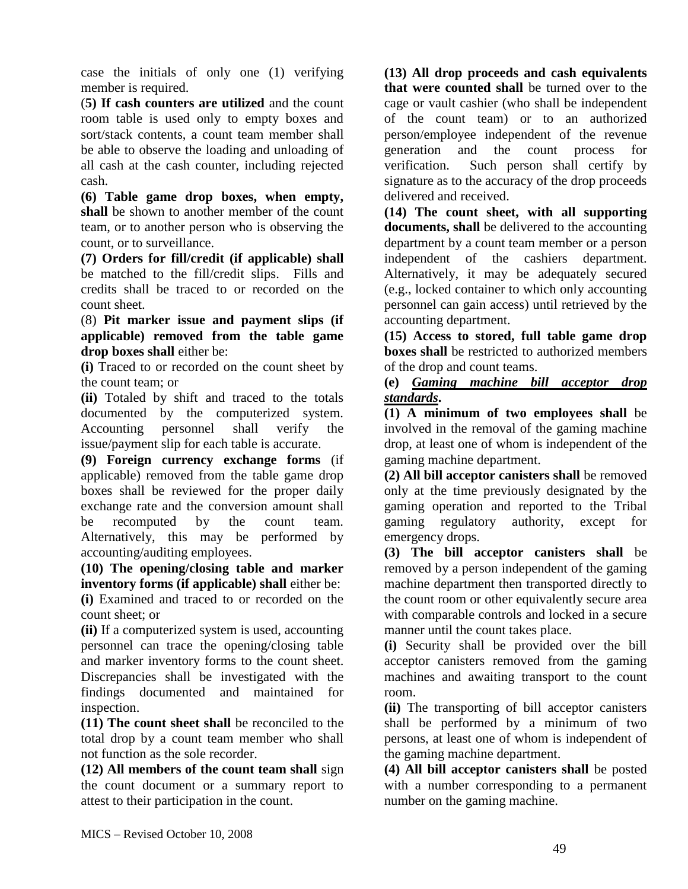case the initials of only one (1) verifying member is required.

(**5) If cash counters are utilized** and the count room table is used only to empty boxes and sort/stack contents, a count team member shall be able to observe the loading and unloading of all cash at the cash counter, including rejected cash.

**(6) Table game drop boxes, when empty, shall** be shown to another member of the count team, or to another person who is observing the count, or to surveillance.

**(7) Orders for fill/credit (if applicable) shall** be matched to the fill/credit slips. Fills and credits shall be traced to or recorded on the count sheet.

(8) **Pit marker issue and payment slips (if applicable) removed from the table game drop boxes shall** either be:

**(i)** Traced to or recorded on the count sheet by the count team; or

**(ii)** Totaled by shift and traced to the totals documented by the computerized system. Accounting personnel shall verify the issue/payment slip for each table is accurate.

**(9) Foreign currency exchange forms** (if applicable) removed from the table game drop boxes shall be reviewed for the proper daily exchange rate and the conversion amount shall be recomputed by the count team. Alternatively, this may be performed by accounting/auditing employees.

**(10) The opening/closing table and marker inventory forms (if applicable) shall** either be: **(i)** Examined and traced to or recorded on the

count sheet; or

**(ii)** If a computerized system is used, accounting personnel can trace the opening/closing table and marker inventory forms to the count sheet. Discrepancies shall be investigated with the findings documented and maintained for inspection.

**(11) The count sheet shall** be reconciled to the total drop by a count team member who shall not function as the sole recorder.

**(12) All members of the count team shall** sign the count document or a summary report to attest to their participation in the count.

**(13) All drop proceeds and cash equivalents that were counted shall** be turned over to the cage or vault cashier (who shall be independent of the count team) or to an authorized person/employee independent of the revenue generation and the count process for verification. Such person shall certify by signature as to the accuracy of the drop proceeds delivered and received.

**(14) The count sheet, with all supporting documents, shall** be delivered to the accounting department by a count team member or a person independent of the cashiers department. Alternatively, it may be adequately secured (e.g., locked container to which only accounting personnel can gain access) until retrieved by the accounting department.

**(15) Access to stored, full table game drop boxes shall** be restricted to authorized members of the drop and count teams.

**(e)** *Gaming machine bill acceptor drop standards***.** 

**(1) A minimum of two employees shall** be involved in the removal of the gaming machine drop, at least one of whom is independent of the gaming machine department.

**(2) All bill acceptor canisters shall** be removed only at the time previously designated by the gaming operation and reported to the Tribal gaming regulatory authority, except for emergency drops.

**(3) The bill acceptor canisters shall** be removed by a person independent of the gaming machine department then transported directly to the count room or other equivalently secure area with comparable controls and locked in a secure manner until the count takes place.

**(i)** Security shall be provided over the bill acceptor canisters removed from the gaming machines and awaiting transport to the count room.

**(ii)** The transporting of bill acceptor canisters shall be performed by a minimum of two persons, at least one of whom is independent of the gaming machine department.

**(4) All bill acceptor canisters shall** be posted with a number corresponding to a permanent number on the gaming machine.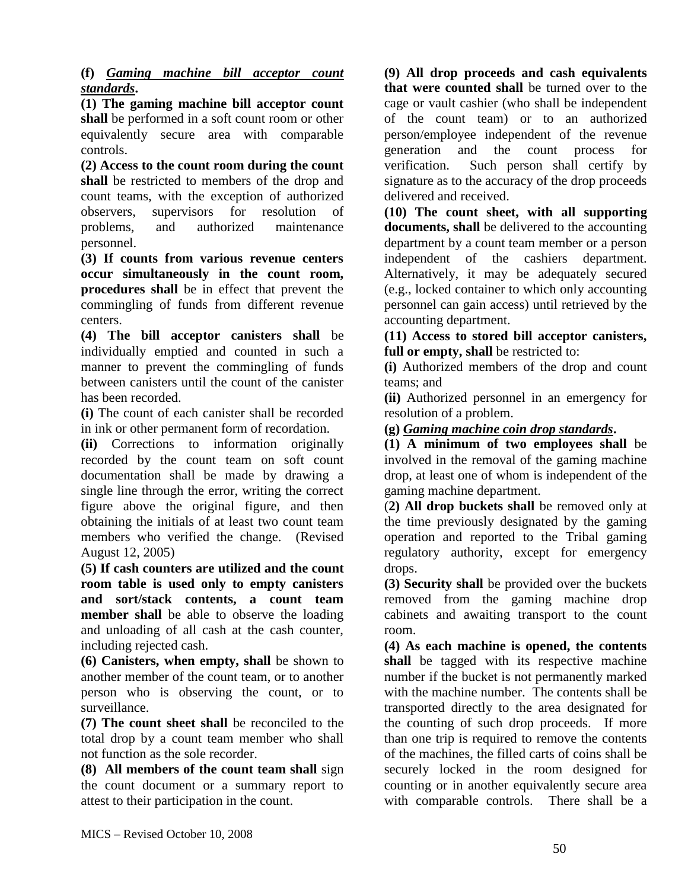**(f)** *Gaming machine bill acceptor count standards***.** 

**(1) The gaming machine bill acceptor count shall** be performed in a soft count room or other equivalently secure area with comparable controls.

**(2) Access to the count room during the count shall** be restricted to members of the drop and count teams, with the exception of authorized observers, supervisors for resolution of problems, and authorized maintenance personnel.

**(3) If counts from various revenue centers occur simultaneously in the count room, procedures shall** be in effect that prevent the commingling of funds from different revenue centers.

**(4) The bill acceptor canisters shall** be individually emptied and counted in such a manner to prevent the commingling of funds between canisters until the count of the canister has been recorded.

**(i)** The count of each canister shall be recorded in ink or other permanent form of recordation.

**(ii)** Corrections to information originally recorded by the count team on soft count documentation shall be made by drawing a single line through the error, writing the correct figure above the original figure, and then obtaining the initials of at least two count team members who verified the change. (Revised August 12, 2005)

**(5) If cash counters are utilized and the count room table is used only to empty canisters and sort/stack contents, a count team member shall** be able to observe the loading and unloading of all cash at the cash counter, including rejected cash.

**(6) Canisters, when empty, shall** be shown to another member of the count team, or to another person who is observing the count, or to surveillance.

**(7) The count sheet shall** be reconciled to the total drop by a count team member who shall not function as the sole recorder.

**(8) All members of the count team shall** sign the count document or a summary report to attest to their participation in the count.

**(9) All drop proceeds and cash equivalents that were counted shall** be turned over to the cage or vault cashier (who shall be independent of the count team) or to an authorized person/employee independent of the revenue generation and the count process for verification. Such person shall certify by signature as to the accuracy of the drop proceeds delivered and received.

**(10) The count sheet, with all supporting documents, shall** be delivered to the accounting department by a count team member or a person independent of the cashiers department. Alternatively, it may be adequately secured (e.g., locked container to which only accounting personnel can gain access) until retrieved by the accounting department.

**(11) Access to stored bill acceptor canisters, full or empty, shall** be restricted to:

**(i)** Authorized members of the drop and count teams; and

**(ii)** Authorized personnel in an emergency for resolution of a problem.

**(g)** *Gaming machine coin drop standards***.** 

**(1) A minimum of two employees shall** be involved in the removal of the gaming machine drop, at least one of whom is independent of the gaming machine department.

(**2) All drop buckets shall** be removed only at the time previously designated by the gaming operation and reported to the Tribal gaming regulatory authority, except for emergency drops.

**(3) Security shall** be provided over the buckets removed from the gaming machine drop cabinets and awaiting transport to the count room.

**(4) As each machine is opened, the contents**  shall be tagged with its respective machine number if the bucket is not permanently marked with the machine number. The contents shall be transported directly to the area designated for the counting of such drop proceeds. If more than one trip is required to remove the contents of the machines, the filled carts of coins shall be securely locked in the room designed for counting or in another equivalently secure area with comparable controls. There shall be a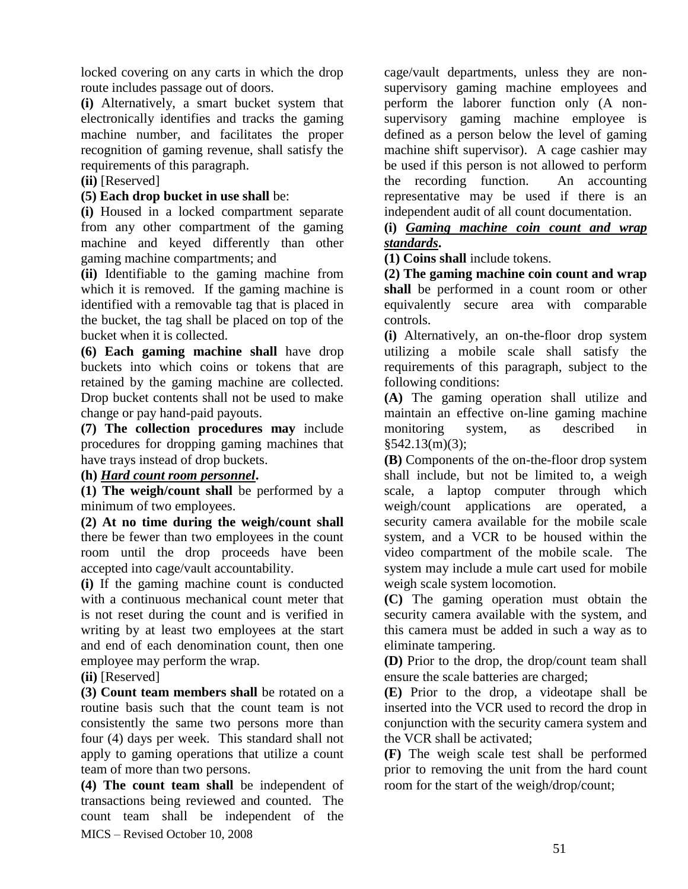locked covering on any carts in which the drop route includes passage out of doors.

**(i)** Alternatively, a smart bucket system that electronically identifies and tracks the gaming machine number, and facilitates the proper recognition of gaming revenue, shall satisfy the requirements of this paragraph.

### **(ii)** [Reserved]

### **(5) Each drop bucket in use shall** be:

**(i)** Housed in a locked compartment separate from any other compartment of the gaming machine and keyed differently than other gaming machine compartments; and

**(ii)** Identifiable to the gaming machine from which it is removed. If the gaming machine is identified with a removable tag that is placed in the bucket, the tag shall be placed on top of the bucket when it is collected.

**(6) Each gaming machine shall** have drop buckets into which coins or tokens that are retained by the gaming machine are collected. Drop bucket contents shall not be used to make change or pay hand-paid payouts.

**(7) The collection procedures may** include procedures for dropping gaming machines that have trays instead of drop buckets.

### **(h)** *Hard count room personnel***.**

**(1) The weigh/count shall** be performed by a minimum of two employees.

**(2) At no time during the weigh/count shall** there be fewer than two employees in the count room until the drop proceeds have been accepted into cage/vault accountability.

**(i)** If the gaming machine count is conducted with a continuous mechanical count meter that is not reset during the count and is verified in writing by at least two employees at the start and end of each denomination count, then one employee may perform the wrap.

**(ii)** [Reserved]

**(3) Count team members shall** be rotated on a routine basis such that the count team is not consistently the same two persons more than four (4) days per week. This standard shall not apply to gaming operations that utilize a count team of more than two persons.

MICS – Revised October 10, 2008 **(4) The count team shall** be independent of transactions being reviewed and counted. The count team shall be independent of the cage/vault departments, unless they are nonsupervisory gaming machine employees and perform the laborer function only (A nonsupervisory gaming machine employee is defined as a person below the level of gaming machine shift supervisor). A cage cashier may be used if this person is not allowed to perform the recording function. An accounting representative may be used if there is an independent audit of all count documentation.

**(i)** *Gaming machine coin count and wrap standards***.** 

**(1) Coins shall** include tokens.

**(2) The gaming machine coin count and wrap shall** be performed in a count room or other equivalently secure area with comparable controls.

**(i)** Alternatively, an on-the-floor drop system utilizing a mobile scale shall satisfy the requirements of this paragraph, subject to the following conditions:

**(A)** The gaming operation shall utilize and maintain an effective on-line gaming machine monitoring system, as described in  $§542.13(m)(3);$ 

**(B)** Components of the on-the-floor drop system shall include, but not be limited to, a weigh scale, a laptop computer through which weigh/count applications are operated, a security camera available for the mobile scale system, and a VCR to be housed within the video compartment of the mobile scale. The system may include a mule cart used for mobile weigh scale system locomotion.

**(C)** The gaming operation must obtain the security camera available with the system, and this camera must be added in such a way as to eliminate tampering.

**(D)** Prior to the drop, the drop/count team shall ensure the scale batteries are charged;

**(E)** Prior to the drop, a videotape shall be inserted into the VCR used to record the drop in conjunction with the security camera system and the VCR shall be activated;

**(F)** The weigh scale test shall be performed prior to removing the unit from the hard count room for the start of the weigh/drop/count;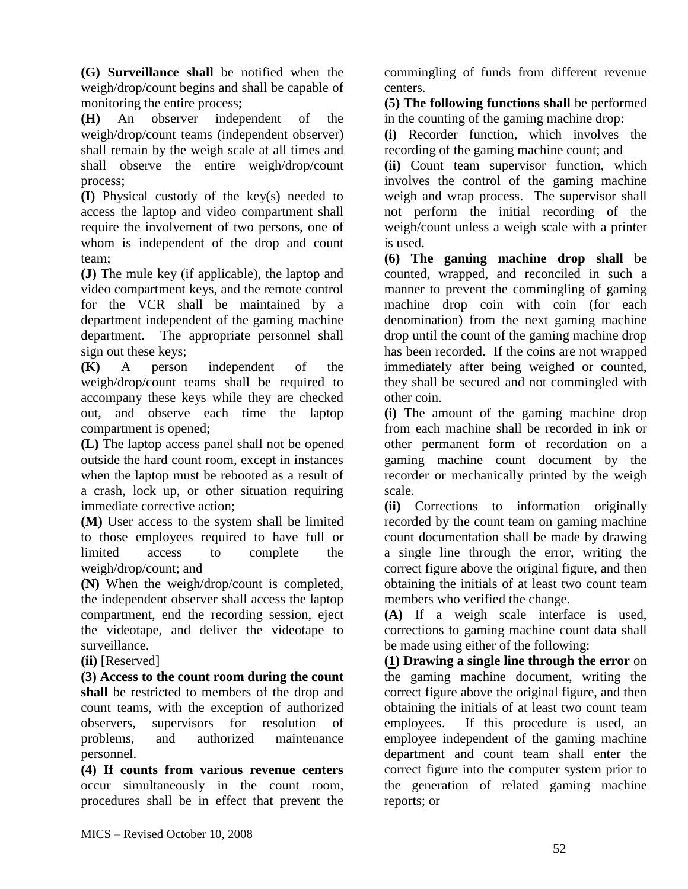**(G) Surveillance shall** be notified when the weigh/drop/count begins and shall be capable of monitoring the entire process;

**(H)** An observer independent of the weigh/drop/count teams (independent observer) shall remain by the weigh scale at all times and shall observe the entire weigh/drop/count process;

**(I)** Physical custody of the key(s) needed to access the laptop and video compartment shall require the involvement of two persons, one of whom is independent of the drop and count team;

**(J)** The mule key (if applicable), the laptop and video compartment keys, and the remote control for the VCR shall be maintained by a department independent of the gaming machine department. The appropriate personnel shall sign out these keys;

**(K)** A person independent of the weigh/drop/count teams shall be required to accompany these keys while they are checked out, and observe each time the laptop compartment is opened;

**(L)** The laptop access panel shall not be opened outside the hard count room, except in instances when the laptop must be rebooted as a result of a crash, lock up, or other situation requiring immediate corrective action;

**(M)** User access to the system shall be limited to those employees required to have full or limited access to complete the weigh/drop/count; and

**(N)** When the weigh/drop/count is completed, the independent observer shall access the laptop compartment, end the recording session, eject the videotape, and deliver the videotape to surveillance.

**(ii)** [Reserved]

**(3) Access to the count room during the count shall** be restricted to members of the drop and count teams, with the exception of authorized observers, supervisors for resolution of problems, and authorized maintenance personnel.

**(4) If counts from various revenue centers** occur simultaneously in the count room, procedures shall be in effect that prevent the commingling of funds from different revenue centers.

**(5) The following functions shall** be performed in the counting of the gaming machine drop:

**(i)** Recorder function, which involves the recording of the gaming machine count; and

**(ii)** Count team supervisor function, which involves the control of the gaming machine weigh and wrap process. The supervisor shall not perform the initial recording of the weigh/count unless a weigh scale with a printer is used.

**(6) The gaming machine drop shall** be counted, wrapped, and reconciled in such a manner to prevent the commingling of gaming machine drop coin with coin (for each denomination) from the next gaming machine drop until the count of the gaming machine drop has been recorded. If the coins are not wrapped immediately after being weighed or counted, they shall be secured and not commingled with other coin.

**(i)** The amount of the gaming machine drop from each machine shall be recorded in ink or other permanent form of recordation on a gaming machine count document by the recorder or mechanically printed by the weigh scale.

**(ii)** Corrections to information originally recorded by the count team on gaming machine count documentation shall be made by drawing a single line through the error, writing the correct figure above the original figure, and then obtaining the initials of at least two count team members who verified the change.

**(A)** If a weigh scale interface is used, corrections to gaming machine count data shall be made using either of the following:

**(1) Drawing a single line through the error** on the gaming machine document, writing the correct figure above the original figure, and then obtaining the initials of at least two count team employees. If this procedure is used, an employee independent of the gaming machine department and count team shall enter the correct figure into the computer system prior to the generation of related gaming machine reports; or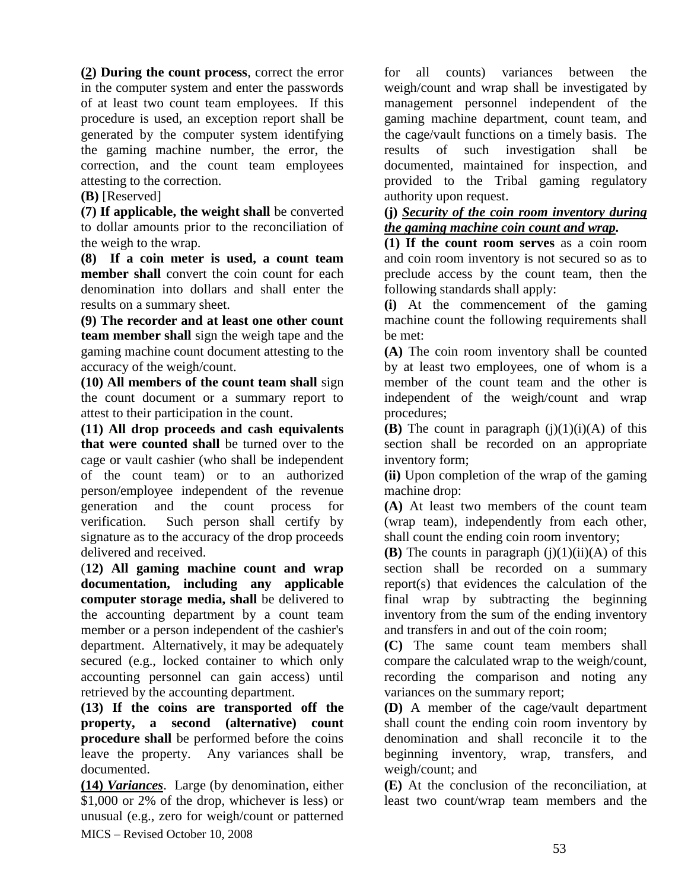**(2) During the count process**, correct the error in the computer system and enter the passwords of at least two count team employees. If this procedure is used, an exception report shall be generated by the computer system identifying the gaming machine number, the error, the correction, and the count team employees attesting to the correction.

#### **(B)** [Reserved]

**(7) If applicable, the weight shall** be converted to dollar amounts prior to the reconciliation of the weigh to the wrap.

**(8) If a coin meter is used, a count team member shall** convert the coin count for each denomination into dollars and shall enter the results on a summary sheet.

**(9) The recorder and at least one other count team member shall** sign the weigh tape and the gaming machine count document attesting to the accuracy of the weigh/count.

**(10) All members of the count team shall** sign the count document or a summary report to attest to their participation in the count.

**(11) All drop proceeds and cash equivalents that were counted shall** be turned over to the cage or vault cashier (who shall be independent of the count team) or to an authorized person/employee independent of the revenue generation and the count process for verification. Such person shall certify by signature as to the accuracy of the drop proceeds delivered and received.

(**12) All gaming machine count and wrap documentation, including any applicable computer storage media, shall** be delivered to the accounting department by a count team member or a person independent of the cashier's department. Alternatively, it may be adequately secured (e.g., locked container to which only accounting personnel can gain access) until retrieved by the accounting department.

**(13) If the coins are transported off the property, a second (alternative) count procedure shall** be performed before the coins leave the property. Any variances shall be documented.

MICS – Revised October 10, 2008 **(14)** *Variances*. Large (by denomination, either \$1,000 or 2% of the drop, whichever is less) or unusual (e.g., zero for weigh/count or patterned

for all counts) variances between the weigh/count and wrap shall be investigated by management personnel independent of the gaming machine department, count team, and the cage/vault functions on a timely basis. The results of such investigation shall be documented, maintained for inspection, and provided to the Tribal gaming regulatory authority upon request.

#### **(j)** *Security of the coin room inventory during the gaming machine coin count and wrap.*

**(1) If the count room serves** as a coin room and coin room inventory is not secured so as to preclude access by the count team, then the following standards shall apply:

**(i)** At the commencement of the gaming machine count the following requirements shall be met:

**(A)** The coin room inventory shall be counted by at least two employees, one of whom is a member of the count team and the other is independent of the weigh/count and wrap procedures;

**(B)** The count in paragraph  $(i)(1)(i)(A)$  of this section shall be recorded on an appropriate inventory form;

**(ii)** Upon completion of the wrap of the gaming machine drop:

**(A)** At least two members of the count team (wrap team), independently from each other, shall count the ending coin room inventory;

**(B)** The counts in paragraph  $(i)(1)(ii)(A)$  of this section shall be recorded on a summary report(s) that evidences the calculation of the final wrap by subtracting the beginning inventory from the sum of the ending inventory and transfers in and out of the coin room;

**(C)** The same count team members shall compare the calculated wrap to the weigh/count, recording the comparison and noting any variances on the summary report;

**(D)** A member of the cage/vault department shall count the ending coin room inventory by denomination and shall reconcile it to the beginning inventory, wrap, transfers, and weigh/count; and

**(E)** At the conclusion of the reconciliation, at least two count/wrap team members and the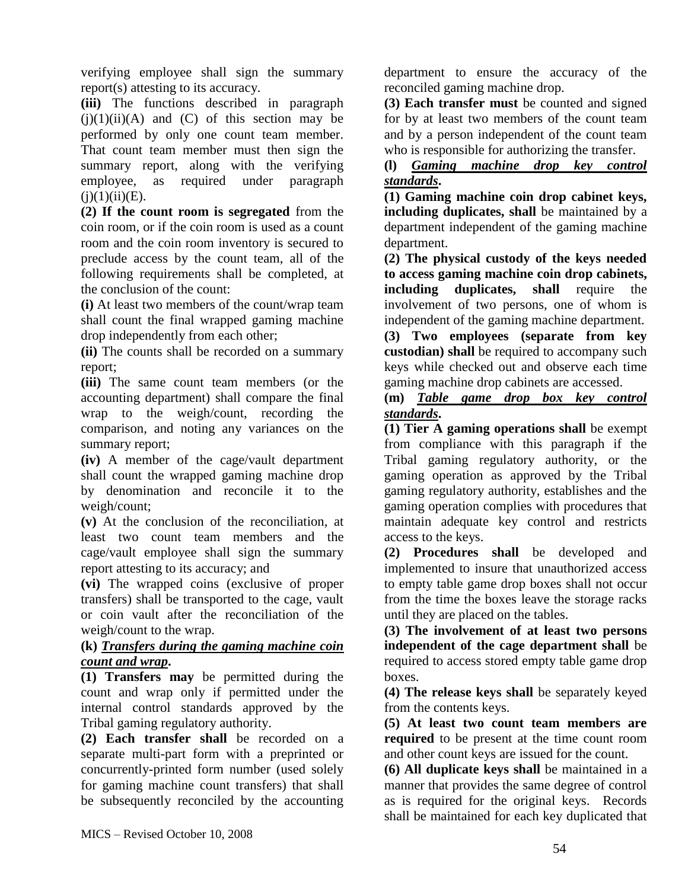verifying employee shall sign the summary report(s) attesting to its accuracy.

**(iii)** The functions described in paragraph  $(i)(1)(ii)(A)$  and  $(C)$  of this section may be performed by only one count team member. That count team member must then sign the summary report, along with the verifying employee, as required under paragraph  $(i)(1)(ii)(E)$ .

**(2) If the count room is segregated** from the coin room, or if the coin room is used as a count room and the coin room inventory is secured to preclude access by the count team, all of the following requirements shall be completed, at the conclusion of the count:

**(i)** At least two members of the count/wrap team shall count the final wrapped gaming machine drop independently from each other;

**(ii)** The counts shall be recorded on a summary report;

**(iii)** The same count team members (or the accounting department) shall compare the final wrap to the weigh/count, recording the comparison, and noting any variances on the summary report;

**(iv)** A member of the cage/vault department shall count the wrapped gaming machine drop by denomination and reconcile it to the weigh/count;

**(v)** At the conclusion of the reconciliation, at least two count team members and the cage/vault employee shall sign the summary report attesting to its accuracy; and

**(vi)** The wrapped coins (exclusive of proper transfers) shall be transported to the cage, vault or coin vault after the reconciliation of the weigh/count to the wrap.

## **(k)** *Transfers during the gaming machine coin count and wrap***.**

**(1) Transfers may** be permitted during the count and wrap only if permitted under the internal control standards approved by the Tribal gaming regulatory authority.

**(2) Each transfer shall** be recorded on a separate multi-part form with a preprinted or concurrently-printed form number (used solely for gaming machine count transfers) that shall be subsequently reconciled by the accounting

department to ensure the accuracy of the reconciled gaming machine drop.

**(3) Each transfer must** be counted and signed for by at least two members of the count team and by a person independent of the count team who is responsible for authorizing the transfer.

### **(l)** *Gaming machine drop key control standards***.**

**(1) Gaming machine coin drop cabinet keys, including duplicates, shall** be maintained by a department independent of the gaming machine department.

**(2) The physical custody of the keys needed to access gaming machine coin drop cabinets, including duplicates**, **shall** require the involvement of two persons, one of whom is independent of the gaming machine department.

**(3) Two employees (separate from key custodian) shall** be required to accompany such keys while checked out and observe each time gaming machine drop cabinets are accessed.

**(m)** *Table game drop box key control standards***.**

**(1) Tier A gaming operations shall** be exempt from compliance with this paragraph if the Tribal gaming regulatory authority, or the gaming operation as approved by the Tribal gaming regulatory authority, establishes and the gaming operation complies with procedures that maintain adequate key control and restricts access to the keys.

**(2) Procedures shall** be developed and implemented to insure that unauthorized access to empty table game drop boxes shall not occur from the time the boxes leave the storage racks until they are placed on the tables.

**(3) The involvement of at least two persons independent of the cage department shall** be required to access stored empty table game drop boxes.

**(4) The release keys shall** be separately keyed from the contents keys.

**(5) At least two count team members are required** to be present at the time count room and other count keys are issued for the count.

**(6) All duplicate keys shall** be maintained in a manner that provides the same degree of control as is required for the original keys. Records shall be maintained for each key duplicated that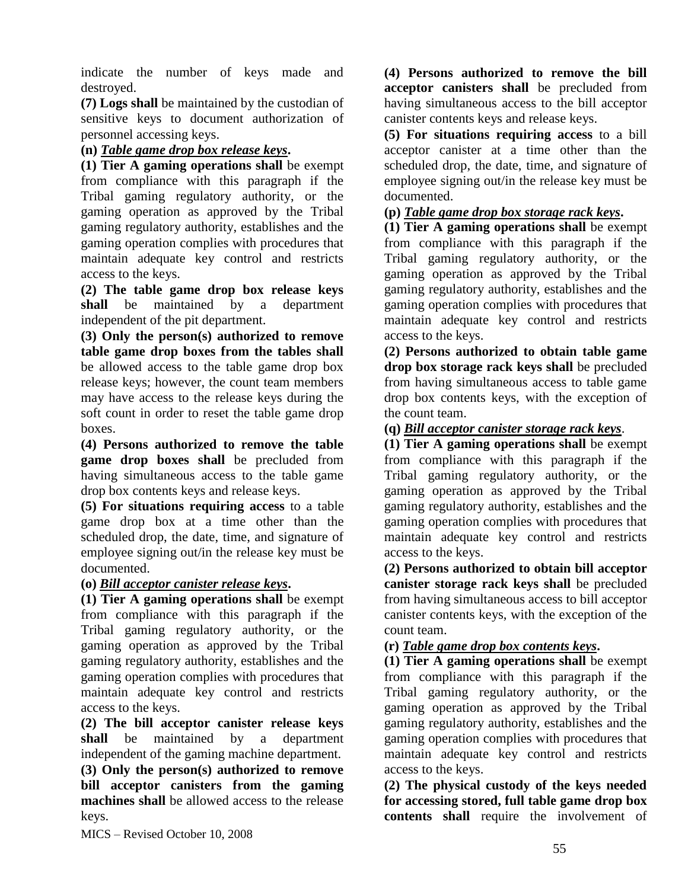indicate the number of keys made and destroyed.

**(7) Logs shall** be maintained by the custodian of sensitive keys to document authorization of personnel accessing keys.

## **(n)** *Table game drop box release keys***.**

**(1) Tier A gaming operations shall** be exempt from compliance with this paragraph if the Tribal gaming regulatory authority, or the gaming operation as approved by the Tribal gaming regulatory authority, establishes and the gaming operation complies with procedures that maintain adequate key control and restricts access to the keys.

**(2) The table game drop box release keys shall** be maintained by a department independent of the pit department.

**(3) Only the person(s) authorized to remove table game drop boxes from the tables shall** be allowed access to the table game drop box release keys; however, the count team members may have access to the release keys during the soft count in order to reset the table game drop boxes.

**(4) Persons authorized to remove the table game drop boxes shall** be precluded from having simultaneous access to the table game drop box contents keys and release keys.

**(5) For situations requiring access** to a table game drop box at a time other than the scheduled drop, the date, time, and signature of employee signing out/in the release key must be documented.

### **(o)** *Bill acceptor canister release keys***.**

**(1) Tier A gaming operations shall** be exempt from compliance with this paragraph if the Tribal gaming regulatory authority, or the gaming operation as approved by the Tribal gaming regulatory authority, establishes and the gaming operation complies with procedures that maintain adequate key control and restricts access to the keys.

**(2) The bill acceptor canister release keys shall** be maintained by a department independent of the gaming machine department. **(3) Only the person(s) authorized to remove bill acceptor canisters from the gaming machines shall** be allowed access to the release keys.

**(4) Persons authorized to remove the bill acceptor canisters shall** be precluded from having simultaneous access to the bill acceptor canister contents keys and release keys.

**(5) For situations requiring access** to a bill acceptor canister at a time other than the scheduled drop, the date, time, and signature of employee signing out/in the release key must be documented.

## **(p)** *Table game drop box storage rack keys***.**

**(1) Tier A gaming operations shall** be exempt from compliance with this paragraph if the Tribal gaming regulatory authority, or the gaming operation as approved by the Tribal gaming regulatory authority, establishes and the gaming operation complies with procedures that maintain adequate key control and restricts access to the keys.

**(2) Persons authorized to obtain table game drop box storage rack keys shall** be precluded from having simultaneous access to table game drop box contents keys, with the exception of the count team.

**(q)** *Bill acceptor canister storage rack keys*.

**(1) Tier A gaming operations shall** be exempt from compliance with this paragraph if the Tribal gaming regulatory authority, or the gaming operation as approved by the Tribal gaming regulatory authority, establishes and the gaming operation complies with procedures that maintain adequate key control and restricts access to the keys.

**(2) Persons authorized to obtain bill acceptor canister storage rack keys shall** be precluded from having simultaneous access to bill acceptor canister contents keys, with the exception of the count team.

### **(r)** *Table game drop box contents keys***.**

**(1) Tier A gaming operations shall** be exempt from compliance with this paragraph if the Tribal gaming regulatory authority, or the gaming operation as approved by the Tribal gaming regulatory authority, establishes and the gaming operation complies with procedures that maintain adequate key control and restricts access to the keys.

**(2) The physical custody of the keys needed for accessing stored, full table game drop box contents shall** require the involvement of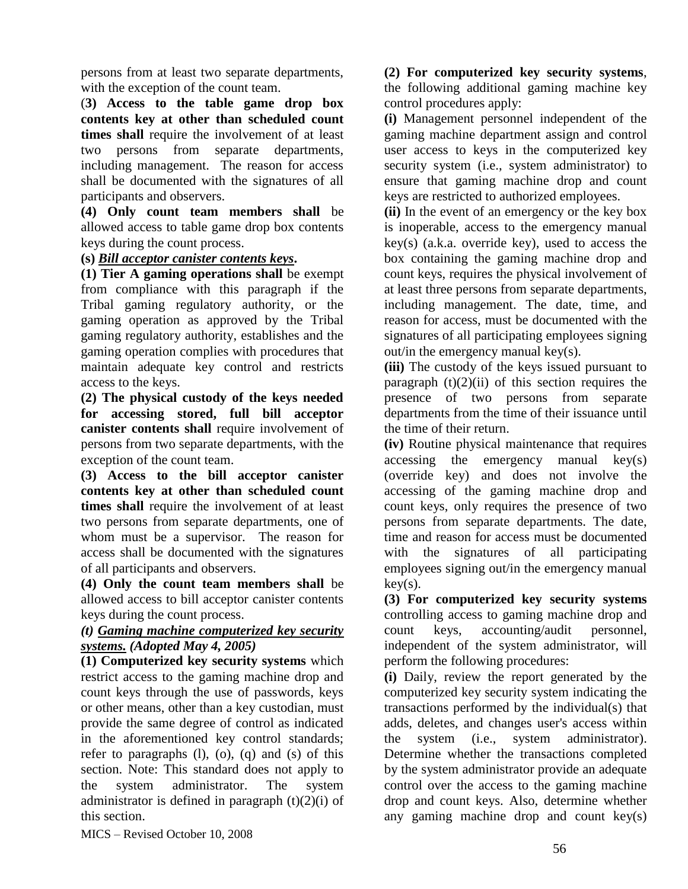persons from at least two separate departments, with the exception of the count team.

(**3) Access to the table game drop box contents key at other than scheduled count times shall** require the involvement of at least two persons from separate departments, including management. The reason for access shall be documented with the signatures of all participants and observers.

**(4) Only count team members shall** be allowed access to table game drop box contents keys during the count process.

## **(s)** *Bill acceptor canister contents keys***.**

**(1) Tier A gaming operations shall** be exempt from compliance with this paragraph if the Tribal gaming regulatory authority, or the gaming operation as approved by the Tribal gaming regulatory authority, establishes and the gaming operation complies with procedures that maintain adequate key control and restricts access to the keys.

**(2) The physical custody of the keys needed for accessing stored, full bill acceptor canister contents shall** require involvement of persons from two separate departments, with the exception of the count team.

**(3) Access to the bill acceptor canister contents key at other than scheduled count times shall** require the involvement of at least two persons from separate departments, one of whom must be a supervisor. The reason for access shall be documented with the signatures of all participants and observers.

**(4) Only the count team members shall** be allowed access to bill acceptor canister contents keys during the count process.

#### *(t) Gaming machine computerized key security systems. (Adopted May 4, 2005)*

**(1) Computerized key security systems** which restrict access to the gaming machine drop and count keys through the use of passwords, keys or other means, other than a key custodian, must provide the same degree of control as indicated in the aforementioned key control standards; refer to paragraphs  $(l)$ ,  $(o)$ ,  $(q)$  and  $(s)$  of this section. Note: This standard does not apply to the system administrator. The system administrator is defined in paragraph  $(t)(2)(i)$  of this section.

**(2) For computerized key security systems**, the following additional gaming machine key control procedures apply:

**(i)** Management personnel independent of the gaming machine department assign and control user access to keys in the computerized key security system (i.e., system administrator) to ensure that gaming machine drop and count keys are restricted to authorized employees.

**(ii)** In the event of an emergency or the key box is inoperable, access to the emergency manual key(s) (a.k.a. override key), used to access the box containing the gaming machine drop and count keys, requires the physical involvement of at least three persons from separate departments, including management. The date, time, and reason for access, must be documented with the signatures of all participating employees signing out/in the emergency manual key(s).

**(iii)** The custody of the keys issued pursuant to paragraph  $(t)(2)(ii)$  of this section requires the presence of two persons from separate departments from the time of their issuance until the time of their return.

**(iv)** Routine physical maintenance that requires accessing the emergency manual key(s) (override key) and does not involve the accessing of the gaming machine drop and count keys, only requires the presence of two persons from separate departments. The date, time and reason for access must be documented with the signatures of all participating employees signing out/in the emergency manual  $key(s)$ .

**(3) For computerized key security systems** controlling access to gaming machine drop and count keys, accounting/audit personnel, independent of the system administrator, will perform the following procedures:

**(i)** Daily, review the report generated by the computerized key security system indicating the transactions performed by the individual(s) that adds, deletes, and changes user's access within the system (i.e., system administrator). Determine whether the transactions completed by the system administrator provide an adequate control over the access to the gaming machine drop and count keys. Also, determine whether any gaming machine drop and count key(s)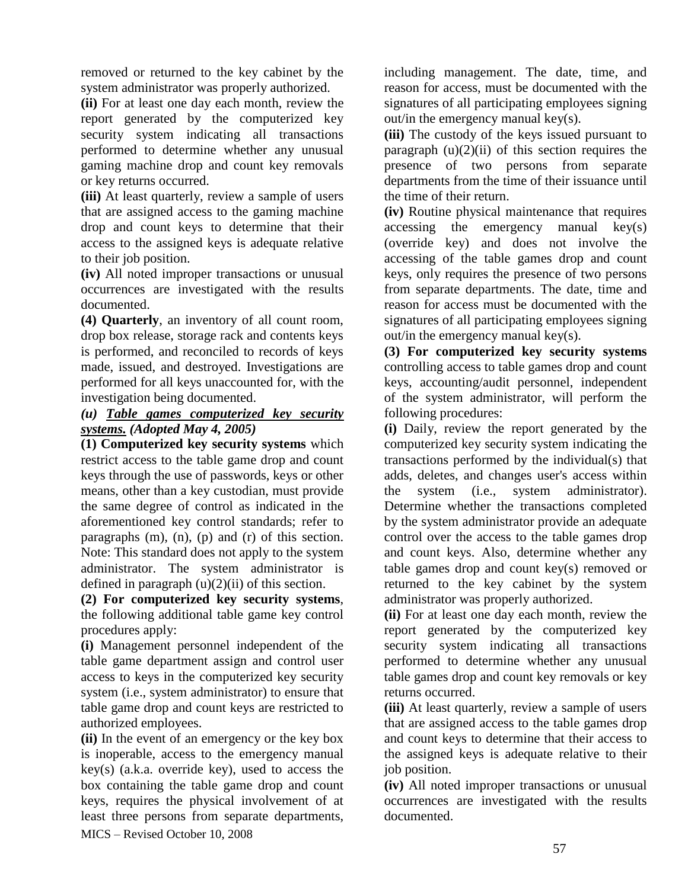removed or returned to the key cabinet by the system administrator was properly authorized.

**(ii)** For at least one day each month, review the report generated by the computerized key security system indicating all transactions performed to determine whether any unusual gaming machine drop and count key removals or key returns occurred.

**(iii)** At least quarterly, review a sample of users that are assigned access to the gaming machine drop and count keys to determine that their access to the assigned keys is adequate relative to their job position.

**(iv)** All noted improper transactions or unusual occurrences are investigated with the results documented.

**(4) Quarterly**, an inventory of all count room, drop box release, storage rack and contents keys is performed, and reconciled to records of keys made, issued, and destroyed. Investigations are performed for all keys unaccounted for, with the investigation being documented.

### *(u) Table games computerized key security systems. (Adopted May 4, 2005)*

**(1) Computerized key security systems** which restrict access to the table game drop and count keys through the use of passwords, keys or other means, other than a key custodian, must provide the same degree of control as indicated in the aforementioned key control standards; refer to paragraphs (m), (n), (p) and (r) of this section. Note: This standard does not apply to the system administrator. The system administrator is defined in paragraph  $(u)(2)(ii)$  of this section.

**(2) For computerized key security systems**, the following additional table game key control procedures apply:

**(i)** Management personnel independent of the table game department assign and control user access to keys in the computerized key security system (i.e., system administrator) to ensure that table game drop and count keys are restricted to authorized employees.

MICS – Revised October 10, 2008 **(ii)** In the event of an emergency or the key box is inoperable, access to the emergency manual key(s) (a.k.a. override key), used to access the box containing the table game drop and count keys, requires the physical involvement of at least three persons from separate departments,

including management. The date, time, and reason for access, must be documented with the signatures of all participating employees signing out/in the emergency manual key(s).

**(iii)** The custody of the keys issued pursuant to paragraph  $(u)(2)(ii)$  of this section requires the presence of two persons from separate departments from the time of their issuance until the time of their return.

**(iv)** Routine physical maintenance that requires accessing the emergency manual key(s) (override key) and does not involve the accessing of the table games drop and count keys, only requires the presence of two persons from separate departments. The date, time and reason for access must be documented with the signatures of all participating employees signing out/in the emergency manual key(s).

**(3) For computerized key security systems** controlling access to table games drop and count keys, accounting/audit personnel, independent of the system administrator, will perform the following procedures:

**(i)** Daily, review the report generated by the computerized key security system indicating the transactions performed by the individual(s) that adds, deletes, and changes user's access within the system (i.e., system administrator). Determine whether the transactions completed by the system administrator provide an adequate control over the access to the table games drop and count keys. Also, determine whether any table games drop and count key(s) removed or returned to the key cabinet by the system administrator was properly authorized.

**(ii)** For at least one day each month, review the report generated by the computerized key security system indicating all transactions performed to determine whether any unusual table games drop and count key removals or key returns occurred.

**(iii)** At least quarterly, review a sample of users that are assigned access to the table games drop and count keys to determine that their access to the assigned keys is adequate relative to their job position.

**(iv)** All noted improper transactions or unusual occurrences are investigated with the results documented.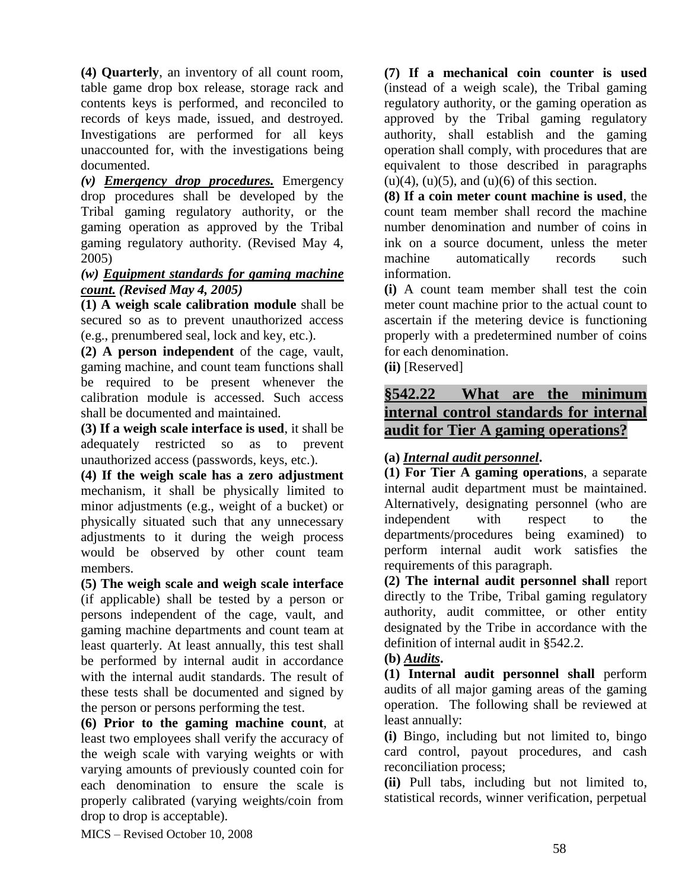**(4) Quarterly**, an inventory of all count room, table game drop box release, storage rack and contents keys is performed, and reconciled to records of keys made, issued, and destroyed. Investigations are performed for all keys unaccounted for, with the investigations being documented.

*(v) Emergency drop procedures.* Emergency drop procedures shall be developed by the Tribal gaming regulatory authority, or the gaming operation as approved by the Tribal gaming regulatory authority. (Revised May 4, 2005)

#### *(w) Equipment standards for gaming machine count. (Revised May 4, 2005)*

**(1) A weigh scale calibration module** shall be secured so as to prevent unauthorized access (e.g., prenumbered seal, lock and key, etc.).

**(2) A person independent** of the cage, vault, gaming machine, and count team functions shall be required to be present whenever the calibration module is accessed. Such access shall be documented and maintained.

**(3) If a weigh scale interface is used**, it shall be adequately restricted so as to prevent unauthorized access (passwords, keys, etc.).

**(4) If the weigh scale has a zero adjustment** mechanism, it shall be physically limited to minor adjustments (e.g., weight of a bucket) or physically situated such that any unnecessary adjustments to it during the weigh process would be observed by other count team members.

**(5) The weigh scale and weigh scale interface** (if applicable) shall be tested by a person or persons independent of the cage, vault, and gaming machine departments and count team at least quarterly. At least annually, this test shall be performed by internal audit in accordance with the internal audit standards. The result of these tests shall be documented and signed by the person or persons performing the test.

**(6) Prior to the gaming machine count**, at least two employees shall verify the accuracy of the weigh scale with varying weights or with varying amounts of previously counted coin for each denomination to ensure the scale is properly calibrated (varying weights/coin from drop to drop is acceptable).

**(7) If a mechanical coin counter is used** (instead of a weigh scale), the Tribal gaming regulatory authority, or the gaming operation as approved by the Tribal gaming regulatory authority, shall establish and the gaming operation shall comply, with procedures that are equivalent to those described in paragraphs  $(u)(4)$ ,  $(u)(5)$ , and  $(u)(6)$  of this section.

**(8) If a coin meter count machine is used**, the count team member shall record the machine number denomination and number of coins in ink on a source document, unless the meter machine automatically records such information.

**(i)** A count team member shall test the coin meter count machine prior to the actual count to ascertain if the metering device is functioning properly with a predetermined number of coins for each denomination.

**(ii)** [Reserved]

# **§542.22 What are the minimum internal control standards for internal audit for Tier A gaming operations?**

## **(a)** *Internal audit personnel***.**

**(1) For Tier A gaming operations**, a separate internal audit department must be maintained. Alternatively, designating personnel (who are independent with respect to the departments/procedures being examined) to perform internal audit work satisfies the requirements of this paragraph.

**(2) The internal audit personnel shall** report directly to the Tribe, Tribal gaming regulatory authority, audit committee, or other entity designated by the Tribe in accordance with the definition of internal audit in §542.2.

## **(b)** *Audits***.**

**(1) Internal audit personnel shall** perform audits of all major gaming areas of the gaming operation. The following shall be reviewed at least annually:

**(i)** Bingo, including but not limited to, bingo card control, payout procedures, and cash reconciliation process;

**(ii)** Pull tabs, including but not limited to, statistical records, winner verification, perpetual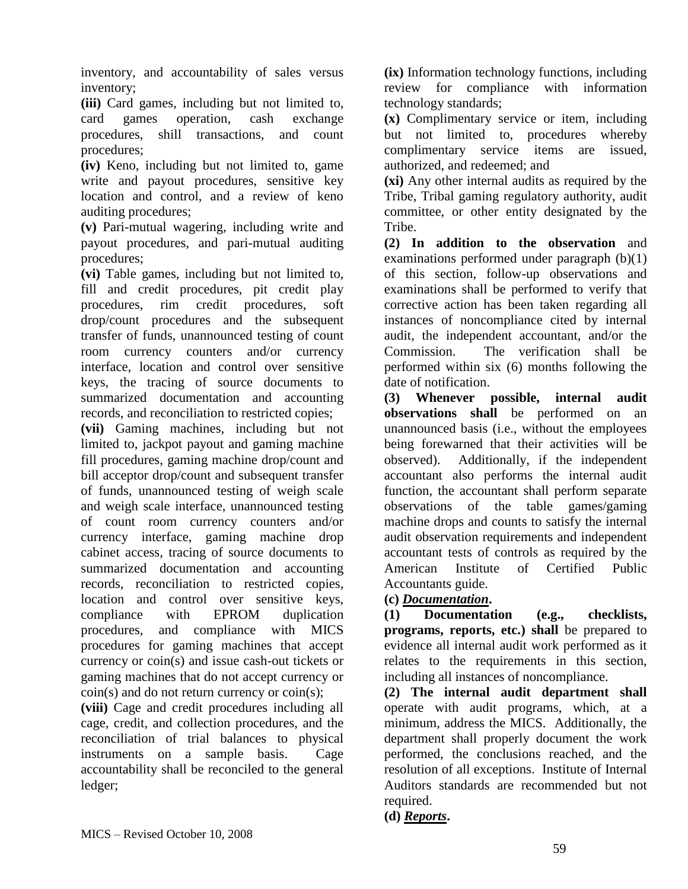inventory, and accountability of sales versus inventory;

**(iii)** Card games, including but not limited to, card games operation, cash exchange procedures, shill transactions, and count procedures;

**(iv)** Keno, including but not limited to, game write and payout procedures, sensitive key location and control, and a review of keno auditing procedures;

**(v)** Pari-mutual wagering, including write and payout procedures, and pari-mutual auditing procedures;

**(vi)** Table games, including but not limited to, fill and credit procedures, pit credit play procedures, rim credit procedures, soft drop/count procedures and the subsequent transfer of funds, unannounced testing of count room currency counters and/or currency interface, location and control over sensitive keys, the tracing of source documents to summarized documentation and accounting records, and reconciliation to restricted copies;

**(vii)** Gaming machines, including but not limited to, jackpot payout and gaming machine fill procedures, gaming machine drop/count and bill acceptor drop/count and subsequent transfer of funds, unannounced testing of weigh scale and weigh scale interface, unannounced testing of count room currency counters and/or currency interface, gaming machine drop cabinet access, tracing of source documents to summarized documentation and accounting records, reconciliation to restricted copies, location and control over sensitive keys, compliance with EPROM duplication procedures, and compliance with MICS procedures for gaming machines that accept currency or coin(s) and issue cash-out tickets or gaming machines that do not accept currency or  $\frac{\text{coin}(s)}{\text{ and do not return currency or coin}(s)}$ ;

**(viii)** Cage and credit procedures including all cage, credit, and collection procedures, and the reconciliation of trial balances to physical instruments on a sample basis. Cage accountability shall be reconciled to the general ledger;

**(ix)** Information technology functions, including review for compliance with information technology standards;

**(x)** Complimentary service or item, including but not limited to, procedures whereby complimentary service items are issued, authorized, and redeemed; and

**(xi)** Any other internal audits as required by the Tribe, Tribal gaming regulatory authority, audit committee, or other entity designated by the Tribe.

**(2) In addition to the observation** and examinations performed under paragraph (b)(1) of this section, follow-up observations and examinations shall be performed to verify that corrective action has been taken regarding all instances of noncompliance cited by internal audit, the independent accountant, and/or the Commission. The verification shall be performed within six (6) months following the date of notification.

**(3) Whenever possible, internal audit observations shall** be performed on an unannounced basis (i.e., without the employees being forewarned that their activities will be observed). Additionally, if the independent accountant also performs the internal audit function, the accountant shall perform separate observations of the table games/gaming machine drops and counts to satisfy the internal audit observation requirements and independent accountant tests of controls as required by the American Institute of Certified Public Accountants guide.

## **(c)** *Documentation***.**

**(1) Documentation (e.g., checklists, programs, reports, etc.) shall** be prepared to evidence all internal audit work performed as it relates to the requirements in this section, including all instances of noncompliance.

**(2) The internal audit department shall** operate with audit programs, which, at a minimum, address the MICS. Additionally, the department shall properly document the work performed, the conclusions reached, and the resolution of all exceptions. Institute of Internal Auditors standards are recommended but not required.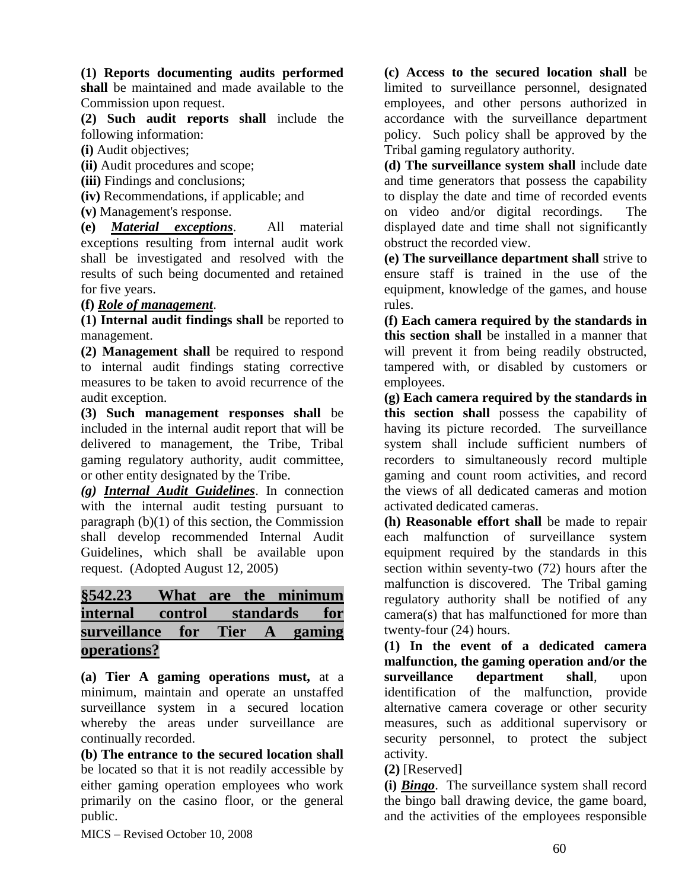#### **(1) Reports documenting audits performed**

**shall** be maintained and made available to the Commission upon request.

**(2) Such audit reports shall** include the following information:

**(i)** Audit objectives;

**(ii)** Audit procedures and scope;

**(iii)** Findings and conclusions;

**(iv)** Recommendations, if applicable; and

**(v)** Management's response.

**(e)** *Material exceptions*. All material exceptions resulting from internal audit work shall be investigated and resolved with the results of such being documented and retained for five years.

#### **(f)** *Role of management*.

**(1) Internal audit findings shall** be reported to management.

**(2) Management shall** be required to respond to internal audit findings stating corrective measures to be taken to avoid recurrence of the audit exception.

**(3) Such management responses shall** be included in the internal audit report that will be delivered to management, the Tribe, Tribal gaming regulatory authority, audit committee, or other entity designated by the Tribe.

*(g) Internal Audit Guidelines*. In connection with the internal audit testing pursuant to paragraph (b)(1) of this section, the Commission shall develop recommended Internal Audit Guidelines, which shall be available upon request. (Adopted August 12, 2005)

# **§542.23 What are the minimum internal control standards for surveillance for Tier A gaming operations?**

**(a) Tier A gaming operations must,** at a minimum, maintain and operate an unstaffed surveillance system in a secured location whereby the areas under surveillance are continually recorded.

**(b) The entrance to the secured location shall**  be located so that it is not readily accessible by either gaming operation employees who work primarily on the casino floor, or the general public.

MICS – Revised October 10, 2008

**(c) Access to the secured location shall** be limited to surveillance personnel, designated employees, and other persons authorized in accordance with the surveillance department policy. Such policy shall be approved by the Tribal gaming regulatory authority.

**(d) The surveillance system shall** include date and time generators that possess the capability to display the date and time of recorded events on video and/or digital recordings. The displayed date and time shall not significantly obstruct the recorded view.

**(e) The surveillance department shall** strive to ensure staff is trained in the use of the equipment, knowledge of the games, and house rules.

**(f) Each camera required by the standards in this section shall** be installed in a manner that will prevent it from being readily obstructed, tampered with, or disabled by customers or employees.

**(g) Each camera required by the standards in this section shall** possess the capability of having its picture recorded. The surveillance system shall include sufficient numbers of recorders to simultaneously record multiple gaming and count room activities, and record the views of all dedicated cameras and motion activated dedicated cameras.

**(h) Reasonable effort shall** be made to repair each malfunction of surveillance system equipment required by the standards in this section within seventy-two (72) hours after the malfunction is discovered. The Tribal gaming regulatory authority shall be notified of any camera(s) that has malfunctioned for more than twenty-four (24) hours.

**(1) In the event of a dedicated camera malfunction, the gaming operation and/or the surveillance department shall**, upon identification of the malfunction, provide alternative camera coverage or other security measures, such as additional supervisory or security personnel, to protect the subject activity.

**(2)** [Reserved]

**(i)** *Bingo*. The surveillance system shall record the bingo ball drawing device, the game board, and the activities of the employees responsible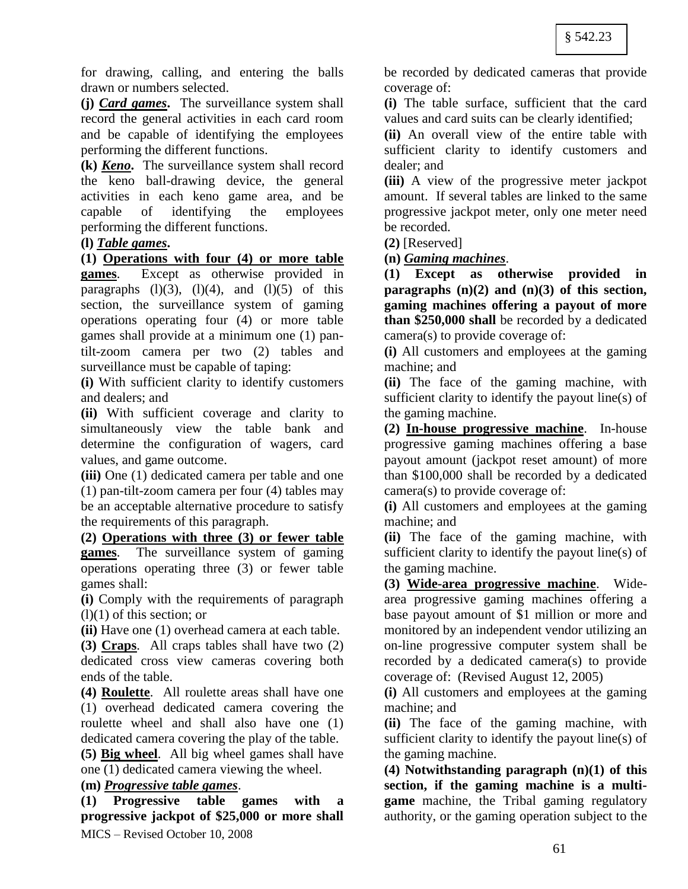for drawing, calling, and entering the balls drawn or numbers selected.

**(j)** *Card games***.** The surveillance system shall record the general activities in each card room and be capable of identifying the employees performing the different functions.

**(k)** *Keno***.** The surveillance system shall record the keno ball-drawing device, the general activities in each keno game area, and be capable of identifying the employees performing the different functions.

### **(l)** *Table games***.**

**(1) Operations with four (4) or more table games**. Except as otherwise provided in paragraphs  $(l)(3)$ ,  $(l)(4)$ , and  $(l)(5)$  of this section, the surveillance system of gaming operations operating four (4) or more table games shall provide at a minimum one (1) pantilt-zoom camera per two (2) tables and surveillance must be capable of taping:

**(i)** With sufficient clarity to identify customers and dealers; and

**(ii)** With sufficient coverage and clarity to simultaneously view the table bank and determine the configuration of wagers, card values, and game outcome.

**(iii)** One (1) dedicated camera per table and one (1) pan-tilt-zoom camera per four (4) tables may be an acceptable alternative procedure to satisfy the requirements of this paragraph.

**(2) Operations with three (3) or fewer table games**. The surveillance system of gaming operations operating three (3) or fewer table games shall:

**(i)** Comply with the requirements of paragraph (l)(1) of this section; or

**(ii)** Have one (1) overhead camera at each table.

**(3) Craps**. All craps tables shall have two (2) dedicated cross view cameras covering both ends of the table.

**(4) Roulette**. All roulette areas shall have one (1) overhead dedicated camera covering the roulette wheel and shall also have one (1) dedicated camera covering the play of the table.

**(5) Big wheel**. All big wheel games shall have one (1) dedicated camera viewing the wheel.

### **(m)** *Progressive table games*.

MICS – Revised October 10, 2008 **(1) Progressive table games with a progressive jackpot of \$25,000 or more shall** be recorded by dedicated cameras that provide coverage of:

**(i)** The table surface, sufficient that the card values and card suits can be clearly identified;

**(ii)** An overall view of the entire table with sufficient clarity to identify customers and dealer; and

**(iii)** A view of the progressive meter jackpot amount. If several tables are linked to the same progressive jackpot meter, only one meter need be recorded.

**(2)** [Reserved]

**(n)** *Gaming machines*.

**(1) Except as otherwise provided in paragraphs (n)(2) and (n)(3) of this section, gaming machines offering a payout of more than \$250,000 shall** be recorded by a dedicated camera(s) to provide coverage of:

**(i)** All customers and employees at the gaming machine; and

**(ii)** The face of the gaming machine, with sufficient clarity to identify the payout line(s) of the gaming machine.

**(2) In-house progressive machine**. In-house progressive gaming machines offering a base payout amount (jackpot reset amount) of more than \$100,000 shall be recorded by a dedicated camera(s) to provide coverage of:

**(i)** All customers and employees at the gaming machine; and

**(ii)** The face of the gaming machine, with sufficient clarity to identify the payout line(s) of the gaming machine.

**(3) Wide-area progressive machine**. Widearea progressive gaming machines offering a base payout amount of \$1 million or more and monitored by an independent vendor utilizing an on-line progressive computer system shall be recorded by a dedicated camera(s) to provide coverage of: (Revised August 12, 2005)

**(i)** All customers and employees at the gaming machine; and

**(ii)** The face of the gaming machine, with sufficient clarity to identify the payout line(s) of the gaming machine.

**(4) Notwithstanding paragraph (n)(1) of this section, if the gaming machine is a multigame** machine, the Tribal gaming regulatory authority, or the gaming operation subject to the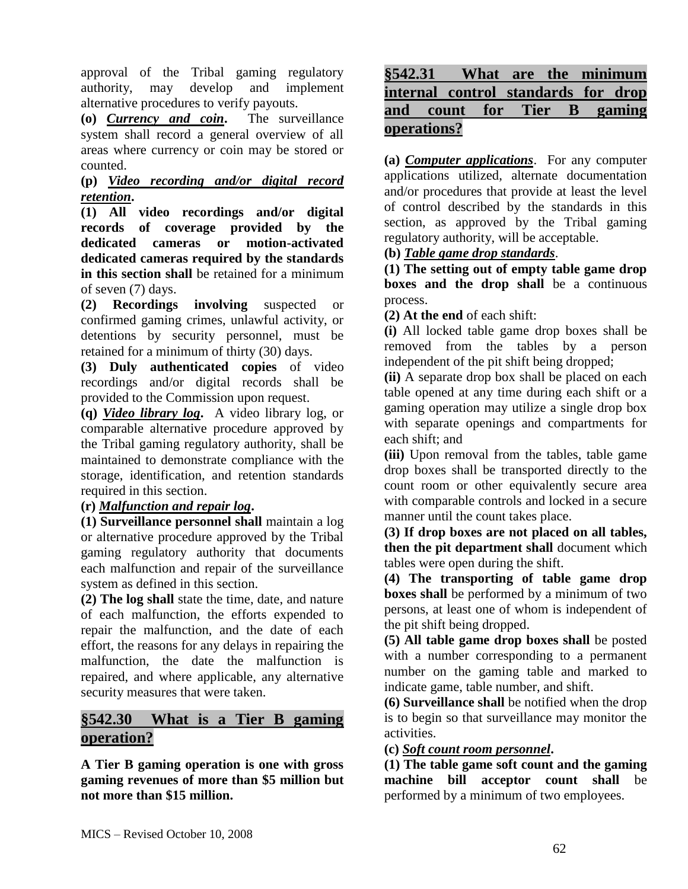approval of the Tribal gaming regulatory authority, may develop and implement alternative procedures to verify payouts.

**(o)** *Currency and coin***.** The surveillance system shall record a general overview of all areas where currency or coin may be stored or counted.

# **(p)** *Video recording and/or digital record retention***.**

**(1) All video recordings and/or digital records of coverage provided by the dedicated cameras or motion-activated dedicated cameras required by the standards in this section shall** be retained for a minimum of seven (7) days.

**(2) Recordings involving** suspected or confirmed gaming crimes, unlawful activity, or detentions by security personnel, must be retained for a minimum of thirty (30) days.

**(3) Duly authenticated copies** of video recordings and/or digital records shall be provided to the Commission upon request.

**(q)** *Video library log***.** A video library log, or comparable alternative procedure approved by the Tribal gaming regulatory authority, shall be maintained to demonstrate compliance with the storage, identification, and retention standards required in this section.

**(r)** *Malfunction and repair log***.** 

**(1) Surveillance personnel shall** maintain a log or alternative procedure approved by the Tribal gaming regulatory authority that documents each malfunction and repair of the surveillance system as defined in this section.

**(2) The log shall** state the time, date, and nature of each malfunction, the efforts expended to repair the malfunction, and the date of each effort, the reasons for any delays in repairing the malfunction, the date the malfunction is repaired, and where applicable, any alternative security measures that were taken.

# **§542.30 What is a Tier B gaming operation?**

**A Tier B gaming operation is one with gross gaming revenues of more than \$5 million but not more than \$15 million.**

# **§542.31 What are the minimum internal control standards for drop and count for Tier B gaming operations?**

**(a)** *Computer applications*. For any computer applications utilized, alternate documentation and/or procedures that provide at least the level of control described by the standards in this section, as approved by the Tribal gaming regulatory authority, will be acceptable.

# **(b)** *Table game drop standards*.

**(1) The setting out of empty table game drop boxes and the drop shall** be a continuous process.

**(2) At the end** of each shift:

**(i)** All locked table game drop boxes shall be removed from the tables by a person independent of the pit shift being dropped;

**(ii)** A separate drop box shall be placed on each table opened at any time during each shift or a gaming operation may utilize a single drop box with separate openings and compartments for each shift; and

**(iii)** Upon removal from the tables, table game drop boxes shall be transported directly to the count room or other equivalently secure area with comparable controls and locked in a secure manner until the count takes place.

**(3) If drop boxes are not placed on all tables, then the pit department shall** document which tables were open during the shift.

**(4) The transporting of table game drop boxes shall** be performed by a minimum of two persons, at least one of whom is independent of the pit shift being dropped.

**(5) All table game drop boxes shall** be posted with a number corresponding to a permanent number on the gaming table and marked to indicate game, table number, and shift.

**(6) Surveillance shall** be notified when the drop is to begin so that surveillance may monitor the activities.

**(c)** *Soft count room personnel***.** 

**(1) The table game soft count and the gaming machine bill acceptor count shall** be performed by a minimum of two employees.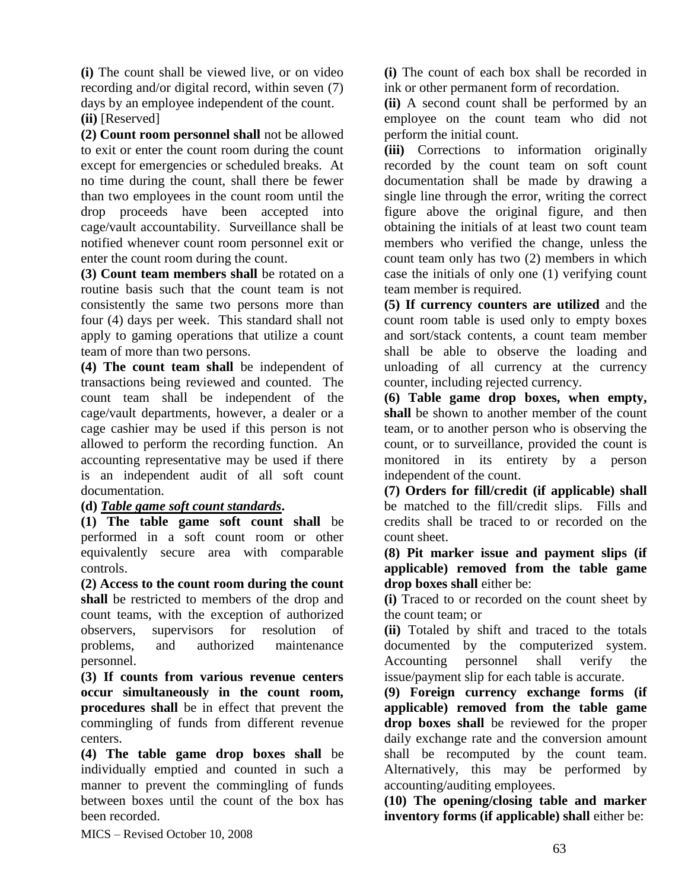**(i)** The count shall be viewed live, or on video recording and/or digital record, within seven (7) days by an employee independent of the count.

**(ii)** [Reserved]

**(2) Count room personnel shall** not be allowed to exit or enter the count room during the count except for emergencies or scheduled breaks. At no time during the count, shall there be fewer than two employees in the count room until the drop proceeds have been accepted into cage/vault accountability. Surveillance shall be notified whenever count room personnel exit or enter the count room during the count.

**(3) Count team members shall** be rotated on a routine basis such that the count team is not consistently the same two persons more than four (4) days per week. This standard shall not apply to gaming operations that utilize a count team of more than two persons.

**(4) The count team shall** be independent of transactions being reviewed and counted. The count team shall be independent of the cage/vault departments, however, a dealer or a cage cashier may be used if this person is not allowed to perform the recording function. An accounting representative may be used if there is an independent audit of all soft count documentation.

**(d)** *Table game soft count standards***.** 

**(1) The table game soft count shall** be performed in a soft count room or other equivalently secure area with comparable controls.

**(2) Access to the count room during the count shall** be restricted to members of the drop and count teams, with the exception of authorized observers, supervisors for resolution of problems, and authorized maintenance personnel.

**(3) If counts from various revenue centers occur simultaneously in the count room, procedures shall** be in effect that prevent the commingling of funds from different revenue centers.

**(4) The table game drop boxes shall** be individually emptied and counted in such a manner to prevent the commingling of funds between boxes until the count of the box has been recorded.

**(i)** The count of each box shall be recorded in ink or other permanent form of recordation.

**(ii)** A second count shall be performed by an employee on the count team who did not perform the initial count.

**(iii)** Corrections to information originally recorded by the count team on soft count documentation shall be made by drawing a single line through the error, writing the correct figure above the original figure, and then obtaining the initials of at least two count team members who verified the change, unless the count team only has two (2) members in which case the initials of only one (1) verifying count team member is required.

**(5) If currency counters are utilized** and the count room table is used only to empty boxes and sort/stack contents, a count team member shall be able to observe the loading and unloading of all currency at the currency counter, including rejected currency.

**(6) Table game drop boxes, when empty, shall** be shown to another member of the count team, or to another person who is observing the count, or to surveillance, provided the count is monitored in its entirety by a person independent of the count.

**(7) Orders for fill/credit (if applicable) shall** be matched to the fill/credit slips. Fills and credits shall be traced to or recorded on the count sheet.

**(8) Pit marker issue and payment slips (if applicable) removed from the table game drop boxes shall** either be:

**(i)** Traced to or recorded on the count sheet by the count team; or

**(ii)** Totaled by shift and traced to the totals documented by the computerized system. Accounting personnel shall verify the issue/payment slip for each table is accurate.

**(9) Foreign currency exchange forms (if applicable) removed from the table game drop boxes shall** be reviewed for the proper daily exchange rate and the conversion amount shall be recomputed by the count team. Alternatively, this may be performed by accounting/auditing employees.

**(10) The opening/closing table and marker inventory forms (if applicable) shall** either be: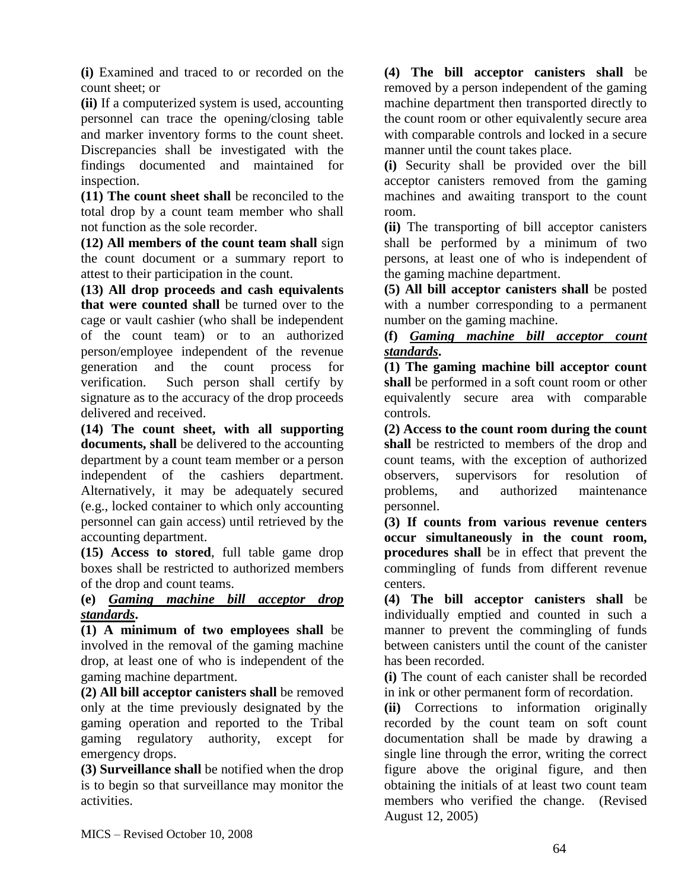**(i)** Examined and traced to or recorded on the count sheet; or

**(ii)** If a computerized system is used, accounting personnel can trace the opening/closing table and marker inventory forms to the count sheet. Discrepancies shall be investigated with the findings documented and maintained for inspection.

**(11) The count sheet shall** be reconciled to the total drop by a count team member who shall not function as the sole recorder.

**(12) All members of the count team shall** sign the count document or a summary report to attest to their participation in the count.

**(13) All drop proceeds and cash equivalents that were counted shall** be turned over to the cage or vault cashier (who shall be independent of the count team) or to an authorized person/employee independent of the revenue generation and the count process for verification. Such person shall certify by signature as to the accuracy of the drop proceeds delivered and received.

**(14) The count sheet, with all supporting documents, shall** be delivered to the accounting department by a count team member or a person independent of the cashiers department. Alternatively, it may be adequately secured (e.g., locked container to which only accounting personnel can gain access) until retrieved by the accounting department.

**(15) Access to stored**, full table game drop boxes shall be restricted to authorized members of the drop and count teams.

**(e)** *Gaming machine bill acceptor drop standards***.** 

**(1) A minimum of two employees shall** be involved in the removal of the gaming machine drop, at least one of who is independent of the gaming machine department.

**(2) All bill acceptor canisters shall** be removed only at the time previously designated by the gaming operation and reported to the Tribal gaming regulatory authority, except for emergency drops.

**(3) Surveillance shall** be notified when the drop is to begin so that surveillance may monitor the activities.

**(4) The bill acceptor canisters shall** be removed by a person independent of the gaming machine department then transported directly to the count room or other equivalently secure area with comparable controls and locked in a secure manner until the count takes place.

**(i)** Security shall be provided over the bill acceptor canisters removed from the gaming machines and awaiting transport to the count room.

**(ii)** The transporting of bill acceptor canisters shall be performed by a minimum of two persons, at least one of who is independent of the gaming machine department.

**(5) All bill acceptor canisters shall** be posted with a number corresponding to a permanent number on the gaming machine.

**(f)** *Gaming machine bill acceptor count standards***.** 

**(1) The gaming machine bill acceptor count shall** be performed in a soft count room or other equivalently secure area with comparable controls.

**(2) Access to the count room during the count shall** be restricted to members of the drop and count teams, with the exception of authorized observers, supervisors for resolution of problems, and authorized maintenance personnel.

**(3) If counts from various revenue centers occur simultaneously in the count room, procedures shall** be in effect that prevent the commingling of funds from different revenue centers.

**(4) The bill acceptor canisters shall** be individually emptied and counted in such a manner to prevent the commingling of funds between canisters until the count of the canister has been recorded.

**(i)** The count of each canister shall be recorded in ink or other permanent form of recordation.

**(ii)** Corrections to information originally recorded by the count team on soft count documentation shall be made by drawing a single line through the error, writing the correct figure above the original figure, and then obtaining the initials of at least two count team members who verified the change. (Revised August 12, 2005)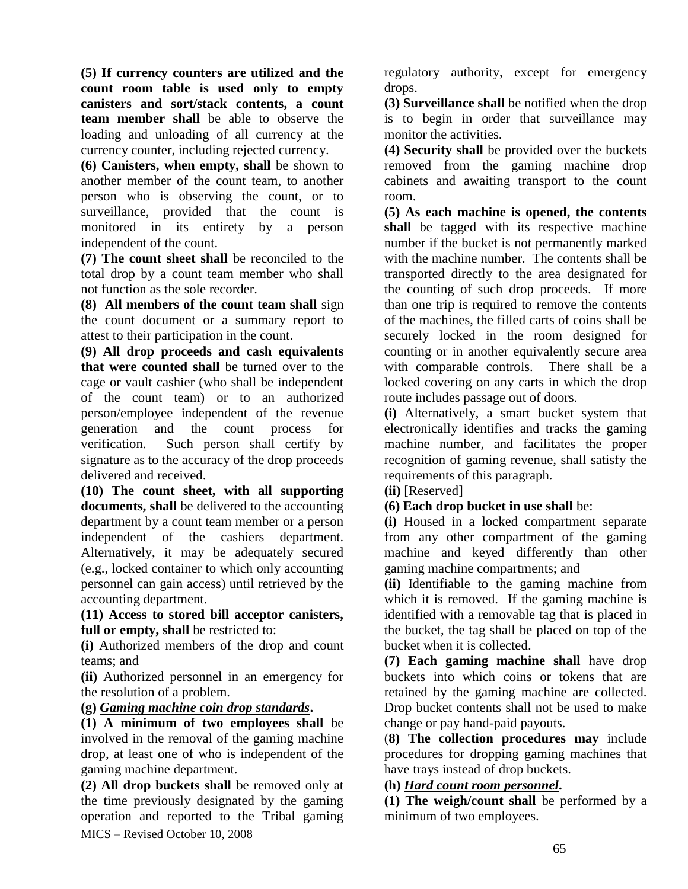**(5) If currency counters are utilized and the count room table is used only to empty canisters and sort/stack contents, a count team member shall** be able to observe the loading and unloading of all currency at the currency counter, including rejected currency.

**(6) Canisters, when empty, shall** be shown to another member of the count team, to another person who is observing the count, or to surveillance, provided that the count is monitored in its entirety by a person independent of the count.

**(7) The count sheet shall** be reconciled to the total drop by a count team member who shall not function as the sole recorder.

**(8) All members of the count team shall** sign the count document or a summary report to attest to their participation in the count.

**(9) All drop proceeds and cash equivalents that were counted shall** be turned over to the cage or vault cashier (who shall be independent of the count team) or to an authorized person/employee independent of the revenue generation and the count process for verification. Such person shall certify by signature as to the accuracy of the drop proceeds delivered and received.

**(10) The count sheet, with all supporting documents, shall** be delivered to the accounting department by a count team member or a person independent of the cashiers department. Alternatively, it may be adequately secured (e.g., locked container to which only accounting personnel can gain access) until retrieved by the accounting department.

**(11) Access to stored bill acceptor canisters, full or empty, shall** be restricted to:

**(i)** Authorized members of the drop and count teams; and

**(ii)** Authorized personnel in an emergency for the resolution of a problem.

### **(g)** *Gaming machine coin drop standards***.**

**(1) A minimum of two employees shall** be involved in the removal of the gaming machine drop, at least one of who is independent of the gaming machine department.

MICS – Revised October 10, 2008 **(2) All drop buckets shall** be removed only at the time previously designated by the gaming operation and reported to the Tribal gaming regulatory authority, except for emergency drops.

**(3) Surveillance shall** be notified when the drop is to begin in order that surveillance may monitor the activities.

**(4) Security shall** be provided over the buckets removed from the gaming machine drop cabinets and awaiting transport to the count room.

**(5) As each machine is opened, the contents shall** be tagged with its respective machine number if the bucket is not permanently marked with the machine number. The contents shall be transported directly to the area designated for the counting of such drop proceeds. If more than one trip is required to remove the contents of the machines, the filled carts of coins shall be securely locked in the room designed for counting or in another equivalently secure area with comparable controls. There shall be a locked covering on any carts in which the drop route includes passage out of doors.

**(i)** Alternatively, a smart bucket system that electronically identifies and tracks the gaming machine number, and facilitates the proper recognition of gaming revenue, shall satisfy the requirements of this paragraph.

**(ii)** [Reserved]

# **(6) Each drop bucket in use shall** be:

**(i)** Housed in a locked compartment separate from any other compartment of the gaming machine and keyed differently than other gaming machine compartments; and

**(ii)** Identifiable to the gaming machine from which it is removed. If the gaming machine is identified with a removable tag that is placed in the bucket, the tag shall be placed on top of the bucket when it is collected.

**(7) Each gaming machine shall** have drop buckets into which coins or tokens that are retained by the gaming machine are collected. Drop bucket contents shall not be used to make change or pay hand-paid payouts.

(**8) The collection procedures may** include procedures for dropping gaming machines that have trays instead of drop buckets.

## **(h)** *Hard count room personnel***.**

**(1) The weigh/count shall** be performed by a minimum of two employees.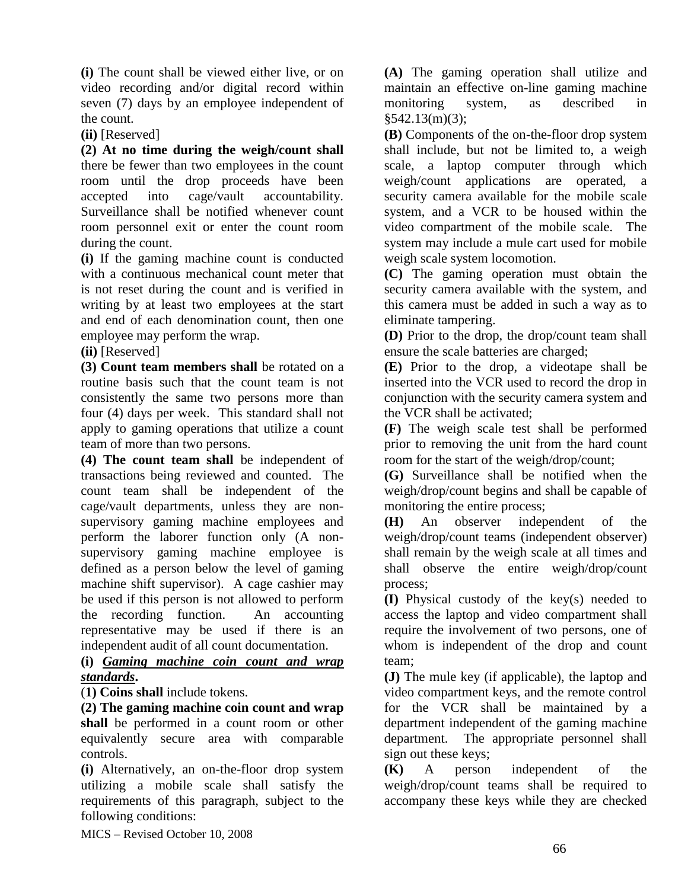**(i)** The count shall be viewed either live, or on video recording and/or digital record within seven (7) days by an employee independent of the count.

**(ii)** [Reserved]

**(2) At no time during the weigh/count shall** there be fewer than two employees in the count room until the drop proceeds have been accepted into cage/vault accountability. Surveillance shall be notified whenever count room personnel exit or enter the count room during the count.

**(i)** If the gaming machine count is conducted with a continuous mechanical count meter that is not reset during the count and is verified in writing by at least two employees at the start and end of each denomination count, then one employee may perform the wrap.

**(ii)** [Reserved]

**(3) Count team members shall** be rotated on a routine basis such that the count team is not consistently the same two persons more than four (4) days per week. This standard shall not apply to gaming operations that utilize a count team of more than two persons.

**(4) The count team shall** be independent of transactions being reviewed and counted. The count team shall be independent of the cage/vault departments, unless they are nonsupervisory gaming machine employees and perform the laborer function only (A nonsupervisory gaming machine employee is defined as a person below the level of gaming machine shift supervisor). A cage cashier may be used if this person is not allowed to perform the recording function. An accounting representative may be used if there is an independent audit of all count documentation.

#### **(i)** *Gaming machine coin count and wrap standards***.**

(**1) Coins shall** include tokens.

**(2) The gaming machine coin count and wrap shall** be performed in a count room or other equivalently secure area with comparable controls.

**(i)** Alternatively, an on-the-floor drop system utilizing a mobile scale shall satisfy the requirements of this paragraph, subject to the following conditions:

**(A)** The gaming operation shall utilize and maintain an effective on-line gaming machine monitoring system, as described in §542.13(m)(3);

**(B)** Components of the on-the-floor drop system shall include, but not be limited to, a weigh scale, a laptop computer through which weigh/count applications are operated, a security camera available for the mobile scale system, and a VCR to be housed within the video compartment of the mobile scale. The system may include a mule cart used for mobile weigh scale system locomotion.

**(C)** The gaming operation must obtain the security camera available with the system, and this camera must be added in such a way as to eliminate tampering.

**(D)** Prior to the drop, the drop/count team shall ensure the scale batteries are charged;

**(E)** Prior to the drop, a videotape shall be inserted into the VCR used to record the drop in conjunction with the security camera system and the VCR shall be activated;

**(F)** The weigh scale test shall be performed prior to removing the unit from the hard count room for the start of the weigh/drop/count;

**(G)** Surveillance shall be notified when the weigh/drop/count begins and shall be capable of monitoring the entire process;

**(H)** An observer independent of the weigh/drop/count teams (independent observer) shall remain by the weigh scale at all times and shall observe the entire weigh/drop/count process;

**(I)** Physical custody of the key(s) needed to access the laptop and video compartment shall require the involvement of two persons, one of whom is independent of the drop and count team;

**(J)** The mule key (if applicable), the laptop and video compartment keys, and the remote control for the VCR shall be maintained by a department independent of the gaming machine department. The appropriate personnel shall sign out these keys;

**(K)** A person independent of the weigh/drop/count teams shall be required to accompany these keys while they are checked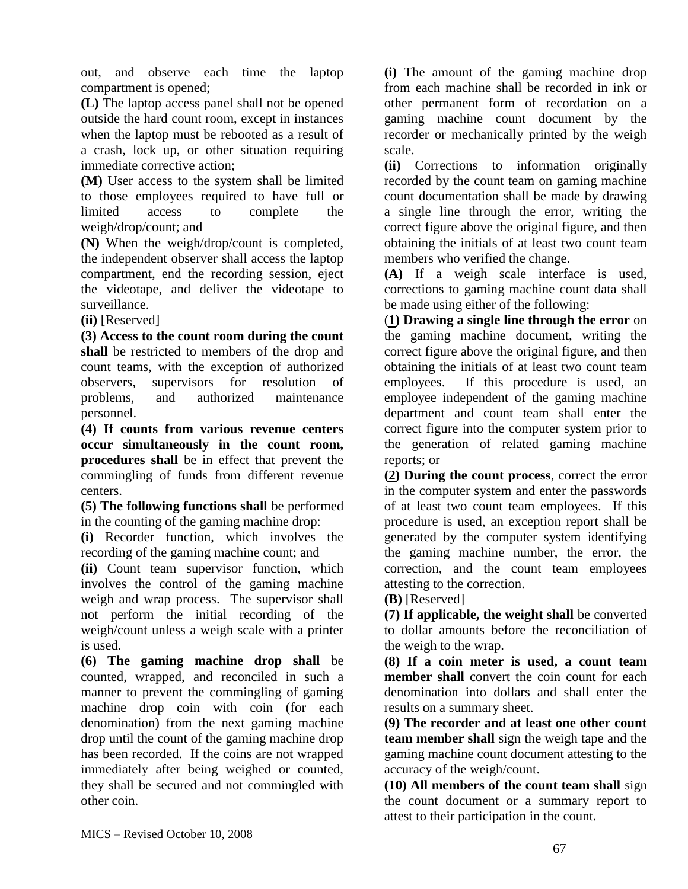out, and observe each time the laptop compartment is opened;

**(L)** The laptop access panel shall not be opened outside the hard count room, except in instances when the laptop must be rebooted as a result of a crash, lock up, or other situation requiring immediate corrective action;

**(M)** User access to the system shall be limited to those employees required to have full or limited access to complete the weigh/drop/count; and

**(N)** When the weigh/drop/count is completed, the independent observer shall access the laptop compartment, end the recording session, eject the videotape, and deliver the videotape to surveillance.

**(ii)** [Reserved]

**(3) Access to the count room during the count shall** be restricted to members of the drop and count teams, with the exception of authorized observers, supervisors for resolution of problems, and authorized maintenance personnel.

**(4) If counts from various revenue centers occur simultaneously in the count room, procedures shall** be in effect that prevent the commingling of funds from different revenue centers.

**(5) The following functions shall** be performed in the counting of the gaming machine drop:

**(i)** Recorder function, which involves the recording of the gaming machine count; and

**(ii)** Count team supervisor function, which involves the control of the gaming machine weigh and wrap process. The supervisor shall not perform the initial recording of the weigh/count unless a weigh scale with a printer is used.

**(6) The gaming machine drop shall** be counted, wrapped, and reconciled in such a manner to prevent the commingling of gaming machine drop coin with coin (for each denomination) from the next gaming machine drop until the count of the gaming machine drop has been recorded. If the coins are not wrapped immediately after being weighed or counted, they shall be secured and not commingled with other coin.

**(i)** The amount of the gaming machine drop from each machine shall be recorded in ink or other permanent form of recordation on a gaming machine count document by the recorder or mechanically printed by the weigh scale.

**(ii)** Corrections to information originally recorded by the count team on gaming machine count documentation shall be made by drawing a single line through the error, writing the correct figure above the original figure, and then obtaining the initials of at least two count team members who verified the change.

**(A)** If a weigh scale interface is used, corrections to gaming machine count data shall be made using either of the following:

(**1) Drawing a single line through the error** on the gaming machine document, writing the correct figure above the original figure, and then obtaining the initials of at least two count team employees. If this procedure is used, an employee independent of the gaming machine department and count team shall enter the correct figure into the computer system prior to the generation of related gaming machine reports; or

**(2) During the count process**, correct the error in the computer system and enter the passwords of at least two count team employees. If this procedure is used, an exception report shall be generated by the computer system identifying the gaming machine number, the error, the correction, and the count team employees attesting to the correction.

**(B)** [Reserved]

**(7) If applicable, the weight shall** be converted to dollar amounts before the reconciliation of the weigh to the wrap.

**(8) If a coin meter is used, a count team member shall** convert the coin count for each denomination into dollars and shall enter the results on a summary sheet.

**(9) The recorder and at least one other count team member shall** sign the weigh tape and the gaming machine count document attesting to the accuracy of the weigh/count.

**(10) All members of the count team shall** sign the count document or a summary report to attest to their participation in the count.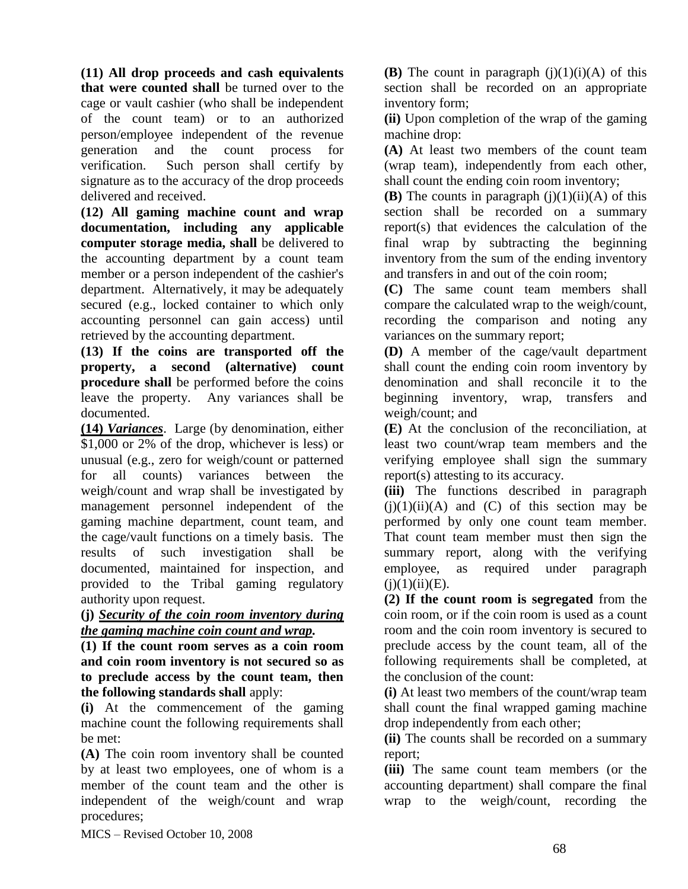**(11) All drop proceeds and cash equivalents that were counted shall** be turned over to the cage or vault cashier (who shall be independent of the count team) or to an authorized person/employee independent of the revenue generation and the count process for verification. Such person shall certify by signature as to the accuracy of the drop proceeds delivered and received.

**(12) All gaming machine count and wrap documentation, including any applicable computer storage media, shall** be delivered to the accounting department by a count team member or a person independent of the cashier's department. Alternatively, it may be adequately secured (e.g., locked container to which only accounting personnel can gain access) until retrieved by the accounting department.

**(13) If the coins are transported off the property, a second (alternative) count procedure shall** be performed before the coins leave the property. Any variances shall be documented.

**(14)** *Variances*. Large (by denomination, either \$1,000 or 2% of the drop, whichever is less) or unusual (e.g., zero for weigh/count or patterned for all counts) variances between the weigh/count and wrap shall be investigated by management personnel independent of the gaming machine department, count team, and the cage/vault functions on a timely basis. The results of such investigation shall be documented, maintained for inspection, and provided to the Tribal gaming regulatory authority upon request.

#### **(j)** *Security of the coin room inventory during the gaming machine coin count and wrap.*

**(1) If the count room serves as a coin room and coin room inventory is not secured so as to preclude access by the count team, then the following standards shall** apply:

**(i)** At the commencement of the gaming machine count the following requirements shall be met:

**(A)** The coin room inventory shall be counted by at least two employees, one of whom is a member of the count team and the other is independent of the weigh/count and wrap procedures;

**(B)** The count in paragraph  $(j)(1)(i)(A)$  of this section shall be recorded on an appropriate inventory form;

**(ii)** Upon completion of the wrap of the gaming machine drop:

**(A)** At least two members of the count team (wrap team), independently from each other, shall count the ending coin room inventory;

**(B)** The counts in paragraph  $(i)(1)(ii)(A)$  of this section shall be recorded on a summary report(s) that evidences the calculation of the final wrap by subtracting the beginning inventory from the sum of the ending inventory and transfers in and out of the coin room;

**(C)** The same count team members shall compare the calculated wrap to the weigh/count, recording the comparison and noting any variances on the summary report;

**(D)** A member of the cage/vault department shall count the ending coin room inventory by denomination and shall reconcile it to the beginning inventory, wrap, transfers and weigh/count; and

**(E)** At the conclusion of the reconciliation, at least two count/wrap team members and the verifying employee shall sign the summary report(s) attesting to its accuracy.

**(iii)** The functions described in paragraph  $(i)(1)(ii)(A)$  and  $(C)$  of this section may be performed by only one count team member. That count team member must then sign the summary report, along with the verifying employee, as required under paragraph  $(i)(1)(ii)(E)$ .

**(2) If the count room is segregated** from the coin room, or if the coin room is used as a count room and the coin room inventory is secured to preclude access by the count team, all of the following requirements shall be completed, at the conclusion of the count:

**(i)** At least two members of the count/wrap team shall count the final wrapped gaming machine drop independently from each other;

**(ii)** The counts shall be recorded on a summary report;

**(iii)** The same count team members (or the accounting department) shall compare the final wrap to the weigh/count, recording the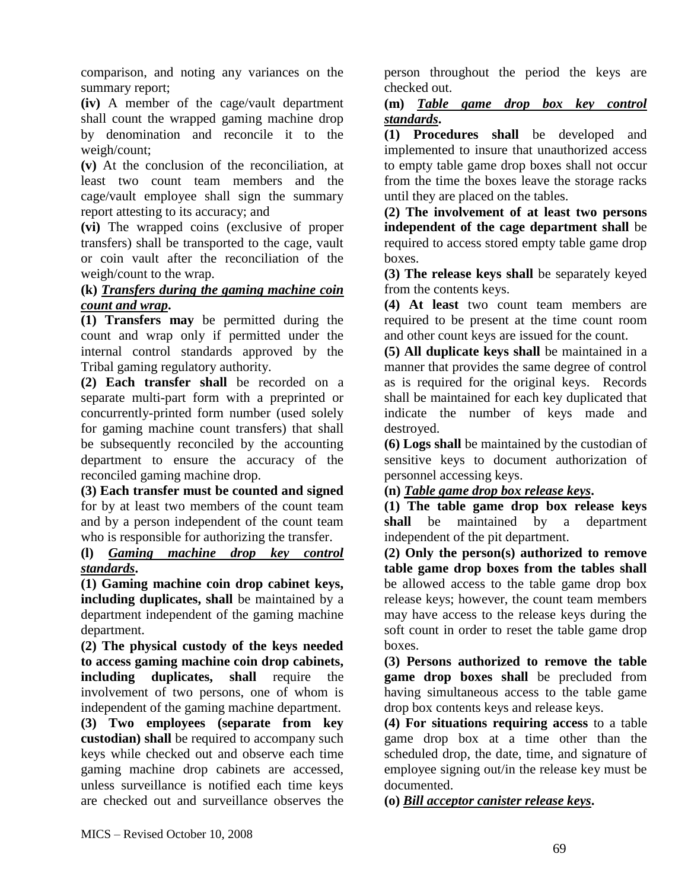comparison, and noting any variances on the summary report;

**(iv)** A member of the cage/vault department shall count the wrapped gaming machine drop by denomination and reconcile it to the weigh/count;

**(v)** At the conclusion of the reconciliation, at least two count team members and the cage/vault employee shall sign the summary report attesting to its accuracy; and

**(vi)** The wrapped coins (exclusive of proper transfers) shall be transported to the cage, vault or coin vault after the reconciliation of the weigh/count to the wrap.

## **(k)** *Transfers during the gaming machine coin count and wrap***.**

**(1) Transfers may** be permitted during the count and wrap only if permitted under the internal control standards approved by the Tribal gaming regulatory authority.

**(2) Each transfer shall** be recorded on a separate multi-part form with a preprinted or concurrently-printed form number (used solely for gaming machine count transfers) that shall be subsequently reconciled by the accounting department to ensure the accuracy of the reconciled gaming machine drop.

**(3) Each transfer must be counted and signed** for by at least two members of the count team and by a person independent of the count team who is responsible for authorizing the transfer.

#### **(l)** *Gaming machine drop key control standards***.**

**(1) Gaming machine coin drop cabinet keys, including duplicates, shall** be maintained by a department independent of the gaming machine department.

**(2) The physical custody of the keys needed to access gaming machine coin drop cabinets, including duplicates, shall** require the involvement of two persons, one of whom is independent of the gaming machine department.

**(3) Two employees (separate from key custodian) shall** be required to accompany such keys while checked out and observe each time gaming machine drop cabinets are accessed, unless surveillance is notified each time keys are checked out and surveillance observes the

person throughout the period the keys are checked out.

## **(m)** *Table game drop box key control standards***.**

**(1) Procedures shall** be developed and implemented to insure that unauthorized access to empty table game drop boxes shall not occur from the time the boxes leave the storage racks until they are placed on the tables.

**(2) The involvement of at least two persons independent of the cage department shall** be required to access stored empty table game drop boxes.

**(3) The release keys shall** be separately keyed from the contents keys.

**(4) At least** two count team members are required to be present at the time count room and other count keys are issued for the count.

**(5) All duplicate keys shall** be maintained in a manner that provides the same degree of control as is required for the original keys. Records shall be maintained for each key duplicated that indicate the number of keys made and destroyed.

**(6) Logs shall** be maintained by the custodian of sensitive keys to document authorization of personnel accessing keys.

## **(n)** *Table game drop box release keys***.**

**(1) The table game drop box release keys shall** be maintained by a department independent of the pit department.

**(2) Only the person(s) authorized to remove table game drop boxes from the tables shall** be allowed access to the table game drop box release keys; however, the count team members may have access to the release keys during the soft count in order to reset the table game drop boxes.

**(3) Persons authorized to remove the table game drop boxes shall** be precluded from having simultaneous access to the table game drop box contents keys and release keys.

**(4) For situations requiring access** to a table game drop box at a time other than the scheduled drop, the date, time, and signature of employee signing out/in the release key must be documented.

**(o)** *Bill acceptor canister release keys***.**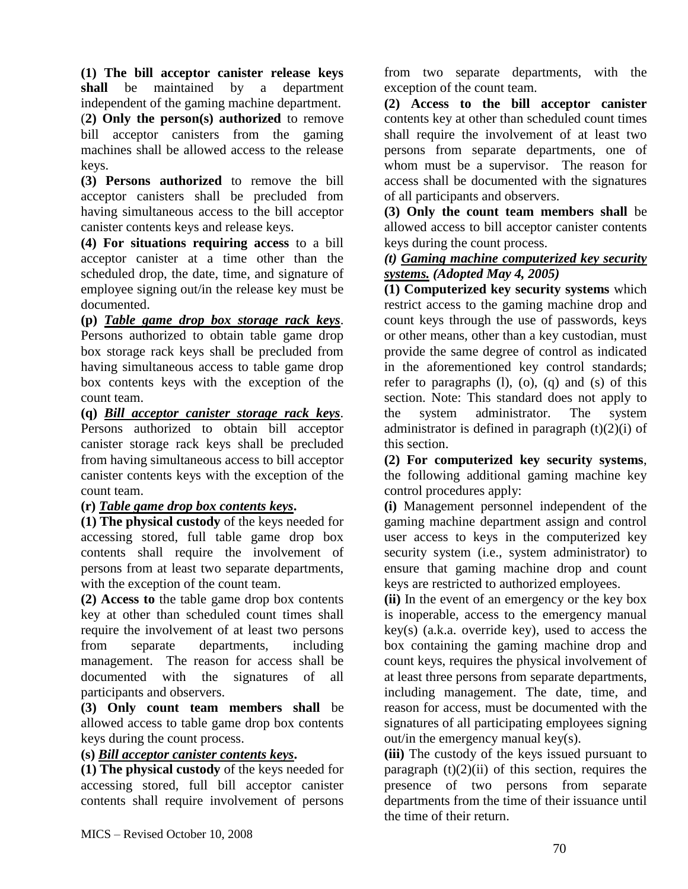**(1) The bill acceptor canister release keys shall** be maintained by a department independent of the gaming machine department. (**2) Only the person(s) authorized** to remove bill acceptor canisters from the gaming machines shall be allowed access to the release keys.

**(3) Persons authorized** to remove the bill acceptor canisters shall be precluded from having simultaneous access to the bill acceptor canister contents keys and release keys.

**(4) For situations requiring access** to a bill acceptor canister at a time other than the scheduled drop, the date, time, and signature of employee signing out/in the release key must be documented.

**(p)** *Table game drop box storage rack keys*. Persons authorized to obtain table game drop box storage rack keys shall be precluded from having simultaneous access to table game drop box contents keys with the exception of the count team.

**(q)** *Bill acceptor canister storage rack keys*. Persons authorized to obtain bill acceptor canister storage rack keys shall be precluded from having simultaneous access to bill acceptor canister contents keys with the exception of the count team.

## **(r)** *Table game drop box contents keys***.**

**(1) The physical custody** of the keys needed for accessing stored, full table game drop box contents shall require the involvement of persons from at least two separate departments, with the exception of the count team.

**(2) Access to** the table game drop box contents key at other than scheduled count times shall require the involvement of at least two persons from separate departments, including management. The reason for access shall be documented with the signatures of all participants and observers.

**(3) Only count team members shall** be allowed access to table game drop box contents keys during the count process.

### **(s)** *Bill acceptor canister contents keys***.**

**(1) The physical custody** of the keys needed for accessing stored, full bill acceptor canister contents shall require involvement of persons

from two separate departments, with the exception of the count team.

**(2) Access to the bill acceptor canister** contents key at other than scheduled count times shall require the involvement of at least two persons from separate departments, one of whom must be a supervisor. The reason for access shall be documented with the signatures of all participants and observers.

**(3) Only the count team members shall** be allowed access to bill acceptor canister contents keys during the count process.

### *(t) Gaming machine computerized key security systems. (Adopted May 4, 2005)*

**(1) Computerized key security systems** which restrict access to the gaming machine drop and count keys through the use of passwords, keys or other means, other than a key custodian, must provide the same degree of control as indicated in the aforementioned key control standards; refer to paragraphs  $(l)$ ,  $(o)$ ,  $(q)$  and  $(s)$  of this section. Note: This standard does not apply to the system administrator. The system administrator is defined in paragraph  $(t)(2)(i)$  of this section.

**(2) For computerized key security systems**, the following additional gaming machine key control procedures apply:

**(i)** Management personnel independent of the gaming machine department assign and control user access to keys in the computerized key security system (i.e., system administrator) to ensure that gaming machine drop and count keys are restricted to authorized employees.

**(ii)** In the event of an emergency or the key box is inoperable, access to the emergency manual key(s) (a.k.a. override key), used to access the box containing the gaming machine drop and count keys, requires the physical involvement of at least three persons from separate departments, including management. The date, time, and reason for access, must be documented with the signatures of all participating employees signing out/in the emergency manual key(s).

**(iii)** The custody of the keys issued pursuant to paragraph  $(t)(2)(ii)$  of this section, requires the presence of two persons from separate departments from the time of their issuance until the time of their return.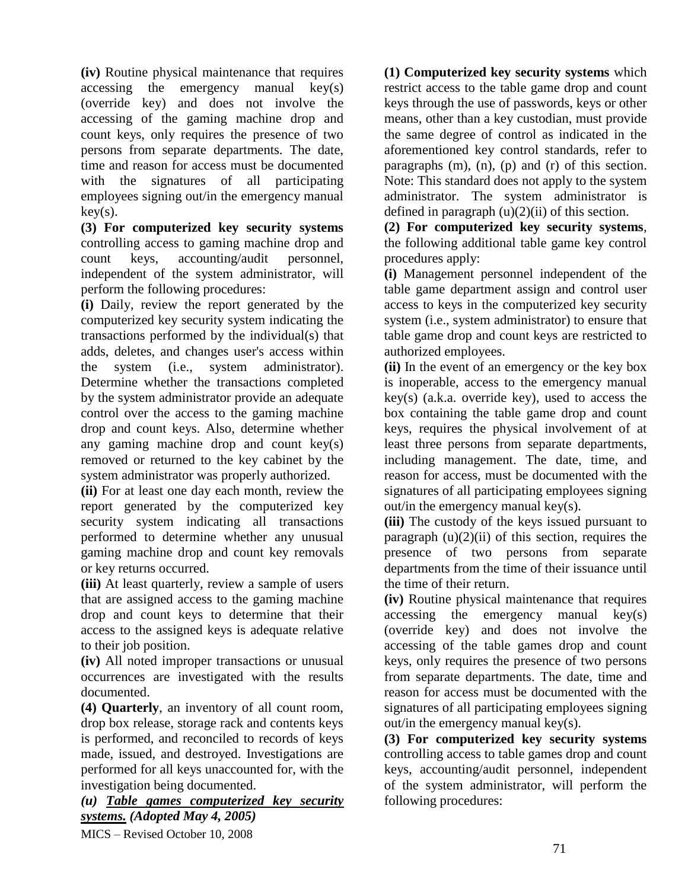**(iv)** Routine physical maintenance that requires accessing the emergency manual key(s) (override key) and does not involve the accessing of the gaming machine drop and count keys, only requires the presence of two persons from separate departments. The date, time and reason for access must be documented with the signatures of all participating employees signing out/in the emergency manual  $key(s)$ .

**(3) For computerized key security systems** controlling access to gaming machine drop and count keys, accounting/audit personnel, independent of the system administrator, will perform the following procedures:

**(i)** Daily, review the report generated by the computerized key security system indicating the transactions performed by the individual(s) that adds, deletes, and changes user's access within the system (i.e., system administrator). Determine whether the transactions completed by the system administrator provide an adequate control over the access to the gaming machine drop and count keys. Also, determine whether any gaming machine drop and count key(s) removed or returned to the key cabinet by the system administrator was properly authorized.

**(ii)** For at least one day each month, review the report generated by the computerized key security system indicating all transactions performed to determine whether any unusual gaming machine drop and count key removals or key returns occurred.

**(iii)** At least quarterly, review a sample of users that are assigned access to the gaming machine drop and count keys to determine that their access to the assigned keys is adequate relative to their job position.

**(iv)** All noted improper transactions or unusual occurrences are investigated with the results documented.

**(4) Quarterly**, an inventory of all count room, drop box release, storage rack and contents keys is performed, and reconciled to records of keys made, issued, and destroyed. Investigations are performed for all keys unaccounted for, with the investigation being documented.

MICS – Revised October 10, 2008 *(u) Table games computerized key security systems. (Adopted May 4, 2005)*

**(1) Computerized key security systems** which restrict access to the table game drop and count keys through the use of passwords, keys or other means, other than a key custodian, must provide the same degree of control as indicated in the aforementioned key control standards, refer to paragraphs (m), (n), (p) and (r) of this section. Note: This standard does not apply to the system administrator. The system administrator is defined in paragraph  $(u)(2)(ii)$  of this section.

**(2) For computerized key security systems**, the following additional table game key control procedures apply:

**(i)** Management personnel independent of the table game department assign and control user access to keys in the computerized key security system (i.e., system administrator) to ensure that table game drop and count keys are restricted to authorized employees.

**(ii)** In the event of an emergency or the key box is inoperable, access to the emergency manual key(s) (a.k.a. override key), used to access the box containing the table game drop and count keys, requires the physical involvement of at least three persons from separate departments, including management. The date, time, and reason for access, must be documented with the signatures of all participating employees signing out/in the emergency manual key(s).

**(iii)** The custody of the keys issued pursuant to paragraph  $(u)(2)(ii)$  of this section, requires the presence of two persons from separate departments from the time of their issuance until the time of their return.

**(iv)** Routine physical maintenance that requires  $accessing$  the emergency manual  $key(s)$ (override key) and does not involve the accessing of the table games drop and count keys, only requires the presence of two persons from separate departments. The date, time and reason for access must be documented with the signatures of all participating employees signing out/in the emergency manual key(s).

**(3) For computerized key security systems** controlling access to table games drop and count keys, accounting/audit personnel, independent of the system administrator, will perform the following procedures: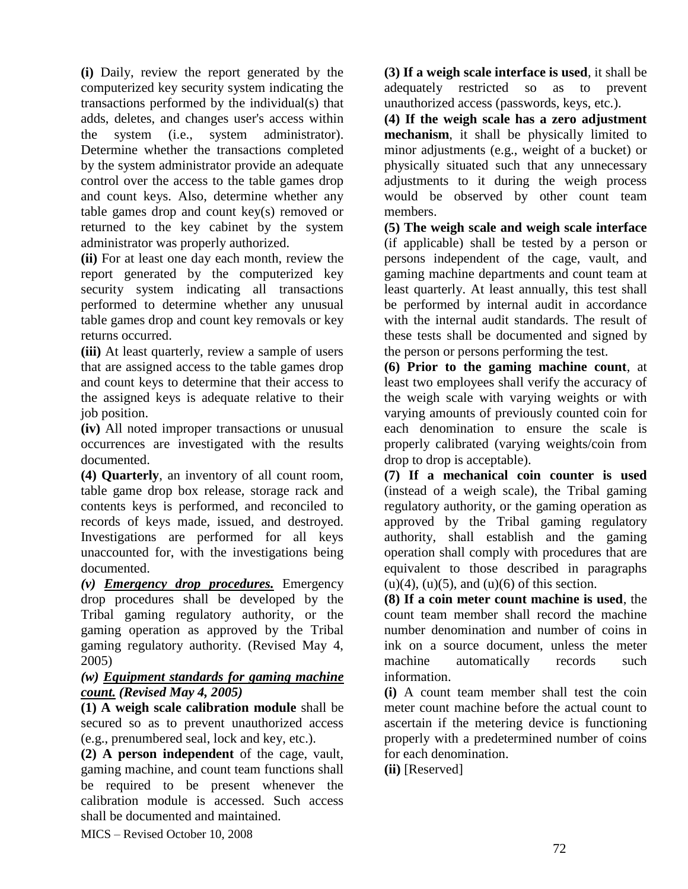**(i)** Daily, review the report generated by the computerized key security system indicating the transactions performed by the individual(s) that adds, deletes, and changes user's access within the system (i.e., system administrator). Determine whether the transactions completed by the system administrator provide an adequate control over the access to the table games drop and count keys. Also, determine whether any table games drop and count key(s) removed or returned to the key cabinet by the system administrator was properly authorized.

**(ii)** For at least one day each month, review the report generated by the computerized key security system indicating all transactions performed to determine whether any unusual table games drop and count key removals or key returns occurred.

**(iii)** At least quarterly, review a sample of users that are assigned access to the table games drop and count keys to determine that their access to the assigned keys is adequate relative to their job position.

**(iv)** All noted improper transactions or unusual occurrences are investigated with the results documented.

**(4) Quarterly**, an inventory of all count room, table game drop box release, storage rack and contents keys is performed, and reconciled to records of keys made, issued, and destroyed. Investigations are performed for all keys unaccounted for, with the investigations being documented.

*(v) Emergency drop procedures.* Emergency drop procedures shall be developed by the Tribal gaming regulatory authority, or the gaming operation as approved by the Tribal gaming regulatory authority. (Revised May 4, 2005)

### *(w) Equipment standards for gaming machine count. (Revised May 4, 2005)*

**(1) A weigh scale calibration module** shall be secured so as to prevent unauthorized access (e.g., prenumbered seal, lock and key, etc.).

**(2) A person independent** of the cage, vault, gaming machine, and count team functions shall be required to be present whenever the calibration module is accessed. Such access shall be documented and maintained.

**(3) If a weigh scale interface is used**, it shall be adequately restricted so as to prevent unauthorized access (passwords, keys, etc.).

**(4) If the weigh scale has a zero adjustment mechanism**, it shall be physically limited to minor adjustments (e.g., weight of a bucket) or physically situated such that any unnecessary adjustments to it during the weigh process would be observed by other count team members.

**(5) The weigh scale and weigh scale interface** (if applicable) shall be tested by a person or persons independent of the cage, vault, and gaming machine departments and count team at least quarterly. At least annually, this test shall be performed by internal audit in accordance with the internal audit standards. The result of these tests shall be documented and signed by the person or persons performing the test.

**(6) Prior to the gaming machine count**, at least two employees shall verify the accuracy of the weigh scale with varying weights or with varying amounts of previously counted coin for each denomination to ensure the scale is properly calibrated (varying weights/coin from drop to drop is acceptable).

**(7) If a mechanical coin counter is used** (instead of a weigh scale), the Tribal gaming regulatory authority, or the gaming operation as approved by the Tribal gaming regulatory authority, shall establish and the gaming operation shall comply with procedures that are equivalent to those described in paragraphs  $(u)(4)$ ,  $(u)(5)$ , and  $(u)(6)$  of this section.

**(8) If a coin meter count machine is used**, the count team member shall record the machine number denomination and number of coins in ink on a source document, unless the meter machine automatically records such information.

**(i)** A count team member shall test the coin meter count machine before the actual count to ascertain if the metering device is functioning properly with a predetermined number of coins for each denomination.

**(ii)** [Reserved]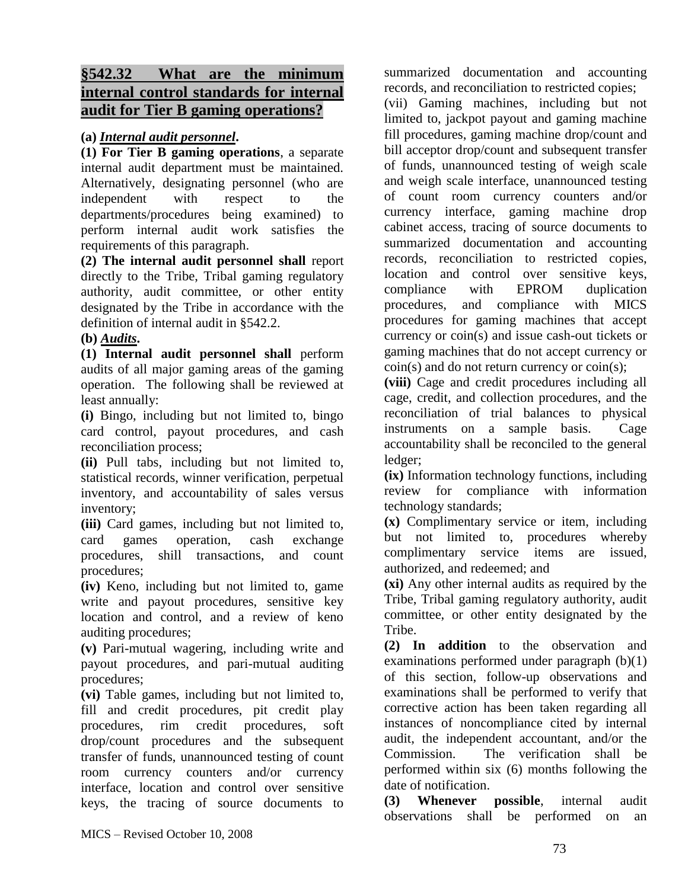# **§542.32 What are the minimum internal control standards for internal audit for Tier B gaming operations?**

### **(a)** *Internal audit personnel***.**

**(1) For Tier B gaming operations**, a separate internal audit department must be maintained. Alternatively, designating personnel (who are independent with respect to the departments/procedures being examined) to perform internal audit work satisfies the requirements of this paragraph.

**(2) The internal audit personnel shall** report directly to the Tribe, Tribal gaming regulatory authority, audit committee, or other entity designated by the Tribe in accordance with the definition of internal audit in §542.2.

### **(b)** *Audits***.**

**(1) Internal audit personnel shall** perform audits of all major gaming areas of the gaming operation. The following shall be reviewed at least annually:

**(i)** Bingo, including but not limited to, bingo card control, payout procedures, and cash reconciliation process;

**(ii)** Pull tabs, including but not limited to, statistical records, winner verification, perpetual inventory, and accountability of sales versus inventory;

**(iii)** Card games, including but not limited to, card games operation, cash exchange procedures, shill transactions, and count procedures;

**(iv)** Keno, including but not limited to, game write and payout procedures, sensitive key location and control, and a review of keno auditing procedures;

**(v)** Pari-mutual wagering, including write and payout procedures, and pari-mutual auditing procedures;

**(vi)** Table games, including but not limited to, fill and credit procedures, pit credit play procedures, rim credit procedures, soft drop/count procedures and the subsequent transfer of funds, unannounced testing of count room currency counters and/or currency interface, location and control over sensitive keys, the tracing of source documents to

summarized documentation and accounting records, and reconciliation to restricted copies;

(vii) Gaming machines, including but not limited to, jackpot payout and gaming machine fill procedures, gaming machine drop/count and bill acceptor drop/count and subsequent transfer of funds, unannounced testing of weigh scale and weigh scale interface, unannounced testing of count room currency counters and/or currency interface, gaming machine drop cabinet access, tracing of source documents to summarized documentation and accounting records, reconciliation to restricted copies, location and control over sensitive keys, compliance with EPROM duplication procedures, and compliance with MICS procedures for gaming machines that accept currency or coin(s) and issue cash-out tickets or gaming machines that do not accept currency or  $\text{coin}(s)$  and do not return currency or  $\text{coin}(s)$ ;

**(viii)** Cage and credit procedures including all cage, credit, and collection procedures, and the reconciliation of trial balances to physical instruments on a sample basis. Cage accountability shall be reconciled to the general ledger;

**(ix)** Information technology functions, including review for compliance with information technology standards;

**(x)** Complimentary service or item, including but not limited to, procedures whereby complimentary service items are issued, authorized, and redeemed; and

**(xi)** Any other internal audits as required by the Tribe, Tribal gaming regulatory authority, audit committee, or other entity designated by the Tribe.

**(2) In addition** to the observation and examinations performed under paragraph (b)(1) of this section, follow-up observations and examinations shall be performed to verify that corrective action has been taken regarding all instances of noncompliance cited by internal audit, the independent accountant, and/or the Commission. The verification shall be performed within six (6) months following the date of notification.

**(3) Whenever possible**, internal audit observations shall be performed on an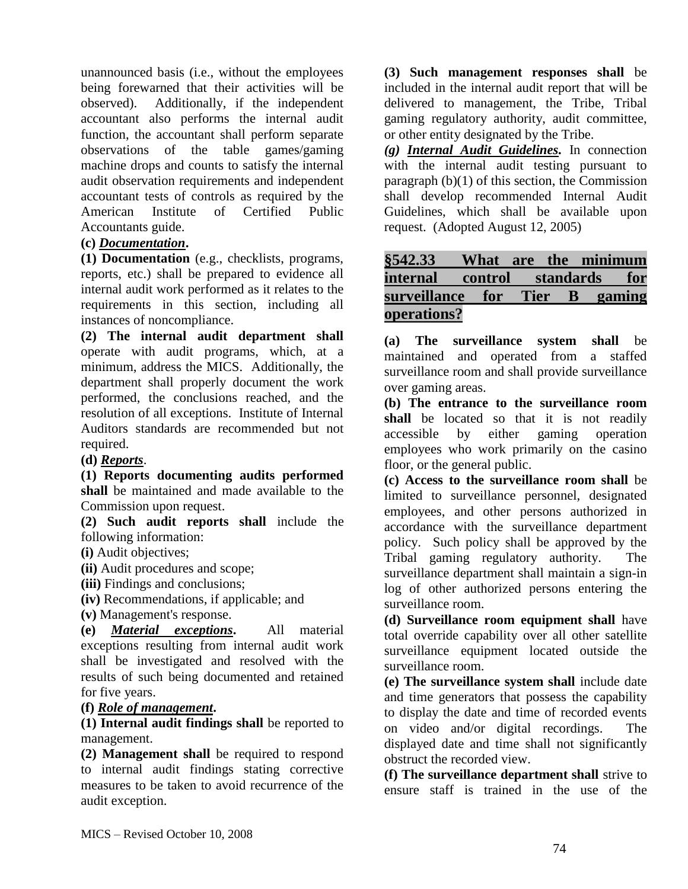unannounced basis (i.e., without the employees being forewarned that their activities will be observed). Additionally, if the independent accountant also performs the internal audit function, the accountant shall perform separate observations of the table games/gaming machine drops and counts to satisfy the internal audit observation requirements and independent accountant tests of controls as required by the American Institute of Certified Public Accountants guide.

#### **(c)** *Documentation***.**

**(1) Documentation** (e.g., checklists, programs, reports, etc.) shall be prepared to evidence all internal audit work performed as it relates to the requirements in this section, including all instances of noncompliance.

**(2) The internal audit department shall** operate with audit programs, which, at a minimum, address the MICS. Additionally, the department shall properly document the work performed, the conclusions reached, and the resolution of all exceptions. Institute of Internal Auditors standards are recommended but not required.

#### **(d)** *Reports*.

**(1) Reports documenting audits performed shall** be maintained and made available to the Commission upon request.

**(2) Such audit reports shall** include the following information:

**(i)** Audit objectives;

**(ii)** Audit procedures and scope;

**(iii)** Findings and conclusions;

**(iv)** Recommendations, if applicable; and

**(v)** Management's response.

**(e)** *Material exceptions***.** All material exceptions resulting from internal audit work shall be investigated and resolved with the results of such being documented and retained for five years.

**(f)** *Role of management***.** 

**(1) Internal audit findings shall** be reported to management.

**(2) Management shall** be required to respond to internal audit findings stating corrective measures to be taken to avoid recurrence of the audit exception.

**(3) Such management responses shall** be included in the internal audit report that will be delivered to management, the Tribe, Tribal gaming regulatory authority, audit committee, or other entity designated by the Tribe.

*(g) Internal Audit Guidelines.* In connection with the internal audit testing pursuant to paragraph (b)(1) of this section, the Commission shall develop recommended Internal Audit Guidelines, which shall be available upon request. (Adopted August 12, 2005)

## **§542.33 What are the minimum internal control standards for surveillance for Tier B gaming operations?**

**(a) The surveillance system shall** be maintained and operated from a staffed surveillance room and shall provide surveillance over gaming areas.

**(b) The entrance to the surveillance room shall** be located so that it is not readily accessible by either gaming operation employees who work primarily on the casino floor, or the general public.

**(c) Access to the surveillance room shall** be limited to surveillance personnel, designated employees, and other persons authorized in accordance with the surveillance department policy. Such policy shall be approved by the Tribal gaming regulatory authority. The surveillance department shall maintain a sign-in log of other authorized persons entering the surveillance room.

**(d) Surveillance room equipment shall** have total override capability over all other satellite surveillance equipment located outside the surveillance room.

**(e) The surveillance system shall** include date and time generators that possess the capability to display the date and time of recorded events on video and/or digital recordings. The displayed date and time shall not significantly obstruct the recorded view.

**(f) The surveillance department shall** strive to ensure staff is trained in the use of the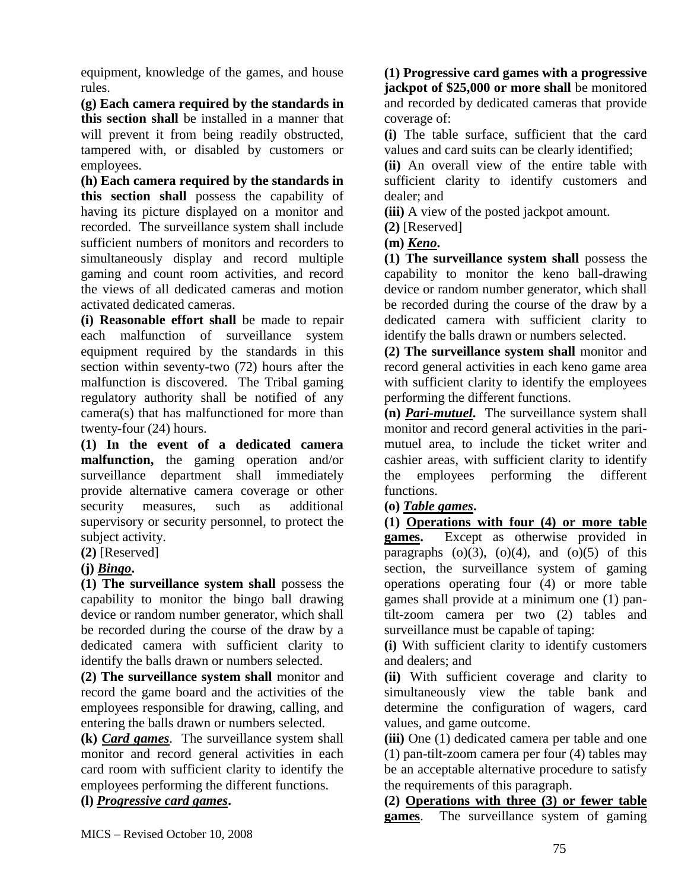equipment, knowledge of the games, and house rules.

**(g) Each camera required by the standards in this section shall** be installed in a manner that will prevent it from being readily obstructed, tampered with, or disabled by customers or employees.

**(h) Each camera required by the standards in this section shall** possess the capability of having its picture displayed on a monitor and recorded. The surveillance system shall include sufficient numbers of monitors and recorders to simultaneously display and record multiple gaming and count room activities, and record the views of all dedicated cameras and motion activated dedicated cameras.

**(i) Reasonable effort shall** be made to repair each malfunction of surveillance system equipment required by the standards in this section within seventy-two (72) hours after the malfunction is discovered. The Tribal gaming regulatory authority shall be notified of any camera(s) that has malfunctioned for more than twenty-four (24) hours.

**(1) In the event of a dedicated camera malfunction,** the gaming operation and/or surveillance department shall immediately provide alternative camera coverage or other security measures, such as additional supervisory or security personnel, to protect the subject activity.

#### **(2)** [Reserved]

#### **(j)** *Bingo***.**

**(1) The surveillance system shall** possess the capability to monitor the bingo ball drawing device or random number generator, which shall be recorded during the course of the draw by a dedicated camera with sufficient clarity to identify the balls drawn or numbers selected.

**(2) The surveillance system shall** monitor and record the game board and the activities of the employees responsible for drawing, calling, and entering the balls drawn or numbers selected.

**(k)** *Card games*. The surveillance system shall monitor and record general activities in each card room with sufficient clarity to identify the employees performing the different functions.

**(l)** *Progressive card games***.** 

**(1) Progressive card games with a progressive jackpot of \$25,000 or more shall** be monitored and recorded by dedicated cameras that provide coverage of:

**(i)** The table surface, sufficient that the card values and card suits can be clearly identified;

**(ii)** An overall view of the entire table with sufficient clarity to identify customers and dealer; and

**(iii)** A view of the posted jackpot amount.

**(2)** [Reserved]

**(m)** *Keno***.** 

**(1) The surveillance system shall** possess the capability to monitor the keno ball-drawing device or random number generator, which shall be recorded during the course of the draw by a dedicated camera with sufficient clarity to identify the balls drawn or numbers selected.

**(2) The surveillance system shall** monitor and record general activities in each keno game area with sufficient clarity to identify the employees performing the different functions.

**(n)** *Pari-mutuel***.** The surveillance system shall monitor and record general activities in the parimutuel area, to include the ticket writer and cashier areas, with sufficient clarity to identify the employees performing the different functions.

#### **(o)** *Table games***.**

**(1) Operations with four (4) or more table games.** Except as otherwise provided in paragraphs  $(o)(3)$ ,  $(o)(4)$ , and  $(o)(5)$  of this section, the surveillance system of gaming operations operating four (4) or more table games shall provide at a minimum one (1) pantilt-zoom camera per two (2) tables and surveillance must be capable of taping:

**(i)** With sufficient clarity to identify customers and dealers; and

**(ii)** With sufficient coverage and clarity to simultaneously view the table bank and determine the configuration of wagers, card values, and game outcome.

**(iii)** One (1) dedicated camera per table and one (1) pan-tilt-zoom camera per four (4) tables may be an acceptable alternative procedure to satisfy the requirements of this paragraph.

**(2) Operations with three (3) or fewer table games**. The surveillance system of gaming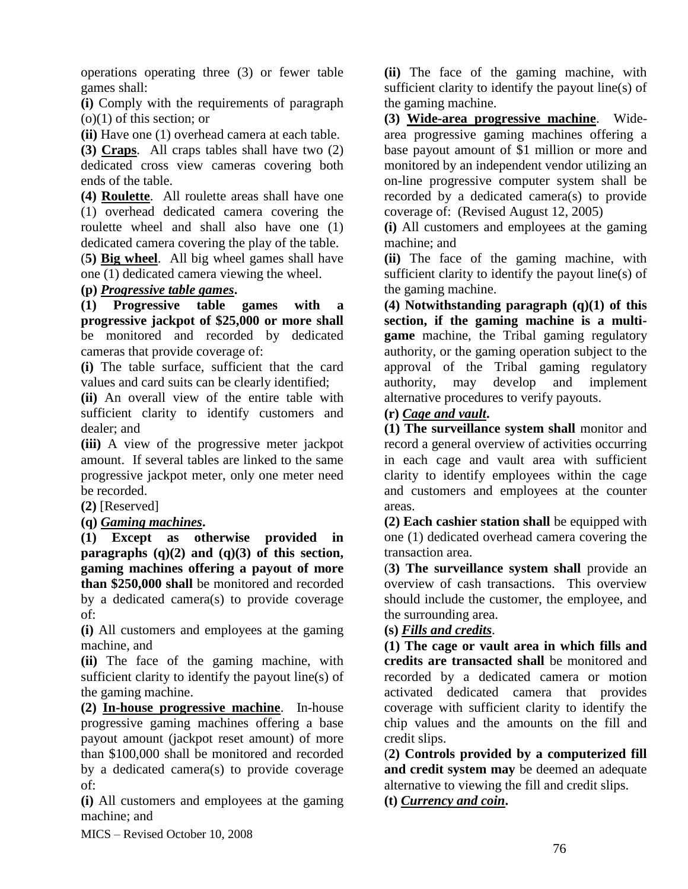operations operating three (3) or fewer table games shall:

**(i)** Comply with the requirements of paragraph (o)(1) of this section; or

**(ii)** Have one (1) overhead camera at each table.

**(3) Craps**. All craps tables shall have two (2) dedicated cross view cameras covering both ends of the table.

**(4) Roulette**. All roulette areas shall have one (1) overhead dedicated camera covering the roulette wheel and shall also have one (1) dedicated camera covering the play of the table.

(**5) Big wheel**. All big wheel games shall have one (1) dedicated camera viewing the wheel.

**(p)** *Progressive table games***.** 

**(1) Progressive table games with a progressive jackpot of \$25,000 or more shall** be monitored and recorded by dedicated cameras that provide coverage of:

**(i)** The table surface, sufficient that the card values and card suits can be clearly identified;

**(ii)** An overall view of the entire table with sufficient clarity to identify customers and dealer; and

**(iii)** A view of the progressive meter jackpot amount. If several tables are linked to the same progressive jackpot meter, only one meter need be recorded.

**(2)** [Reserved]

**(q)** *Gaming machines***.** 

**(1) Except as otherwise provided in paragraphs (q)(2) and (q)(3) of this section, gaming machines offering a payout of more than \$250,000 shall** be monitored and recorded by a dedicated camera(s) to provide coverage of:

**(i)** All customers and employees at the gaming machine, and

**(ii)** The face of the gaming machine, with sufficient clarity to identify the payout line(s) of the gaming machine.

**(2) In-house progressive machine**. In-house progressive gaming machines offering a base payout amount (jackpot reset amount) of more than \$100,000 shall be monitored and recorded by a dedicated camera(s) to provide coverage of:

**(i)** All customers and employees at the gaming machine; and

**(ii)** The face of the gaming machine, with sufficient clarity to identify the payout line(s) of the gaming machine.

**(3) Wide-area progressive machine**. Widearea progressive gaming machines offering a base payout amount of \$1 million or more and monitored by an independent vendor utilizing an on-line progressive computer system shall be recorded by a dedicated camera(s) to provide coverage of: (Revised August 12, 2005)

**(i)** All customers and employees at the gaming machine; and

**(ii)** The face of the gaming machine, with sufficient clarity to identify the payout line(s) of the gaming machine.

**(4) Notwithstanding paragraph (q)(1) of this section, if the gaming machine is a multigame** machine, the Tribal gaming regulatory authority, or the gaming operation subject to the approval of the Tribal gaming regulatory authority, may develop and implement alternative procedures to verify payouts.

**(r)** *Cage and vault***.** 

**(1) The surveillance system shall** monitor and record a general overview of activities occurring in each cage and vault area with sufficient clarity to identify employees within the cage and customers and employees at the counter areas.

**(2) Each cashier station shall** be equipped with one (1) dedicated overhead camera covering the transaction area.

(**3) The surveillance system shall** provide an overview of cash transactions. This overview should include the customer, the employee, and the surrounding area.

### **(s)** *Fills and credits*.

**(1) The cage or vault area in which fills and credits are transacted shall** be monitored and recorded by a dedicated camera or motion activated dedicated camera that provides coverage with sufficient clarity to identify the chip values and the amounts on the fill and credit slips.

(**2) Controls provided by a computerized fill and credit system may** be deemed an adequate alternative to viewing the fill and credit slips.

**(t)** *Currency and coin***.** 

MICS – Revised October 10, 2008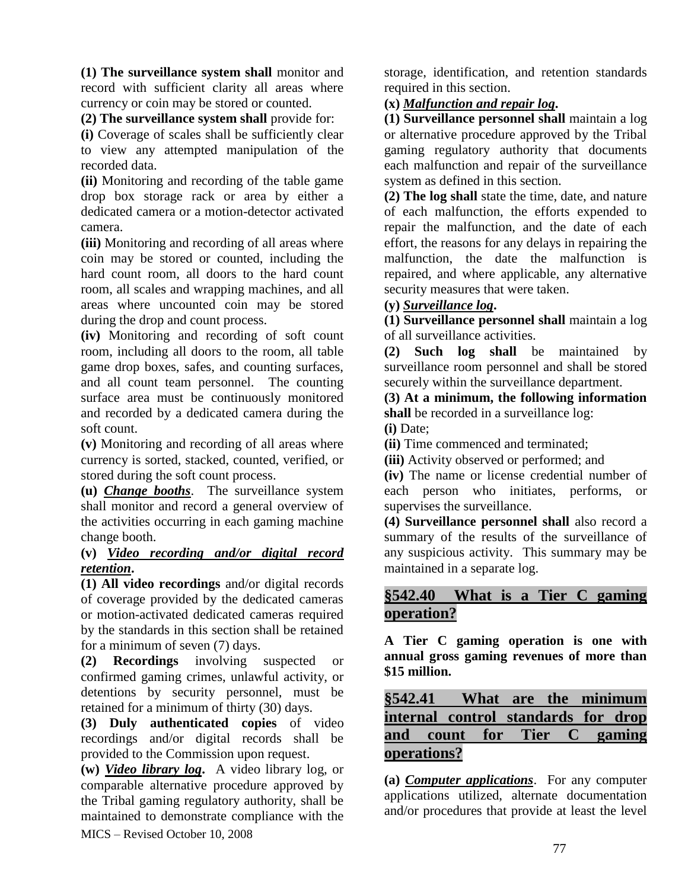**(1) The surveillance system shall** monitor and record with sufficient clarity all areas where currency or coin may be stored or counted.

**(2) The surveillance system shall** provide for:

**(i)** Coverage of scales shall be sufficiently clear to view any attempted manipulation of the recorded data.

**(ii)** Monitoring and recording of the table game drop box storage rack or area by either a dedicated camera or a motion-detector activated camera.

**(iii)** Monitoring and recording of all areas where coin may be stored or counted, including the hard count room, all doors to the hard count room, all scales and wrapping machines, and all areas where uncounted coin may be stored during the drop and count process.

**(iv)** Monitoring and recording of soft count room, including all doors to the room, all table game drop boxes, safes, and counting surfaces, and all count team personnel. The counting surface area must be continuously monitored and recorded by a dedicated camera during the soft count.

**(v)** Monitoring and recording of all areas where currency is sorted, stacked, counted, verified, or stored during the soft count process.

**(u)** *Change booths*. The surveillance system shall monitor and record a general overview of the activities occurring in each gaming machine change booth.

#### **(v)** *Video recording and/or digital record retention***.**

**(1) All video recordings** and/or digital records of coverage provided by the dedicated cameras or motion-activated dedicated cameras required by the standards in this section shall be retained for a minimum of seven (7) days.

**(2) Recordings** involving suspected or confirmed gaming crimes, unlawful activity, or detentions by security personnel, must be retained for a minimum of thirty (30) days.

**(3) Duly authenticated copies** of video recordings and/or digital records shall be provided to the Commission upon request.

MICS – Revised October 10, 2008 **(w)** *Video library log***.** A video library log, or comparable alternative procedure approved by the Tribal gaming regulatory authority, shall be maintained to demonstrate compliance with the

storage, identification, and retention standards required in this section.

### **(x)** *Malfunction and repair log***.**

**(1) Surveillance personnel shall** maintain a log or alternative procedure approved by the Tribal gaming regulatory authority that documents each malfunction and repair of the surveillance system as defined in this section.

**(2) The log shall** state the time, date, and nature of each malfunction, the efforts expended to repair the malfunction, and the date of each effort, the reasons for any delays in repairing the malfunction, the date the malfunction is repaired, and where applicable, any alternative security measures that were taken.

### **(y)** *Surveillance log***.**

**(1) Surveillance personnel shall** maintain a log of all surveillance activities.

**(2) Such log shall** be maintained by surveillance room personnel and shall be stored securely within the surveillance department.

**(3) At a minimum, the following information**  shall be recorded in a surveillance log: **(i)** Date;

**(ii)** Time commenced and terminated;

**(iii)** Activity observed or performed; and

**(iv)** The name or license credential number of each person who initiates, performs, or supervises the surveillance.

**(4) Surveillance personnel shall** also record a summary of the results of the surveillance of any suspicious activity. This summary may be maintained in a separate log.

# **§542.40 What is a Tier C gaming operation?**

**A Tier C gaming operation is one with annual gross gaming revenues of more than \$15 million.**

# **§542.41 What are the minimum internal control standards for drop and count for Tier C gaming operations?**

**(a)** *Computer applications*. For any computer applications utilized, alternate documentation and/or procedures that provide at least the level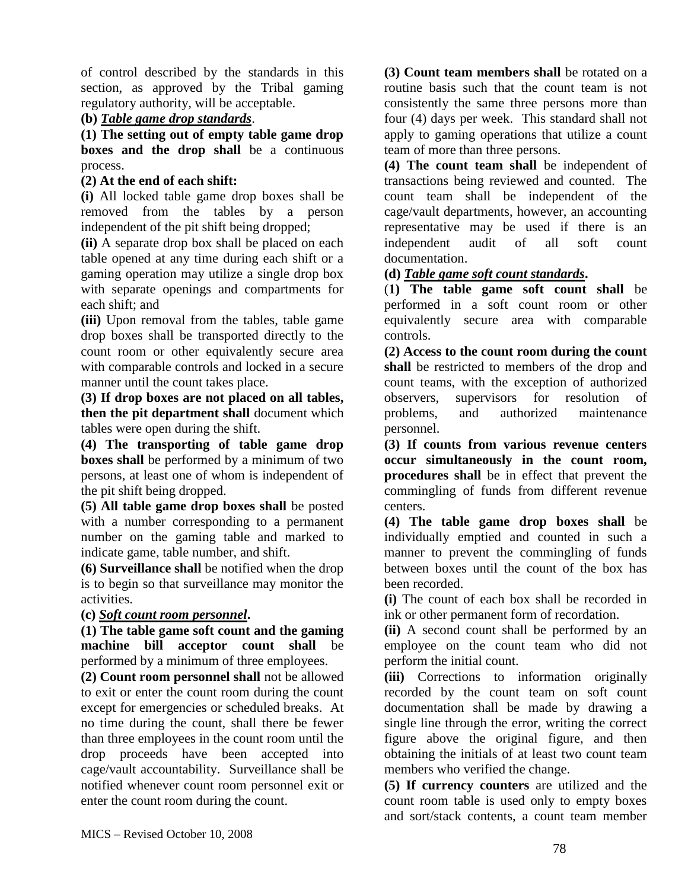of control described by the standards in this section, as approved by the Tribal gaming regulatory authority, will be acceptable.

### **(b)** *Table game drop standards*.

**(1) The setting out of empty table game drop boxes and the drop shall** be a continuous process.

### **(2) At the end of each shift:**

**(i)** All locked table game drop boxes shall be removed from the tables by a person independent of the pit shift being dropped;

**(ii)** A separate drop box shall be placed on each table opened at any time during each shift or a gaming operation may utilize a single drop box with separate openings and compartments for each shift; and

**(iii)** Upon removal from the tables, table game drop boxes shall be transported directly to the count room or other equivalently secure area with comparable controls and locked in a secure manner until the count takes place.

**(3) If drop boxes are not placed on all tables, then the pit department shall** document which tables were open during the shift.

**(4) The transporting of table game drop boxes shall** be performed by a minimum of two persons, at least one of whom is independent of the pit shift being dropped.

**(5) All table game drop boxes shall** be posted with a number corresponding to a permanent number on the gaming table and marked to indicate game, table number, and shift.

**(6) Surveillance shall** be notified when the drop is to begin so that surveillance may monitor the activities.

### **(c)** *Soft count room personnel***.**

**(1) The table game soft count and the gaming machine bill acceptor count shall** be performed by a minimum of three employees.

**(2) Count room personnel shall** not be allowed to exit or enter the count room during the count except for emergencies or scheduled breaks. At no time during the count, shall there be fewer than three employees in the count room until the drop proceeds have been accepted into cage/vault accountability. Surveillance shall be notified whenever count room personnel exit or enter the count room during the count.

**(3) Count team members shall** be rotated on a routine basis such that the count team is not consistently the same three persons more than four (4) days per week. This standard shall not apply to gaming operations that utilize a count team of more than three persons.

**(4) The count team shall** be independent of transactions being reviewed and counted. The count team shall be independent of the cage/vault departments, however, an accounting representative may be used if there is an independent audit of all soft count documentation.

**(d)** *Table game soft count standards***.**

(**1) The table game soft count shall** be performed in a soft count room or other equivalently secure area with comparable controls.

**(2) Access to the count room during the count shall** be restricted to members of the drop and count teams, with the exception of authorized observers, supervisors for resolution of problems, and authorized maintenance personnel.

**(3) If counts from various revenue centers occur simultaneously in the count room, procedures shall** be in effect that prevent the commingling of funds from different revenue centers.

**(4) The table game drop boxes shall** be individually emptied and counted in such a manner to prevent the commingling of funds between boxes until the count of the box has been recorded.

**(i)** The count of each box shall be recorded in ink or other permanent form of recordation.

**(ii)** A second count shall be performed by an employee on the count team who did not perform the initial count.

**(iii)** Corrections to information originally recorded by the count team on soft count documentation shall be made by drawing a single line through the error, writing the correct figure above the original figure, and then obtaining the initials of at least two count team members who verified the change.

**(5) If currency counters** are utilized and the count room table is used only to empty boxes and sort/stack contents, a count team member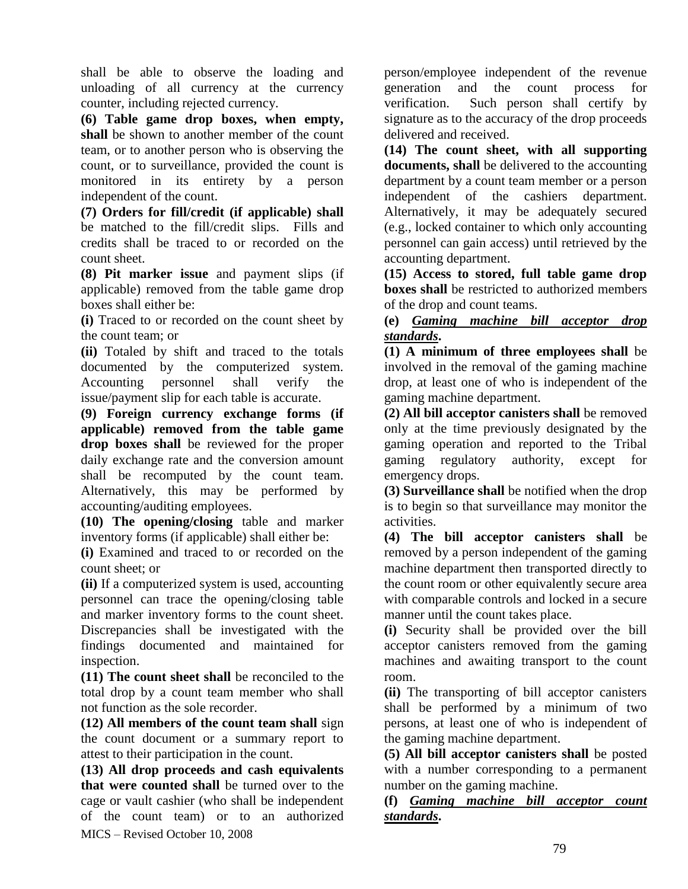shall be able to observe the loading and unloading of all currency at the currency counter, including rejected currency.

**(6) Table game drop boxes, when empty, shall** be shown to another member of the count team, or to another person who is observing the count, or to surveillance, provided the count is monitored in its entirety by a person independent of the count.

**(7) Orders for fill/credit (if applicable) shall** be matched to the fill/credit slips. Fills and credits shall be traced to or recorded on the count sheet.

**(8) Pit marker issue** and payment slips (if applicable) removed from the table game drop boxes shall either be:

**(i)** Traced to or recorded on the count sheet by the count team; or

**(ii)** Totaled by shift and traced to the totals documented by the computerized system. Accounting personnel shall verify the issue/payment slip for each table is accurate.

**(9) Foreign currency exchange forms (if applicable) removed from the table game drop boxes shall** be reviewed for the proper daily exchange rate and the conversion amount shall be recomputed by the count team. Alternatively, this may be performed by accounting/auditing employees.

**(10) The opening/closing** table and marker inventory forms (if applicable) shall either be:

**(i)** Examined and traced to or recorded on the count sheet; or

**(ii)** If a computerized system is used, accounting personnel can trace the opening/closing table and marker inventory forms to the count sheet. Discrepancies shall be investigated with the findings documented and maintained for inspection.

**(11) The count sheet shall** be reconciled to the total drop by a count team member who shall not function as the sole recorder.

**(12) All members of the count team shall** sign the count document or a summary report to attest to their participation in the count.

MICS – Revised October 10, 2008 **(13) All drop proceeds and cash equivalents that were counted shall** be turned over to the cage or vault cashier (who shall be independent of the count team) or to an authorized person/employee independent of the revenue generation and the count process for verification. Such person shall certify by signature as to the accuracy of the drop proceeds delivered and received.

**(14) The count sheet, with all supporting documents, shall** be delivered to the accounting department by a count team member or a person independent of the cashiers department. Alternatively, it may be adequately secured (e.g., locked container to which only accounting personnel can gain access) until retrieved by the accounting department.

**(15) Access to stored, full table game drop boxes shall** be restricted to authorized members of the drop and count teams.

**(e)** *Gaming machine bill acceptor drop standards***.** 

**(1) A minimum of three employees shall** be involved in the removal of the gaming machine drop, at least one of who is independent of the gaming machine department.

**(2) All bill acceptor canisters shall** be removed only at the time previously designated by the gaming operation and reported to the Tribal gaming regulatory authority, except for emergency drops.

**(3) Surveillance shall** be notified when the drop is to begin so that surveillance may monitor the activities.

**(4) The bill acceptor canisters shall** be removed by a person independent of the gaming machine department then transported directly to the count room or other equivalently secure area with comparable controls and locked in a secure manner until the count takes place.

**(i)** Security shall be provided over the bill acceptor canisters removed from the gaming machines and awaiting transport to the count room.

**(ii)** The transporting of bill acceptor canisters shall be performed by a minimum of two persons, at least one of who is independent of the gaming machine department.

**(5) All bill acceptor canisters shall** be posted with a number corresponding to a permanent number on the gaming machine.

**(f)** *Gaming machine bill acceptor count standards***.**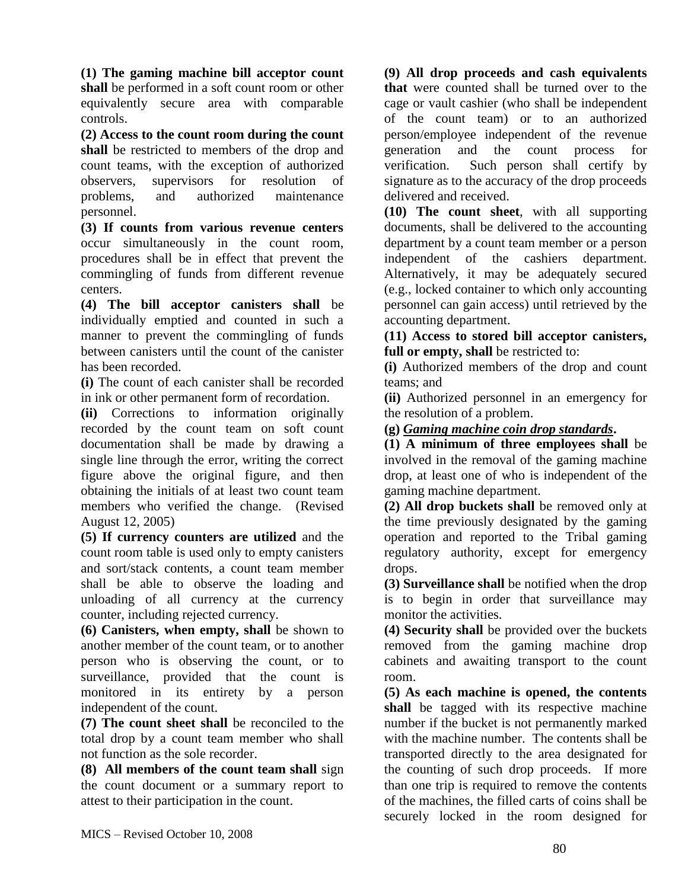**(1) The gaming machine bill acceptor count shall** be performed in a soft count room or other equivalently secure area with comparable controls.

**(2) Access to the count room during the count shall** be restricted to members of the drop and count teams, with the exception of authorized observers, supervisors for resolution of problems, and authorized maintenance personnel.

**(3) If counts from various revenue centers** occur simultaneously in the count room, procedures shall be in effect that prevent the commingling of funds from different revenue centers.

**(4) The bill acceptor canisters shall** be individually emptied and counted in such a manner to prevent the commingling of funds between canisters until the count of the canister has been recorded.

**(i)** The count of each canister shall be recorded in ink or other permanent form of recordation.

**(ii)** Corrections to information originally recorded by the count team on soft count documentation shall be made by drawing a single line through the error, writing the correct figure above the original figure, and then obtaining the initials of at least two count team members who verified the change. (Revised August 12, 2005)

**(5) If currency counters are utilized** and the count room table is used only to empty canisters and sort/stack contents, a count team member shall be able to observe the loading and unloading of all currency at the currency counter, including rejected currency.

**(6) Canisters, when empty, shall** be shown to another member of the count team, or to another person who is observing the count, or to surveillance, provided that the count is monitored in its entirety by a person independent of the count.

**(7) The count sheet shall** be reconciled to the total drop by a count team member who shall not function as the sole recorder.

**(8) All members of the count team shall** sign the count document or a summary report to attest to their participation in the count.

**(9) All drop proceeds and cash equivalents that** were counted shall be turned over to the cage or vault cashier (who shall be independent of the count team) or to an authorized person/employee independent of the revenue generation and the count process for verification. Such person shall certify by signature as to the accuracy of the drop proceeds delivered and received.

**(10) The count sheet**, with all supporting documents, shall be delivered to the accounting department by a count team member or a person independent of the cashiers department. Alternatively, it may be adequately secured (e.g., locked container to which only accounting personnel can gain access) until retrieved by the accounting department.

**(11) Access to stored bill acceptor canisters, full or empty, shall** be restricted to:

**(i)** Authorized members of the drop and count teams; and

**(ii)** Authorized personnel in an emergency for the resolution of a problem.

**(g)** *Gaming machine coin drop standards***.** 

**(1) A minimum of three employees shall** be involved in the removal of the gaming machine drop, at least one of who is independent of the gaming machine department.

**(2) All drop buckets shall** be removed only at the time previously designated by the gaming operation and reported to the Tribal gaming regulatory authority, except for emergency drops.

**(3) Surveillance shall** be notified when the drop is to begin in order that surveillance may monitor the activities.

**(4) Security shall** be provided over the buckets removed from the gaming machine drop cabinets and awaiting transport to the count room.

**(5) As each machine is opened, the contents**  shall be tagged with its respective machine number if the bucket is not permanently marked with the machine number. The contents shall be transported directly to the area designated for the counting of such drop proceeds. If more than one trip is required to remove the contents of the machines, the filled carts of coins shall be securely locked in the room designed for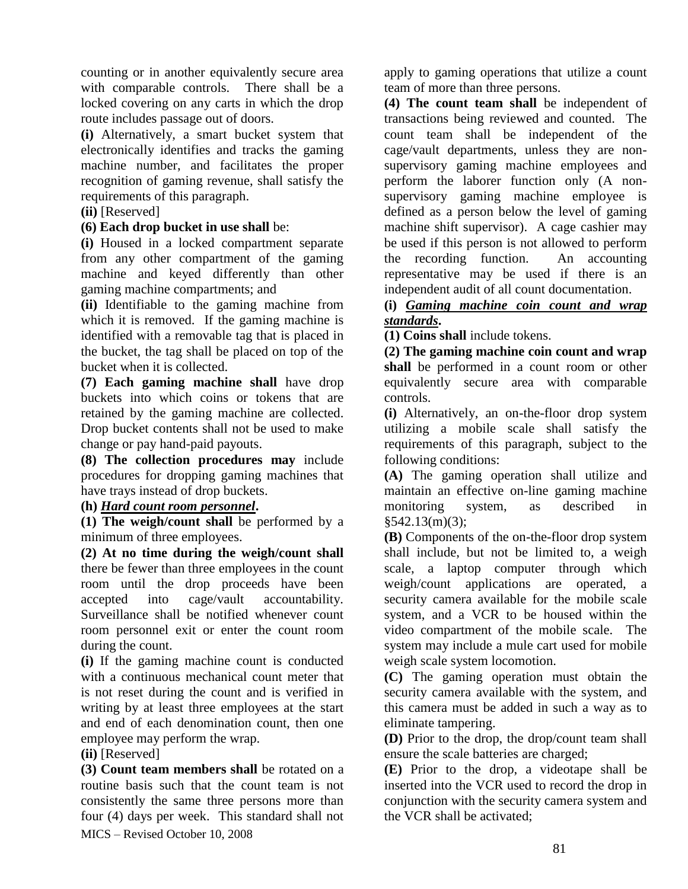counting or in another equivalently secure area with comparable controls. There shall be a locked covering on any carts in which the drop route includes passage out of doors.

**(i)** Alternatively, a smart bucket system that electronically identifies and tracks the gaming machine number, and facilitates the proper recognition of gaming revenue, shall satisfy the requirements of this paragraph.

#### **(ii)** [Reserved]

#### **(6) Each drop bucket in use shall** be:

**(i)** Housed in a locked compartment separate from any other compartment of the gaming machine and keyed differently than other gaming machine compartments; and

**(ii)** Identifiable to the gaming machine from which it is removed. If the gaming machine is identified with a removable tag that is placed in the bucket, the tag shall be placed on top of the bucket when it is collected.

**(7) Each gaming machine shall** have drop buckets into which coins or tokens that are retained by the gaming machine are collected. Drop bucket contents shall not be used to make change or pay hand-paid payouts.

**(8) The collection procedures may** include procedures for dropping gaming machines that have trays instead of drop buckets.

#### **(h)** *Hard count room personnel***.**

**(1) The weigh/count shall** be performed by a minimum of three employees.

**(2) At no time during the weigh/count shall** there be fewer than three employees in the count room until the drop proceeds have been accepted into cage/vault accountability. Surveillance shall be notified whenever count room personnel exit or enter the count room during the count.

**(i)** If the gaming machine count is conducted with a continuous mechanical count meter that is not reset during the count and is verified in writing by at least three employees at the start and end of each denomination count, then one employee may perform the wrap.

#### **(ii)** [Reserved]

MICS – Revised October 10, 2008 **(3) Count team members shall** be rotated on a routine basis such that the count team is not consistently the same three persons more than four (4) days per week. This standard shall not apply to gaming operations that utilize a count team of more than three persons.

**(4) The count team shall** be independent of transactions being reviewed and counted. The count team shall be independent of the cage/vault departments, unless they are nonsupervisory gaming machine employees and perform the laborer function only (A nonsupervisory gaming machine employee is defined as a person below the level of gaming machine shift supervisor). A cage cashier may be used if this person is not allowed to perform the recording function. An accounting representative may be used if there is an independent audit of all count documentation.

### **(i)** *Gaming machine coin count and wrap standards***.**

**(1) Coins shall** include tokens.

**(2) The gaming machine coin count and wrap shall** be performed in a count room or other equivalently secure area with comparable controls.

**(i)** Alternatively, an on-the-floor drop system utilizing a mobile scale shall satisfy the requirements of this paragraph, subject to the following conditions:

**(A)** The gaming operation shall utilize and maintain an effective on-line gaming machine monitoring system, as described in  $§542.13(m)(3);$ 

**(B)** Components of the on-the-floor drop system shall include, but not be limited to, a weigh scale, a laptop computer through which weigh/count applications are operated, a security camera available for the mobile scale system, and a VCR to be housed within the video compartment of the mobile scale. The system may include a mule cart used for mobile weigh scale system locomotion.

**(C)** The gaming operation must obtain the security camera available with the system, and this camera must be added in such a way as to eliminate tampering.

**(D)** Prior to the drop, the drop/count team shall ensure the scale batteries are charged;

**(E)** Prior to the drop, a videotape shall be inserted into the VCR used to record the drop in conjunction with the security camera system and the VCR shall be activated;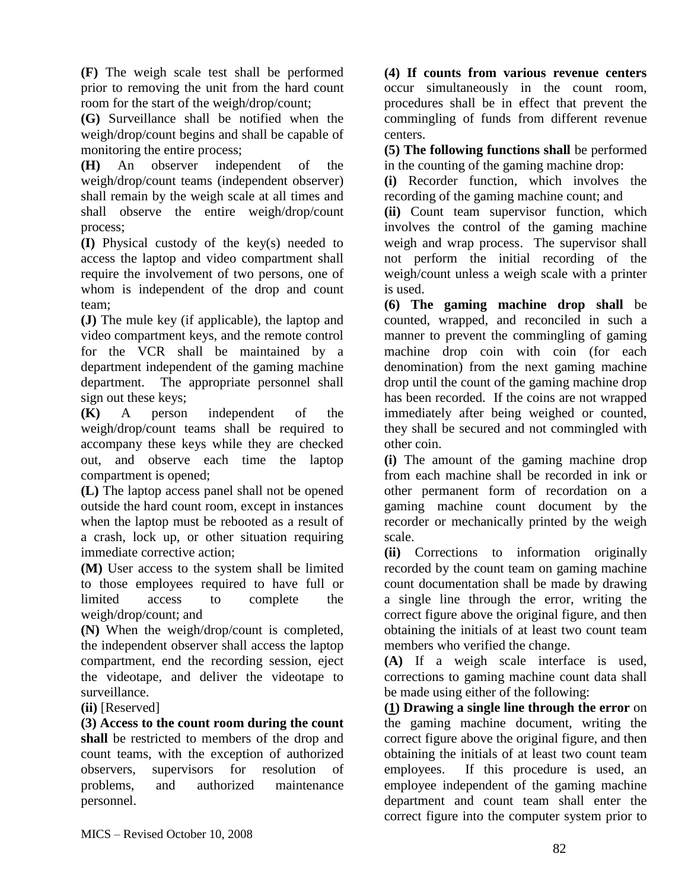**(F)** The weigh scale test shall be performed prior to removing the unit from the hard count room for the start of the weigh/drop/count;

**(G)** Surveillance shall be notified when the weigh/drop/count begins and shall be capable of monitoring the entire process;

**(H)** An observer independent of the weigh/drop/count teams (independent observer) shall remain by the weigh scale at all times and shall observe the entire weigh/drop/count process;

**(I)** Physical custody of the key(s) needed to access the laptop and video compartment shall require the involvement of two persons, one of whom is independent of the drop and count team;

**(J)** The mule key (if applicable), the laptop and video compartment keys, and the remote control for the VCR shall be maintained by a department independent of the gaming machine department. The appropriate personnel shall sign out these keys;

**(K)** A person independent of the weigh/drop/count teams shall be required to accompany these keys while they are checked out, and observe each time the laptop compartment is opened;

**(L)** The laptop access panel shall not be opened outside the hard count room, except in instances when the laptop must be rebooted as a result of a crash, lock up, or other situation requiring immediate corrective action;

**(M)** User access to the system shall be limited to those employees required to have full or limited access to complete the weigh/drop/count; and

**(N)** When the weigh/drop/count is completed, the independent observer shall access the laptop compartment, end the recording session, eject the videotape, and deliver the videotape to surveillance.

**(ii)** [Reserved]

**(3) Access to the count room during the count shall** be restricted to members of the drop and count teams, with the exception of authorized observers, supervisors for resolution of problems, and authorized maintenance personnel.

**(4) If counts from various revenue centers** occur simultaneously in the count room, procedures shall be in effect that prevent the commingling of funds from different revenue centers.

**(5) The following functions shall** be performed in the counting of the gaming machine drop:

**(i)** Recorder function, which involves the recording of the gaming machine count; and

**(ii)** Count team supervisor function, which involves the control of the gaming machine weigh and wrap process. The supervisor shall not perform the initial recording of the weigh/count unless a weigh scale with a printer is used.

**(6) The gaming machine drop shall** be counted, wrapped, and reconciled in such a manner to prevent the commingling of gaming machine drop coin with coin (for each denomination) from the next gaming machine drop until the count of the gaming machine drop has been recorded. If the coins are not wrapped immediately after being weighed or counted, they shall be secured and not commingled with other coin.

**(i)** The amount of the gaming machine drop from each machine shall be recorded in ink or other permanent form of recordation on a gaming machine count document by the recorder or mechanically printed by the weigh scale.

**(ii)** Corrections to information originally recorded by the count team on gaming machine count documentation shall be made by drawing a single line through the error, writing the correct figure above the original figure, and then obtaining the initials of at least two count team members who verified the change.

**(A)** If a weigh scale interface is used, corrections to gaming machine count data shall be made using either of the following:

**(1) Drawing a single line through the error** on the gaming machine document, writing the correct figure above the original figure, and then obtaining the initials of at least two count team employees. If this procedure is used, an employee independent of the gaming machine department and count team shall enter the correct figure into the computer system prior to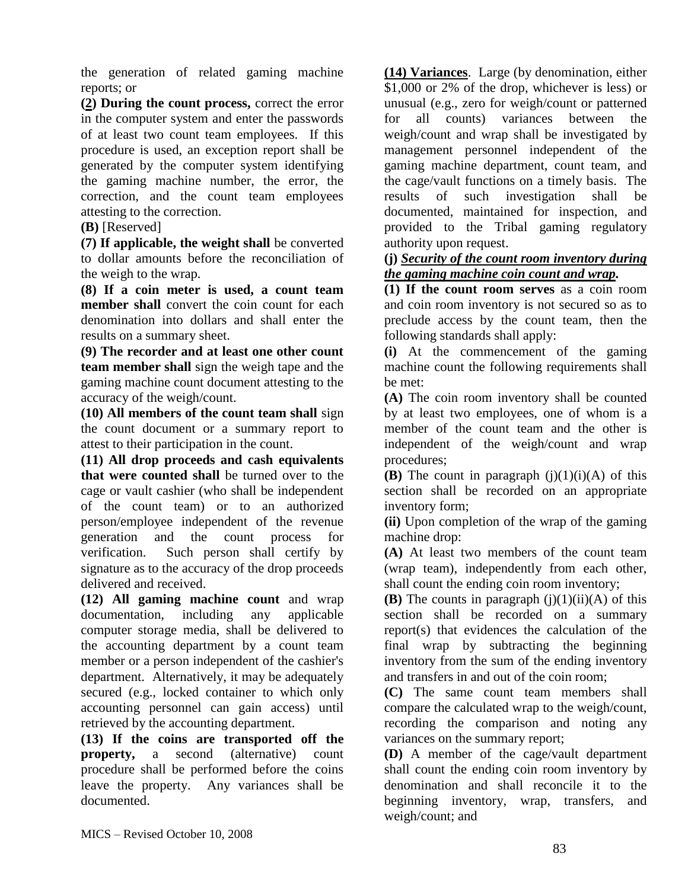the generation of related gaming machine reports; or

**(2) During the count process,** correct the error in the computer system and enter the passwords of at least two count team employees. If this procedure is used, an exception report shall be generated by the computer system identifying the gaming machine number, the error, the correction, and the count team employees attesting to the correction.

#### **(B)** [Reserved]

**(7) If applicable, the weight shall** be converted to dollar amounts before the reconciliation of the weigh to the wrap.

**(8) If a coin meter is used, a count team member shall** convert the coin count for each denomination into dollars and shall enter the results on a summary sheet.

**(9) The recorder and at least one other count team member shall** sign the weigh tape and the gaming machine count document attesting to the accuracy of the weigh/count.

**(10) All members of the count team shall** sign the count document or a summary report to attest to their participation in the count.

**(11) All drop proceeds and cash equivalents that were counted shall** be turned over to the cage or vault cashier (who shall be independent of the count team) or to an authorized person/employee independent of the revenue generation and the count process for verification. Such person shall certify by signature as to the accuracy of the drop proceeds delivered and received.

**(12) All gaming machine count** and wrap documentation, including any applicable computer storage media, shall be delivered to the accounting department by a count team member or a person independent of the cashier's department. Alternatively, it may be adequately secured (e.g., locked container to which only accounting personnel can gain access) until retrieved by the accounting department.

**(13) If the coins are transported off the property,** a second (alternative) count procedure shall be performed before the coins leave the property. Any variances shall be documented.

**(14) Variances**. Large (by denomination, either \$1,000 or 2% of the drop, whichever is less) or unusual (e.g., zero for weigh/count or patterned for all counts) variances between the weigh/count and wrap shall be investigated by management personnel independent of the gaming machine department, count team, and the cage/vault functions on a timely basis. The results of such investigation shall be documented, maintained for inspection, and provided to the Tribal gaming regulatory authority upon request.

#### **(j)** *Security of the count room inventory during the gaming machine coin count and wrap.*

**(1) If the count room serves** as a coin room and coin room inventory is not secured so as to preclude access by the count team, then the following standards shall apply:

**(i)** At the commencement of the gaming machine count the following requirements shall be met:

**(A)** The coin room inventory shall be counted by at least two employees, one of whom is a member of the count team and the other is independent of the weigh/count and wrap procedures;

**(B)** The count in paragraph  $(j)(1)(i)(A)$  of this section shall be recorded on an appropriate inventory form;

**(ii)** Upon completion of the wrap of the gaming machine drop:

**(A)** At least two members of the count team (wrap team), independently from each other, shall count the ending coin room inventory;

**(B)** The counts in paragraph  $(i)(1)(ii)(A)$  of this section shall be recorded on a summary report(s) that evidences the calculation of the final wrap by subtracting the beginning inventory from the sum of the ending inventory and transfers in and out of the coin room;

**(C)** The same count team members shall compare the calculated wrap to the weigh/count, recording the comparison and noting any variances on the summary report;

**(D)** A member of the cage/vault department shall count the ending coin room inventory by denomination and shall reconcile it to the beginning inventory, wrap, transfers, and weigh/count; and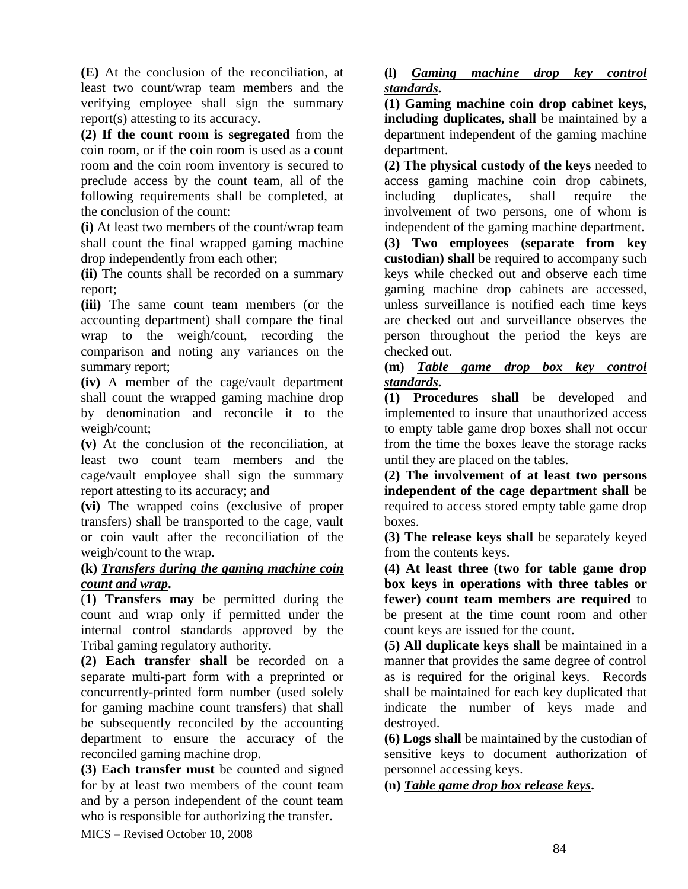**(E)** At the conclusion of the reconciliation, at least two count/wrap team members and the verifying employee shall sign the summary report(s) attesting to its accuracy.

**(2) If the count room is segregated** from the coin room, or if the coin room is used as a count room and the coin room inventory is secured to preclude access by the count team, all of the following requirements shall be completed, at the conclusion of the count:

**(i)** At least two members of the count/wrap team shall count the final wrapped gaming machine drop independently from each other;

**(ii)** The counts shall be recorded on a summary report;

**(iii)** The same count team members (or the accounting department) shall compare the final wrap to the weigh/count, recording the comparison and noting any variances on the summary report;

**(iv)** A member of the cage/vault department shall count the wrapped gaming machine drop by denomination and reconcile it to the weigh/count;

**(v)** At the conclusion of the reconciliation, at least two count team members and the cage/vault employee shall sign the summary report attesting to its accuracy; and

**(vi)** The wrapped coins (exclusive of proper transfers) shall be transported to the cage, vault or coin vault after the reconciliation of the weigh/count to the wrap.

### **(k)** *Transfers during the gaming machine coin count and wrap***.**

(**1) Transfers may** be permitted during the count and wrap only if permitted under the internal control standards approved by the Tribal gaming regulatory authority.

**(2) Each transfer shall** be recorded on a separate multi-part form with a preprinted or concurrently-printed form number (used solely for gaming machine count transfers) that shall be subsequently reconciled by the accounting department to ensure the accuracy of the reconciled gaming machine drop.

**(3) Each transfer must** be counted and signed for by at least two members of the count team and by a person independent of the count team who is responsible for authorizing the transfer.

**(l)** *Gaming machine drop key control standards***.** 

**(1) Gaming machine coin drop cabinet keys, including duplicates, shall** be maintained by a department independent of the gaming machine department.

**(2) The physical custody of the keys** needed to access gaming machine coin drop cabinets, including duplicates, shall require the involvement of two persons, one of whom is independent of the gaming machine department.

**(3) Two employees (separate from key custodian) shall** be required to accompany such keys while checked out and observe each time gaming machine drop cabinets are accessed, unless surveillance is notified each time keys are checked out and surveillance observes the person throughout the period the keys are checked out.

#### **(m)** *Table game drop box key control standards***.**

**(1) Procedures shall** be developed and implemented to insure that unauthorized access to empty table game drop boxes shall not occur from the time the boxes leave the storage racks until they are placed on the tables.

**(2) The involvement of at least two persons independent of the cage department shall** be required to access stored empty table game drop boxes.

**(3) The release keys shall** be separately keyed from the contents keys.

**(4) At least three (two for table game drop box keys in operations with three tables or fewer) count team members are required** to be present at the time count room and other count keys are issued for the count.

**(5) All duplicate keys shall** be maintained in a manner that provides the same degree of control as is required for the original keys. Records shall be maintained for each key duplicated that indicate the number of keys made and destroyed.

**(6) Logs shall** be maintained by the custodian of sensitive keys to document authorization of personnel accessing keys.

**(n)** *Table game drop box release keys***.** 

MICS – Revised October 10, 2008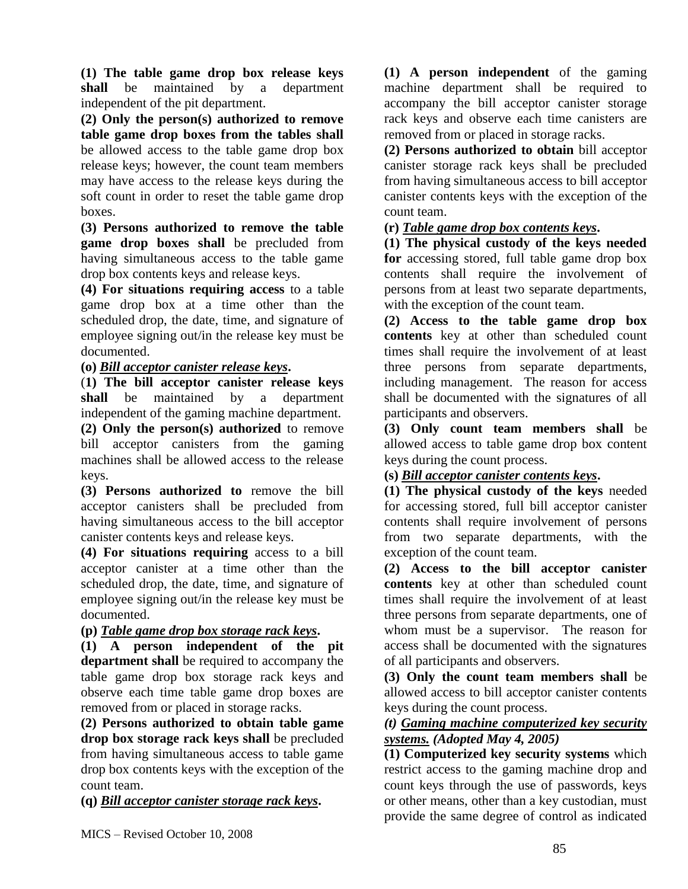**(1) The table game drop box release keys shall** be maintained by a department independent of the pit department.

**(2) Only the person(s) authorized to remove table game drop boxes from the tables shall** be allowed access to the table game drop box release keys; however, the count team members may have access to the release keys during the soft count in order to reset the table game drop boxes.

**(3) Persons authorized to remove the table game drop boxes shall** be precluded from having simultaneous access to the table game drop box contents keys and release keys.

**(4) For situations requiring access** to a table game drop box at a time other than the scheduled drop, the date, time, and signature of employee signing out/in the release key must be documented.

### **(o)** *Bill acceptor canister release keys***.**

(**1) The bill acceptor canister release keys shall** be maintained by a department independent of the gaming machine department. **(2) Only the person(s) authorized** to remove

bill acceptor canisters from the gaming machines shall be allowed access to the release keys.

**(3) Persons authorized to** remove the bill acceptor canisters shall be precluded from having simultaneous access to the bill acceptor canister contents keys and release keys.

**(4) For situations requiring** access to a bill acceptor canister at a time other than the scheduled drop, the date, time, and signature of employee signing out/in the release key must be documented.

### **(p)** *Table game drop box storage rack keys***.**

**(1) A person independent of the pit department shall** be required to accompany the table game drop box storage rack keys and observe each time table game drop boxes are removed from or placed in storage racks.

**(2) Persons authorized to obtain table game drop box storage rack keys shall** be precluded from having simultaneous access to table game drop box contents keys with the exception of the count team.

**(q)** *Bill acceptor canister storage rack keys***.** 

**(1) A person independent** of the gaming machine department shall be required to accompany the bill acceptor canister storage rack keys and observe each time canisters are removed from or placed in storage racks.

**(2) Persons authorized to obtain** bill acceptor canister storage rack keys shall be precluded from having simultaneous access to bill acceptor canister contents keys with the exception of the count team.

### **(r)** *Table game drop box contents keys***.**

**(1) The physical custody of the keys needed for** accessing stored, full table game drop box contents shall require the involvement of persons from at least two separate departments, with the exception of the count team.

**(2) Access to the table game drop box contents** key at other than scheduled count times shall require the involvement of at least three persons from separate departments, including management. The reason for access shall be documented with the signatures of all participants and observers.

**(3) Only count team members shall** be allowed access to table game drop box content keys during the count process.

### **(s)** *Bill acceptor canister contents keys***.**

**(1) The physical custody of the keys** needed for accessing stored, full bill acceptor canister contents shall require involvement of persons from two separate departments, with the exception of the count team.

**(2) Access to the bill acceptor canister contents** key at other than scheduled count times shall require the involvement of at least three persons from separate departments, one of whom must be a supervisor. The reason for access shall be documented with the signatures of all participants and observers.

**(3) Only the count team members shall** be allowed access to bill acceptor canister contents keys during the count process.

### *(t) Gaming machine computerized key security systems. (Adopted May 4, 2005)*

**(1) Computerized key security systems** which restrict access to the gaming machine drop and count keys through the use of passwords, keys or other means, other than a key custodian, must provide the same degree of control as indicated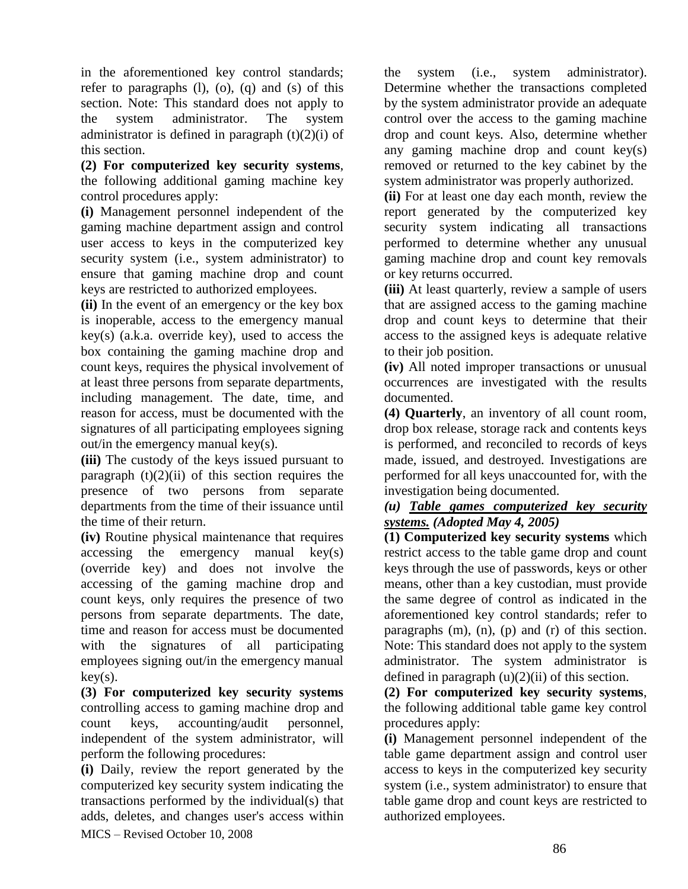in the aforementioned key control standards; refer to paragraphs  $(l)$ ,  $(o)$ ,  $(q)$  and  $(s)$  of this section. Note: This standard does not apply to the system administrator. The system administrator is defined in paragraph  $(t)(2)(i)$  of this section.

**(2) For computerized key security systems**, the following additional gaming machine key control procedures apply:

**(i)** Management personnel independent of the gaming machine department assign and control user access to keys in the computerized key security system (i.e., system administrator) to ensure that gaming machine drop and count keys are restricted to authorized employees.

**(ii)** In the event of an emergency or the key box is inoperable, access to the emergency manual key(s) (a.k.a. override key), used to access the box containing the gaming machine drop and count keys, requires the physical involvement of at least three persons from separate departments, including management. The date, time, and reason for access, must be documented with the signatures of all participating employees signing out/in the emergency manual key(s).

**(iii)** The custody of the keys issued pursuant to paragraph  $(t)(2)(ii)$  of this section requires the presence of two persons from separate departments from the time of their issuance until the time of their return.

**(iv)** Routine physical maintenance that requires accessing the emergency manual key(s) (override key) and does not involve the accessing of the gaming machine drop and count keys, only requires the presence of two persons from separate departments. The date, time and reason for access must be documented with the signatures of all participating employees signing out/in the emergency manual  $key(s)$ .

**(3) For computerized key security systems** controlling access to gaming machine drop and count keys, accounting/audit personnel, independent of the system administrator, will perform the following procedures:

MICS – Revised October 10, 2008 **(i)** Daily, review the report generated by the computerized key security system indicating the transactions performed by the individual(s) that adds, deletes, and changes user's access within the system (i.e., system administrator). Determine whether the transactions completed by the system administrator provide an adequate control over the access to the gaming machine drop and count keys. Also, determine whether any gaming machine drop and count key(s) removed or returned to the key cabinet by the system administrator was properly authorized.

**(ii)** For at least one day each month, review the report generated by the computerized key security system indicating all transactions performed to determine whether any unusual gaming machine drop and count key removals or key returns occurred.

**(iii)** At least quarterly, review a sample of users that are assigned access to the gaming machine drop and count keys to determine that their access to the assigned keys is adequate relative to their job position.

**(iv)** All noted improper transactions or unusual occurrences are investigated with the results documented.

**(4) Quarterly**, an inventory of all count room, drop box release, storage rack and contents keys is performed, and reconciled to records of keys made, issued, and destroyed. Investigations are performed for all keys unaccounted for, with the investigation being documented.

#### *(u) Table games computerized key security systems. (Adopted May 4, 2005)*

**(1) Computerized key security systems** which restrict access to the table game drop and count keys through the use of passwords, keys or other means, other than a key custodian, must provide the same degree of control as indicated in the aforementioned key control standards; refer to paragraphs (m), (n), (p) and (r) of this section. Note: This standard does not apply to the system administrator. The system administrator is defined in paragraph  $(u)(2)(ii)$  of this section.

**(2) For computerized key security systems**, the following additional table game key control procedures apply:

**(i)** Management personnel independent of the table game department assign and control user access to keys in the computerized key security system (i.e., system administrator) to ensure that table game drop and count keys are restricted to authorized employees.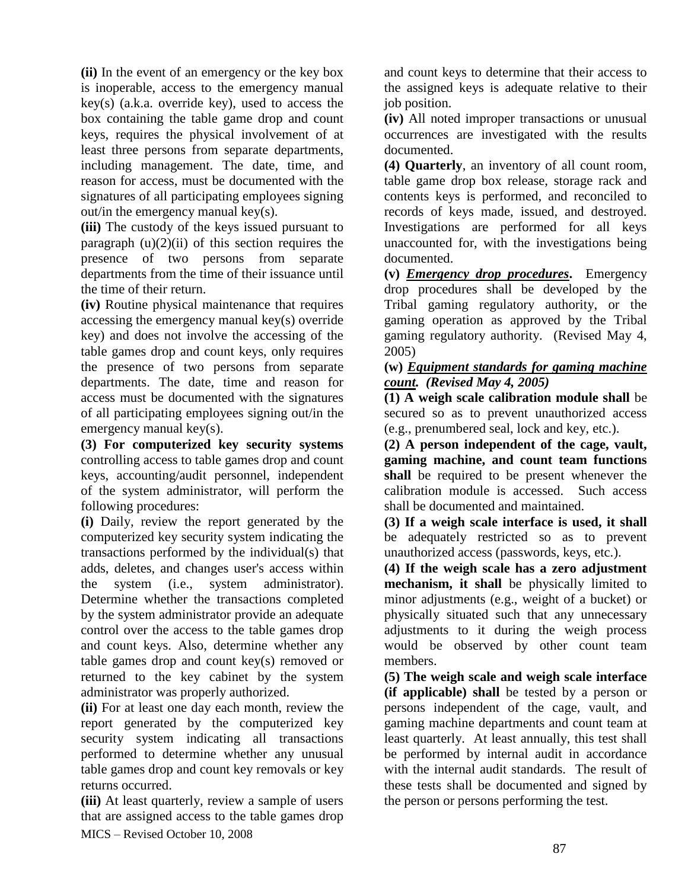**(ii)** In the event of an emergency or the key box is inoperable, access to the emergency manual key(s) (a.k.a. override key), used to access the box containing the table game drop and count keys, requires the physical involvement of at least three persons from separate departments, including management. The date, time, and reason for access, must be documented with the signatures of all participating employees signing out/in the emergency manual key(s).

**(iii)** The custody of the keys issued pursuant to paragraph  $(u)(2)(ii)$  of this section requires the presence of two persons from separate departments from the time of their issuance until the time of their return.

**(iv)** Routine physical maintenance that requires accessing the emergency manual key(s) override key) and does not involve the accessing of the table games drop and count keys, only requires the presence of two persons from separate departments. The date, time and reason for access must be documented with the signatures of all participating employees signing out/in the emergency manual key(s).

**(3) For computerized key security systems** controlling access to table games drop and count keys, accounting/audit personnel, independent of the system administrator, will perform the following procedures:

**(i)** Daily, review the report generated by the computerized key security system indicating the transactions performed by the individual(s) that adds, deletes, and changes user's access within the system (i.e., system administrator). Determine whether the transactions completed by the system administrator provide an adequate control over the access to the table games drop and count keys. Also, determine whether any table games drop and count key(s) removed or returned to the key cabinet by the system administrator was properly authorized.

**(ii)** For at least one day each month, review the report generated by the computerized key security system indicating all transactions performed to determine whether any unusual table games drop and count key removals or key returns occurred.

MICS – Revised October 10, 2008 **(iii)** At least quarterly, review a sample of users that are assigned access to the table games drop

and count keys to determine that their access to the assigned keys is adequate relative to their job position.

**(iv)** All noted improper transactions or unusual occurrences are investigated with the results documented.

**(4) Quarterly**, an inventory of all count room, table game drop box release, storage rack and contents keys is performed, and reconciled to records of keys made, issued, and destroyed. Investigations are performed for all keys unaccounted for, with the investigations being documented.

**(v)** *Emergency drop procedures***.** Emergency drop procedures shall be developed by the Tribal gaming regulatory authority, or the gaming operation as approved by the Tribal gaming regulatory authority. (Revised May 4, 2005)

#### **(w)** *Equipment standards for gaming machine count. (Revised May 4, 2005)*

**(1) A weigh scale calibration module shall** be secured so as to prevent unauthorized access (e.g., prenumbered seal, lock and key, etc.).

**(2) A person independent of the cage, vault, gaming machine, and count team functions shall** be required to be present whenever the calibration module is accessed. Such access shall be documented and maintained.

**(3) If a weigh scale interface is used, it shall** be adequately restricted so as to prevent unauthorized access (passwords, keys, etc.).

**(4) If the weigh scale has a zero adjustment mechanism, it shall** be physically limited to minor adjustments (e.g., weight of a bucket) or physically situated such that any unnecessary adjustments to it during the weigh process would be observed by other count team members.

**(5) The weigh scale and weigh scale interface (if applicable) shall** be tested by a person or persons independent of the cage, vault, and gaming machine departments and count team at least quarterly. At least annually, this test shall be performed by internal audit in accordance with the internal audit standards. The result of these tests shall be documented and signed by the person or persons performing the test.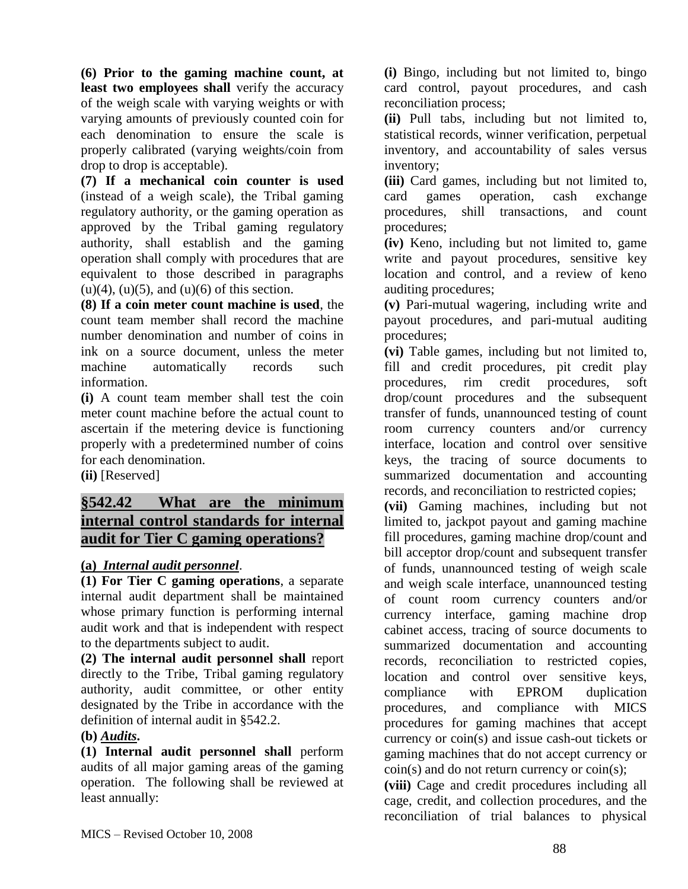**(6) Prior to the gaming machine count, at**  least two employees shall verify the accuracy of the weigh scale with varying weights or with varying amounts of previously counted coin for each denomination to ensure the scale is properly calibrated (varying weights/coin from drop to drop is acceptable).

**(7) If a mechanical coin counter is used** (instead of a weigh scale), the Tribal gaming regulatory authority, or the gaming operation as approved by the Tribal gaming regulatory authority, shall establish and the gaming operation shall comply with procedures that are equivalent to those described in paragraphs  $(u)(4)$ ,  $(u)(5)$ , and  $(u)(6)$  of this section.

**(8) If a coin meter count machine is used**, the count team member shall record the machine number denomination and number of coins in ink on a source document, unless the meter machine automatically records such information.

**(i)** A count team member shall test the coin meter count machine before the actual count to ascertain if the metering device is functioning properly with a predetermined number of coins for each denomination.

**(ii)** [Reserved]

# **§542.42 What are the minimum internal control standards for internal audit for Tier C gaming operations?**

# **(a)** *Internal audit personnel*.

**(1) For Tier C gaming operations**, a separate internal audit department shall be maintained whose primary function is performing internal audit work and that is independent with respect to the departments subject to audit.

**(2) The internal audit personnel shall** report directly to the Tribe, Tribal gaming regulatory authority, audit committee, or other entity designated by the Tribe in accordance with the definition of internal audit in §542.2.

### **(b)** *Audits***.**

**(1) Internal audit personnel shall** perform audits of all major gaming areas of the gaming operation. The following shall be reviewed at least annually:

**(i)** Bingo, including but not limited to, bingo card control, payout procedures, and cash reconciliation process;

**(ii)** Pull tabs, including but not limited to, statistical records, winner verification, perpetual inventory, and accountability of sales versus inventory;

**(iii)** Card games, including but not limited to, card games operation, cash exchange procedures, shill transactions, and count procedures;

**(iv)** Keno, including but not limited to, game write and payout procedures, sensitive key location and control, and a review of keno auditing procedures;

**(v)** Pari-mutual wagering, including write and payout procedures, and pari-mutual auditing procedures;

**(vi)** Table games, including but not limited to, fill and credit procedures, pit credit play procedures, rim credit procedures, soft drop/count procedures and the subsequent transfer of funds, unannounced testing of count room currency counters and/or currency interface, location and control over sensitive keys, the tracing of source documents to summarized documentation and accounting records, and reconciliation to restricted copies;

**(vii)** Gaming machines, including but not limited to, jackpot payout and gaming machine fill procedures, gaming machine drop/count and bill acceptor drop/count and subsequent transfer of funds, unannounced testing of weigh scale and weigh scale interface, unannounced testing of count room currency counters and/or currency interface, gaming machine drop cabinet access, tracing of source documents to summarized documentation and accounting records, reconciliation to restricted copies, location and control over sensitive keys, compliance with EPROM duplication procedures, and compliance with MICS procedures for gaming machines that accept currency or coin(s) and issue cash-out tickets or gaming machines that do not accept currency or coin(s) and do not return currency or coin(s);

**(viii)** Cage and credit procedures including all cage, credit, and collection procedures, and the reconciliation of trial balances to physical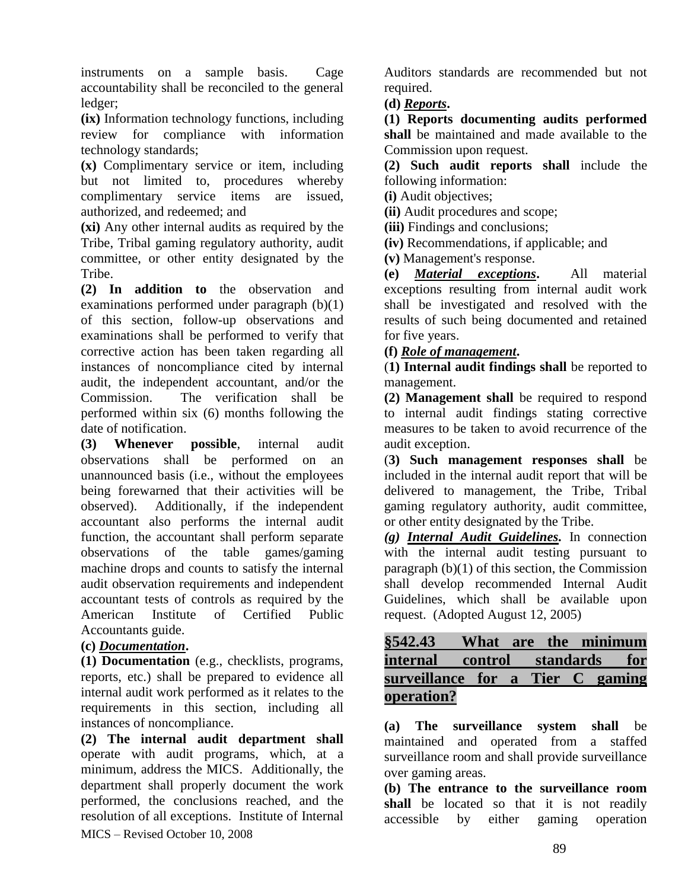instruments on a sample basis. Cage accountability shall be reconciled to the general ledger;

**(ix)** Information technology functions, including review for compliance with information technology standards;

**(x)** Complimentary service or item, including but not limited to, procedures whereby complimentary service items are issued, authorized, and redeemed; and

**(xi)** Any other internal audits as required by the Tribe, Tribal gaming regulatory authority, audit committee, or other entity designated by the Tribe.

**(2) In addition to** the observation and examinations performed under paragraph (b)(1) of this section, follow-up observations and examinations shall be performed to verify that corrective action has been taken regarding all instances of noncompliance cited by internal audit, the independent accountant, and/or the Commission. The verification shall be performed within six (6) months following the date of notification.

**(3) Whenever possible**, internal audit observations shall be performed on an unannounced basis (i.e., without the employees being forewarned that their activities will be observed). Additionally, if the independent accountant also performs the internal audit function, the accountant shall perform separate observations of the table games/gaming machine drops and counts to satisfy the internal audit observation requirements and independent accountant tests of controls as required by the American Institute of Certified Public Accountants guide.

### **(c)** *Documentation***.**

**(1) Documentation** (e.g., checklists, programs, reports, etc.) shall be prepared to evidence all internal audit work performed as it relates to the requirements in this section, including all instances of noncompliance.

MICS – Revised October 10, 2008 **(2) The internal audit department shall** operate with audit programs, which, at a minimum, address the MICS. Additionally, the department shall properly document the work performed, the conclusions reached, and the resolution of all exceptions. Institute of Internal

Auditors standards are recommended but not required.

#### **(d)** *Reports***.**

**(1) Reports documenting audits performed shall** be maintained and made available to the Commission upon request.

**(2) Such audit reports shall** include the following information:

**(i)** Audit objectives;

**(ii)** Audit procedures and scope;

**(iii)** Findings and conclusions;

**(iv)** Recommendations, if applicable; and

**(v)** Management's response.

**(e)** *Material exceptions***.** All material exceptions resulting from internal audit work shall be investigated and resolved with the results of such being documented and retained for five years.

**(f)** *Role of management***.** 

(**1) Internal audit findings shall** be reported to management.

**(2) Management shall** be required to respond to internal audit findings stating corrective measures to be taken to avoid recurrence of the audit exception.

(**3) Such management responses shall** be included in the internal audit report that will be delivered to management, the Tribe, Tribal gaming regulatory authority, audit committee, or other entity designated by the Tribe.

*(g) Internal Audit Guidelines.* In connection with the internal audit testing pursuant to paragraph (b)(1) of this section, the Commission shall develop recommended Internal Audit Guidelines, which shall be available upon request. (Adopted August 12, 2005)

**§542.43 What are the minimum internal control standards for surveillance for a Tier C gaming operation?**

**(a) The surveillance system shall** be maintained and operated from a staffed surveillance room and shall provide surveillance over gaming areas.

**(b) The entrance to the surveillance room shall** be located so that it is not readily accessible by either gaming operation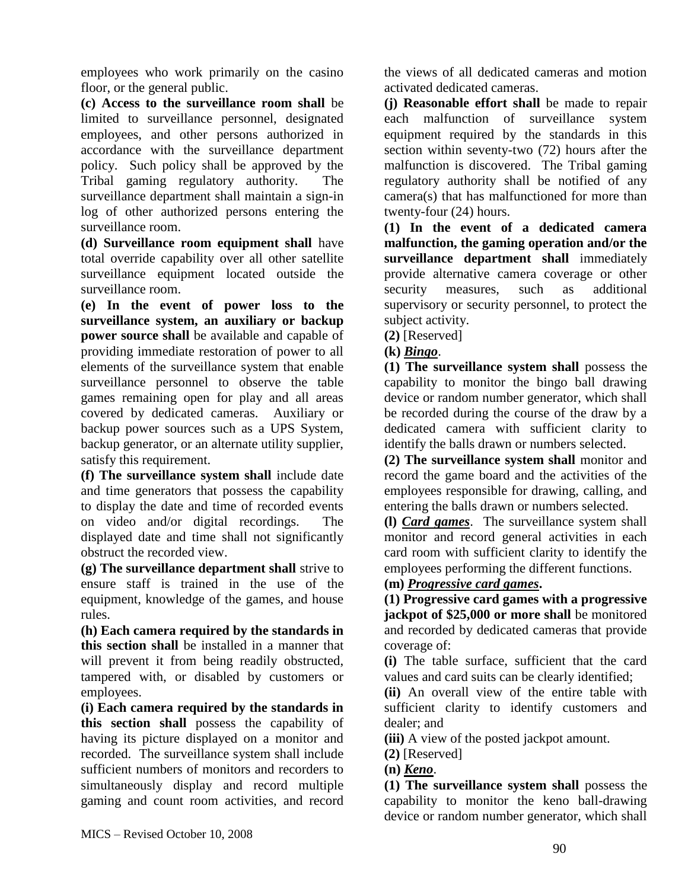employees who work primarily on the casino floor, or the general public.

**(c) Access to the surveillance room shall** be limited to surveillance personnel, designated employees, and other persons authorized in accordance with the surveillance department policy. Such policy shall be approved by the Tribal gaming regulatory authority. The surveillance department shall maintain a sign-in log of other authorized persons entering the surveillance room.

**(d) Surveillance room equipment shall** have total override capability over all other satellite surveillance equipment located outside the surveillance room.

**(e) In the event of power loss to the surveillance system, an auxiliary or backup power source shall** be available and capable of providing immediate restoration of power to all elements of the surveillance system that enable surveillance personnel to observe the table games remaining open for play and all areas covered by dedicated cameras. Auxiliary or backup power sources such as a UPS System, backup generator, or an alternate utility supplier, satisfy this requirement.

**(f) The surveillance system shall** include date and time generators that possess the capability to display the date and time of recorded events on video and/or digital recordings. The displayed date and time shall not significantly obstruct the recorded view.

**(g) The surveillance department shall** strive to ensure staff is trained in the use of the equipment, knowledge of the games, and house rules.

**(h) Each camera required by the standards in this section shall** be installed in a manner that will prevent it from being readily obstructed, tampered with, or disabled by customers or employees.

**(i) Each camera required by the standards in this section shall** possess the capability of having its picture displayed on a monitor and recorded. The surveillance system shall include sufficient numbers of monitors and recorders to simultaneously display and record multiple gaming and count room activities, and record

the views of all dedicated cameras and motion activated dedicated cameras.

**(j) Reasonable effort shall** be made to repair each malfunction of surveillance system equipment required by the standards in this section within seventy-two (72) hours after the malfunction is discovered. The Tribal gaming regulatory authority shall be notified of any camera(s) that has malfunctioned for more than twenty-four (24) hours.

**(1) In the event of a dedicated camera malfunction, the gaming operation and/or the surveillance department shall** immediately provide alternative camera coverage or other security measures, such as additional supervisory or security personnel, to protect the subject activity.

**(2)** [Reserved]

**(k)** *Bingo*.

**(1) The surveillance system shall** possess the capability to monitor the bingo ball drawing device or random number generator, which shall be recorded during the course of the draw by a dedicated camera with sufficient clarity to identify the balls drawn or numbers selected.

**(2) The surveillance system shall** monitor and record the game board and the activities of the employees responsible for drawing, calling, and entering the balls drawn or numbers selected.

**(l)** *Card games*. The surveillance system shall monitor and record general activities in each card room with sufficient clarity to identify the employees performing the different functions.

### **(m)** *Progressive card games***.**

**(1) Progressive card games with a progressive jackpot of \$25,000 or more shall** be monitored and recorded by dedicated cameras that provide coverage of:

**(i)** The table surface, sufficient that the card values and card suits can be clearly identified;

**(ii)** An overall view of the entire table with sufficient clarity to identify customers and dealer; and

**(iii)** A view of the posted jackpot amount.

**(2)** [Reserved]

**(n)** *Keno*.

**(1) The surveillance system shall** possess the capability to monitor the keno ball-drawing device or random number generator, which shall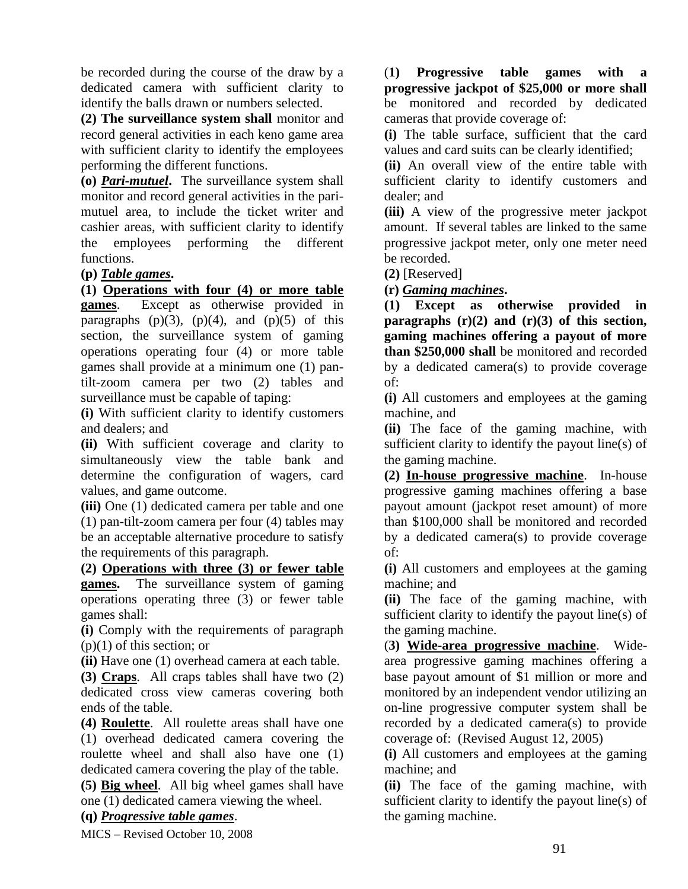be recorded during the course of the draw by a dedicated camera with sufficient clarity to identify the balls drawn or numbers selected.

**(2) The surveillance system shall** monitor and record general activities in each keno game area with sufficient clarity to identify the employees performing the different functions.

**(o)** *Pari-mutuel***.** The surveillance system shall monitor and record general activities in the parimutuel area, to include the ticket writer and cashier areas, with sufficient clarity to identify the employees performing the different functions.

#### **(p)** *Table games***.**

**(1) Operations with four (4) or more table** 

**games**. Except as otherwise provided in paragraphs  $(p)(3)$ ,  $(p)(4)$ , and  $(p)(5)$  of this section, the surveillance system of gaming operations operating four (4) or more table games shall provide at a minimum one (1) pantilt-zoom camera per two (2) tables and surveillance must be capable of taping:

**(i)** With sufficient clarity to identify customers and dealers; and

**(ii)** With sufficient coverage and clarity to simultaneously view the table bank and determine the configuration of wagers, card values, and game outcome.

**(iii)** One (1) dedicated camera per table and one (1) pan-tilt-zoom camera per four (4) tables may be an acceptable alternative procedure to satisfy the requirements of this paragraph.

**(2) Operations with three (3) or fewer table games.** The surveillance system of gaming operations operating three (3) or fewer table games shall:

**(i)** Comply with the requirements of paragraph (p)(1) of this section; or

**(ii)** Have one (1) overhead camera at each table.

**(3) Craps**. All craps tables shall have two (2) dedicated cross view cameras covering both ends of the table.

**(4) Roulette**. All roulette areas shall have one (1) overhead dedicated camera covering the roulette wheel and shall also have one (1) dedicated camera covering the play of the table.

**(5) Big wheel**. All big wheel games shall have one (1) dedicated camera viewing the wheel.

#### **(q)** *Progressive table games*.

MICS – Revised October 10, 2008

(**1) Progressive table games with a progressive jackpot of \$25,000 or more shall** be monitored and recorded by dedicated cameras that provide coverage of:

**(i)** The table surface, sufficient that the card values and card suits can be clearly identified;

**(ii)** An overall view of the entire table with sufficient clarity to identify customers and dealer; and

**(iii)** A view of the progressive meter jackpot amount. If several tables are linked to the same progressive jackpot meter, only one meter need be recorded.

**(2)** [Reserved]

**(r)** *Gaming machines***.** 

**(1) Except as otherwise provided in paragraphs (r)(2) and (r)(3) of this section, gaming machines offering a payout of more than \$250,000 shall** be monitored and recorded by a dedicated camera(s) to provide coverage of:

**(i)** All customers and employees at the gaming machine, and

**(ii)** The face of the gaming machine, with sufficient clarity to identify the payout line(s) of the gaming machine.

**(2) In-house progressive machine**. In-house progressive gaming machines offering a base payout amount (jackpot reset amount) of more than \$100,000 shall be monitored and recorded by a dedicated camera(s) to provide coverage of:

**(i)** All customers and employees at the gaming machine; and

**(ii)** The face of the gaming machine, with sufficient clarity to identify the payout line(s) of the gaming machine.

(**3) Wide-area progressive machine**. Widearea progressive gaming machines offering a base payout amount of \$1 million or more and monitored by an independent vendor utilizing an on-line progressive computer system shall be recorded by a dedicated camera(s) to provide coverage of: (Revised August 12, 2005)

**(i)** All customers and employees at the gaming machine; and

**(ii)** The face of the gaming machine, with sufficient clarity to identify the payout line(s) of the gaming machine.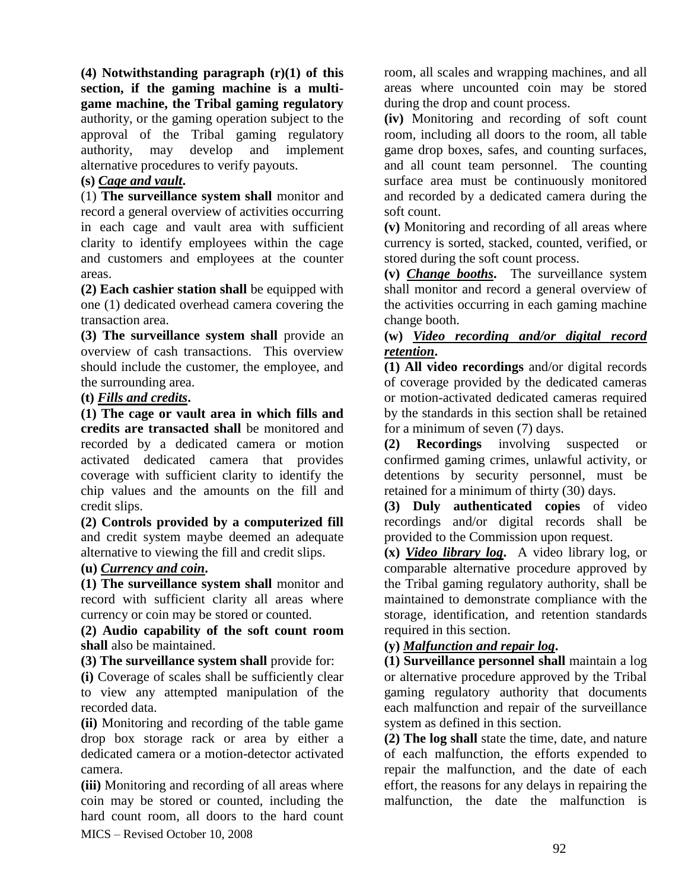**(4) Notwithstanding paragraph (r)(1) of this section, if the gaming machine is a multigame machine, the Tribal gaming regulatory** authority, or the gaming operation subject to the approval of the Tribal gaming regulatory authority, may develop and implement alternative procedures to verify payouts.

### **(s)** *Cage and vault***.**

(1) **The surveillance system shall** monitor and record a general overview of activities occurring in each cage and vault area with sufficient clarity to identify employees within the cage and customers and employees at the counter areas.

**(2) Each cashier station shall** be equipped with one (1) dedicated overhead camera covering the transaction area.

**(3) The surveillance system shall** provide an overview of cash transactions. This overview should include the customer, the employee, and the surrounding area.

### **(t)** *Fills and credits***.**

**(1) The cage or vault area in which fills and credits are transacted shall** be monitored and recorded by a dedicated camera or motion activated dedicated camera that provides coverage with sufficient clarity to identify the chip values and the amounts on the fill and credit slips.

**(2) Controls provided by a computerized fill** and credit system maybe deemed an adequate alternative to viewing the fill and credit slips.

#### **(u)** *Currency and coin***.**

**(1) The surveillance system shall** monitor and record with sufficient clarity all areas where currency or coin may be stored or counted.

#### **(2) Audio capability of the soft count room shall** also be maintained.

**(3) The surveillance system shall** provide for:

**(i)** Coverage of scales shall be sufficiently clear to view any attempted manipulation of the recorded data.

**(ii)** Monitoring and recording of the table game drop box storage rack or area by either a dedicated camera or a motion-detector activated camera.

MICS – Revised October 10, 2008 **(iii)** Monitoring and recording of all areas where coin may be stored or counted, including the hard count room, all doors to the hard count room, all scales and wrapping machines, and all areas where uncounted coin may be stored during the drop and count process.

**(iv)** Monitoring and recording of soft count room, including all doors to the room, all table game drop boxes, safes, and counting surfaces, and all count team personnel. The counting surface area must be continuously monitored and recorded by a dedicated camera during the soft count.

**(v)** Monitoring and recording of all areas where currency is sorted, stacked, counted, verified, or stored during the soft count process.

**(v)** *Change booths***.** The surveillance system shall monitor and record a general overview of the activities occurring in each gaming machine change booth.

#### **(w)** *Video recording and/or digital record retention***.**

**(1) All video recordings** and/or digital records of coverage provided by the dedicated cameras or motion-activated dedicated cameras required by the standards in this section shall be retained for a minimum of seven (7) days.

**(2) Recordings** involving suspected or confirmed gaming crimes, unlawful activity, or detentions by security personnel, must be retained for a minimum of thirty (30) days.

**(3) Duly authenticated copies** of video recordings and/or digital records shall be provided to the Commission upon request.

**(x)** *Video library log***.** A video library log, or comparable alternative procedure approved by the Tribal gaming regulatory authority, shall be maintained to demonstrate compliance with the storage, identification, and retention standards required in this section.

### **(y)** *Malfunction and repair log***.**

**(1) Surveillance personnel shall** maintain a log or alternative procedure approved by the Tribal gaming regulatory authority that documents each malfunction and repair of the surveillance system as defined in this section.

**(2) The log shall** state the time, date, and nature of each malfunction, the efforts expended to repair the malfunction, and the date of each effort, the reasons for any delays in repairing the malfunction, the date the malfunction is